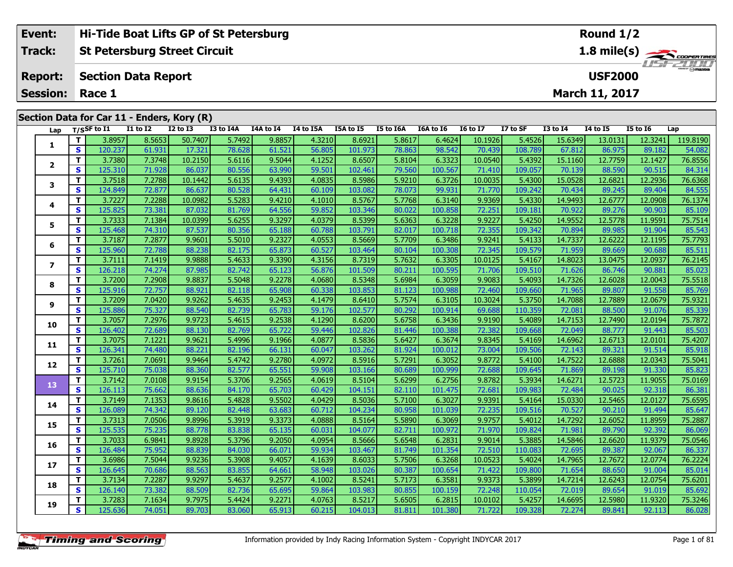|  | Event:                  |          |                |                            | Hi-Tide Boat Lifts GP of St Petersburg     |                  |                                                  |                   |                  |           |           |                 |          |                 |                |                 |          |
|--|-------------------------|----------|----------------|----------------------------|--------------------------------------------|------------------|--------------------------------------------------|-------------------|------------------|-----------|-----------|-----------------|----------|-----------------|----------------|-----------------|----------|
|  | <b>Track:</b>           |          |                |                            | <b>St Petersburg Street Circuit</b>        |                  | 1.8 mile(s)                                      |                   |                  |           |           |                 |          |                 |                |                 |          |
|  | <b>Report:</b>          |          |                | <b>Section Data Report</b> |                                            |                  | <b>LISITELIAN</b><br><b>USF2000</b>              |                   |                  |           |           |                 |          |                 |                |                 |          |
|  | <b>Session:</b>         |          | Race 1         |                            |                                            |                  |                                                  |                   |                  |           |           |                 |          |                 | March 11, 2017 |                 |          |
|  |                         |          |                |                            |                                            |                  |                                                  |                   |                  |           |           |                 |          |                 |                |                 |          |
|  |                         |          |                |                            | Section Data for Car 11 - Enders, Kory (R) |                  |                                                  |                   |                  |           |           |                 |          |                 |                |                 |          |
|  | Lap                     |          | $T/S$ SF to I1 | I1 to I2                   | $I2$ to $I3$                               | <b>I3 to I4A</b> | I4A to I4                                        | I4 to I5A         | <b>I5A to I5</b> | I5 to I6A | I6A to I6 | <b>16 to 17</b> | I7 to SF | <b>I3 to I4</b> | 14 to 15       | <b>I5 to 16</b> | Lap      |
|  |                         |          | 3.8957         | 8.5653                     | 50.7407                                    | 5.7492           | 9.8857                                           | 4.3210            | 8.6921           | 5.8617    | 6.4624    | 10.1926         | 5.4526   | 15.6349         | 13.0131        | 12.3241         | 119.8190 |
|  |                         | <b>S</b> | 120.237        | 61.931                     | 17.321                                     | 78.628           | 61.521                                           | 56.805            | 101.973          | 78.863    | 98.542    | 70.439          | 108.789  | 67.812          | 86.975         | 89.182          | 54.082   |
|  | $\overline{\mathbf{2}}$ |          | 3.7380         | 7.3748                     | 10.2150                                    | 5.6116           | 9.5044                                           | 4.1252            | 8.6507           | 5.8104    | 6.3323    | 10.0540         | 5.4392   | 15.1160         | 12.7759        | 12.1427         | 76.8556  |
|  |                         | <b>S</b> | 125.310        | 71.928                     | 86.037                                     | 80.556           | 63.990                                           | 59.501            | 102.461          | 79.560    | 100.567   | <b>71.410</b>   | 109.057  | 70.139          | 88.590         | 90.515          | 84.314   |
|  | 3                       |          | 3.7518         | 7.2788                     | 10.1442                                    | 5.6135           | 9.4393                                           | 4.0835            | 8.5986           | 5.9210    | 6.3726    | 10.0035         | 5.4300   | 15.0528         | 12.6821        | 12.2936         | 76.6368  |
|  |                         | $\sim$   | 124040         | 22.022                     | 0000                                       | oo rool          | $\sim$ $\sim$ $\sim$ $\sim$ $\sim$ $\sim$ $\sim$ | $\sim$ 100 $\sim$ | 10200            | 20.022    | 00.021    | 71.770          | 100.212  | 70.424          | 00.24F         | 00.404          | $04$ FFF |

| 1<br>S<br>120.237<br>78.628<br>61.521<br>56.805<br>78.863<br>67.812<br>61.931<br>17.321<br>101.973<br>98.542<br>70.439<br>108.789<br>86.975<br>89.182<br>T.<br>5.6116<br>5.8104<br>3.7380<br>7.3748<br>10.2150<br>9.5044<br>4.1252<br>8.6507<br>6.3323<br>10.0540<br>5.4392<br>15.1160<br>12.7759<br>12.1427<br>$\overline{2}$<br>S<br>125.310<br>71.928<br>80.556<br>63.990<br>59.501<br>79.560<br>86.037<br>102.461<br>100.567<br>71.410<br>109.057<br>70.139<br>88.590<br>90.515<br>Τ.<br>3.7518<br>7.2788<br>5.6135<br>9.4393<br>4.0835<br>8.5986<br>5.9210<br>6.3726<br>10.0035<br>5.4300<br>15.0528<br>12.6821<br>12.2936<br>10.1442<br>3<br>S<br>99.931<br>124.849<br>72.877<br>86.637<br>80.528<br>64.431<br>60.109<br>103.082<br>78.073<br>71.770<br>109.242<br>70.434<br>89.245<br>89.404<br>T.<br>5.5283<br>9.4210<br>3.7227<br>7.2288<br>10.0982<br>4.1010<br>8.5767<br>5.7768<br>6.3140<br>9.9369<br>5.4330<br>14.9493<br>12.6777<br>12.0908<br>4<br>S<br>125.825<br>73.381<br>81.769<br>64.556<br>59.852<br>103.346<br>80.022<br>100.858<br>72.251<br>109.181<br>70.922<br>90.903<br>87.032<br>89.276<br>T.<br>5.6255<br>9.3297<br>5.6363<br>5.4250<br>3.7333<br>7.1384<br>4.0379<br>8.5399<br>6.3228<br>9.9227<br>14.9552<br>11.9591<br>10.0399<br>12.5778<br>5<br>S<br>125.468<br>74.310<br>87.537<br>80.356<br>72.355<br>89.985<br>65.188<br>60.788<br>103.791<br>82.017<br>100.718<br>109.342<br>70.894<br>91.904<br>T.<br>3.7187<br>7.2877<br>9.9601<br>5.5010<br>9.2327<br>4.0553<br>8.5669<br>5.7709<br>6.3486<br>9.9241<br>5.4133<br>14.7337<br>12.6222<br>12.1195<br>6<br>S<br>125.960<br>72.788<br>82.175<br>100.308<br>71.959<br>88.238<br>65.873<br>60.527<br>103.464<br>80.104<br>72.345<br>109.579<br>89.669<br>90.688<br>T.<br>3.7111<br>5.4633<br>9.3390<br>5.7632<br>14.8023<br>7.1419<br>9.9888<br>4.3156<br>8.7319<br>6.3305<br>10.0125<br>5.4167<br>13.0475<br>12.0937<br>$\overline{\mathbf{z}}$<br>S<br>126.218<br>74.274<br>82.742<br>87.985<br>65.123<br>56.876<br>101.509<br>80.211<br>100.595<br>109.510<br>71.626<br>90.881<br>71.706<br>86.746<br>T.<br>9.8837<br>5.5048<br>14.7326<br>3.7200<br>7.2908<br>9.2278<br>4.0680<br>8.5348<br>5.6984<br>6.3059<br>9.9083<br>5.4093<br>12.6028<br>12.0043<br>8<br>S<br>125.916<br>88.921<br>82.118<br>65.908<br>60.338<br>103.853<br>81.123<br>100.988<br>109.660<br>71.965<br>89.807<br>91.558<br>72.757<br>72.460<br>T.<br>3.7209<br>9.9262<br>7.0420<br>5.4635<br>9.2453<br>8.6410<br>5.7574<br>6.3105<br>10.3024<br>5.3750<br>14.7088<br>12.7889<br>12.0679<br>4.1479<br>9<br>S<br>125.886<br>65.783<br>75.327<br>88.540<br>82.739<br>59.176<br>102.577<br>80.292<br>100.914<br>69.688<br>110.359<br>72.081<br>88.500<br>91.076 | 54.082<br>76.8556<br>84.314<br>76.6368<br>84.555<br>76.1374<br>85.109<br>75.7514<br>85.543<br>75.7793<br>85.511<br>76.2145<br>85.023<br>75.5518<br>85.769<br>75.9321 |
|-------------------------------------------------------------------------------------------------------------------------------------------------------------------------------------------------------------------------------------------------------------------------------------------------------------------------------------------------------------------------------------------------------------------------------------------------------------------------------------------------------------------------------------------------------------------------------------------------------------------------------------------------------------------------------------------------------------------------------------------------------------------------------------------------------------------------------------------------------------------------------------------------------------------------------------------------------------------------------------------------------------------------------------------------------------------------------------------------------------------------------------------------------------------------------------------------------------------------------------------------------------------------------------------------------------------------------------------------------------------------------------------------------------------------------------------------------------------------------------------------------------------------------------------------------------------------------------------------------------------------------------------------------------------------------------------------------------------------------------------------------------------------------------------------------------------------------------------------------------------------------------------------------------------------------------------------------------------------------------------------------------------------------------------------------------------------------------------------------------------------------------------------------------------------------------------------------------------------------------------------------------------------------------------------------------------------------------------------------------------------------------------------------------------------------------------------------------------------------------------------------------------------------------------------------------------------------------------------------------------------------------------------------------------------------------------------------------------------|----------------------------------------------------------------------------------------------------------------------------------------------------------------------|
|                                                                                                                                                                                                                                                                                                                                                                                                                                                                                                                                                                                                                                                                                                                                                                                                                                                                                                                                                                                                                                                                                                                                                                                                                                                                                                                                                                                                                                                                                                                                                                                                                                                                                                                                                                                                                                                                                                                                                                                                                                                                                                                                                                                                                                                                                                                                                                                                                                                                                                                                                                                                                                                                                                                         |                                                                                                                                                                      |
|                                                                                                                                                                                                                                                                                                                                                                                                                                                                                                                                                                                                                                                                                                                                                                                                                                                                                                                                                                                                                                                                                                                                                                                                                                                                                                                                                                                                                                                                                                                                                                                                                                                                                                                                                                                                                                                                                                                                                                                                                                                                                                                                                                                                                                                                                                                                                                                                                                                                                                                                                                                                                                                                                                                         |                                                                                                                                                                      |
|                                                                                                                                                                                                                                                                                                                                                                                                                                                                                                                                                                                                                                                                                                                                                                                                                                                                                                                                                                                                                                                                                                                                                                                                                                                                                                                                                                                                                                                                                                                                                                                                                                                                                                                                                                                                                                                                                                                                                                                                                                                                                                                                                                                                                                                                                                                                                                                                                                                                                                                                                                                                                                                                                                                         |                                                                                                                                                                      |
|                                                                                                                                                                                                                                                                                                                                                                                                                                                                                                                                                                                                                                                                                                                                                                                                                                                                                                                                                                                                                                                                                                                                                                                                                                                                                                                                                                                                                                                                                                                                                                                                                                                                                                                                                                                                                                                                                                                                                                                                                                                                                                                                                                                                                                                                                                                                                                                                                                                                                                                                                                                                                                                                                                                         |                                                                                                                                                                      |
|                                                                                                                                                                                                                                                                                                                                                                                                                                                                                                                                                                                                                                                                                                                                                                                                                                                                                                                                                                                                                                                                                                                                                                                                                                                                                                                                                                                                                                                                                                                                                                                                                                                                                                                                                                                                                                                                                                                                                                                                                                                                                                                                                                                                                                                                                                                                                                                                                                                                                                                                                                                                                                                                                                                         |                                                                                                                                                                      |
|                                                                                                                                                                                                                                                                                                                                                                                                                                                                                                                                                                                                                                                                                                                                                                                                                                                                                                                                                                                                                                                                                                                                                                                                                                                                                                                                                                                                                                                                                                                                                                                                                                                                                                                                                                                                                                                                                                                                                                                                                                                                                                                                                                                                                                                                                                                                                                                                                                                                                                                                                                                                                                                                                                                         |                                                                                                                                                                      |
|                                                                                                                                                                                                                                                                                                                                                                                                                                                                                                                                                                                                                                                                                                                                                                                                                                                                                                                                                                                                                                                                                                                                                                                                                                                                                                                                                                                                                                                                                                                                                                                                                                                                                                                                                                                                                                                                                                                                                                                                                                                                                                                                                                                                                                                                                                                                                                                                                                                                                                                                                                                                                                                                                                                         |                                                                                                                                                                      |
|                                                                                                                                                                                                                                                                                                                                                                                                                                                                                                                                                                                                                                                                                                                                                                                                                                                                                                                                                                                                                                                                                                                                                                                                                                                                                                                                                                                                                                                                                                                                                                                                                                                                                                                                                                                                                                                                                                                                                                                                                                                                                                                                                                                                                                                                                                                                                                                                                                                                                                                                                                                                                                                                                                                         |                                                                                                                                                                      |
|                                                                                                                                                                                                                                                                                                                                                                                                                                                                                                                                                                                                                                                                                                                                                                                                                                                                                                                                                                                                                                                                                                                                                                                                                                                                                                                                                                                                                                                                                                                                                                                                                                                                                                                                                                                                                                                                                                                                                                                                                                                                                                                                                                                                                                                                                                                                                                                                                                                                                                                                                                                                                                                                                                                         |                                                                                                                                                                      |
|                                                                                                                                                                                                                                                                                                                                                                                                                                                                                                                                                                                                                                                                                                                                                                                                                                                                                                                                                                                                                                                                                                                                                                                                                                                                                                                                                                                                                                                                                                                                                                                                                                                                                                                                                                                                                                                                                                                                                                                                                                                                                                                                                                                                                                                                                                                                                                                                                                                                                                                                                                                                                                                                                                                         |                                                                                                                                                                      |
|                                                                                                                                                                                                                                                                                                                                                                                                                                                                                                                                                                                                                                                                                                                                                                                                                                                                                                                                                                                                                                                                                                                                                                                                                                                                                                                                                                                                                                                                                                                                                                                                                                                                                                                                                                                                                                                                                                                                                                                                                                                                                                                                                                                                                                                                                                                                                                                                                                                                                                                                                                                                                                                                                                                         |                                                                                                                                                                      |
|                                                                                                                                                                                                                                                                                                                                                                                                                                                                                                                                                                                                                                                                                                                                                                                                                                                                                                                                                                                                                                                                                                                                                                                                                                                                                                                                                                                                                                                                                                                                                                                                                                                                                                                                                                                                                                                                                                                                                                                                                                                                                                                                                                                                                                                                                                                                                                                                                                                                                                                                                                                                                                                                                                                         |                                                                                                                                                                      |
|                                                                                                                                                                                                                                                                                                                                                                                                                                                                                                                                                                                                                                                                                                                                                                                                                                                                                                                                                                                                                                                                                                                                                                                                                                                                                                                                                                                                                                                                                                                                                                                                                                                                                                                                                                                                                                                                                                                                                                                                                                                                                                                                                                                                                                                                                                                                                                                                                                                                                                                                                                                                                                                                                                                         |                                                                                                                                                                      |
|                                                                                                                                                                                                                                                                                                                                                                                                                                                                                                                                                                                                                                                                                                                                                                                                                                                                                                                                                                                                                                                                                                                                                                                                                                                                                                                                                                                                                                                                                                                                                                                                                                                                                                                                                                                                                                                                                                                                                                                                                                                                                                                                                                                                                                                                                                                                                                                                                                                                                                                                                                                                                                                                                                                         |                                                                                                                                                                      |
|                                                                                                                                                                                                                                                                                                                                                                                                                                                                                                                                                                                                                                                                                                                                                                                                                                                                                                                                                                                                                                                                                                                                                                                                                                                                                                                                                                                                                                                                                                                                                                                                                                                                                                                                                                                                                                                                                                                                                                                                                                                                                                                                                                                                                                                                                                                                                                                                                                                                                                                                                                                                                                                                                                                         |                                                                                                                                                                      |
|                                                                                                                                                                                                                                                                                                                                                                                                                                                                                                                                                                                                                                                                                                                                                                                                                                                                                                                                                                                                                                                                                                                                                                                                                                                                                                                                                                                                                                                                                                                                                                                                                                                                                                                                                                                                                                                                                                                                                                                                                                                                                                                                                                                                                                                                                                                                                                                                                                                                                                                                                                                                                                                                                                                         |                                                                                                                                                                      |
|                                                                                                                                                                                                                                                                                                                                                                                                                                                                                                                                                                                                                                                                                                                                                                                                                                                                                                                                                                                                                                                                                                                                                                                                                                                                                                                                                                                                                                                                                                                                                                                                                                                                                                                                                                                                                                                                                                                                                                                                                                                                                                                                                                                                                                                                                                                                                                                                                                                                                                                                                                                                                                                                                                                         | 85.339                                                                                                                                                               |
| T.<br>3.7057<br>5.6758<br>7.2976<br>9.9723<br>5.4615<br>9.2538<br>4.1290<br>8.6200<br>6.3436<br>9.9190<br>5.4089<br>14.7153<br>12.7490<br>12.0194<br>10                                                                                                                                                                                                                                                                                                                                                                                                                                                                                                                                                                                                                                                                                                                                                                                                                                                                                                                                                                                                                                                                                                                                                                                                                                                                                                                                                                                                                                                                                                                                                                                                                                                                                                                                                                                                                                                                                                                                                                                                                                                                                                                                                                                                                                                                                                                                                                                                                                                                                                                                                                 | 75.7872                                                                                                                                                              |
| $\overline{\mathbf{s}}$<br>126.402<br>82.769<br>65.722<br>102.826<br>72.382<br>109.668<br>72.689<br>88.130<br>59.446<br>81.446<br>100.388<br>72.049<br>88.777<br>91.443                                                                                                                                                                                                                                                                                                                                                                                                                                                                                                                                                                                                                                                                                                                                                                                                                                                                                                                                                                                                                                                                                                                                                                                                                                                                                                                                                                                                                                                                                                                                                                                                                                                                                                                                                                                                                                                                                                                                                                                                                                                                                                                                                                                                                                                                                                                                                                                                                                                                                                                                                 | 85.503                                                                                                                                                               |
| T.<br>3.7075<br>7.1221<br>9.9621<br>5.4996<br>8.5836<br>5.6427<br>14.6962<br>9.1966<br>4.0877<br>6.3674<br>9.8345<br>5.4169<br>12.6713<br>12.0101<br>11                                                                                                                                                                                                                                                                                                                                                                                                                                                                                                                                                                                                                                                                                                                                                                                                                                                                                                                                                                                                                                                                                                                                                                                                                                                                                                                                                                                                                                                                                                                                                                                                                                                                                                                                                                                                                                                                                                                                                                                                                                                                                                                                                                                                                                                                                                                                                                                                                                                                                                                                                                 | 75.4207                                                                                                                                                              |
| S<br>126.341<br>74.480<br>88.221<br>82.196<br>66.131<br>103.262<br>81.924<br>100.012<br>73.004<br>109.506<br>89.321<br>91.514<br>60.047<br>72.143                                                                                                                                                                                                                                                                                                                                                                                                                                                                                                                                                                                                                                                                                                                                                                                                                                                                                                                                                                                                                                                                                                                                                                                                                                                                                                                                                                                                                                                                                                                                                                                                                                                                                                                                                                                                                                                                                                                                                                                                                                                                                                                                                                                                                                                                                                                                                                                                                                                                                                                                                                       | 85.918                                                                                                                                                               |
| T.<br>3.7261<br>9.9464<br>5.4742<br>9.2780<br>8.5916<br>5.7291<br>6.3052<br>7.0691<br>4.0972<br>9.8772<br>5.4100<br>14.7522<br>12.6888<br>12.0343<br>12                                                                                                                                                                                                                                                                                                                                                                                                                                                                                                                                                                                                                                                                                                                                                                                                                                                                                                                                                                                                                                                                                                                                                                                                                                                                                                                                                                                                                                                                                                                                                                                                                                                                                                                                                                                                                                                                                                                                                                                                                                                                                                                                                                                                                                                                                                                                                                                                                                                                                                                                                                 | 75.5041                                                                                                                                                              |
| S<br>125.710<br>65.551<br>75.038<br>88.360<br>82.577<br>59.908<br>103.166<br>80.689<br>100.999<br>72.688<br>109.645<br>71.869<br>89.198<br>91.330                                                                                                                                                                                                                                                                                                                                                                                                                                                                                                                                                                                                                                                                                                                                                                                                                                                                                                                                                                                                                                                                                                                                                                                                                                                                                                                                                                                                                                                                                                                                                                                                                                                                                                                                                                                                                                                                                                                                                                                                                                                                                                                                                                                                                                                                                                                                                                                                                                                                                                                                                                       | 85.823                                                                                                                                                               |
| T.<br>3.7142<br>9.9154<br>5.3706<br>9.2565<br>5.6299<br>7.0108<br>4.0619<br>8.5104<br>6.2756<br>9.8782<br>5.3934<br>14.6271<br>12.5723<br>11.9055<br>13                                                                                                                                                                                                                                                                                                                                                                                                                                                                                                                                                                                                                                                                                                                                                                                                                                                                                                                                                                                                                                                                                                                                                                                                                                                                                                                                                                                                                                                                                                                                                                                                                                                                                                                                                                                                                                                                                                                                                                                                                                                                                                                                                                                                                                                                                                                                                                                                                                                                                                                                                                 | 75.0169                                                                                                                                                              |
| S<br>126.113<br>75.662<br>88.636<br>84.170<br>65.703<br>104.151<br>82.110<br>101.475<br>72.681<br>109.983<br>72.484<br>90.025<br>92.318<br>60.429                                                                                                                                                                                                                                                                                                                                                                                                                                                                                                                                                                                                                                                                                                                                                                                                                                                                                                                                                                                                                                                                                                                                                                                                                                                                                                                                                                                                                                                                                                                                                                                                                                                                                                                                                                                                                                                                                                                                                                                                                                                                                                                                                                                                                                                                                                                                                                                                                                                                                                                                                                       | 86.381                                                                                                                                                               |
| T.<br>3.7149<br>7.1353<br>9.8616<br>5.4828<br>9.5502<br>4.0429<br>8.5036<br>5.7100<br>6.3027<br>9.9391<br>5.4164<br>15.0330<br>12.5465<br>12.0127<br>14                                                                                                                                                                                                                                                                                                                                                                                                                                                                                                                                                                                                                                                                                                                                                                                                                                                                                                                                                                                                                                                                                                                                                                                                                                                                                                                                                                                                                                                                                                                                                                                                                                                                                                                                                                                                                                                                                                                                                                                                                                                                                                                                                                                                                                                                                                                                                                                                                                                                                                                                                                 | 75.6595                                                                                                                                                              |
| S<br>126.089<br>74.342<br>82.448<br>63.683<br>104.234<br>80.958<br>70.527<br>91.494<br>89.120<br>60.712<br>101.039<br>72.235<br>109.516<br>90.210                                                                                                                                                                                                                                                                                                                                                                                                                                                                                                                                                                                                                                                                                                                                                                                                                                                                                                                                                                                                                                                                                                                                                                                                                                                                                                                                                                                                                                                                                                                                                                                                                                                                                                                                                                                                                                                                                                                                                                                                                                                                                                                                                                                                                                                                                                                                                                                                                                                                                                                                                                       | 85.647                                                                                                                                                               |
| T.<br>5.3919<br>5.5890<br>3.7313<br>7.0506<br>9.8996<br>9.3373<br>4.0888<br>8.5164<br>6.3069<br>9.9757<br>5.4012<br>14.7292<br>12.6052<br>11.8959<br>15                                                                                                                                                                                                                                                                                                                                                                                                                                                                                                                                                                                                                                                                                                                                                                                                                                                                                                                                                                                                                                                                                                                                                                                                                                                                                                                                                                                                                                                                                                                                                                                                                                                                                                                                                                                                                                                                                                                                                                                                                                                                                                                                                                                                                                                                                                                                                                                                                                                                                                                                                                 | 75.2887                                                                                                                                                              |
| S<br>125.535<br>75.235<br>83.838<br>82.711<br>109.824<br>71.981<br>92.392<br>88.778<br>65.135<br>104.077<br>100.972<br>71.970<br>89.790<br>60.031                                                                                                                                                                                                                                                                                                                                                                                                                                                                                                                                                                                                                                                                                                                                                                                                                                                                                                                                                                                                                                                                                                                                                                                                                                                                                                                                                                                                                                                                                                                                                                                                                                                                                                                                                                                                                                                                                                                                                                                                                                                                                                                                                                                                                                                                                                                                                                                                                                                                                                                                                                       | 86.069                                                                                                                                                               |
| T.<br>3.7033<br>6.9841<br>9.8928<br>5.3796<br>9.2050<br>4.0954<br>8.5666<br>5.6548<br>6.2831<br>9.9014<br>5.3885<br>14.5846<br>12.6620<br>11.9379<br>16                                                                                                                                                                                                                                                                                                                                                                                                                                                                                                                                                                                                                                                                                                                                                                                                                                                                                                                                                                                                                                                                                                                                                                                                                                                                                                                                                                                                                                                                                                                                                                                                                                                                                                                                                                                                                                                                                                                                                                                                                                                                                                                                                                                                                                                                                                                                                                                                                                                                                                                                                                 | 75.0546                                                                                                                                                              |
| S<br>126.484<br>75.952<br>88.839<br>84.030<br>66.071<br>59.934<br>101.354<br>72.510<br>72.695<br>103.467<br>81.749<br>110.083<br>89.387<br>92.067                                                                                                                                                                                                                                                                                                                                                                                                                                                                                                                                                                                                                                                                                                                                                                                                                                                                                                                                                                                                                                                                                                                                                                                                                                                                                                                                                                                                                                                                                                                                                                                                                                                                                                                                                                                                                                                                                                                                                                                                                                                                                                                                                                                                                                                                                                                                                                                                                                                                                                                                                                       | 86.337                                                                                                                                                               |
| T.<br>7.5044<br>9.9236<br>5.3908<br>5.7506<br>6.3268<br>10.0523<br>3.6986<br>9.4057<br>4.1639<br>8.6033<br>5.4024<br>14.7965<br>12.7672<br>12.0774<br>17                                                                                                                                                                                                                                                                                                                                                                                                                                                                                                                                                                                                                                                                                                                                                                                                                                                                                                                                                                                                                                                                                                                                                                                                                                                                                                                                                                                                                                                                                                                                                                                                                                                                                                                                                                                                                                                                                                                                                                                                                                                                                                                                                                                                                                                                                                                                                                                                                                                                                                                                                                | 76.2224                                                                                                                                                              |
| S<br>126.645<br>88.563<br>83.855<br>58.948<br>103.026<br>80.387<br>100.654<br>71.422<br>109.800<br>71.654<br>88.650<br>91.004<br>70.686<br>64.661                                                                                                                                                                                                                                                                                                                                                                                                                                                                                                                                                                                                                                                                                                                                                                                                                                                                                                                                                                                                                                                                                                                                                                                                                                                                                                                                                                                                                                                                                                                                                                                                                                                                                                                                                                                                                                                                                                                                                                                                                                                                                                                                                                                                                                                                                                                                                                                                                                                                                                                                                                       | 85.014                                                                                                                                                               |
| 5.4637<br>T.<br>3.7134<br>7.2287<br>9.9297<br>9.2577<br>4.1002<br>8.5241<br>5.7173<br>6.3581<br>9.9373<br>5.3899<br>14.7214<br>12.0754<br>12.6243<br>18                                                                                                                                                                                                                                                                                                                                                                                                                                                                                                                                                                                                                                                                                                                                                                                                                                                                                                                                                                                                                                                                                                                                                                                                                                                                                                                                                                                                                                                                                                                                                                                                                                                                                                                                                                                                                                                                                                                                                                                                                                                                                                                                                                                                                                                                                                                                                                                                                                                                                                                                                                 | 75.6201                                                                                                                                                              |
| S<br>126.140<br>73.382<br>88.509<br>82.736<br>65.695<br>59.864<br>103.983<br>80.855<br>100.159<br>72.248<br>72.019<br>89.654<br>91.019<br>110.054                                                                                                                                                                                                                                                                                                                                                                                                                                                                                                                                                                                                                                                                                                                                                                                                                                                                                                                                                                                                                                                                                                                                                                                                                                                                                                                                                                                                                                                                                                                                                                                                                                                                                                                                                                                                                                                                                                                                                                                                                                                                                                                                                                                                                                                                                                                                                                                                                                                                                                                                                                       | 85.692                                                                                                                                                               |
| T.<br>9.7975<br>5.4424<br>9.2271<br>8.5217<br>5.6505<br>5.4257<br>14.6695<br>3.7283<br>7.1634<br>4.0763<br>6.2815<br>10.0102<br>12.5980<br>11.9320<br>19                                                                                                                                                                                                                                                                                                                                                                                                                                                                                                                                                                                                                                                                                                                                                                                                                                                                                                                                                                                                                                                                                                                                                                                                                                                                                                                                                                                                                                                                                                                                                                                                                                                                                                                                                                                                                                                                                                                                                                                                                                                                                                                                                                                                                                                                                                                                                                                                                                                                                                                                                                | 75.3246                                                                                                                                                              |
| S<br>125.636<br>83.060<br>65.913<br>74.051<br>89.703<br>60.215<br>104.013<br>81.811<br>101.380<br>109.328<br>72.274<br>89.841<br>92.113<br>71.722                                                                                                                                                                                                                                                                                                                                                                                                                                                                                                                                                                                                                                                                                                                                                                                                                                                                                                                                                                                                                                                                                                                                                                                                                                                                                                                                                                                                                                                                                                                                                                                                                                                                                                                                                                                                                                                                                                                                                                                                                                                                                                                                                                                                                                                                                                                                                                                                                                                                                                                                                                       | 86.028                                                                                                                                                               |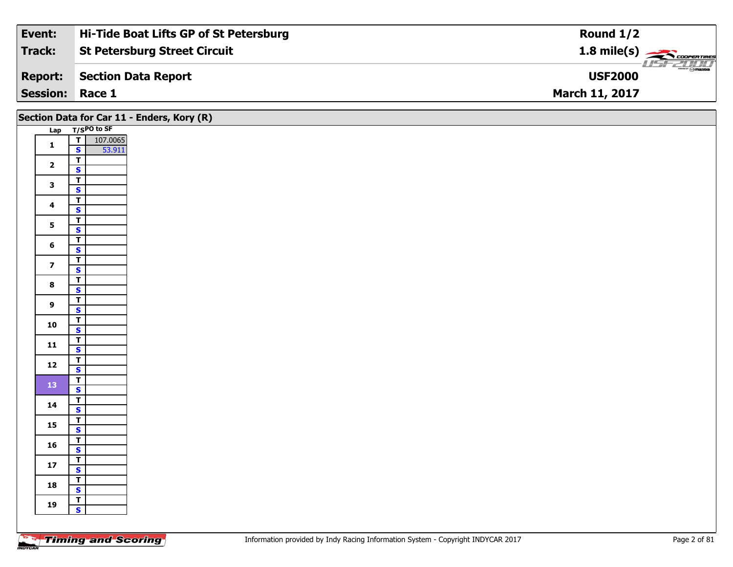| Event:                 | Hi-Tide Boat Lifts GP of St Petersburg | Round $1/2$                                 |
|------------------------|----------------------------------------|---------------------------------------------|
| Track:                 | <b>St Petersburg Street Circuit</b>    |                                             |
| <b>Report:</b>         | Section Data Report                    | $\overline{\Theta}$ mazpa<br><b>USF2000</b> |
| <b>Session: Race 1</b> |                                        | <b>March 11, 2017</b>                       |

| Lap T/SPO to SF<br>107.0065<br>53.911<br>$\frac{1}{s}$<br>$\mathbf{1}$<br>$\overline{1}$<br>$\overline{2}$<br>$\overline{\mathbf{s}}$<br>$\overline{\mathsf{T}}$<br>$\mathbf{3}$<br>$\mathbf{s}$<br>$\overline{1}$<br>$\overline{\mathbf{4}}$<br>$\mathsf{s}$<br>$rac{1}{s}$<br>5 <sup>5</sup><br>$\overline{1}$<br>$6\phantom{a}$<br>$\overline{\mathbf{s}}$<br>$\overline{I}$<br>$\overline{\mathbf{z}}$<br>$\mathbf{s}$<br>$\overline{\mathbf{r}}$<br>8<br>$\overline{\mathbf{s}}$<br>$\overline{1}$<br>$\mathbf{9}$<br>$\mathbf{s}$<br>$rac{1}{s}$<br>10<br>$\frac{1}{s}$<br>$11$<br>$rac{1}{s}$<br>12<br>$\frac{1}{s}$<br>13<br>$\overline{r}$<br>14<br>$\mathsf{s}$<br>$\mathbf{T}$<br>15<br>$\overline{\mathbf{s}}$<br>$\frac{1}{\mathsf{S}}$<br>16<br>$\frac{1}{\mathsf{S}}$<br>$17\,$<br>$rac{1}{s}$<br>18<br>$\mathbf{T}$<br>19 |              | Section Data for Car 11 - Enders, Kory (R) |
|-------------------------------------------------------------------------------------------------------------------------------------------------------------------------------------------------------------------------------------------------------------------------------------------------------------------------------------------------------------------------------------------------------------------------------------------------------------------------------------------------------------------------------------------------------------------------------------------------------------------------------------------------------------------------------------------------------------------------------------------------------------------------------------------------------------------------------------------|--------------|--------------------------------------------|
|                                                                                                                                                                                                                                                                                                                                                                                                                                                                                                                                                                                                                                                                                                                                                                                                                                           |              |                                            |
|                                                                                                                                                                                                                                                                                                                                                                                                                                                                                                                                                                                                                                                                                                                                                                                                                                           |              |                                            |
|                                                                                                                                                                                                                                                                                                                                                                                                                                                                                                                                                                                                                                                                                                                                                                                                                                           |              |                                            |
|                                                                                                                                                                                                                                                                                                                                                                                                                                                                                                                                                                                                                                                                                                                                                                                                                                           |              |                                            |
|                                                                                                                                                                                                                                                                                                                                                                                                                                                                                                                                                                                                                                                                                                                                                                                                                                           |              |                                            |
|                                                                                                                                                                                                                                                                                                                                                                                                                                                                                                                                                                                                                                                                                                                                                                                                                                           |              |                                            |
|                                                                                                                                                                                                                                                                                                                                                                                                                                                                                                                                                                                                                                                                                                                                                                                                                                           |              |                                            |
|                                                                                                                                                                                                                                                                                                                                                                                                                                                                                                                                                                                                                                                                                                                                                                                                                                           |              |                                            |
|                                                                                                                                                                                                                                                                                                                                                                                                                                                                                                                                                                                                                                                                                                                                                                                                                                           |              |                                            |
|                                                                                                                                                                                                                                                                                                                                                                                                                                                                                                                                                                                                                                                                                                                                                                                                                                           |              |                                            |
|                                                                                                                                                                                                                                                                                                                                                                                                                                                                                                                                                                                                                                                                                                                                                                                                                                           |              |                                            |
|                                                                                                                                                                                                                                                                                                                                                                                                                                                                                                                                                                                                                                                                                                                                                                                                                                           |              |                                            |
|                                                                                                                                                                                                                                                                                                                                                                                                                                                                                                                                                                                                                                                                                                                                                                                                                                           |              |                                            |
|                                                                                                                                                                                                                                                                                                                                                                                                                                                                                                                                                                                                                                                                                                                                                                                                                                           |              |                                            |
|                                                                                                                                                                                                                                                                                                                                                                                                                                                                                                                                                                                                                                                                                                                                                                                                                                           |              |                                            |
|                                                                                                                                                                                                                                                                                                                                                                                                                                                                                                                                                                                                                                                                                                                                                                                                                                           |              |                                            |
|                                                                                                                                                                                                                                                                                                                                                                                                                                                                                                                                                                                                                                                                                                                                                                                                                                           |              |                                            |
|                                                                                                                                                                                                                                                                                                                                                                                                                                                                                                                                                                                                                                                                                                                                                                                                                                           |              |                                            |
|                                                                                                                                                                                                                                                                                                                                                                                                                                                                                                                                                                                                                                                                                                                                                                                                                                           |              |                                            |
|                                                                                                                                                                                                                                                                                                                                                                                                                                                                                                                                                                                                                                                                                                                                                                                                                                           |              |                                            |
|                                                                                                                                                                                                                                                                                                                                                                                                                                                                                                                                                                                                                                                                                                                                                                                                                                           |              |                                            |
|                                                                                                                                                                                                                                                                                                                                                                                                                                                                                                                                                                                                                                                                                                                                                                                                                                           |              |                                            |
|                                                                                                                                                                                                                                                                                                                                                                                                                                                                                                                                                                                                                                                                                                                                                                                                                                           |              |                                            |
|                                                                                                                                                                                                                                                                                                                                                                                                                                                                                                                                                                                                                                                                                                                                                                                                                                           |              |                                            |
|                                                                                                                                                                                                                                                                                                                                                                                                                                                                                                                                                                                                                                                                                                                                                                                                                                           |              |                                            |
|                                                                                                                                                                                                                                                                                                                                                                                                                                                                                                                                                                                                                                                                                                                                                                                                                                           |              |                                            |
|                                                                                                                                                                                                                                                                                                                                                                                                                                                                                                                                                                                                                                                                                                                                                                                                                                           |              |                                            |
|                                                                                                                                                                                                                                                                                                                                                                                                                                                                                                                                                                                                                                                                                                                                                                                                                                           |              |                                            |
|                                                                                                                                                                                                                                                                                                                                                                                                                                                                                                                                                                                                                                                                                                                                                                                                                                           |              |                                            |
|                                                                                                                                                                                                                                                                                                                                                                                                                                                                                                                                                                                                                                                                                                                                                                                                                                           |              |                                            |
|                                                                                                                                                                                                                                                                                                                                                                                                                                                                                                                                                                                                                                                                                                                                                                                                                                           |              |                                            |
|                                                                                                                                                                                                                                                                                                                                                                                                                                                                                                                                                                                                                                                                                                                                                                                                                                           |              |                                            |
|                                                                                                                                                                                                                                                                                                                                                                                                                                                                                                                                                                                                                                                                                                                                                                                                                                           |              |                                            |
|                                                                                                                                                                                                                                                                                                                                                                                                                                                                                                                                                                                                                                                                                                                                                                                                                                           | $\mathbf{s}$ |                                            |
|                                                                                                                                                                                                                                                                                                                                                                                                                                                                                                                                                                                                                                                                                                                                                                                                                                           |              |                                            |

Ξ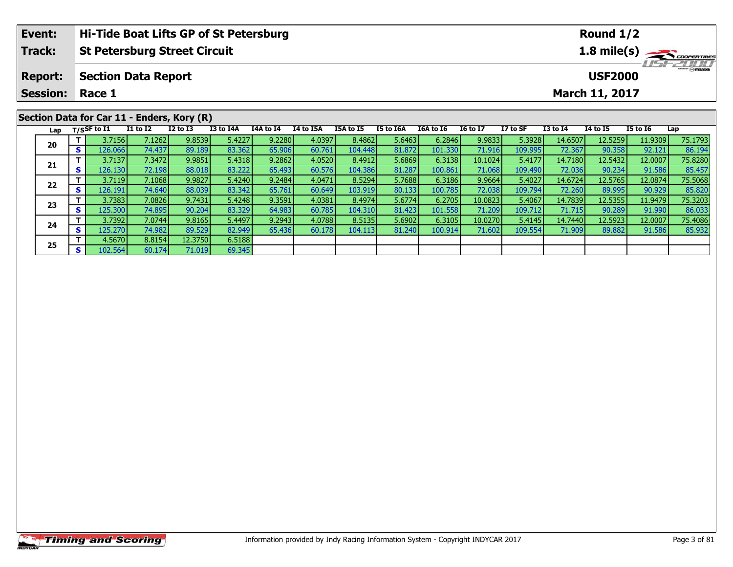|                                               | Hi-Tide Boat Lifts GP of St Petersburg<br>Event:<br>Round $1/2$ |     |                |                            |              |           |                       |                                  |                  |           |                  |                 |          |                 |                 |                 |         |  |
|-----------------------------------------------|-----------------------------------------------------------------|-----|----------------|----------------------------|--------------|-----------|-----------------------|----------------------------------|------------------|-----------|------------------|-----------------|----------|-----------------|-----------------|-----------------|---------|--|
| Track:<br><b>St Petersburg Street Circuit</b> |                                                                 |     |                |                            |              |           |                       |                                  |                  |           |                  |                 |          | 1.8 mile(s)     |                 |                 |         |  |
|                                               | <b>Report:</b>                                                  |     |                | <b>Section Data Report</b> |              |           |                       | <b>HSFZUID</b><br><b>USF2000</b> |                  |           |                  |                 |          |                 |                 |                 |         |  |
|                                               | <b>Session:</b>                                                 |     | Race 1         |                            |              |           | <b>March 11, 2017</b> |                                  |                  |           |                  |                 |          |                 |                 |                 |         |  |
| Section Data for Car 11 - Enders, Kory (R)    |                                                                 |     |                |                            |              |           |                       |                                  |                  |           |                  |                 |          |                 |                 |                 |         |  |
|                                               | Lap                                                             |     | $T/S$ SF to I1 | <b>I1 to I2</b>            | $I2$ to $I3$ | I3 to I4A | I4A to I4             | I4 to I5A                        | <b>I5A to I5</b> | I5 to I6A | <b>I6A to I6</b> | <b>16 to 17</b> | I7 to SF | <b>I3 to I4</b> | <b>I4 to I5</b> | <b>I5 to I6</b> | Lap     |  |
|                                               | 20                                                              |     | 3.7156         | 7.1262                     | 9.8539       | 5.4227    | 9.2280                | 4.0397                           | 8.4862           | 5.6463    | 6.2846           | 9.9833          | 5.3928   | 14.6507         | 12.5259         | 11.9309         | 75.1793 |  |
|                                               |                                                                 | s l | 126.066        | 74.437                     | 89.189       | 83.362    | 65.906                | 60.761                           | 104.448          | 81.872    | 101.330          | 71.916          | 109.995  | 72.367          | 90.358          | 92.121          | 86.194  |  |
|                                               |                                                                 |     | 3.7137         | 7.3472                     | 9.9851       | 5.4318    | 9.2862                | 4.0520                           | 8.4912           | 5.6869    | 6.3138           | 10.1024         | 5.4177   | 14.7180         | 12.5432         | 12.0007         | 75.8280 |  |
|                                               | 21                                                              | s l | 126.130        | <b>72.1981</b>             | 88.018       | 83.222    | 65.493                | 60.576                           | 104.386          | 81.287    | 100.861          | 71.068          | 109.490  | 72.036          | 90.234          | 91.586          | 85.457  |  |

2 T 3.7119 7.1068 9.9827 5.4240 9.2484 4.0471 8.5294 5.7688 6.3186 9.9664 5.4027 14.6724 12.5765 12.0874 75.5068<br>2 S 126.191 74.640 88.039 83.342 65.761 60.649 103.919 80.133 100.785 72.038 109.794 72.260 89.995 90.929 85.

3 T 3.7383| 7.0826| 9.7431| 5.4248| 9.3591| 4.0381| 8.4974| 5.6774| 6.2705| 10.0823| 5.4067| 14.7839| 12.5355| 11.9479| 75.3203<br>- S 125.300| 74.895| 90.204| 83.329| 64.983| 60.785| 104.310| 81.423| 101.558| 71.209| 109.712

**<sup>T</sup>** 3.7392 7.0744 9.8165 5.4497 9.2943 4.0788 8.5135 5.6902 6.3105 10.0270 5.4145 14.7440 12.5923 12.0007 75.4086 **<sup>S</sup>** 125.270 74.982 89.529 82.949 65.436 60.178 104.113 81.240 100.914 71.602 109.554 71.909 89.882 91.586 85.932

**22**

**23**

**24**

**25**

**<sup>T</sup>** 4.5670 8.8154 12.3750 6.5188 **<sup>S</sup>** 102.564 60.174 71.019 69.345

85.457<br>75.5068

86.033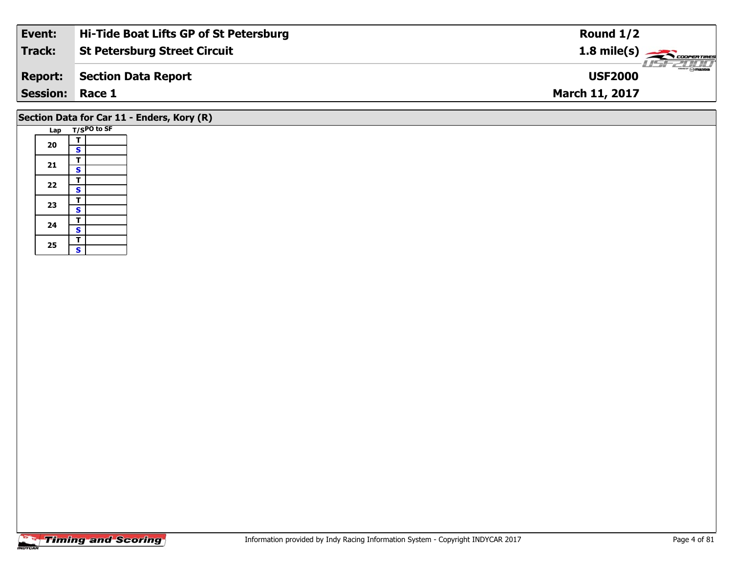| Event:          | Hi-Tide Boat Lifts GP of St Petersburg | Round $1/2$                                                                                                                                                                                                                                                                                                                                                                                                                                                                                       |
|-----------------|----------------------------------------|---------------------------------------------------------------------------------------------------------------------------------------------------------------------------------------------------------------------------------------------------------------------------------------------------------------------------------------------------------------------------------------------------------------------------------------------------------------------------------------------------|
| Track:          | <b>St Petersburg Street Circuit</b>    | 1.8 mile(s)                                                                                                                                                                                                                                                                                                                                                                                                                                                                                       |
| <b>Report:</b>  | Section Data Report                    | $\overline{\phantom{a}}$ $\overline{\phantom{a}}$ $\overline{\phantom{a}}$ $\overline{\phantom{a}}$ $\overline{\phantom{a}}$ $\overline{\phantom{a}}$ $\overline{\phantom{a}}$ $\overline{\phantom{a}}$ $\overline{\phantom{a}}$ $\overline{\phantom{a}}$ $\overline{\phantom{a}}$ $\overline{\phantom{a}}$ $\overline{\phantom{a}}$ $\overline{\phantom{a}}$ $\overline{\phantom{a}}$ $\overline{\phantom{a}}$ $\overline{\phantom{a}}$ $\overline{\phantom{a}}$ $\overline{\$<br><b>USF2000</b> |
| <b>Session:</b> | Race 1                                 | <b>March 11, 2017</b>                                                                                                                                                                                                                                                                                                                                                                                                                                                                             |
|                 |                                        |                                                                                                                                                                                                                                                                                                                                                                                                                                                                                                   |

### **Section Data for Car 11 - Enders, Kory (R)**

|  | Lap |   | T/SPO to SF |
|--|-----|---|-------------|
|  |     | т |             |
|  | 20  | S |             |
|  |     | т |             |
|  | 21  | S |             |
|  | 22  | т |             |
|  |     | S |             |
|  |     | Т |             |
|  | 23  | S |             |
|  | 24  | т |             |
|  |     | S |             |
|  |     | T |             |
|  | 25  | S |             |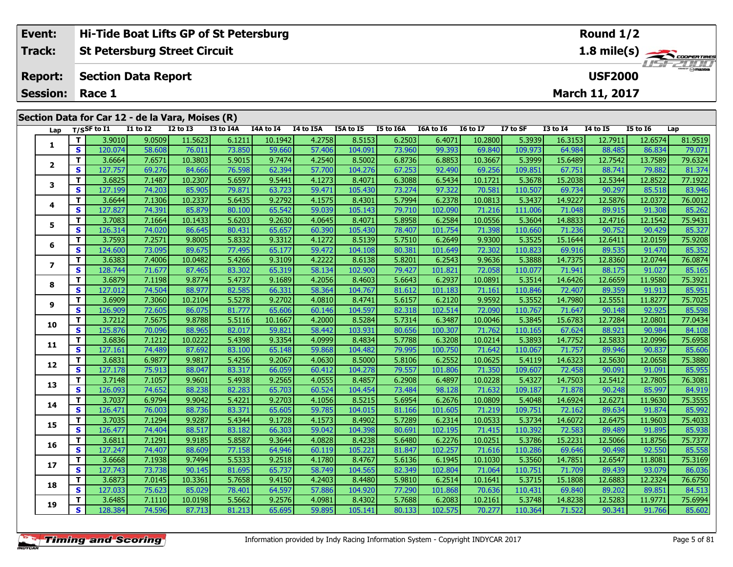| Event:                 | <b>Hi-Tide Boat Lifts GP of St Petersburg</b>    | Round $1/2$                                |
|------------------------|--------------------------------------------------|--------------------------------------------|
| Track:                 | St Petersburg Street Circuit                     | 1.8 mile(s) COOPERTIRES<br><i>USE 2000</i> |
| <b>Report:</b>         | Section Data Report                              | <b>USF2000</b>                             |
| <b>Session: Race 1</b> |                                                  | <b>March 11, 2017</b>                      |
|                        | Section Data for Car 12 - de la Vara, Moises (R) |                                            |

| Lap                      |                         | T/SSF to I1 | $I1$ to $I2$ | I2 to I3 | <b>I3 to I4A</b> | I4A to $I4$ | I4 to I5A | I5A to I5 | I5 to I6A | I6A to I6 | <b>16 to 17</b> | I7 to SF | <b>I3 to I4</b> | <b>I4 to I5</b> | <b>I5 to 16</b> | Lap     |
|--------------------------|-------------------------|-------------|--------------|----------|------------------|-------------|-----------|-----------|-----------|-----------|-----------------|----------|-----------------|-----------------|-----------------|---------|
|                          | T.                      | 3.9010      | 9.0509       | 11.5623  | 6.1211           | 10.1942     | 4.2758    | 8.5153    | 6.2503    | 6.4071    | 10.2800         | 5.3939   | 16.3153         | 12.7911         | 12.6574         | 81.9519 |
| 1                        | S                       | 120.074     | 58.608       | 76.011   | 73.850           | 59.660      | 57.406    | 104.091   | 73.960    | 99.393    | 69.840          | 109.973  | 64.984          | 88.485          | 86.834          | 79.071  |
|                          | T.                      | 3.6664      | 7.6571       | 10.3803  | 5.9015           | 9.7474      | 4.2540    | 8.5002    | 6.8736    | 6.8853    | 10.3667         | 5.3999   | 15.6489         | 12.7542         | 13.7589         | 79.6324 |
| $\mathbf{2}$             | $\mathbf{s}$            | 127.757     | 69.276       | 84.666   | 76.598           | 62.394      | 57.700    | 104.276   | 67.253    | 92.490    | 69.256          | 109.851  | 67.751          | 88.741          | 79.882          | 81.374  |
| 3                        | T                       | 3.6825      | 7.1487       | 10.2307  | 5.6597           | 9.5441      | 4.1273    | 8.4071    | 6.3088    | 6.5434    | 10.1721         | 5.3678   | 15.2038         | 12.5344         | 12.8522         | 77.1922 |
|                          | $\mathbf{s}$            | 127.199     | 74.203       | 85.905   | 79.871           | 63.723      | 59.471    | 105.430   | 73.274    | 97.322    | 70.581          | 110.507  | 69.734          | 90.297          | 85.518          | 83.946  |
|                          | Т                       | 3.6644      | 7.1306       | 10.2337  | 5.6435           | 9.2792      | 4.1575    | 8.4301    | 5.7994    | 6.2378    | 10.0813         | 5.3437   | 14.9227         | 12.5876         | 12.0372         | 76.0012 |
| 4                        | $\mathbf{s}$            | 127.827     | 74.391       | 85.879   | 80.100           | 65.542      | 59.039    | 105.143   | 79.710    | 102.090   | 71.216          | 111.006  | 71.048          | 89.915          | 91.308          | 85.262  |
| 5                        | T                       | 3.7083      | 7.1664       | 10.1433  | 5.6203           | 9.2630      | 4.0645    | 8.4071    | 5.8958    | 6.2584    | 10.0556         | 5.3604   | 14.8833         | 12.4716         | 12.1542         | 75.9431 |
|                          | $\mathbf{s}$            | 126.314     | 74.020       | 86.645   | 80.431           | 65.657      | 60.390    | 105.430   | 78.407    | 101.754   | 71.398          | 110.660  | 71.236          | 90.752          | 90.429          | 85.327  |
| 6                        | T.                      | 3.7593      | 7.2571       | 9.8005   | 5.8332           | 9.3312      | 4.1272    | 8.5139    | 5.7510    | 6.2649    | 9.9300          | 5.3525   | 15.1644         | 12.6411         | 12.0159         | 75.9208 |
|                          | S                       | 124.600     | 73.095       | 89.675   | 77.495           | 65.177      | 59.472    | 104.108   | 80.381    | 101.649   | 72.302          | 110.823  | 69.916          | 89.535          | 91.470          | 85.352  |
| $\overline{\phantom{a}}$ | T.                      | 3.6383      | 7.4006       | 10.0482  | 5.4266           | 9.3109      | 4.2222    | 8.6138    | 5.8201    | 6.2543    | 9.9636          | 5.3888   | 14.7375         | 12.8360         | 12.0744         | 76.0874 |
|                          | $\mathbf{s}$            | 128.744     | 71.677       | 87.465   | 83.302           | 65.319      | 58.134    | 102.900   | 79.427    | 101.821   | 72.058          | 110.077  | 71.941          | 88.175          | 91.027          | 85.165  |
| 8                        | T                       | 3.6879      | 7.1198       | 9.8774   | 5.4737           | 9.1689      | 4.2056    | 8.4603    | 5.6643    | 6.2937    | 10.0891         | 5.3514   | 14.6426         | 12.6659         | 11.9580         | 75.3921 |
|                          | $\mathbf{s}$            | 127.012     | 74.504       | 88.977   | 82.585           | 66.331      | 58.364    | 104.767   | 81.612    | 101.183   | 71.161          | 110.846  | 72.407          | 89.359          | 91.913          | 85.951  |
| 9                        | T.                      | 3.6909      | 7.3060       | 10.2104  | 5.5278           | 9.2702      | 4.0810    | 8.4741    | 5.6157    | 6.2120    | 9.9592          | 5.3552   | 14.7980         | 12.5551         | 11.8277         | 75.7025 |
|                          | $\mathbf{s}$            | 126.909     | 72.605       | 86.075   | 81.777           | 65.606      | 60.146    | 104.597   | 82.318    | 102.514   | 72.090          | 110.767  | 71.647          | 90.148          | 92.925          | 85.598  |
| 10                       | T                       | 3.7212      | 7.5675       | 9.8788   | 5.5116           | 10.1667     | 4.2000    | 8.5284    | 5.7314    | 6.3487    | 10.0046         | 5.3845   | 15.6783         | 12.7284         | 12.0801         | 77.0434 |
|                          | $\mathbf{s}$            | 125.876     | 70.096       | 88.965   | 82.017           | 59.821      | 58.442    | 103.931   | 80.656    | 100.307   | 71.762          | 110.165  | 67.624          | 88.921          | 90.984          | 84.108  |
| 11                       | T.                      | 3.6836      | 7.1212       | 10.0222  | 5.4398           | 9.3354      | 4.0999    | 8.4834    | 5.7788    | 6.3208    | 10.0214         | 5.3893   | 14.7752         | 12.5833         | 12.0996         | 75.6958 |
|                          | S                       | 127.161     | 74.489       | 87.692   | 83.100           | 65.148      | 59.868    | 104.482   | 79.995    | 100.750   | 71.642          | 110.067  | 71.757          | 89.946          | 90.837          | 85.606  |
| 12                       | T                       | 3.6831      | 6.9877       | 9.9817   | 5.4256           | 9.2067      | 4.0630    | 8.5000    | 5.8106    | 6.2552    | 10.0625         | 5.4119   | 14.6323         | 12.5630         | 12.0658         | 75.3880 |
|                          | $\mathbf{s}$            | 127.178     | 75.913       | 88.047   | 83.317           | 66.059      | 60.412    | 104.278   | 79.557    | 101.806   | 71.350          | 109.607  | 72.458          | 90.091          | 91.091          | 85.955  |
| 13                       | T                       | 3.7148      | 7.1057       | 9.9601   | 5.4938           | 9.2565      | 4.0555    | 8.4857    | 6.2908    | 6.4897    | 10.0228         | 5.4327   | 14.7503         | 12.5412         | 12.7805         | 76.3081 |
|                          | $\overline{\mathbf{s}}$ | 126.093     | 74.652       | 88.238   | 82.283           | 65.703      | 60.524    | 104.454   | 73.484    | 98.128    | 71.632          | 109.187  | 71.878          | 90.248          | 85.997          | 84.919  |
| 14                       | Т                       | 3.7037      | 6.9794       | 9.9042   | 5.4221           | 9.2703      | 4.1056    | 8.5215    | 5.6954    | 6.2676    | 10.0809         | 5.4048   | 14.6924         | 12.6271         | 11.9630         | 75.3555 |
|                          | $\mathbf{s}$            | 126.471     | 76.003       | 88.736   | 83.371           | 65.605      | 59.785    | 104.015   | 81.166    | 101.605   | 71.219          | 109.751  | 72.162          | 89.634          | 91.874          | 85.992  |
| 15                       | T.                      | 3.7035      | 7.1294       | 9.9287   | 5.4344           | 9.1728      | 4.1573    | 8.4902    | 5.7289    | 6.2314    | 10.0533         | 5.3734   | 14.6072         | 12.6475         | 11.9603         | 75.4033 |
|                          | $\overline{\mathbf{s}}$ | 126.477     | 74.404       | 88.517   | 83.182           | 66.303      | 59.042    | 104.398   | 80.691    | 102.195   | 71.415          | 110.392  | 72.583          | 89.489          | 91.895          | 85.938  |
| 16                       | T.                      | 3.6811      | 7.1291       | 9.9185   | 5.8587           | 9.3644      | 4.0828    | 8.4238    | 5.6480    | 6.2276    | 10.0251         | 5.3786   | 15.2231         | 12.5066         | 11.8756         | 75.7377 |
|                          | S                       | 127.247     | 74.407       | 88.609   | 77.158           | 64.946      | 60.119    | 105.221   | 81.847    | 102.257   | 71.616          | 110.286  | 69.646          | 90.498          | 92.550          | 85.558  |
| 17                       | T.                      | 3.6668      | 7.1938       | 9.7494   | 5.5333           | 9.2518      | 4.1780    | 8.4767    | 5.6136    | 6.1945    | 10.1030         | 5.3560   | 14.7851         | 12.6547         | 11.8081         | 75.3169 |
|                          | $\mathbf{s}$            | 127.743     | 73.738       | 90.145   | 81.695           | 65.737      | 58.749    | 104.565   | 82.349    | 102.804   | 71.064          | 110.751  | 71.709          | 89.439          | 93.079          | 86.036  |
| 18                       | T.                      | 3.6873      | 7.0145       | 10.3361  | 5.7658           | 9.4150      | 4.2403    | 8.4480    | 5.9810    | 6.2514    | 10.1641         | 5.3715   | 15.1808         | 12.6883         | 12.2324         | 76.6750 |
|                          | $\mathbf{s}$            | 127.033     | 75.623       | 85.029   | 78.401           | 64.597      | 57.886    | 104.920   | 77.290    | 101.868   | 70.636          | 110.431  | 69.840          | 89.202          | 89.851          | 84.513  |
| 19                       | T.                      | 3.6485      | 7.1110       | 10.0198  | 5.5662           | 9.2576      | 4.0981    | 8.4302    | 5.7688    | 6.2083    | 10.2161         | 5.3748   | 14.8238         | 12.5283         | 11.9771         | 75.6994 |
|                          | S                       | 128.384     | 74.596       | 87.713   | 81.213           | 65.695      | 59.895    | 105.141   | 80.133    | 102.575   | 70.277          | 110.364  | 71.522          | 90.341          | 91.766          | 85.602  |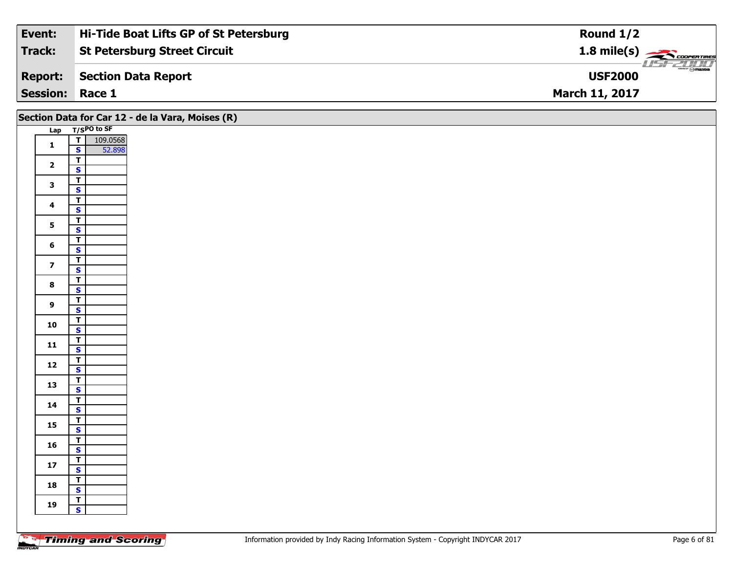| Event:                 | Hi-Tide Boat Lifts GP of St Petersburg | Round $1/2$                                      |
|------------------------|----------------------------------------|--------------------------------------------------|
| Track:                 | <b>St Petersburg Street Circuit</b>    | $1.8$ mile(s) $\rightarrow$ CoopenTines          |
| <b>Report:</b>         | Section Data Report                    | $\overline{\mathcal{D}}$ mazoa<br><b>USF2000</b> |
| <b>Session: Race 1</b> |                                        | <b>March 11, 2017</b>                            |

|                         |                                                    | Section Data for Car 12 - de la Vara, Moises (R) |
|-------------------------|----------------------------------------------------|--------------------------------------------------|
|                         | Lap T/SPO to SF                                    |                                                  |
| $\mathbf{1}$            | 109.0568<br>52.898<br>T                            |                                                  |
|                         | $\mathbf{s}$                                       |                                                  |
| $\overline{\mathbf{2}}$ | $\overline{\mathbf{T}}$<br>$\overline{\mathbf{s}}$ |                                                  |
|                         | $\overline{\mathbf{r}}$                            |                                                  |
| $\mathbf{3}$            | $\mathbf{s}$                                       |                                                  |
|                         | $\overline{\mathsf{r}}$                            |                                                  |
| $\overline{\mathbf{4}}$ | $\mathsf{s}$                                       |                                                  |
| 5                       | $\overline{1}$                                     |                                                  |
|                         | $\overline{\mathbf{s}}$                            |                                                  |
| 6                       | $\overline{\mathbf{r}}$<br>$\mathsf{s}$            |                                                  |
|                         | $\overline{\mathbf{T}}$                            |                                                  |
| $\overline{7}$          | $\mathbf{s}$                                       |                                                  |
| $\bf{8}$                | $\overline{\mathsf{r}}$                            |                                                  |
|                         | $\overline{\mathbf{s}}$                            |                                                  |
| 9                       | $\overline{\mathbf{T}}$                            |                                                  |
|                         | $\mathbf{s}$<br>$\overline{1}$                     |                                                  |
| 10                      | $\overline{\mathbf{s}}$                            |                                                  |
|                         | $\overline{\mathsf{T}}$                            |                                                  |
| 11                      | $\mathbf{s}$                                       |                                                  |
| $12$                    | $\overline{\mathbf{T}}$                            |                                                  |
|                         | $\mathsf{s}$                                       |                                                  |
| 13                      | $\overline{\mathbf{T}}$<br>$\overline{\mathbf{s}}$ |                                                  |
|                         | $\overline{\mathbf{T}}$                            |                                                  |
| 14                      | $\mathbf{s}$                                       |                                                  |
| 15                      | $\overline{\mathbf{T}}$                            |                                                  |
|                         | $\overline{\mathbf{s}}$                            |                                                  |
| ${\bf 16}$              | $\overline{\mathbf{r}}$<br>$\mathsf{s}$            |                                                  |
|                         | $\overline{\mathbf{T}}$                            |                                                  |
| $17$                    | $\mathsf{s}$                                       |                                                  |
|                         |                                                    |                                                  |
| 18                      | $rac{1}{s}$                                        |                                                  |
| 19                      | $\overline{\mathsf{T}}$                            |                                                  |
|                         | $\overline{\mathbf{s}}$                            |                                                  |
|                         |                                                    |                                                  |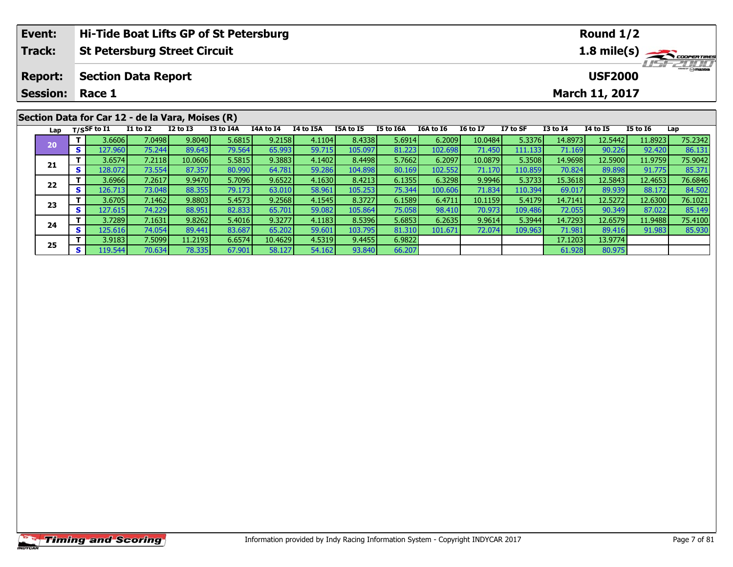|                                                  | Hi-Tide Boat Lifts GP of St Petersburg<br>Event:<br>Round $1/2$     |      |                          |                            |              |           |           |                                   |           |           |                  |                 |          |                 |                 |                 |         |
|--------------------------------------------------|---------------------------------------------------------------------|------|--------------------------|----------------------------|--------------|-----------|-----------|-----------------------------------|-----------|-----------|------------------|-----------------|----------|-----------------|-----------------|-----------------|---------|
|                                                  | <b>Track:</b><br><b>St Petersburg Street Circuit</b><br>1.8 mile(s) |      |                          |                            |              |           |           |                                   |           |           |                  |                 |          |                 |                 |                 |         |
|                                                  | <b>Report:</b>                                                      |      |                          | <b>Section Data Report</b> |              |           |           | <b>LISFZDDD</b><br><b>USF2000</b> |           |           |                  |                 |          |                 |                 |                 |         |
|                                                  | <b>Session:</b>                                                     |      | March 11, 2017<br>Race 1 |                            |              |           |           |                                   |           |           |                  |                 |          |                 |                 |                 |         |
| Section Data for Car 12 - de la Vara, Moises (R) |                                                                     |      |                          |                            |              |           |           |                                   |           |           |                  |                 |          |                 |                 |                 |         |
|                                                  | Lap                                                                 |      | $T/S$ SF to I1           | <b>I1 to I2</b>            | $I2$ to $I3$ | I3 to I4A | I4A to I4 | <b>I4 to I5A</b>                  | I5A to I5 | I5 to I6A | <b>I6A to I6</b> | <b>16 to 17</b> | I7 to SF | <b>I3 to I4</b> | <b>I4 to I5</b> | <b>I5 to I6</b> | Lap     |
|                                                  |                                                                     |      | 3.6606                   | 7.0498                     | 9.8040       | 5.6815    | 9.2158    | 4.1104                            | 8.4338    | 5.6914    | 6.2009           | 10.0484         | 5.3376   | 14.8973         | 12.5442         | 11.8923         | 75.2342 |
|                                                  | 20                                                                  | -s l | 127.960                  | 75.244                     | 89.643       | 79.564    | 65.993    | 59.715                            | 105.097   | 81.223    | 102.698          | 71.450          | 111.133  | 71.169          | 90.226          | 92.420          | 86.131  |
|                                                  |                                                                     |      | 3.6574                   | 7.2118                     | 10.0606      | 5.5815    | 9.3883    | 4.1402                            | 8.4498    | 5.7662    | 6.2097           | 10.0879         | 5.3508   | 14.9698         | 12.5900         | 11.9759         | 75.9042 |
|                                                  | 21                                                                  |      | 128.072                  | 73.554 <b>1</b>            | 87.357       | 80.990    | 64.781    | 59.286                            | 104.898   | 80.169    | 102.552          | 71.170          | 110.859  | 70.824          | 89.898          | 91.775          | 85.371  |

2 T 3.6966 7.2617 9.9470 5.7096 9.6522 4.1630 8.4213 6.1355 6.3298 9.9946 5.3733 15.3618 12.5843 12.4653 76.6846<br>2 S 126.713 73.048 88.355 79.173 63.010 58.961 105.253 75.344 100.606 71.834 110.394 69.017 89.939 88.172 84.

3 T 3.6705| 7.1462| 9.8803| 5.4573| 9.2568| 4.1545| 8.3727| 6.1589| 6.4711| 10.1159| 5.4179| 14.7141| 12.5272| 12.6300| 76.1021<br>S 127.615| 74.229| 88.951| 82.833| 65.701| 59.082| 105.864| 75.058| 98.410| 70.973| 109.486| 7

**<sup>T</sup>** 3.7289 7.1631 9.8262 5.4016 9.3277 4.1183 8.5396 5.6853 6.2635 9.9614 5.3944 14.7293 12.6579 11.9488 75.4100 **<sup>S</sup>** 125.616 74.054 89.441 83.687 65.202 59.601 103.795 81.310 101.671 72.074 109.963 71.981 89.416 91.983 85.930

**T** 3.9183 7.5099 11.2193 6.6574 10.4629 4.5319 9.4455 6.9822 17.120 17.1203 13.9774<br>S 119.544 70.634 78.335 67.901 58.127 54.162 93.840 66.207 17.120 61.928 80.975

**22**

**23**

**24**

**25**

85.371

85.149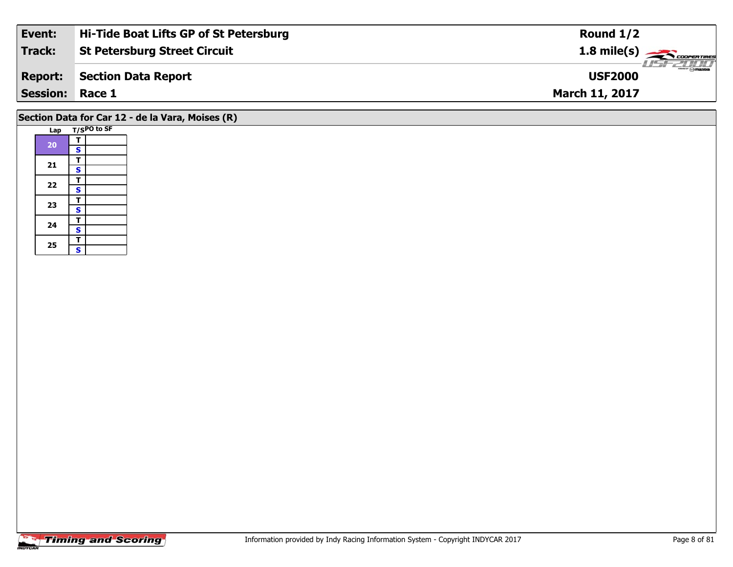| Event:                 | Hi-Tide Boat Lifts GP of St Petersburg | Round $1/2$           |
|------------------------|----------------------------------------|-----------------------|
| Track:                 | <b>St Petersburg Street Circuit</b>    | $1.8 \text{ mile(s)}$ |
| <b>Report:</b>         | <b>Section Data Report</b>             | <b>USF2000</b>        |
| <b>Session: Race 1</b> |                                        | <b>March 11, 2017</b> |
|                        |                                        |                       |

### **Section Data for Car 12 - de la Vara, Moises (R)**

|  | Lap      |   | T/SPO to SF |
|--|----------|---|-------------|
|  | 20       | т |             |
|  |          | S |             |
|  |          | т |             |
|  | 21       | S |             |
|  | 22       | т |             |
|  |          | S |             |
|  |          | т |             |
|  | 23       | S |             |
|  | 24<br>25 | т |             |
|  |          | S |             |
|  |          | T |             |
|  |          | S |             |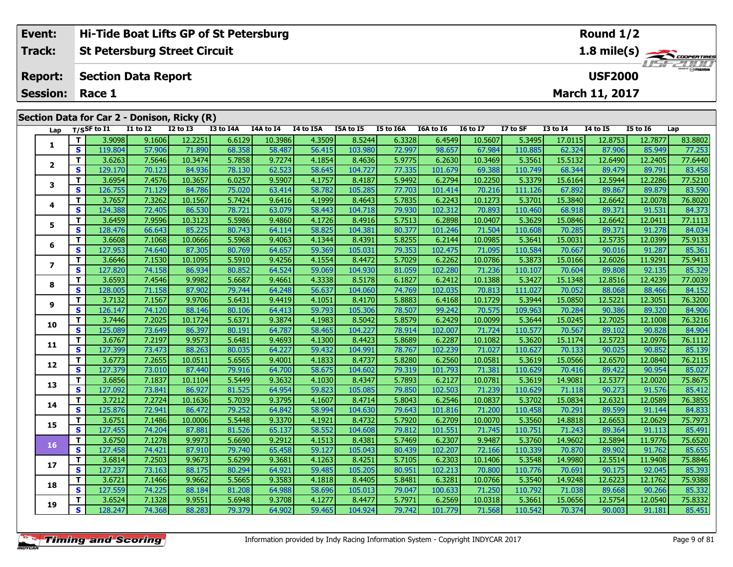| Event:                                               |    |                |                            | Hi-Tide Boat Lifts GP of St Petersburg      |           |           |           |           |           |             | Round $1/2$     |          |                 |                       |                 |                  |  |
|------------------------------------------------------|----|----------------|----------------------------|---------------------------------------------|-----------|-----------|-----------|-----------|-----------|-------------|-----------------|----------|-----------------|-----------------------|-----------------|------------------|--|
| <b>Track:</b><br><b>St Petersburg Street Circuit</b> |    |                |                            |                                             |           |           |           |           |           | 1.8 mile(s) |                 |          |                 |                       |                 |                  |  |
| <b>Report:</b>                                       |    |                | <b>Section Data Report</b> |                                             |           |           |           |           |           |             |                 |          |                 | <b>USF2000</b>        |                 | <b>LIST CLIP</b> |  |
| <b>Session:</b>                                      |    | Race 1         |                            |                                             |           |           |           |           |           |             |                 |          |                 | <b>March 11, 2017</b> |                 |                  |  |
|                                                      |    |                |                            | Section Data for Car 2 - Donison, Ricky (R) |           |           |           |           |           |             |                 |          |                 |                       |                 |                  |  |
| Lap                                                  |    | $T/S$ SF to I1 | <b>I1 to I2</b>            | $I2$ to $I3$                                | I3 to I4A | I4A to I4 | I4 to I5A | I5A to I5 | I5 to I6A | I6A to I6   | <b>16 to 17</b> | I7 to SF | <b>I3 to I4</b> | <b>I4 to I5</b>       | <b>I5 to 16</b> | Lap              |  |
|                                                      |    | 3.9098         | 9.1606                     | 12.2251                                     | 6.6129    | 10.3986   | 4.3509    | 8.5244    | 6.3328    | 6.4549      | 10.5607         | 5.34951  | 17.0115         | 12.8753               | 12.7877         | 83.8802          |  |
|                                                      | S. | 119.804        | 57.906                     | 71.890                                      | 68.358    | 58.487    | 56.415    | 103.980   | 72.997    | 98.657      | 67.984          | 110.885  | 62.324          | 87.906                | 85.949          | 77.253           |  |
|                                                      |    | 3.6263         | 7.5646                     | 10.3474                                     | 5.7858    | 9.7274    | 4.1854    | 8.4636    | 5.9775    | 6.2630      | 10.3469         | 5.3561   | 15.5132         | 12.6490               | 12.2405         | 77.6440          |  |

| 5.9775<br>т<br>3.6263<br>7.5646<br>10.3474<br>5.7858<br>9.7274<br>4.1854<br>8.4636<br>6.2630<br>5.3561<br>15.5132<br>12.6490<br>12.2405<br>77.6440<br>10.3469<br>2<br>S<br>78.130<br>62.523<br>77.335<br>83.458<br>129.170<br>70.123<br>84.936<br>58.645<br>104.727<br>101.679<br>69.388<br>110.749<br>68.344<br>89.479<br>89.791<br>6.0257<br>9.5907<br>77.5210<br>т<br>3.6954<br>7.4576<br>10.3657<br>8.4187<br>5.9492<br>6.2794<br>10.2250<br>5.3379<br>15.6164<br>12.5944<br>12.2286<br>4.1757<br>3<br>S<br>75.020<br>77.703<br>126.755<br>71.129<br>84.786<br>63.414<br>58.782<br>105.285<br>101.414<br>70.216<br>111.126<br>67.892<br>89.867<br>89.879<br>т<br>3.7657<br>5.7424<br>5.7835<br>7.3262<br>10.1567<br>9.6416<br>4.1999<br>8.4643<br>6.2243<br>10.1273<br>5.3701<br>15.3840<br>12.6642<br>12.0078<br>4<br>63.079<br>S<br>78.721<br>79.930<br>102.312<br>68.918<br>124.388<br>72.405<br>86.530<br>58.443<br>104.718<br>70.893<br>110.460<br>89.371<br>91.531<br>т<br>3.6459<br>5.5986<br>5.7513<br>7.9596<br>10.3123<br>9.4860<br>4.1726<br>8.4916<br>6.2898<br>10.0407<br>5.3629<br>15.0846<br>12.6642<br>12.0411<br>5<br>S<br>80.743<br>64.114<br>80.377<br>128.476<br>66.643<br>85.225<br>58.825<br>104.381<br>101.246<br>71.504<br>110.608<br>70.285<br>89.371<br>91.278<br>т<br>3.6608<br>5.5968<br>5.8255<br>7.1068<br>10.0666<br>9.4063<br>4.1344<br>8.4391<br>6.2144<br>10.0985<br>5.3641<br>15.0031<br>12.5735<br>12.0399<br>6<br>127.953<br>64.657<br>85.361<br>S<br>79.353<br>74.640<br>87.305<br>80.769<br>59.369<br>105.031<br>102.475<br>71.095<br>110.584<br>70.667<br>90.016<br>91.287<br>T.<br>3.6646<br>5.5910<br>5.7029<br>75.9413<br>7.1530<br>10.1095<br>9.4256<br>4.1554<br>8.4472<br>6.2262<br>10.0786<br>5.3873<br>15.0166<br>12.6026<br>11.9291<br>7<br>127.820<br>85.329<br>S<br>80.852<br>64.524<br>74.158<br>86.934<br>59.069<br>104.930<br>81.059<br>102.280<br>71.236<br>110.107<br>70.604<br>89.808<br>92.135<br>т<br>5.6687<br>3.6593<br>7.4546<br>9.9982<br>9.4661<br>4.3338<br>8.5178<br>6.1827<br>10.1388<br>5.3427<br>15.1348<br>12.4239<br>77.0039<br>6.2412<br>12.8516<br>8<br>S<br>128.005<br>71.158<br>87.902<br>79.744<br>64.248<br>104.060<br>74.769<br>102.035<br>70.813<br>111.027<br>70.052<br>88.068<br>88.466<br>84.152<br>56.637<br>T.<br>3.7132<br>5.6431<br>9.4419<br>5.8883<br>76.3200<br>7.1567<br>9.9706<br>8.4170<br>6.4168<br>5.3944<br>15.0850<br>12.5221<br>4.1051<br>10.1729<br>12.3051<br>9<br>S<br>74.120<br>64.413<br>59.793<br>78.507<br>99.242<br>109.963<br>84.906<br>126.147<br>80.106<br>105.306<br>70.575<br>90.386<br>89.320<br>88.146<br>70.284<br>T.<br>3.7446<br>5.6371<br>5.8579<br>76.3216<br>7.2025<br>10.1724<br>9.3874<br>8.5042<br>6.2429<br>10.0099<br>5.3644<br>15.0245<br>12.7025<br>12.1008<br>4.1983<br>10<br>S.<br>125.089<br>73.649<br>64.787<br>84.904<br>86.397<br>80.191<br>58.465<br>104.227<br>78.914<br>102.007<br>110.577<br>70.567<br>89.102<br>90.828<br>71.724<br>T.<br>3.6767<br>5.6481<br>5.8689<br>7.2197<br>9.9573<br>9.4693<br>8.4423<br>6.2287<br>10.1082<br>5.3620<br>15.1174<br>12.5723<br>12.0976<br>76.1112<br>4.1300<br>11<br>73.473<br>S<br>127.399<br>88.263<br>80.035<br>64.227<br>59.432<br>78.767<br>110.627<br>90.025<br>90.852<br>85.139<br>104.991<br>102.239<br>71.027<br>70.133<br>3.6773<br>7.2655<br>5.6565<br>8.4737<br>5.8280<br>5.3619<br>12.6570<br>76.2115<br>T.<br>10.0511<br>9.4001<br>4.1833<br>6.2560<br>10.0581<br>15.0566<br>12.0840<br>12<br>73.010<br>79.319<br>S.<br>127.379<br>79.916<br>64.700<br>58.675<br>110.629<br>89.422<br>85.027<br>87.440<br>104.602<br>101.793<br>71.381<br>70.416<br>90.954<br>3.6856<br>7.1837<br>5.5449<br>9.3632<br>5.7893<br>5.3619<br>75.8675<br>т<br>10.1104<br>4.1030<br>8.4347<br>6.2127<br>10.0781<br>14.9081<br>12.5377<br>12.0020<br>13<br>73.841<br>S<br>127.092<br>81.525<br>64.954<br>59.823<br>79.850<br>90.273<br>91.576<br>85.412<br>86.927<br>105.085<br>102.503<br>71.239<br>110.629<br>71.118<br>T<br>3.7212<br>7.2724<br>5.7039<br>5.8043<br>5.3702<br>76.3855<br>10.1636<br>9.3795<br>4.1607<br>8.4714<br>6.2546<br>10.0837<br>15.0834<br>12.6321<br>12.0589<br>14<br>72.941<br>79.252<br>S<br>125.876<br>64.842<br>58.994<br>79.643<br>70.291<br>89.599<br>84.833<br>86.472<br>104.630<br>101.816<br>71.200<br>110.458<br>91.144<br>T<br>3.6751<br>7.1486<br>5.5448<br>9.3370<br>8.4732<br>5.7920<br>5.3560<br>12.6653<br>75.7973<br>10.0006<br>4.1921<br>6.2709<br>10.0070<br>14.8818<br>12.0629<br>15<br>S<br>127.455<br>74.204<br>81.526<br>65.137<br>79.812<br>71.243<br>85.491<br>87.881<br>58.552<br>104.608<br>101.551<br>71.745<br>110.751<br>89.364<br>91.113<br>T.<br>3.6750<br>7.1278<br>5.6690<br>9.2912<br>5.7469<br>5.3760<br>14.9602<br>75.6520<br>9.9973<br>4.1513<br>8.4381<br>6.2307<br>9.9487<br>12.5894<br>11.9776<br>16<br>74.421<br>127.458<br>79.740<br>65.458<br>S.<br>87.910<br>59.127<br>105.043<br>80.439<br>102.207<br>72.166<br>110.339<br>70.870<br>89.902<br>91.762<br>7.2503<br>5.6299<br>T.<br>3.6814<br>9.9673<br>9.3681<br>5.7105<br>5.3548<br>4.1263<br>8.4251<br>6.2303<br>10.1406<br>14.9980<br>12.5514<br>11.9408<br>17<br>80.294<br>S<br>127.237<br>73.163<br>88.175<br>64.921<br>59.485<br>105.205<br>80.951<br>102.213<br>70.800<br>110.776<br>70.691<br>90.175<br>92.045<br>5.5665<br>9.9662<br>5.8481<br>5.3540<br>12.6223<br>т<br>3.6721<br>7.1466<br>9.3583<br>4.1818<br>8.4405<br>6.3281<br>14.9248<br>12.1762<br>10.0766<br>18<br>$\mathbf{s}$<br>127.559<br>74.225<br>88.184<br>81.208<br>64.988<br>58.696<br>79.047<br>71.250<br>110.792<br>71.038<br>89.668<br>90.266<br>105.013<br>100.633<br>3.6524<br>7.1328<br>5.6948<br>5.7971<br>5.3661<br>т<br>9.9551<br>9.3708<br>8.4477<br>6.2569<br>10.0318<br>15.0656<br>12.5754<br>12.0540<br>4.1277 | 1 | S | 119.804 | 57.906 | 71.890 | 68.358 | 58.487 | 56.415 | 103.980 | 72.997 | 98.657 | 67.984 | 110.885 | 62.324 | 87.906 | 85.949 | <br>77.253 |
|-----------------------------------------------------------------------------------------------------------------------------------------------------------------------------------------------------------------------------------------------------------------------------------------------------------------------------------------------------------------------------------------------------------------------------------------------------------------------------------------------------------------------------------------------------------------------------------------------------------------------------------------------------------------------------------------------------------------------------------------------------------------------------------------------------------------------------------------------------------------------------------------------------------------------------------------------------------------------------------------------------------------------------------------------------------------------------------------------------------------------------------------------------------------------------------------------------------------------------------------------------------------------------------------------------------------------------------------------------------------------------------------------------------------------------------------------------------------------------------------------------------------------------------------------------------------------------------------------------------------------------------------------------------------------------------------------------------------------------------------------------------------------------------------------------------------------------------------------------------------------------------------------------------------------------------------------------------------------------------------------------------------------------------------------------------------------------------------------------------------------------------------------------------------------------------------------------------------------------------------------------------------------------------------------------------------------------------------------------------------------------------------------------------------------------------------------------------------------------------------------------------------------------------------------------------------------------------------------------------------------------------------------------------------------------------------------------------------------------------------------------------------------------------------------------------------------------------------------------------------------------------------------------------------------------------------------------------------------------------------------------------------------------------------------------------------------------------------------------------------------------------------------------------------------------------------------------------------------------------------------------------------------------------------------------------------------------------------------------------------------------------------------------------------------------------------------------------------------------------------------------------------------------------------------------------------------------------------------------------------------------------------------------------------------------------------------------------------------------------------------------------------------------------------------------------------------------------------------------------------------------------------------------------------------------------------------------------------------------------------------------------------------------------------------------------------------------------------------------------------------------------------------------------------------------------------------------------------------------------------------------------------------------------------------------------------------------------------------------------------------------------------------------------------------------------------------------------------------------------------------------------------------------------------------------------------------------------------------------------------------------------------------------------------------------------------------------------------------------------------------------------------------------------------------------------------------------------------------------------------------------------------------------------------------------------------------------------------------------------------------------------------------------------------------------------------------------------------------------------------------------------------------------------------------------------------------------------------------------------------------------------------------------------------------------------------------------------------------------------------------------------------------------------------------------------------------------------------------------------------------------------------------------------------------------------------------------------------------------------------------------------------------------------------------------------------------------------------------------------------------------------------------------------------------------------|---|---|---------|--------|--------|--------|--------|--------|---------|--------|--------|--------|---------|--------|--------|--------|------------|
|                                                                                                                                                                                                                                                                                                                                                                                                                                                                                                                                                                                                                                                                                                                                                                                                                                                                                                                                                                                                                                                                                                                                                                                                                                                                                                                                                                                                                                                                                                                                                                                                                                                                                                                                                                                                                                                                                                                                                                                                                                                                                                                                                                                                                                                                                                                                                                                                                                                                                                                                                                                                                                                                                                                                                                                                                                                                                                                                                                                                                                                                                                                                                                                                                                                                                                                                                                                                                                                                                                                                                                                                                                                                                                                                                                                                                                                                                                                                                                                                                                                                                                                                                                                                                                                                                                                                                                                                                                                                                                                                                                                                                                                                                                                                                                                                                                                                                                                                                                                                                                                                                                                                                                                                                                                                                                                                                                                                                                                                                                                                                                                                                                                                                                                                                                                                           |   |   |         |        |        |        |        |        |         |        |        |        |         |        |        |        |            |
|                                                                                                                                                                                                                                                                                                                                                                                                                                                                                                                                                                                                                                                                                                                                                                                                                                                                                                                                                                                                                                                                                                                                                                                                                                                                                                                                                                                                                                                                                                                                                                                                                                                                                                                                                                                                                                                                                                                                                                                                                                                                                                                                                                                                                                                                                                                                                                                                                                                                                                                                                                                                                                                                                                                                                                                                                                                                                                                                                                                                                                                                                                                                                                                                                                                                                                                                                                                                                                                                                                                                                                                                                                                                                                                                                                                                                                                                                                                                                                                                                                                                                                                                                                                                                                                                                                                                                                                                                                                                                                                                                                                                                                                                                                                                                                                                                                                                                                                                                                                                                                                                                                                                                                                                                                                                                                                                                                                                                                                                                                                                                                                                                                                                                                                                                                                                           |   |   |         |        |        |        |        |        |         |        |        |        |         |        |        |        |            |
|                                                                                                                                                                                                                                                                                                                                                                                                                                                                                                                                                                                                                                                                                                                                                                                                                                                                                                                                                                                                                                                                                                                                                                                                                                                                                                                                                                                                                                                                                                                                                                                                                                                                                                                                                                                                                                                                                                                                                                                                                                                                                                                                                                                                                                                                                                                                                                                                                                                                                                                                                                                                                                                                                                                                                                                                                                                                                                                                                                                                                                                                                                                                                                                                                                                                                                                                                                                                                                                                                                                                                                                                                                                                                                                                                                                                                                                                                                                                                                                                                                                                                                                                                                                                                                                                                                                                                                                                                                                                                                                                                                                                                                                                                                                                                                                                                                                                                                                                                                                                                                                                                                                                                                                                                                                                                                                                                                                                                                                                                                                                                                                                                                                                                                                                                                                                           |   |   |         |        |        |        |        |        |         |        |        |        |         |        |        |        |            |
|                                                                                                                                                                                                                                                                                                                                                                                                                                                                                                                                                                                                                                                                                                                                                                                                                                                                                                                                                                                                                                                                                                                                                                                                                                                                                                                                                                                                                                                                                                                                                                                                                                                                                                                                                                                                                                                                                                                                                                                                                                                                                                                                                                                                                                                                                                                                                                                                                                                                                                                                                                                                                                                                                                                                                                                                                                                                                                                                                                                                                                                                                                                                                                                                                                                                                                                                                                                                                                                                                                                                                                                                                                                                                                                                                                                                                                                                                                                                                                                                                                                                                                                                                                                                                                                                                                                                                                                                                                                                                                                                                                                                                                                                                                                                                                                                                                                                                                                                                                                                                                                                                                                                                                                                                                                                                                                                                                                                                                                                                                                                                                                                                                                                                                                                                                                                           |   |   |         |        |        |        |        |        |         |        |        |        |         |        |        |        | 83.590     |
|                                                                                                                                                                                                                                                                                                                                                                                                                                                                                                                                                                                                                                                                                                                                                                                                                                                                                                                                                                                                                                                                                                                                                                                                                                                                                                                                                                                                                                                                                                                                                                                                                                                                                                                                                                                                                                                                                                                                                                                                                                                                                                                                                                                                                                                                                                                                                                                                                                                                                                                                                                                                                                                                                                                                                                                                                                                                                                                                                                                                                                                                                                                                                                                                                                                                                                                                                                                                                                                                                                                                                                                                                                                                                                                                                                                                                                                                                                                                                                                                                                                                                                                                                                                                                                                                                                                                                                                                                                                                                                                                                                                                                                                                                                                                                                                                                                                                                                                                                                                                                                                                                                                                                                                                                                                                                                                                                                                                                                                                                                                                                                                                                                                                                                                                                                                                           |   |   |         |        |        |        |        |        |         |        |        |        |         |        |        |        | 76.8020    |
|                                                                                                                                                                                                                                                                                                                                                                                                                                                                                                                                                                                                                                                                                                                                                                                                                                                                                                                                                                                                                                                                                                                                                                                                                                                                                                                                                                                                                                                                                                                                                                                                                                                                                                                                                                                                                                                                                                                                                                                                                                                                                                                                                                                                                                                                                                                                                                                                                                                                                                                                                                                                                                                                                                                                                                                                                                                                                                                                                                                                                                                                                                                                                                                                                                                                                                                                                                                                                                                                                                                                                                                                                                                                                                                                                                                                                                                                                                                                                                                                                                                                                                                                                                                                                                                                                                                                                                                                                                                                                                                                                                                                                                                                                                                                                                                                                                                                                                                                                                                                                                                                                                                                                                                                                                                                                                                                                                                                                                                                                                                                                                                                                                                                                                                                                                                                           |   |   |         |        |        |        |        |        |         |        |        |        |         |        |        |        | 84.373     |
|                                                                                                                                                                                                                                                                                                                                                                                                                                                                                                                                                                                                                                                                                                                                                                                                                                                                                                                                                                                                                                                                                                                                                                                                                                                                                                                                                                                                                                                                                                                                                                                                                                                                                                                                                                                                                                                                                                                                                                                                                                                                                                                                                                                                                                                                                                                                                                                                                                                                                                                                                                                                                                                                                                                                                                                                                                                                                                                                                                                                                                                                                                                                                                                                                                                                                                                                                                                                                                                                                                                                                                                                                                                                                                                                                                                                                                                                                                                                                                                                                                                                                                                                                                                                                                                                                                                                                                                                                                                                                                                                                                                                                                                                                                                                                                                                                                                                                                                                                                                                                                                                                                                                                                                                                                                                                                                                                                                                                                                                                                                                                                                                                                                                                                                                                                                                           |   |   |         |        |        |        |        |        |         |        |        |        |         |        |        |        | 77.1113    |
|                                                                                                                                                                                                                                                                                                                                                                                                                                                                                                                                                                                                                                                                                                                                                                                                                                                                                                                                                                                                                                                                                                                                                                                                                                                                                                                                                                                                                                                                                                                                                                                                                                                                                                                                                                                                                                                                                                                                                                                                                                                                                                                                                                                                                                                                                                                                                                                                                                                                                                                                                                                                                                                                                                                                                                                                                                                                                                                                                                                                                                                                                                                                                                                                                                                                                                                                                                                                                                                                                                                                                                                                                                                                                                                                                                                                                                                                                                                                                                                                                                                                                                                                                                                                                                                                                                                                                                                                                                                                                                                                                                                                                                                                                                                                                                                                                                                                                                                                                                                                                                                                                                                                                                                                                                                                                                                                                                                                                                                                                                                                                                                                                                                                                                                                                                                                           |   |   |         |        |        |        |        |        |         |        |        |        |         |        |        |        | 84.034     |
|                                                                                                                                                                                                                                                                                                                                                                                                                                                                                                                                                                                                                                                                                                                                                                                                                                                                                                                                                                                                                                                                                                                                                                                                                                                                                                                                                                                                                                                                                                                                                                                                                                                                                                                                                                                                                                                                                                                                                                                                                                                                                                                                                                                                                                                                                                                                                                                                                                                                                                                                                                                                                                                                                                                                                                                                                                                                                                                                                                                                                                                                                                                                                                                                                                                                                                                                                                                                                                                                                                                                                                                                                                                                                                                                                                                                                                                                                                                                                                                                                                                                                                                                                                                                                                                                                                                                                                                                                                                                                                                                                                                                                                                                                                                                                                                                                                                                                                                                                                                                                                                                                                                                                                                                                                                                                                                                                                                                                                                                                                                                                                                                                                                                                                                                                                                                           |   |   |         |        |        |        |        |        |         |        |        |        |         |        |        |        | 75.9133    |
|                                                                                                                                                                                                                                                                                                                                                                                                                                                                                                                                                                                                                                                                                                                                                                                                                                                                                                                                                                                                                                                                                                                                                                                                                                                                                                                                                                                                                                                                                                                                                                                                                                                                                                                                                                                                                                                                                                                                                                                                                                                                                                                                                                                                                                                                                                                                                                                                                                                                                                                                                                                                                                                                                                                                                                                                                                                                                                                                                                                                                                                                                                                                                                                                                                                                                                                                                                                                                                                                                                                                                                                                                                                                                                                                                                                                                                                                                                                                                                                                                                                                                                                                                                                                                                                                                                                                                                                                                                                                                                                                                                                                                                                                                                                                                                                                                                                                                                                                                                                                                                                                                                                                                                                                                                                                                                                                                                                                                                                                                                                                                                                                                                                                                                                                                                                                           |   |   |         |        |        |        |        |        |         |        |        |        |         |        |        |        |            |
|                                                                                                                                                                                                                                                                                                                                                                                                                                                                                                                                                                                                                                                                                                                                                                                                                                                                                                                                                                                                                                                                                                                                                                                                                                                                                                                                                                                                                                                                                                                                                                                                                                                                                                                                                                                                                                                                                                                                                                                                                                                                                                                                                                                                                                                                                                                                                                                                                                                                                                                                                                                                                                                                                                                                                                                                                                                                                                                                                                                                                                                                                                                                                                                                                                                                                                                                                                                                                                                                                                                                                                                                                                                                                                                                                                                                                                                                                                                                                                                                                                                                                                                                                                                                                                                                                                                                                                                                                                                                                                                                                                                                                                                                                                                                                                                                                                                                                                                                                                                                                                                                                                                                                                                                                                                                                                                                                                                                                                                                                                                                                                                                                                                                                                                                                                                                           |   |   |         |        |        |        |        |        |         |        |        |        |         |        |        |        |            |
|                                                                                                                                                                                                                                                                                                                                                                                                                                                                                                                                                                                                                                                                                                                                                                                                                                                                                                                                                                                                                                                                                                                                                                                                                                                                                                                                                                                                                                                                                                                                                                                                                                                                                                                                                                                                                                                                                                                                                                                                                                                                                                                                                                                                                                                                                                                                                                                                                                                                                                                                                                                                                                                                                                                                                                                                                                                                                                                                                                                                                                                                                                                                                                                                                                                                                                                                                                                                                                                                                                                                                                                                                                                                                                                                                                                                                                                                                                                                                                                                                                                                                                                                                                                                                                                                                                                                                                                                                                                                                                                                                                                                                                                                                                                                                                                                                                                                                                                                                                                                                                                                                                                                                                                                                                                                                                                                                                                                                                                                                                                                                                                                                                                                                                                                                                                                           |   |   |         |        |        |        |        |        |         |        |        |        |         |        |        |        |            |
|                                                                                                                                                                                                                                                                                                                                                                                                                                                                                                                                                                                                                                                                                                                                                                                                                                                                                                                                                                                                                                                                                                                                                                                                                                                                                                                                                                                                                                                                                                                                                                                                                                                                                                                                                                                                                                                                                                                                                                                                                                                                                                                                                                                                                                                                                                                                                                                                                                                                                                                                                                                                                                                                                                                                                                                                                                                                                                                                                                                                                                                                                                                                                                                                                                                                                                                                                                                                                                                                                                                                                                                                                                                                                                                                                                                                                                                                                                                                                                                                                                                                                                                                                                                                                                                                                                                                                                                                                                                                                                                                                                                                                                                                                                                                                                                                                                                                                                                                                                                                                                                                                                                                                                                                                                                                                                                                                                                                                                                                                                                                                                                                                                                                                                                                                                                                           |   |   |         |        |        |        |        |        |         |        |        |        |         |        |        |        |            |
|                                                                                                                                                                                                                                                                                                                                                                                                                                                                                                                                                                                                                                                                                                                                                                                                                                                                                                                                                                                                                                                                                                                                                                                                                                                                                                                                                                                                                                                                                                                                                                                                                                                                                                                                                                                                                                                                                                                                                                                                                                                                                                                                                                                                                                                                                                                                                                                                                                                                                                                                                                                                                                                                                                                                                                                                                                                                                                                                                                                                                                                                                                                                                                                                                                                                                                                                                                                                                                                                                                                                                                                                                                                                                                                                                                                                                                                                                                                                                                                                                                                                                                                                                                                                                                                                                                                                                                                                                                                                                                                                                                                                                                                                                                                                                                                                                                                                                                                                                                                                                                                                                                                                                                                                                                                                                                                                                                                                                                                                                                                                                                                                                                                                                                                                                                                                           |   |   |         |        |        |        |        |        |         |        |        |        |         |        |        |        |            |
|                                                                                                                                                                                                                                                                                                                                                                                                                                                                                                                                                                                                                                                                                                                                                                                                                                                                                                                                                                                                                                                                                                                                                                                                                                                                                                                                                                                                                                                                                                                                                                                                                                                                                                                                                                                                                                                                                                                                                                                                                                                                                                                                                                                                                                                                                                                                                                                                                                                                                                                                                                                                                                                                                                                                                                                                                                                                                                                                                                                                                                                                                                                                                                                                                                                                                                                                                                                                                                                                                                                                                                                                                                                                                                                                                                                                                                                                                                                                                                                                                                                                                                                                                                                                                                                                                                                                                                                                                                                                                                                                                                                                                                                                                                                                                                                                                                                                                                                                                                                                                                                                                                                                                                                                                                                                                                                                                                                                                                                                                                                                                                                                                                                                                                                                                                                                           |   |   |         |        |        |        |        |        |         |        |        |        |         |        |        |        |            |
|                                                                                                                                                                                                                                                                                                                                                                                                                                                                                                                                                                                                                                                                                                                                                                                                                                                                                                                                                                                                                                                                                                                                                                                                                                                                                                                                                                                                                                                                                                                                                                                                                                                                                                                                                                                                                                                                                                                                                                                                                                                                                                                                                                                                                                                                                                                                                                                                                                                                                                                                                                                                                                                                                                                                                                                                                                                                                                                                                                                                                                                                                                                                                                                                                                                                                                                                                                                                                                                                                                                                                                                                                                                                                                                                                                                                                                                                                                                                                                                                                                                                                                                                                                                                                                                                                                                                                                                                                                                                                                                                                                                                                                                                                                                                                                                                                                                                                                                                                                                                                                                                                                                                                                                                                                                                                                                                                                                                                                                                                                                                                                                                                                                                                                                                                                                                           |   |   |         |        |        |        |        |        |         |        |        |        |         |        |        |        |            |
|                                                                                                                                                                                                                                                                                                                                                                                                                                                                                                                                                                                                                                                                                                                                                                                                                                                                                                                                                                                                                                                                                                                                                                                                                                                                                                                                                                                                                                                                                                                                                                                                                                                                                                                                                                                                                                                                                                                                                                                                                                                                                                                                                                                                                                                                                                                                                                                                                                                                                                                                                                                                                                                                                                                                                                                                                                                                                                                                                                                                                                                                                                                                                                                                                                                                                                                                                                                                                                                                                                                                                                                                                                                                                                                                                                                                                                                                                                                                                                                                                                                                                                                                                                                                                                                                                                                                                                                                                                                                                                                                                                                                                                                                                                                                                                                                                                                                                                                                                                                                                                                                                                                                                                                                                                                                                                                                                                                                                                                                                                                                                                                                                                                                                                                                                                                                           |   |   |         |        |        |        |        |        |         |        |        |        |         |        |        |        |            |
|                                                                                                                                                                                                                                                                                                                                                                                                                                                                                                                                                                                                                                                                                                                                                                                                                                                                                                                                                                                                                                                                                                                                                                                                                                                                                                                                                                                                                                                                                                                                                                                                                                                                                                                                                                                                                                                                                                                                                                                                                                                                                                                                                                                                                                                                                                                                                                                                                                                                                                                                                                                                                                                                                                                                                                                                                                                                                                                                                                                                                                                                                                                                                                                                                                                                                                                                                                                                                                                                                                                                                                                                                                                                                                                                                                                                                                                                                                                                                                                                                                                                                                                                                                                                                                                                                                                                                                                                                                                                                                                                                                                                                                                                                                                                                                                                                                                                                                                                                                                                                                                                                                                                                                                                                                                                                                                                                                                                                                                                                                                                                                                                                                                                                                                                                                                                           |   |   |         |        |        |        |        |        |         |        |        |        |         |        |        |        |            |
|                                                                                                                                                                                                                                                                                                                                                                                                                                                                                                                                                                                                                                                                                                                                                                                                                                                                                                                                                                                                                                                                                                                                                                                                                                                                                                                                                                                                                                                                                                                                                                                                                                                                                                                                                                                                                                                                                                                                                                                                                                                                                                                                                                                                                                                                                                                                                                                                                                                                                                                                                                                                                                                                                                                                                                                                                                                                                                                                                                                                                                                                                                                                                                                                                                                                                                                                                                                                                                                                                                                                                                                                                                                                                                                                                                                                                                                                                                                                                                                                                                                                                                                                                                                                                                                                                                                                                                                                                                                                                                                                                                                                                                                                                                                                                                                                                                                                                                                                                                                                                                                                                                                                                                                                                                                                                                                                                                                                                                                                                                                                                                                                                                                                                                                                                                                                           |   |   |         |        |        |        |        |        |         |        |        |        |         |        |        |        |            |
|                                                                                                                                                                                                                                                                                                                                                                                                                                                                                                                                                                                                                                                                                                                                                                                                                                                                                                                                                                                                                                                                                                                                                                                                                                                                                                                                                                                                                                                                                                                                                                                                                                                                                                                                                                                                                                                                                                                                                                                                                                                                                                                                                                                                                                                                                                                                                                                                                                                                                                                                                                                                                                                                                                                                                                                                                                                                                                                                                                                                                                                                                                                                                                                                                                                                                                                                                                                                                                                                                                                                                                                                                                                                                                                                                                                                                                                                                                                                                                                                                                                                                                                                                                                                                                                                                                                                                                                                                                                                                                                                                                                                                                                                                                                                                                                                                                                                                                                                                                                                                                                                                                                                                                                                                                                                                                                                                                                                                                                                                                                                                                                                                                                                                                                                                                                                           |   |   |         |        |        |        |        |        |         |        |        |        |         |        |        |        |            |
|                                                                                                                                                                                                                                                                                                                                                                                                                                                                                                                                                                                                                                                                                                                                                                                                                                                                                                                                                                                                                                                                                                                                                                                                                                                                                                                                                                                                                                                                                                                                                                                                                                                                                                                                                                                                                                                                                                                                                                                                                                                                                                                                                                                                                                                                                                                                                                                                                                                                                                                                                                                                                                                                                                                                                                                                                                                                                                                                                                                                                                                                                                                                                                                                                                                                                                                                                                                                                                                                                                                                                                                                                                                                                                                                                                                                                                                                                                                                                                                                                                                                                                                                                                                                                                                                                                                                                                                                                                                                                                                                                                                                                                                                                                                                                                                                                                                                                                                                                                                                                                                                                                                                                                                                                                                                                                                                                                                                                                                                                                                                                                                                                                                                                                                                                                                                           |   |   |         |        |        |        |        |        |         |        |        |        |         |        |        |        |            |
|                                                                                                                                                                                                                                                                                                                                                                                                                                                                                                                                                                                                                                                                                                                                                                                                                                                                                                                                                                                                                                                                                                                                                                                                                                                                                                                                                                                                                                                                                                                                                                                                                                                                                                                                                                                                                                                                                                                                                                                                                                                                                                                                                                                                                                                                                                                                                                                                                                                                                                                                                                                                                                                                                                                                                                                                                                                                                                                                                                                                                                                                                                                                                                                                                                                                                                                                                                                                                                                                                                                                                                                                                                                                                                                                                                                                                                                                                                                                                                                                                                                                                                                                                                                                                                                                                                                                                                                                                                                                                                                                                                                                                                                                                                                                                                                                                                                                                                                                                                                                                                                                                                                                                                                                                                                                                                                                                                                                                                                                                                                                                                                                                                                                                                                                                                                                           |   |   |         |        |        |        |        |        |         |        |        |        |         |        |        |        |            |
|                                                                                                                                                                                                                                                                                                                                                                                                                                                                                                                                                                                                                                                                                                                                                                                                                                                                                                                                                                                                                                                                                                                                                                                                                                                                                                                                                                                                                                                                                                                                                                                                                                                                                                                                                                                                                                                                                                                                                                                                                                                                                                                                                                                                                                                                                                                                                                                                                                                                                                                                                                                                                                                                                                                                                                                                                                                                                                                                                                                                                                                                                                                                                                                                                                                                                                                                                                                                                                                                                                                                                                                                                                                                                                                                                                                                                                                                                                                                                                                                                                                                                                                                                                                                                                                                                                                                                                                                                                                                                                                                                                                                                                                                                                                                                                                                                                                                                                                                                                                                                                                                                                                                                                                                                                                                                                                                                                                                                                                                                                                                                                                                                                                                                                                                                                                                           |   |   |         |        |        |        |        |        |         |        |        |        |         |        |        |        |            |
|                                                                                                                                                                                                                                                                                                                                                                                                                                                                                                                                                                                                                                                                                                                                                                                                                                                                                                                                                                                                                                                                                                                                                                                                                                                                                                                                                                                                                                                                                                                                                                                                                                                                                                                                                                                                                                                                                                                                                                                                                                                                                                                                                                                                                                                                                                                                                                                                                                                                                                                                                                                                                                                                                                                                                                                                                                                                                                                                                                                                                                                                                                                                                                                                                                                                                                                                                                                                                                                                                                                                                                                                                                                                                                                                                                                                                                                                                                                                                                                                                                                                                                                                                                                                                                                                                                                                                                                                                                                                                                                                                                                                                                                                                                                                                                                                                                                                                                                                                                                                                                                                                                                                                                                                                                                                                                                                                                                                                                                                                                                                                                                                                                                                                                                                                                                                           |   |   |         |        |        |        |        |        |         |        |        |        |         |        |        |        |            |
|                                                                                                                                                                                                                                                                                                                                                                                                                                                                                                                                                                                                                                                                                                                                                                                                                                                                                                                                                                                                                                                                                                                                                                                                                                                                                                                                                                                                                                                                                                                                                                                                                                                                                                                                                                                                                                                                                                                                                                                                                                                                                                                                                                                                                                                                                                                                                                                                                                                                                                                                                                                                                                                                                                                                                                                                                                                                                                                                                                                                                                                                                                                                                                                                                                                                                                                                                                                                                                                                                                                                                                                                                                                                                                                                                                                                                                                                                                                                                                                                                                                                                                                                                                                                                                                                                                                                                                                                                                                                                                                                                                                                                                                                                                                                                                                                                                                                                                                                                                                                                                                                                                                                                                                                                                                                                                                                                                                                                                                                                                                                                                                                                                                                                                                                                                                                           |   |   |         |        |        |        |        |        |         |        |        |        |         |        |        |        |            |
|                                                                                                                                                                                                                                                                                                                                                                                                                                                                                                                                                                                                                                                                                                                                                                                                                                                                                                                                                                                                                                                                                                                                                                                                                                                                                                                                                                                                                                                                                                                                                                                                                                                                                                                                                                                                                                                                                                                                                                                                                                                                                                                                                                                                                                                                                                                                                                                                                                                                                                                                                                                                                                                                                                                                                                                                                                                                                                                                                                                                                                                                                                                                                                                                                                                                                                                                                                                                                                                                                                                                                                                                                                                                                                                                                                                                                                                                                                                                                                                                                                                                                                                                                                                                                                                                                                                                                                                                                                                                                                                                                                                                                                                                                                                                                                                                                                                                                                                                                                                                                                                                                                                                                                                                                                                                                                                                                                                                                                                                                                                                                                                                                                                                                                                                                                                                           |   |   |         |        |        |        |        |        |         |        |        |        |         |        |        |        |            |
|                                                                                                                                                                                                                                                                                                                                                                                                                                                                                                                                                                                                                                                                                                                                                                                                                                                                                                                                                                                                                                                                                                                                                                                                                                                                                                                                                                                                                                                                                                                                                                                                                                                                                                                                                                                                                                                                                                                                                                                                                                                                                                                                                                                                                                                                                                                                                                                                                                                                                                                                                                                                                                                                                                                                                                                                                                                                                                                                                                                                                                                                                                                                                                                                                                                                                                                                                                                                                                                                                                                                                                                                                                                                                                                                                                                                                                                                                                                                                                                                                                                                                                                                                                                                                                                                                                                                                                                                                                                                                                                                                                                                                                                                                                                                                                                                                                                                                                                                                                                                                                                                                                                                                                                                                                                                                                                                                                                                                                                                                                                                                                                                                                                                                                                                                                                                           |   |   |         |        |        |        |        |        |         |        |        |        |         |        |        |        |            |
|                                                                                                                                                                                                                                                                                                                                                                                                                                                                                                                                                                                                                                                                                                                                                                                                                                                                                                                                                                                                                                                                                                                                                                                                                                                                                                                                                                                                                                                                                                                                                                                                                                                                                                                                                                                                                                                                                                                                                                                                                                                                                                                                                                                                                                                                                                                                                                                                                                                                                                                                                                                                                                                                                                                                                                                                                                                                                                                                                                                                                                                                                                                                                                                                                                                                                                                                                                                                                                                                                                                                                                                                                                                                                                                                                                                                                                                                                                                                                                                                                                                                                                                                                                                                                                                                                                                                                                                                                                                                                                                                                                                                                                                                                                                                                                                                                                                                                                                                                                                                                                                                                                                                                                                                                                                                                                                                                                                                                                                                                                                                                                                                                                                                                                                                                                                                           |   |   |         |        |        |        |        |        |         |        |        |        |         |        |        |        |            |
|                                                                                                                                                                                                                                                                                                                                                                                                                                                                                                                                                                                                                                                                                                                                                                                                                                                                                                                                                                                                                                                                                                                                                                                                                                                                                                                                                                                                                                                                                                                                                                                                                                                                                                                                                                                                                                                                                                                                                                                                                                                                                                                                                                                                                                                                                                                                                                                                                                                                                                                                                                                                                                                                                                                                                                                                                                                                                                                                                                                                                                                                                                                                                                                                                                                                                                                                                                                                                                                                                                                                                                                                                                                                                                                                                                                                                                                                                                                                                                                                                                                                                                                                                                                                                                                                                                                                                                                                                                                                                                                                                                                                                                                                                                                                                                                                                                                                                                                                                                                                                                                                                                                                                                                                                                                                                                                                                                                                                                                                                                                                                                                                                                                                                                                                                                                                           |   |   |         |        |        |        |        |        |         |        |        |        |         |        |        |        | 85.655     |
|                                                                                                                                                                                                                                                                                                                                                                                                                                                                                                                                                                                                                                                                                                                                                                                                                                                                                                                                                                                                                                                                                                                                                                                                                                                                                                                                                                                                                                                                                                                                                                                                                                                                                                                                                                                                                                                                                                                                                                                                                                                                                                                                                                                                                                                                                                                                                                                                                                                                                                                                                                                                                                                                                                                                                                                                                                                                                                                                                                                                                                                                                                                                                                                                                                                                                                                                                                                                                                                                                                                                                                                                                                                                                                                                                                                                                                                                                                                                                                                                                                                                                                                                                                                                                                                                                                                                                                                                                                                                                                                                                                                                                                                                                                                                                                                                                                                                                                                                                                                                                                                                                                                                                                                                                                                                                                                                                                                                                                                                                                                                                                                                                                                                                                                                                                                                           |   |   |         |        |        |        |        |        |         |        |        |        |         |        |        |        | 75.8846    |
|                                                                                                                                                                                                                                                                                                                                                                                                                                                                                                                                                                                                                                                                                                                                                                                                                                                                                                                                                                                                                                                                                                                                                                                                                                                                                                                                                                                                                                                                                                                                                                                                                                                                                                                                                                                                                                                                                                                                                                                                                                                                                                                                                                                                                                                                                                                                                                                                                                                                                                                                                                                                                                                                                                                                                                                                                                                                                                                                                                                                                                                                                                                                                                                                                                                                                                                                                                                                                                                                                                                                                                                                                                                                                                                                                                                                                                                                                                                                                                                                                                                                                                                                                                                                                                                                                                                                                                                                                                                                                                                                                                                                                                                                                                                                                                                                                                                                                                                                                                                                                                                                                                                                                                                                                                                                                                                                                                                                                                                                                                                                                                                                                                                                                                                                                                                                           |   |   |         |        |        |        |        |        |         |        |        |        |         |        |        |        | 85.393     |
|                                                                                                                                                                                                                                                                                                                                                                                                                                                                                                                                                                                                                                                                                                                                                                                                                                                                                                                                                                                                                                                                                                                                                                                                                                                                                                                                                                                                                                                                                                                                                                                                                                                                                                                                                                                                                                                                                                                                                                                                                                                                                                                                                                                                                                                                                                                                                                                                                                                                                                                                                                                                                                                                                                                                                                                                                                                                                                                                                                                                                                                                                                                                                                                                                                                                                                                                                                                                                                                                                                                                                                                                                                                                                                                                                                                                                                                                                                                                                                                                                                                                                                                                                                                                                                                                                                                                                                                                                                                                                                                                                                                                                                                                                                                                                                                                                                                                                                                                                                                                                                                                                                                                                                                                                                                                                                                                                                                                                                                                                                                                                                                                                                                                                                                                                                                                           |   |   |         |        |        |        |        |        |         |        |        |        |         |        |        |        | 75.9388    |
|                                                                                                                                                                                                                                                                                                                                                                                                                                                                                                                                                                                                                                                                                                                                                                                                                                                                                                                                                                                                                                                                                                                                                                                                                                                                                                                                                                                                                                                                                                                                                                                                                                                                                                                                                                                                                                                                                                                                                                                                                                                                                                                                                                                                                                                                                                                                                                                                                                                                                                                                                                                                                                                                                                                                                                                                                                                                                                                                                                                                                                                                                                                                                                                                                                                                                                                                                                                                                                                                                                                                                                                                                                                                                                                                                                                                                                                                                                                                                                                                                                                                                                                                                                                                                                                                                                                                                                                                                                                                                                                                                                                                                                                                                                                                                                                                                                                                                                                                                                                                                                                                                                                                                                                                                                                                                                                                                                                                                                                                                                                                                                                                                                                                                                                                                                                                           |   |   |         |        |        |        |        |        |         |        |        |        |         |        |        |        | 85.332     |
|                                                                                                                                                                                                                                                                                                                                                                                                                                                                                                                                                                                                                                                                                                                                                                                                                                                                                                                                                                                                                                                                                                                                                                                                                                                                                                                                                                                                                                                                                                                                                                                                                                                                                                                                                                                                                                                                                                                                                                                                                                                                                                                                                                                                                                                                                                                                                                                                                                                                                                                                                                                                                                                                                                                                                                                                                                                                                                                                                                                                                                                                                                                                                                                                                                                                                                                                                                                                                                                                                                                                                                                                                                                                                                                                                                                                                                                                                                                                                                                                                                                                                                                                                                                                                                                                                                                                                                                                                                                                                                                                                                                                                                                                                                                                                                                                                                                                                                                                                                                                                                                                                                                                                                                                                                                                                                                                                                                                                                                                                                                                                                                                                                                                                                                                                                                                           |   |   |         |        |        |        |        |        |         |        |        |        |         |        |        |        | 75.8332    |
| 19<br>S<br>128.247<br>79.379<br>64.902<br>79.742<br>74.368<br>88.283<br>59.465<br>104.924<br>101.779<br>71.568<br>110.542<br>70.374<br>90.003<br>91.181                                                                                                                                                                                                                                                                                                                                                                                                                                                                                                                                                                                                                                                                                                                                                                                                                                                                                                                                                                                                                                                                                                                                                                                                                                                                                                                                                                                                                                                                                                                                                                                                                                                                                                                                                                                                                                                                                                                                                                                                                                                                                                                                                                                                                                                                                                                                                                                                                                                                                                                                                                                                                                                                                                                                                                                                                                                                                                                                                                                                                                                                                                                                                                                                                                                                                                                                                                                                                                                                                                                                                                                                                                                                                                                                                                                                                                                                                                                                                                                                                                                                                                                                                                                                                                                                                                                                                                                                                                                                                                                                                                                                                                                                                                                                                                                                                                                                                                                                                                                                                                                                                                                                                                                                                                                                                                                                                                                                                                                                                                                                                                                                                                                   |   |   |         |        |        |        |        |        |         |        |        |        |         |        |        |        | 85.451     |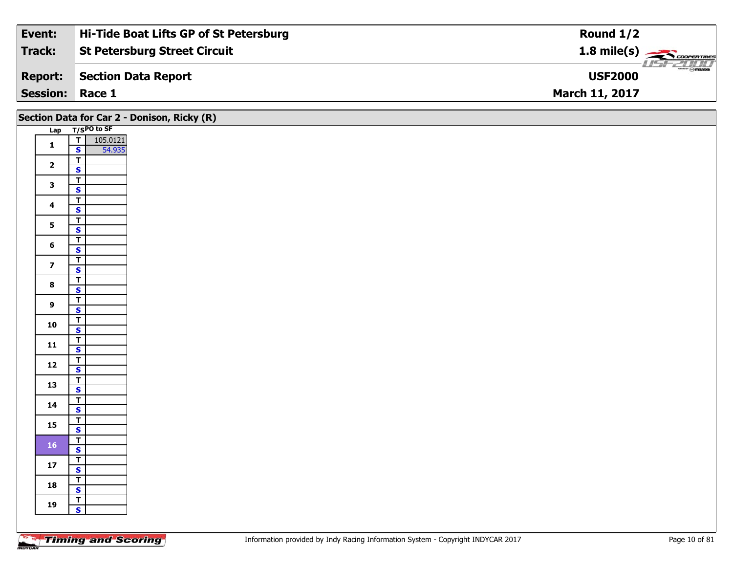| Event:                 | Hi-Tide Boat Lifts GP of St Petersburg | Round $1/2$                                            |
|------------------------|----------------------------------------|--------------------------------------------------------|
| Track:                 | <b>St Petersburg Street Circuit</b>    | $1.8$ mile(s) $\overbrace{\hspace{2.5cm}}$ coorentines |
| <b>Report:</b>         | Section Data Report                    | $\overline{\mathcal{L}}$ omazoa<br><b>USF2000</b>      |
| <b>Session: Race 1</b> |                                        | <b>March 11, 2017</b>                                  |

|                         |                                                    | Section Data for Car 2 - Donison, Ricky (R) |
|-------------------------|----------------------------------------------------|---------------------------------------------|
|                         | Lap T/SPO to SF                                    |                                             |
| $\mathbf{1}$            | $\frac{1}{s}$<br>105.0121                          |                                             |
|                         | 54.935                                             |                                             |
| $\mathbf{2}$            | $\overline{r}$                                     |                                             |
|                         | $\overline{\mathbf{s}}$                            |                                             |
| $\mathbf{3}$            | $\overline{\mathsf{r}}$                            |                                             |
|                         | $\overline{\mathbf{s}}$<br>$\overline{\mathbf{T}}$ |                                             |
| $\overline{\mathbf{4}}$ | $\mathbf{s}$                                       |                                             |
|                         | $\overline{1}$                                     |                                             |
| 5 <sub>5</sub>          | $\overline{\mathbf{s}}$                            |                                             |
|                         | $\overline{\mathbf{r}}$                            |                                             |
| $6\phantom{a}$          | $\mathsf{s}$                                       |                                             |
|                         | $\overline{1}$                                     |                                             |
| $\overline{\mathbf{z}}$ | $\mathbf{s}$                                       |                                             |
| 8                       | $\overline{T}$                                     |                                             |
|                         | $\mathbf{s}$                                       |                                             |
| 9                       | $\overline{\mathsf{T}}$                            |                                             |
|                         | $\mathbf{s}$                                       |                                             |
| 10                      | $\overline{I}$<br>$\overline{\mathbf{s}}$          |                                             |
|                         |                                                    |                                             |
| 11                      | $rac{1}{s}$                                        |                                             |
|                         | $\mathbf{T}$                                       |                                             |
| 12                      | $\overline{\mathbf{s}}$                            |                                             |
|                         | $\overline{\mathbf{r}}$                            |                                             |
| 13                      | $\overline{\mathbf{s}}$                            |                                             |
| 14                      | $\mathbf{T}$                                       |                                             |
|                         | $\overline{\mathbf{s}}$                            |                                             |
| 15                      | $\overline{I}$                                     |                                             |
|                         | $\overline{\mathbf{s}}$<br>$\overline{\mathsf{r}}$ |                                             |
| ${\bf 16}$              | $\mathbf{s}$                                       |                                             |
|                         | $\overline{\mathbf{r}}$                            |                                             |
| $17$                    | $\mathbf{s}$                                       |                                             |
| 18                      | $\mathbf{T}$                                       |                                             |
|                         | $\overline{\mathbf{s}}$                            |                                             |
| 19                      | $\overline{t}$                                     |                                             |
|                         | $\mathbf{s}$                                       |                                             |
|                         |                                                    |                                             |

Ξ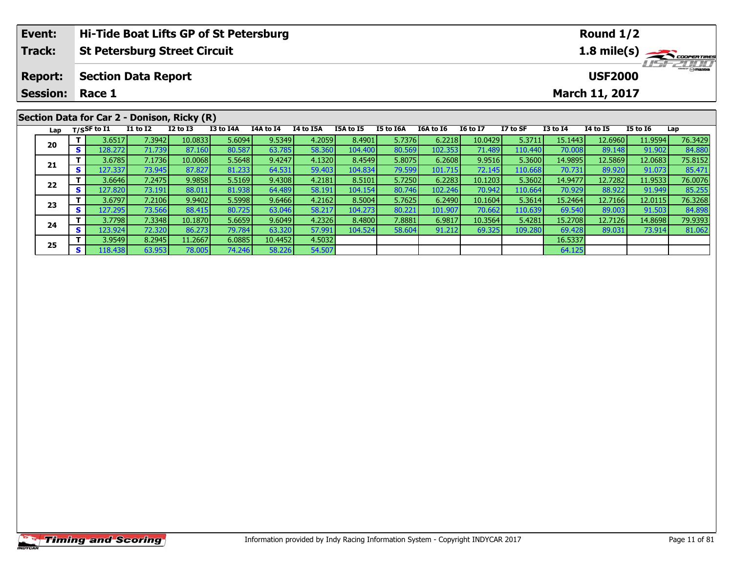| Event:          |     |                |                            | Hi-Tide Boat Lifts GP of St Petersburg      |           |           |                                  |                       |           |           | Round 1/2       |          |                 |                 |                 |             |  |
|-----------------|-----|----------------|----------------------------|---------------------------------------------|-----------|-----------|----------------------------------|-----------------------|-----------|-----------|-----------------|----------|-----------------|-----------------|-----------------|-------------|--|
| <b>Track:</b>   |     |                |                            | <b>St Petersburg Street Circuit</b>         |           |           |                                  |                       |           |           |                 |          |                 |                 |                 | 1.8 mile(s) |  |
| <b>Report:</b>  |     |                | <b>Section Data Report</b> |                                             |           |           | <b>HSFZUID</b><br><b>USF2000</b> |                       |           |           |                 |          |                 |                 |                 |             |  |
| <b>Session:</b> |     | Race 1         |                            |                                             |           |           |                                  | <b>March 11, 2017</b> |           |           |                 |          |                 |                 |                 |             |  |
|                 |     |                |                            | Section Data for Car 2 - Donison, Ricky (R) |           |           |                                  |                       |           |           |                 |          |                 |                 |                 |             |  |
| Lap             |     | $T/S$ SF to I1 | <b>I1 to I2</b>            | $I2$ to $I3$                                | I3 to I4A | I4A to I4 | <b>I4 to I5A</b>                 | I5A to I5             | I5 to I6A | I6A to I6 | <b>16 to 17</b> | I7 to SF | <b>I3 to I4</b> | <b>I4 to I5</b> | <b>I5 to I6</b> | Lap         |  |
|                 |     | 3.6517         | 7.3942                     | 10.0833                                     | 5.6094    | 9.5349    | 4.2059                           | 8.4901                | 5.7376    | 6.2218    | 10.0429         | 5.3711   | 15.1443         | 12.6960         | 11.9594         | 76.3429     |  |
| 20              | s l | 128.272        | 71.739                     | 87.160                                      | 80.587    | 63.785    | 58.360                           | 104.400               | 80.569    | 102.353   | 71.489          | 110.440  | 70.008          | 89.148          | 91.902          | 84.880      |  |
|                 |     | 3.6785         | 7.1736                     | 10.0068                                     | 5.5648    | 9.4247    | 4.1320                           | 8.4549                | 5.8075    | 6.2608    | 9.9516          | 5.3600   | 14.9895         | 12.5869         | 12.0683         | 75.8152     |  |
| 21              |     | 127.337        | 73.945                     | 87.827                                      | 81.233    | 64.531    | 59.403                           | 104.834               | 79.599    | 101.715   | 72.145          | 110.668  | 70.731          | 89.920          | 91.073          | 85.471      |  |

2 T 3.6646 7.2475 9.9858 5.5169 9.4308 4.2181 8.5101 5.7250 6.2283 10.1203 5.3602 14.9477 12.7282 11.9533 76.0076<br>2 S 127.820 73.191 88.011 81.938 64.489 58.191 104.154 80.746 102.246 70.942 110.664 70.929 88.922 91.949 85

3 T 3.6797 7.2106 9.9402 5.5998 9.6466 4.2162 8.5004 5.7625 6.2490 10.1604 5.3614 15.2464 12.7166 12.0115 76.3268<br>S 127.295 73.566 88.415 80.725 63.046 58.217 104.273 80.221 101.907 70.662 110.639 69.540 89.003 91.503 84.8

4 T 3.7798| 7.3348| 10.1870| 5.6659| 9.6049| 4.2326| 8.4800| 7.8881| 6.9817| 10.3564| 5.4281| 15.2708| 12.7126| 14.8698| 79.9393<br>- S 123.924| 72.320| 86.273| 79.784| 63.320| 57.991| 104.524| 58.604| 91.212| 69.325| 109.280

**T** 3.9549 8.2945 11.2667 6.0885 10.4452 4.5032 16.5337 16.5337 16.5337 63.953 16.5337 78.005 74.246 58.226 54.507 64.125

**22**

**23**

**24**

**25**

85.471<br>76.0076

84.89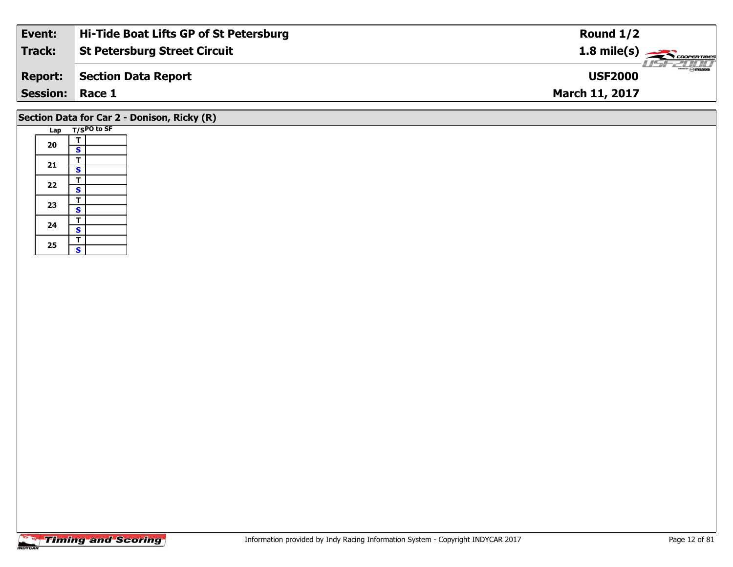| Event:          | Hi-Tide Boat Lifts GP of St Petersburg | Round $1/2$                                            |
|-----------------|----------------------------------------|--------------------------------------------------------|
| Track:          | <b>St Petersburg Street Circuit</b>    | $1.8 \text{ mile(s)} \longrightarrow \text{COPERIMES}$ |
| <b>Report:</b>  | Section Data Report                    | <b>Omazoa</b><br><b>USF2000</b>                        |
| <b>Session:</b> | Race 1                                 | <b>March 11, 2017</b>                                  |
|                 |                                        |                                                        |

# **Section Data for Car 2 - Donison, Ricky (R)**

|  | Lap |                         | T/SPO to SF |
|--|-----|-------------------------|-------------|
|  |     | т                       |             |
|  | 20  | S                       |             |
|  |     | т                       |             |
|  | 21  | S                       |             |
|  | 22  | T                       |             |
|  |     | S                       |             |
|  |     | T                       |             |
|  | 23  | S                       |             |
|  | 24  | т                       |             |
|  |     | $\overline{\mathbf{s}}$ |             |
|  | 25  | T                       |             |
|  |     | Ś                       |             |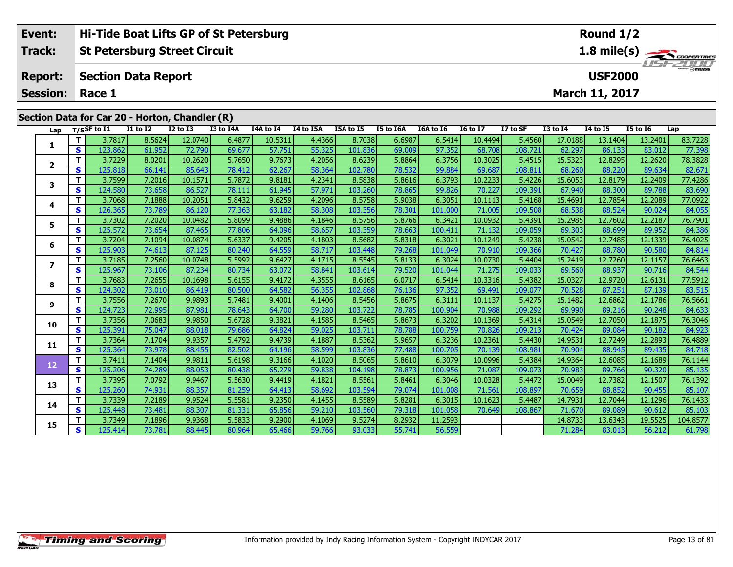| Event:          |            |                | Hi-Tide Boat Lifts GP of St Petersburg         |                 |           |            |           |                  |                  |           |                 |          |                                           | Round 1/2             |                 |                       |
|-----------------|------------|----------------|------------------------------------------------|-----------------|-----------|------------|-----------|------------------|------------------|-----------|-----------------|----------|-------------------------------------------|-----------------------|-----------------|-----------------------|
| <b>Track:</b>   |            |                | <b>St Petersburg Street Circuit</b>            |                 |           |            |           |                  |                  |           |                 |          |                                           |                       |                 | 1.8 mile(s)           |
| <b>Report:</b>  |            |                | <b>Section Data Report</b>                     |                 |           |            |           |                  |                  |           |                 |          |                                           | <b>USF2000</b>        |                 | <i><b>ISPEDIO</b></i> |
| <b>Session:</b> |            | Race 1         |                                                |                 |           |            |           |                  |                  |           |                 |          |                                           | <b>March 11, 2017</b> |                 |                       |
|                 |            |                | Section Data for Car 20 - Horton, Chandler (R) |                 |           |            |           |                  |                  |           |                 |          |                                           |                       |                 |                       |
| Lap             |            | $T/S$ SF to I1 | <b>I1 to I2</b>                                | <b>I2 to I3</b> | I3 to I4A | I4A to I4  | I4 to I5A | <b>I5A to I5</b> | <b>I5 to I6A</b> | I6A to I6 | <b>16 to 17</b> | I7 to SF | <b>I3 to I4</b>                           | 14 to 15              | <b>I5 to 16</b> | Lap                   |
|                 |            | 3.7817         | 8.5624                                         | 12.0740         | 6.4877    | 10.5311    | 4.4366    | 8.7038           | 6.6987           | 6.5414    | 10.4494         | 5.4560   | 17.0188                                   | 13.1404               | 13.2401         | 83.7228               |
|                 | S.         | 123.862        | 61.952                                         | 72.790          | 69.677    | 57.751     | 55.325    | 101.836          | 69.009           | 97.352    | 68.708          | 108.721  | 62.297                                    | 86.133                | 83.012          | 77.398                |
|                 |            | 3.7229         | 8.0201                                         | 10.2620         | 5.7650    | 9.7673     | 4.2056    | 8.6239           | 5.8864           | 6.3756    | 10.3025         | 5.4515   | 15.5323                                   | 12.8295               | 12.2620         | 78.3828               |
|                 | s          | 125.818        | 66.141                                         | 85.643          | 78.412    | 62.267     | 58.364    | 102.780          | 78.532           | 99.884    | 69.687          | 108.811  | 68.260                                    | 88.220                | 89.634          | 82.671                |
|                 |            | 3.7599         | 7.2016                                         | 10.1571         | 5.7872    | 9.8181     | 4.2341    | 8.5838           | 5.8616           | 6.3793    | 10.2233         | 5.4226   | 15.6053                                   | 12.8179               | 12.2409         | 77.4286               |
|                 | $\epsilon$ | $124$ rool     | $72$ $cm1$                                     | oc rozl         | 70.111    | $C4$ $OAP$ | F7071     | 102.20           | zo octl          | 00.02c    | וברר חד         | 100.201  | $\sim$ $\sim$ $\sim$ $\sim$ $\sim$ $\sim$ | loo pool              | 00.700          | no con l              |

|              | ∍  | 12J.OUZ | 01.JJZ | 12.150  | <u>05.077</u> | J7.7JI | הארירר | הרסיזחד | כטט.כט | 77.JJZ  | <u>00.700</u> | 100.7 Z 1 | <b>UZ.ZJI</b> | oo.199  | <b>00.UIL</b> | 77.330   |
|--------------|----|---------|--------|---------|---------------|--------|--------|---------|--------|---------|---------------|-----------|---------------|---------|---------------|----------|
| $\mathbf{2}$ | т  | 3.7229  | 8.0201 | 10.2620 | 5.7650        | 9.7673 | 4.2056 | 8.6239  | 5.8864 | 6.3756  | 10.3025       | 5.4515    | 15.5323       | 12.8295 | 12.2620       | 78.3828  |
|              | S. | 125.818 | 66.141 | 85.643  | 78.412        | 62.267 | 58.364 | 102.780 | 78.532 | 99.884  | 69.687        | 108.811   | 68.260        | 88.220  | 89.634        | 82.671   |
| 3            | T. | 3.7599  | 7.2016 | 10.1571 | 5.7872        | 9.8181 | 4.2341 | 8.5838  | 5.8616 | 6.3793  | 10.2233       | 5.4226    | 15.6053       | 12.8179 | 12.2409       | 77.4286  |
|              | s  | 124.580 | 73.658 | 86.527  | 78.111        | 61.945 | 57.971 | 103.260 | 78.865 | 99.826  | 70.227        | 109.391   | 67.940        | 88.300  | 89.788        | 83.690   |
| 4            | T. | 3.7068  | 7.1888 | 10.2051 | 5.8432        | 9.6259 | 4.2096 | 8.5758  | 5.9038 | 6.3051  | 10.1113       | 5.4168    | 15.4691       | 12.7854 | 12.2089       | 77.0922  |
|              | S  | 126.365 | 73.789 | 86.120  | 77.363        | 63.182 | 58.308 | 103.356 | 78.301 | 101.000 | 71.005        | 109.508   | 68.538        | 88.524  | 90.024        | 84.055   |
| 5            | T. | 3.7302  | 7.2020 | 10.0482 | 5.8099        | 9.4886 | 4.1846 | 8.5756  | 5.8766 | 6.3421  | 10.0932       | 5.4391    | 15.2985       | 12.7602 | 12.2187       | 76.7901  |
|              | S. | 125.572 | 73.654 | 87.465  | 77.806        | 64.096 | 58.657 | 103.359 | 78.663 | 100.411 | 71.132        | 109.059   | 69.303        | 88.699  | 89.952        | 84.386   |
| 6            |    | 3.7204  | 7.1094 | 10.0874 | 5.6337        | 9.4205 | 4.1803 | 8.5682  | 5.8318 | 6.3021  | 10.1249       | 5.4238    | 15.0542       | 12.7485 | 12.1339       | 76.4025  |
|              | S  | 125.903 | 74.613 | 87.125  | 80.240        | 64.559 | 58.717 | 103.448 | 79.268 | 101.049 | 70.910        | 109.366   | 70.427        | 88.780  | 90.580        | 84.814   |
| 7            | T. | 3.7185  | 7.2560 | 10.0748 | 5.5992        | 9.6427 | 4.1715 | 8.5545  | 5.8133 | 6.3024  | 10.0730       | 5.4404    | 15.2419       | 12.7260 | 12.1157       | 76.6463  |
|              | S  | 125.967 | 73.106 | 87.234  | 80.734        | 63.072 | 58.841 | 103.614 | 79.520 | 101.044 | 71.275        | 109.033   | 69.560        | 88.937  | 90.716        | 84.544   |
| 8            | T. | 3.7683  | 7.2655 | 10.1698 | 5.6155        | 9.4172 | 4.3555 | 8.6165  | 6.0717 | 6.5414  | 10.3316       | 5.4382    | 15.0327       | 12.9720 | 12.6131       | 77.5912  |
|              | S  | 124.302 | 73.010 | 86.419  | 80.500        | 64.582 | 56.355 | 102.868 | 76.136 | 97.352  | 69.491        | 109.077   | 70.528        | 87.251  | 87.139        | 83.515   |
| 9            | T. | 3.7556  | 7.2670 | 9.9893  | 5.7481        | 9.4001 | 4.1406 | 8.5456  | 5.8675 | 6.3111  | 10.1137       | 5.4275    | 15.1482       | 12.6862 | 12.1786       | 76.5661  |
|              | S. | 124.723 | 72.995 | 87.981  | 78.643        | 64.700 | 59.280 | 103.722 | 78.785 | 100.904 | 70.988        | 109.292   | 69.990        | 89.216  | 90.248        | 84.633   |
| 10           | T. | 3.7356  | 7.0683 | 9.9850  | 5.6728        | 9.3821 | 4.1585 | 8.5465  | 5.8673 | 6.3202  | 10.1369       | 5.4314    | 15.0549       | 12.7050 | 12.1875       | 76.3046  |
|              | S. | 125.391 | 75.047 | 88.018  | 79.686        | 64.824 | 59.025 | 103.711 | 78.788 | 100.759 | 70.826        | 109.213   | 70.424        | 89.084  | 90.182        | 84.923   |
| 11           | T. | 3.7364  | 7.1704 | 9.9357  | 5.4792        | 9.4739 | 4.1887 | 8.5362  | 5.9657 | 6.3236  | 10.2361       | 5.4430    | 14.9531       | 12.7249 | 12.2893       | 76.4889  |
|              | S  | 125.364 | 73.978 | 88.455  | 82.502        | 64.196 | 58.599 | 103.836 | 77.488 | 100.705 | 70.139        | 108.981   | 70.904        | 88.945  | 89.435        | 84.718   |
| 12           | T. | 3.7411  | 7.1404 | 9.9811  | 5.6198        | 9.3166 | 4.1020 | 8.5065  | 5.8610 | 6.3079  | 10.0996       | 5.4384    | 14.9364       | 12.6085 | 12.1689       | 76.1144  |
|              | S. | 125.206 | 74.289 | 88.053  | 80.438        | 65.279 | 59.838 | 104.198 | 78.873 | 100.956 | 71.087        | 109.073   | 70.983        | 89.766  | 90.320        | 85.135   |
| 13           | T. | 3.7395  | 7.0792 | 9.9467  | 5.5630        | 9.4419 | 4.1821 | 8.5561  | 5.8461 | 6.3046  | 10.0328       | 5.4472    | 15.0049       | 12.7382 | 12.1507       | 76.1392  |
|              | S. | 125.260 | 74.931 | 88.357  | 81.259        | 64.413 | 58.692 | 103.594 | 79.074 | 101.008 | 71.561        | 108.897   | 70.659        | 88.852  | 90.455        | 85.107   |
| 14           | T. | 3.7339  | 7.2189 | 9.9524  | 5.5581        | 9.2350 | 4.1455 | 8.5589  | 5.8281 | 6.3015  | 10.1623       | 5.4487    | 14.7931       | 12.7044 | 12.1296       | 76.1433  |
|              | S  | 125.448 | 73.481 | 88.307  | 81.331        | 65.856 | 59.210 | 103.560 | 79.318 | 101.058 | 70.649        | 108.867   | 71.670        | 89.089  | 90.612        | 85.103   |
| 15           | T. | 3.7349  | 7.1896 | 9.9368  | 5.5833        | 9.2900 | 4.1069 | 9.5274  | 8.2932 | 11.2593 |               |           | 14.8733       | 13.6343 | 19.5525       | 104.8577 |
|              | S. | 125.414 | 73.781 | 88.445  | 80.964        | 65.466 | 59.766 | 93.033  | 55.741 | 56.559  |               |           | 71.284        | 83.013  | 56.212        | 61.798   |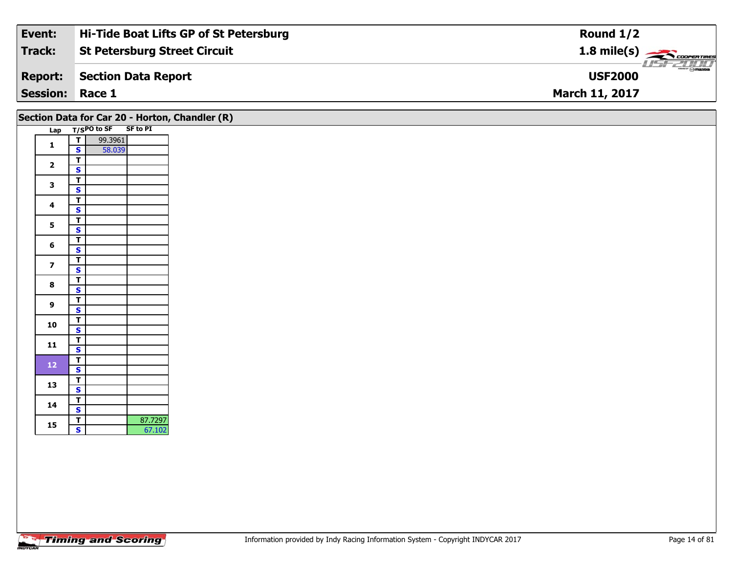| Event:                 | Hi-Tide Boat Lifts GP of St Petersburg | Round $1/2$                                                                                                                                                                                                                                                                                                                                                                                                                                                                                       |
|------------------------|----------------------------------------|---------------------------------------------------------------------------------------------------------------------------------------------------------------------------------------------------------------------------------------------------------------------------------------------------------------------------------------------------------------------------------------------------------------------------------------------------------------------------------------------------|
| Track:                 | <b>St Petersburg Street Circuit</b>    | $1.8$ mile(s) $\sim$ CODERTIRES                                                                                                                                                                                                                                                                                                                                                                                                                                                                   |
| <b>Report:</b>         | Section Data Report                    | $\overline{\phantom{m}}$ $\overline{\phantom{m}}$ $\overline{\phantom{m}}$ $\overline{\phantom{m}}$ $\overline{\phantom{m}}$ $\overline{\phantom{m}}$ $\overline{\phantom{m}}$ $\overline{\phantom{m}}$ $\overline{\phantom{m}}$ $\overline{\phantom{m}}$ $\overline{\phantom{m}}$ $\overline{\phantom{m}}$ $\overline{\phantom{m}}$ $\overline{\phantom{m}}$ $\overline{\phantom{m}}$ $\overline{\phantom{m}}$ $\overline{\phantom{m}}$ $\overline{\phantom{m}}$ $\overline{\$<br><b>USF2000</b> |
| <b>Session: Race 1</b> |                                        | <b>March 11, 2017</b>                                                                                                                                                                                                                                                                                                                                                                                                                                                                             |

## **Section Data for Car 20 - Horton, Chandler (R)**

| Lap |                         | $T/SPO$ to SF | <b>SF to PI</b> |
|-----|-------------------------|---------------|-----------------|
| 1   | т                       | 99.3961       |                 |
|     | S                       | 58.039        |                 |
|     | Т                       |               |                 |
| 2   | S                       |               |                 |
| 3   | $\overline{\mathbf{r}}$ |               |                 |
|     | S                       |               |                 |
| 4   | T                       |               |                 |
|     | S                       |               |                 |
| 5   | т                       |               |                 |
|     | S                       |               |                 |
| 6   | T                       |               |                 |
|     | S                       |               |                 |
| 7   | T                       |               |                 |
|     | <u>s</u>                |               |                 |
| 8   | T                       |               |                 |
|     | S                       |               |                 |
| 9   | Ŧ                       |               |                 |
|     | S                       |               |                 |
| 10  | т                       |               |                 |
|     | S                       |               |                 |
| 11  | Т                       |               |                 |
|     | S                       |               |                 |
| 12  | T                       |               |                 |
|     | S                       |               |                 |
| 13  | Τ                       |               |                 |
|     | S                       |               |                 |
| 14  | T                       |               |                 |
|     | S                       |               |                 |
| 15  | T                       |               | 87.7297         |
|     | $\overline{\mathbf{s}}$ |               | 67.102          |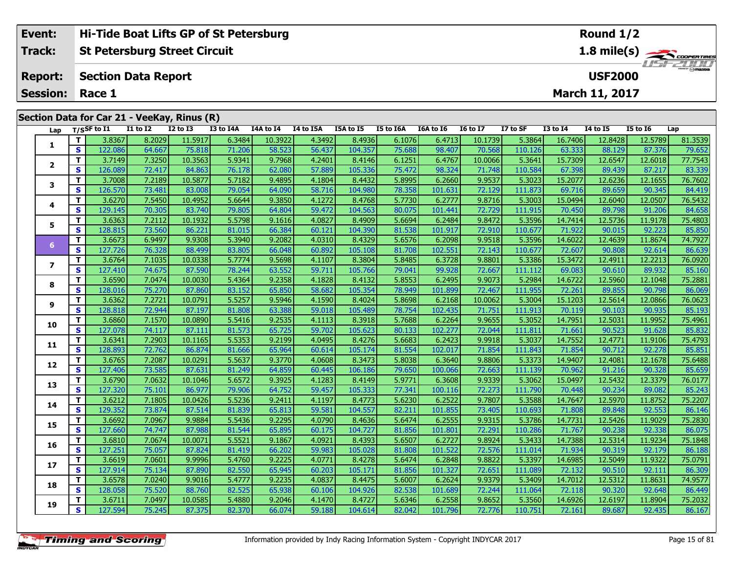|                                                      | Event:          |                                             |                            |                 | Hi-Tide Boat Lifts GP of St Petersburg |           |           |                  |           |           |                 |          |                 | Round $1/2$           |                 |         |  |
|------------------------------------------------------|-----------------|---------------------------------------------|----------------------------|-----------------|----------------------------------------|-----------|-----------|------------------|-----------|-----------|-----------------|----------|-----------------|-----------------------|-----------------|---------|--|
| <b>Track:</b><br><b>St Petersburg Street Circuit</b> |                 |                                             |                            |                 |                                        |           |           |                  |           | USFZDDD   |                 |          |                 |                       |                 |         |  |
|                                                      | <b>Report:</b>  |                                             | <b>Section Data Report</b> |                 |                                        |           |           |                  |           |           |                 |          |                 | <b>USF2000</b>        |                 |         |  |
|                                                      | <b>Session:</b> | Race 1                                      |                            |                 |                                        |           |           |                  |           |           |                 |          |                 | <b>March 11, 2017</b> |                 |         |  |
|                                                      |                 |                                             |                            |                 |                                        |           |           |                  |           |           |                 |          |                 |                       |                 |         |  |
|                                                      |                 | Section Data for Car 21 - VeeKay, Rinus (R) |                            |                 |                                        |           |           |                  |           |           |                 |          |                 |                       |                 |         |  |
|                                                      | Lap             | T/SSF to I1                                 | I1 to I2                   | <b>I2 to I3</b> | I3 to I4A                              | I4A to I4 | I4 to I5A | <b>I5A to I5</b> | I5 to I6A | I6A to I6 | <b>16 to 17</b> | I7 to SF | <b>I3 to I4</b> | <b>14 to 15</b>       | <b>I5 to 16</b> | Lap     |  |
|                                                      |                 | T L<br>3.8367                               | 8.2029L                    | 115917          | 6,3484                                 | 10,3922   | 4 3492 1  | 84936            | 61076     | 64713     | - 10 1739 L     | 5,3864   | 16,7406         | 12 8428 L             | 125789          | 81 3539 |  |

| Lap            |              | T/SSF to 11 | <b>17 10 17</b> | <b>17 10 12</b> | 13 TO 14A | 14A TO 14 | 14 IO 15A | כז 10 אכז | TO TO TOY | TOY TO TO | <b>10 10 17</b> | 17 TO SF | 13 TO 14 | 14 IO 15 | <b>12 10 10</b> | ∟ap     |
|----------------|--------------|-------------|-----------------|-----------------|-----------|-----------|-----------|-----------|-----------|-----------|-----------------|----------|----------|----------|-----------------|---------|
|                | $\mathbf{T}$ | 3.8367      | 8.2029          | 11.5917         | 6.3484    | 10.3922   | 4.3492    | 8.4936    | 6.1076    | 6.4713    | 10.1739         | 5.3864   | 16.7406  | 12.8428  | 12.5789         | 81.3539 |
| 1              | S            | 122.086     | 64.667          | 75.818          | 71.206    | 58.523    | 56.437    | 104.357   | 75.688    | 98.407    | 70.568          | 110.126  | 63.333   | 88.129   | 87.376          | 79.652  |
| $\overline{2}$ | $\mathbf T$  | 3.7149      | 7.3250          | 10.3563         | 5.9341    | 9.7968    | 4.2401    | 8.4146    | 6.1251    | 6.4767    | 10.0066         | 5.3641   | 15.7309  | 12.6547  | 12.6018         | 77.7543 |
|                | $\mathbf{s}$ | 126.089     | 72.417          | 84.863          | 76.178    | 62.080    | 57.889    | 105.336   | 75.472    | 98.324    | 71.748          | 110.584  | 67.398   | 89.439   | 87.217          | 83.339  |
| 3              | $\mathbf{T}$ | 3.7008      | 7.2189          | 10.5877         | 5.7182    | 9.4895    | 4.1804    | 8.4432    | 5.8995    | 6.2660    | 9.9537          | 5.3023   | 15.2077  | 12.6236  | 12.1655         | 76.7602 |
|                | $\mathbf{s}$ | 126.570     | 73.481          | 83.008          | 79.054    | 64.090    | 58.716    | 104.980   | 78.358    | 101.631   | 72.129          | 111.873  | 69.716   | 89.659   | 90.345          | 84.419  |
| 4              | $\mathbf{T}$ | 3.6270      | 7.5450          | 10.4952         | 5.6644    | 9.3850    | 4.1272    | 8.4768    | 5.7730    | 6.2777    | 9.8716          | 5.3003   | 15.0494  | 12.6040  | 12.0507         | 76.5432 |
|                | $\mathbf{s}$ | 129.145     | 70.305          | 83.740          | 79.805    | 64.804    | 59.472    | 104.563   | 80.075    | 101.441   | 72.729          | 111.915  | 70.450   | 89.798   | 91.206          | 84.658  |
| 5              | $\mathbf T$  | 3.6363      | 7.2112          | 10.1932         | 5.5798    | 9.1616    | 4.0827    | 8.4909    | 5.6694    | 6.2484    | 9.8472          | 5.3596   | 14.7414  | 12.5736  | 11.9178         | 75.4803 |
|                | S            | 128.815     | 73.560          | 86.221          | 81.015    | 66.384    | 60.121    | 104.390   | 81.538    | 101.917   | 72.910          | 110.677  | 71.922   | 90.015   | 92.223          | 85.850  |
| 6              | $\mathbf T$  | 3.6673      | 6.9497          | 9.9308          | 5.3940    | 9.2082    | 4.0310    | 8.4329    | 5.6576    | 6.2098    | 9.9518          | 5.3596   | 14.6022  | 12.4639  | 11.8674         | 74.7927 |
|                | $\mathbf{s}$ | 127.726     | 76.328          | 88.499          | 83.805    | 66.048    | 60.892    | 105.108   | 81.708    | 102.551   | 72.143          | 110.677  | 72.607   | 90.808   | 92.614          | 86.639  |
| 7              | Т            | 3.6764      | 7.1035          | 10.0338         | 5.7774    | 9.5698    | 4.1107    | 8.3804    | 5.8485    | 6.3728    | 9.8801          | 5.3386   | 15.3472  | 12.4911  | 12.2213         | 76.0920 |
|                | S            | 127.410     | 74.675          | 87.590          | 78.244    | 63.552    | 59.711    | 105.766   | 79.041    | 99.928    | 72.667          | 111.112  | 69.083   | 90.610   | 89.932          | 85.160  |
| 8              | $\mathbf T$  | 3.6590      | 7.0474          | 10.0030         | 5.4364    | 9.2358    | 4.1828    | 8.4132    | 5.8553    | 6.2495    | 9.9073          | 5.2984   | 14.6722  | 12.5960  | 12.1048         | 75.2881 |
|                | $\mathbf{s}$ | 128.016     | 75.270          | 87.860          | 83.152    | 65.850    | 58.682    | 105.354   | 78.949    | 101.899   | 72.467          | 111.955  | 72.261   | 89.855   | 90.798          | 86.069  |
| 9              | $\mathbf T$  | 3.6362      | 7.2721          | 10.0791         | 5.5257    | 9.5946    | 4.1590    | 8.4024    | 5.8698    | 6.2168    | 10.0062         | 5.3004   | 15.1203  | 12.5614  | 12.0866         | 76.0623 |
|                | $\mathbf{s}$ | 128.818     | 72.944          | 87.197          | 81.808    | 63.388    | 59.018    | 105.489   | 78.754    | 102.435   | 71.751          | 111.913  | 70.119   | 90.103   | 90.935          | 85.193  |
| 10             | $\mathbf T$  | 3.6860      | 7.1570          | 10.0890         | 5.5416    | 9.2535    | 4.1113    | 8.3918    | 5.7688    | 6.2264    | 9.9655          | 5.3052   | 14.7951  | 12.5031  | 11.9952         | 75.4961 |
|                | $\mathbf{s}$ | 127.078     | 74.117          | 87.111          | 81.573    | 65.725    | 59.702    | 105.623   | 80.133    | 102.277   | 72.044          | 111.811  | 71.661   | 90.523   | 91.628          | 85.832  |
| 11             | $\mathbf T$  | 3.6341      | 7.2903          | 10.1165         | 5.5353    | 9.2199    | 4.0495    | 8.4276    | 5.6683    | 6.2423    | 9.9918          | 5.3037   | 14.7552  | 12.4771  | 11.9106         | 75.4793 |
|                | S            | 128.893     | 72.762          | 86.874          | 81.666    | 65.964    | 60.614    | 105.174   | 81.554    | 102.017   | 71.854          | 111.843  | 71.854   | 90.712   | 92.278          | 85.851  |
| 12             | $\mathbf T$  | 3.6765      | 7.2087          | 10.0291         | 5.5637    | 9.3770    | 4.0608    | 8.3473    | 5.8038    | 6.3640    | 9.8806          | 5.3373   | 14.9407  | 12.4081  | 12.1678         | 75.6488 |
|                | S            | 127.406     | 73.585          | 87.631          | 81.249    | 64.859    | 60.445    | 106.186   | 79.650    | 100.066   | 72.663          | 111.139  | 70.962   | 91.216   | 90.328          | 85.659  |
| 13             | $\mathbf{T}$ | 3.6790      | 7.0632          | 10.1046         | 5.6572    | 9.3925    | 4.1283    | 8.4149    | 5.9771    | 6.3608    | 9.9339          | 5.3062   | 15.0497  | 12.5432  | 12.3379         | 76.0177 |
|                | S            | 127.320     | 75.101          | 86.977          | 79.906    | 64.752    | 59.457    | 105.333   | 77.341    | 100.116   | 72.273          | 111.790  | 70.448   | 90.234   | 89.082          | 85.243  |
| 14             | Т            | 3.6212      | 7.1805          | 10.0426         | 5.5236    | 9.2411    | 4.1197    | 8.4773    | 5.6230    | 6.2522    | 9.7807          | 5.3588   | 14.7647  | 12.5970  | 11.8752         | 75.2207 |
|                | S            | 129.352     | 73.874          | 87.514          | 81.839    | 65.813    | 59.581    | 104.557   | 82.211    | 101.855   | 73.405          | 110.693  | 71.808   | 89.848   | 92.553          | 86.146  |
| 15             | $\mathbf{T}$ | 3.6692      | 7.0967          | 9.9884          | 5.5436    | 9.2295    | 4.0790    | 8.4636    | 5.6474    | 6.2555    | 9.9315          | 5.3786   | 14.7731  | 12.5426  | 11.9029         | 75.2830 |
|                | $\mathbf{s}$ | 127.660     | 74.747          | 87.988          | 81.544    | 65.895    | 60.175    | 104.727   | 81.856    | 101.801   | 72.291          | 110.286  | 71.767   | 90.238   | 92.338          | 86.075  |
| 16             | T            | 3.6810      | 7.0674          | 10.0071         | 5.5521    | 9.1867    | 4.0921    | 8.4393    | 5.6507    | 6.2727    | 9.8924          | 5.3433   | 14.7388  | 12.5314  | 11.9234         | 75.1848 |
|                | $\mathbf{s}$ | 127.251     | 75.057          | 87.824          | 81.419    | 66.202    | 59.983    | 105.028   | 81.808    | 101.522   | 72.576          | 111.014  | 71.934   | 90.319   | 92.179          | 86.188  |
| 17             | Т            | 3.6619      | 7.0601          | 9.9996          | 5.4760    | 9.2225    | 4.0771    | 8.4278    | 5.6474    | 6.2848    | 9.8822          | 5.3397   | 14.6985  | 12.5049  | 11.9322         | 75.0791 |
|                | $\mathbf{s}$ | 127.914     | 75.134          | 87.890          | 82.550    | 65.945    | 60.203    | 105.171   | 81.856    | 101.327   | 72.651          | 111.089  | 72.132   | 90.510   | 92.111          | 86.309  |
| 18             | T            | 3.6578      | 7.0240          | 9.9016          | 5.4777    | 9.2235    | 4.0837    | 8.4475    | 5.6007    | 6.2624    | 9.9379          | 5.3409   | 14.7012  | 12.5312  | 11.8631         | 74.9577 |
|                | S            | 128.058     | 75.520          | 88.760          | 82.525    | 65.938    | 60.106    | 104.926   | 82.538    | 101.689   | 72.244          | 111.064  | 72.118   | 90.320   | 92.648          | 86.449  |
| 19             | $\mathbf T$  | 3.6711      | 7.0497          | 10.0585         | 5.4880    | 9.2046    | 4.1470    | 8.4727    | 5.6346    | 6.2558    | 9.8652          | 5.3560   | 14.6926  | 12.6197  | 11.8904         | 75.2032 |
|                | S            | 127.594     | 75.245          | 87.375          | 82.370    | 66.074    | 59.188    | 104.614   | 82.042    | 101.796   | 72.776          | 110.751  | 72.161   | 89.687   | 92.435          | 86.167  |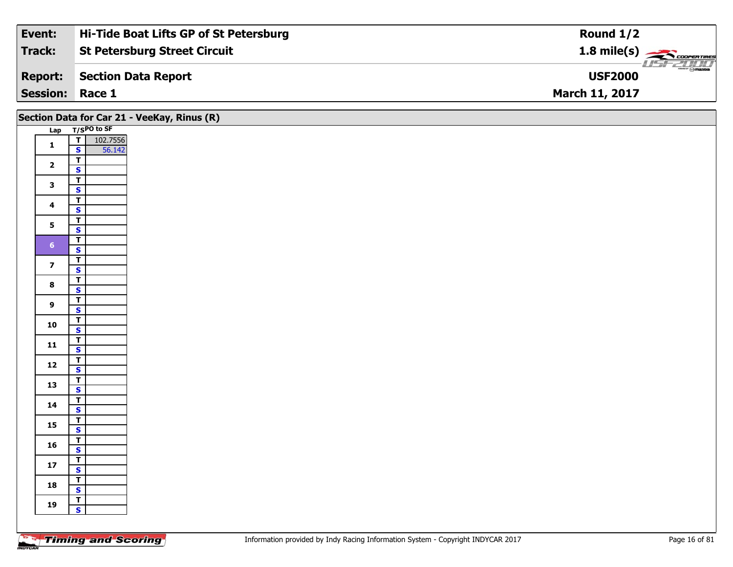| Event:                 | Hi-Tide Boat Lifts GP of St Petersburg | Round $1/2$                                                  |
|------------------------|----------------------------------------|--------------------------------------------------------------|
| Track:                 | <b>St Petersburg Street Circuit</b>    | $1.8$ mile(s) $\overbrace{\hspace{2.5cm}}^{1.8}$ coorentines |
| <b>Report:</b>         | Section Data Report                    | $\frac{1}{2}$ omazoa<br><b>USF2000</b>                       |
| <b>Session: Race 1</b> |                                        | <b>March 11, 2017</b>                                        |

|                         | Section Data for Car 21 - VeeKay, Rinus (R)        |
|-------------------------|----------------------------------------------------|
|                         | Lap T/SPO to SF                                    |
| $\mathbf{1}$            | 102.7556<br>$\overline{I}$                         |
|                         | 56.142<br>$\mathbf{s}$                             |
| $\overline{\mathbf{2}}$ | $\overline{\mathsf{r}}$<br>$\overline{\mathbf{s}}$ |
|                         | $\overline{\mathsf{r}}$                            |
| $\mathbf{3}$            | $\mathbf{s}$                                       |
|                         | $\overline{t}$                                     |
| $\overline{\mathbf{4}}$ | $\mathbf{s}$                                       |
| 5 <sup>1</sup>          | $\overline{t}$                                     |
|                         | $\overline{\mathbf{s}}$                            |
| 6 <sup>1</sup>          | $\overline{\mathsf{T}}$<br>$\overline{\mathbf{s}}$ |
|                         | $\mathbf{I}$                                       |
| $\overline{z}$          | $\overline{\mathbf{s}}$                            |
| $\bf{8}$                | $\overline{\mathsf{r}}$                            |
|                         | $\overline{\mathbf{s}}$                            |
| $\overline{9}$          | $\overline{\mathsf{T}}$<br>$\mathbf{s}$            |
|                         | $\overline{t}$                                     |
| 10                      | $\overline{\mathbf{s}}$                            |
| $11$                    | $\mathbf{T}$                                       |
|                         | $\mathsf{s}$                                       |
| 12                      | $\mathbf{I}$<br>$\mathbf{s}$                       |
|                         | $\overline{r}$                                     |
| 13                      | $\overline{\mathbf{s}}$                            |
| 14                      | $\overline{\mathsf{T}}$                            |
|                         | $\mathbf{s}$                                       |
| 15                      | $\overline{1}$                                     |
|                         | $\overline{\mathbf{s}}$<br>$\mathbf{T}$            |
| 16                      | $\mathbf{s}$                                       |
|                         | $\mathbf{I}$                                       |
| $17$                    | $\mathbf{s}$                                       |
| 18                      | $\overline{r}$                                     |
|                         | <b>S</b><br>ᆟ                                      |
| 19                      | $\mathbf{s}$                                       |
|                         |                                                    |
|                         |                                                    |

┑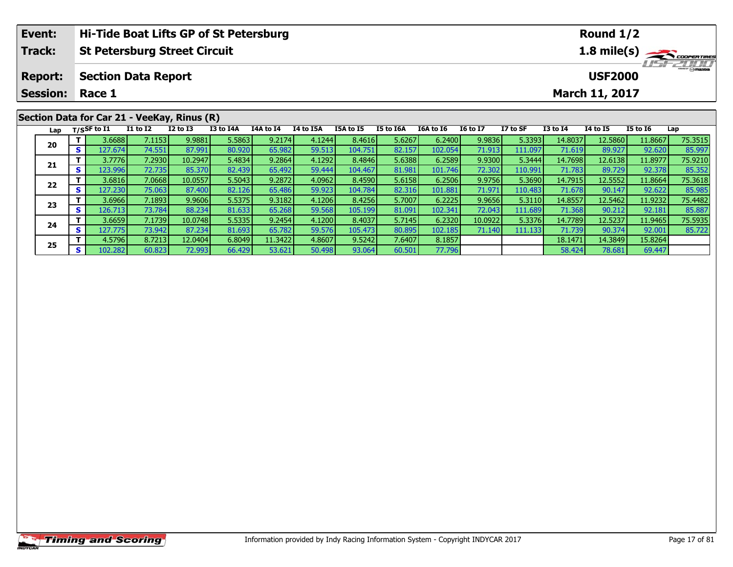| Event:          |            |                |                            | Hi-Tide Boat Lifts GP of St Petersburg      |           |           |           |           |           |           |                 |          |              | Round $1/2$           |                 |                  |
|-----------------|------------|----------------|----------------------------|---------------------------------------------|-----------|-----------|-----------|-----------|-----------|-----------|-----------------|----------|--------------|-----------------------|-----------------|------------------|
| <b>Track:</b>   |            |                |                            | <b>St Petersburg Street Circuit</b>         |           |           |           |           |           |           |                 |          |              |                       |                 | 1.8 mile(s)      |
| <b>Report:</b>  |            |                | <b>Section Data Report</b> |                                             |           |           |           |           |           |           |                 |          |              | <b>USF2000</b>        |                 | <b>LISE 2000</b> |
| <b>Session:</b> |            | Race 1         |                            |                                             |           |           |           |           |           |           |                 |          |              | <b>March 11, 2017</b> |                 |                  |
|                 |            |                |                            | Section Data for Car 21 - VeeKay, Rinus (R) |           |           |           |           |           |           |                 |          |              |                       |                 |                  |
| Lap             |            | $T/S$ SF to I1 | <b>I1 to I2</b>            | $I2$ to $I3$                                | I3 to I4A | I4A to I4 | I4 to I5A | I5A to I5 | I5 to I6A | I6A to I6 | <b>16 to 17</b> | I7 to SF | $I3$ to $I4$ | <b>I4 to I5</b>       | <b>I5 to I6</b> | Lap              |
|                 |            | 3.6688         | 7.1153                     | 9.9881                                      | 5.5863    | 9.2174    | 4.1244    | 8.4616    | 5.6267    | 6.2400    | 9.9836          | 5.3393   | 14.8037      | 12.5860               | 11.8667         | 75.3515          |
| 20              | <b>s</b> l | 127.674        | 74.551                     | 87.991                                      | 80.920    | 65.982    | 59.513    | 104.751   | 82.157    | 102.054   | 71.913          | 111.097  | 71.619       | 89.927                | 92.620          | 85.997           |
|                 |            | 3.7776         | 7.2930                     | 10.2947                                     | 5.4834    | 9.2864    | 4.1292    | 8.4846    | 5.6388    | 6.2589    | 9.9300          | 5.3444   | 14.7698      | 12.6138               | 11.8977         | 75.9210          |
| 21              |            | 123.996        | 72.735 <b>1</b>            | 85.370                                      | 82.439    | 65.492    | 59.444    | 104.467   | 81.981    | 101.746   | 72.302          | 110.991  | 71.783       | 89.729                | 92.378          | 85.352           |

2 T 3.6816 7.0668 10.0557 5.5043 9.2872 4.0962 8.4590 5.6158 6.2506 9.9756 5.3690 14.7915 12.5552 11.8664 75.3618<br>2 S 127.230 75.063 87.400 82.126 65.486 59.923 104.784 82.316 101.881 71.971 110.483 71.678 90.147 92.622 85

**<sup>T</sup>** 3.6966 7.1893 9.9606 5.5375 9.3182 4.1206 8.4256 5.7007 6.2225 9.9656 5.3110 14.8557 12.5462 11.9232 75.4482 **<sup>S</sup>** 126.713 73.784 88.234 81.633 65.268 59.568 105.199 81.091 102.341 72.043 111.689 71.368 90.212 92.181 85.887

**<sup>T</sup>** 3.6659 7.1739 10.0748 5.5335 9.2454 4.1200 8.4037 5.7145 6.2320 10.0922 5.3376 14.7789 12.5237 11.9465 75.5935 **<sup>S</sup>** 127.775 73.942 87.234 81.693 65.782 59.576 105.473 80.895 102.185 71.140 111.133 71.739 90.374 92.001 85.722

**<sup>T</sup>** 4.5796 8.7213 12.0404 6.8049 11.3422 4.8607 9.5242 7.6407 8.1857 18.1471 14.3849 15.8264 **<sup>S</sup>** 102.282 60.823 72.993 66.429 53.621 50.498 93.064 60.501 77.796 58.424 78.681 69.447

**22**

**23**

**24**

**25**

85.352

85.88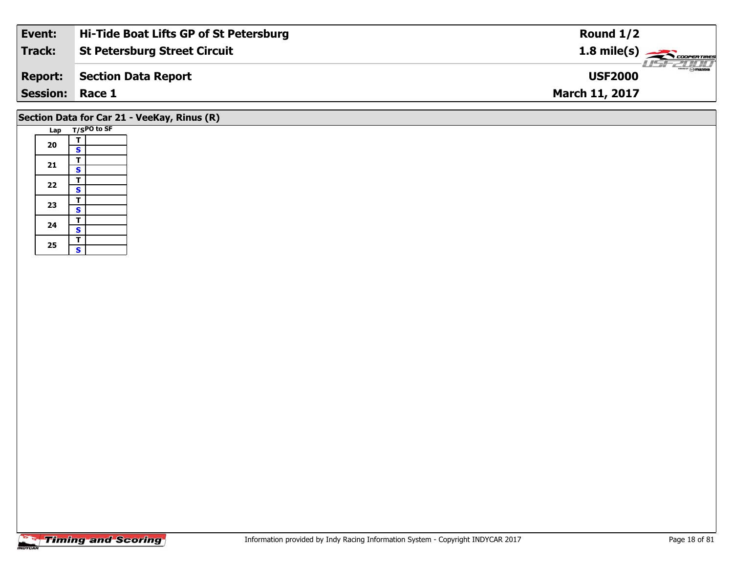| Event:          | Hi-Tide Boat Lifts GP of St Petersburg | Round $1/2$                     |
|-----------------|----------------------------------------|---------------------------------|
| Track:          | St Petersburg Street Circuit           | $1.8 \text{ mile(s)}$           |
| <b>Report:</b>  | Section Data Report                    | <b>Omazoa</b><br><b>USF2000</b> |
| <b>Session:</b> | Race 1                                 | <b>March 11, 2017</b>           |
|                 |                                        |                                 |

### **Section Data for Car 21 - VeeKay, Rinus (R)**

|  | Lap |                         | T/SPO to SF |
|--|-----|-------------------------|-------------|
|  |     | Т                       |             |
|  | 20  | S                       |             |
|  |     | T                       |             |
|  | 21  | S                       |             |
|  |     | Т                       |             |
|  | 22  | $\overline{\mathbf{s}}$ |             |
|  |     | T                       |             |
|  | 23  | S                       |             |
|  | 24  | т                       |             |
|  |     | $\overline{\mathbf{s}}$ |             |
|  |     | T                       |             |
|  | 25  | S                       |             |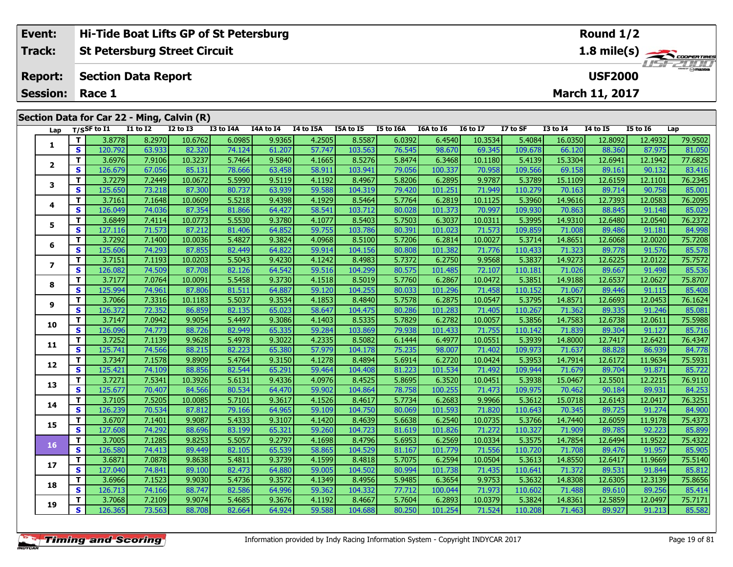| Event:          |          |                 |                            | Hi-Tide Boat Lifts GP of St Petersburg     |           |                  |                |           |                 |           |                 |                  |                 | Round $1/2$     |                 |             |
|-----------------|----------|-----------------|----------------------------|--------------------------------------------|-----------|------------------|----------------|-----------|-----------------|-----------|-----------------|------------------|-----------------|-----------------|-----------------|-------------|
| <b>Track:</b>   |          |                 |                            | <b>St Petersburg Street Circuit</b>        |           |                  |                |           |                 |           |                 |                  |                 |                 |                 | 1.8 mile(s) |
| <b>Report:</b>  |          |                 | <b>Section Data Report</b> |                                            |           |                  |                |           |                 |           |                 |                  |                 | <b>USF2000</b>  |                 | 115172000   |
| <b>Session:</b> |          | Race 1          |                            |                                            |           |                  |                |           |                 |           |                 |                  |                 | March 11, 2017  |                 |             |
|                 |          |                 |                            | Section Data for Car 22 - Ming, Calvin (R) |           |                  |                |           |                 |           |                 |                  |                 |                 |                 |             |
|                 |          | Lap T/SSF to I1 | <b>I1 to I2</b>            | $I2$ to $I3$                               | I3 to I4A | <b>I4A to I4</b> | I4 to I5A      | I5A to I5 | I5 to I6A       | I6A to I6 | <b>16 to 17</b> | I7 to SF         | <b>I3 to I4</b> | <b>I4 to I5</b> | <b>I5 to I6</b> | Lap         |
|                 |          | 3.8778          | 8.2970                     | 10.6762                                    | 6.0985    | 9.9365           | 4.2505         | 8.5587    | 6.0392          | 6.4540    | 10.3534         | 5.4084           | 16.0350         | 12.8092         | 12.4932         | 79.9502     |
|                 | <b>S</b> | 120.792         | 63.933                     | 82.320                                     | 74.124    | 61.207           | 57.747         | 103.563   | 76.545          | 98.670    | 69.345          | 109.678          | 66.120          | 88.360          | 87.975          | 81.050      |
|                 | т        | 3.6976          | 7.9106                     | 10.3237                                    | 5.7464    | 9.5840           | 4.1665         | 8.5276    | 5.8474          | 6.3468    | 10.1180         | 5.4139           | 15.3304         | 12.6941         | 12.1942         | 77.6825     |
|                 | <b>S</b> | 126.679         | 67.056                     | 85.131                                     | 78.666    | 63.458           | 58.911         | 103.941   | 79.056          | 100.337   | 70.958          | 109.566          | 69.158          | 89.161          | 90.132          | 83.416      |
| 3               |          | 3.7279          | 7.2449                     | 10.0672                                    | 5.5990    | 9.5119           | 4.1192         | 8.4967    | 5.8206          | 6.2895    | 9.9787          | 5.3789           | 15.1109         | 12.6159         | 12.1101         | 76.2345     |
|                 | S.       | 125 650 L       | 73 218 L                   | 87.300 <b>L</b>                            | 80 737    | 63.9391          | <b>59 5881</b> | 104 319   | 79.420 <b>L</b> | 101 251   | 71 949          | 110 279 <b>1</b> | <b>70 163 L</b> | 89 714          | 90 758          | 85 001      |

| $\mathbf{2}$<br>S<br>78.666<br>58.911<br>79.056<br>109.566<br>69.158<br>83.416<br>126.679<br>67.056<br>85.131<br>63.458<br>103.941<br>100.337<br>70.958<br>89.161<br>90.132<br>т<br>3.7279<br>5.5990<br>9.5119<br>5.8206<br>9.9787<br>76.2345<br>7.2449<br>10.0672<br>4.1192<br>8.4967<br>6.2895<br>5.3789<br>15.1109<br>12.6159<br>12.1101<br>3<br>S<br>59.588<br>125.650<br>73.218<br>87.300<br>80.737<br>63.939<br>104.319<br>79.420<br>71.949<br>110.279<br>70.163<br>89.714<br>90.758<br>85.001<br>101.251<br>5.5218<br>т<br>3.7161<br>7.1648<br>9.4398<br>4.1929<br>8.5464<br>5.7764<br>6.2819<br>5.3960<br>14.9616<br>12.7393<br>76.2095<br>10.0609<br>10.1125<br>12.0583<br>4<br>S<br>74.036<br>81.866<br>70.863<br>126.049<br>87.354<br>64.427<br>58.541<br>103.712<br>80.028<br>101.373<br>70.997<br>109.930<br>88.845<br>85.029<br>91.148<br>3.6849<br>5.5530<br>т<br>7.4114<br>9.3780<br>4.1077<br>8.5403<br>5.7503<br>6.3037<br>10.0311<br>5.3995<br>14.9310<br>12.6480<br>76.2372<br>10.0773<br>12.0540<br>5.<br>S<br>127.116<br>71.573<br>87.212<br>64.852<br>59.755<br>80.391<br>109.859<br>71.008<br>89.486<br>84.998<br>81.406<br>103.786<br>101.023<br>71.573<br>91.181<br>т<br>3.7292<br>5.4827<br>9.3824<br>4.0968<br>5.7206<br>6.2814<br>10.0027<br>5.3714<br>14.8651<br>12.6068<br>12.0020<br>75.7208<br>7.1400<br>10.0036<br>8.5100<br>6<br>S<br>85.578<br>125.606<br>74.293<br>87.855<br>82.449<br>64.822<br>59.914<br>80.808<br>71.323<br>104.156<br>101.382<br>71.776<br>110.433<br>89.778<br>91.576<br>T.<br>5.5043<br>9.4230<br>5.7372<br>9.9568<br>14.9273<br>75.7572<br>3.7151<br>7.1193<br>4.1242<br>8.4983<br>6.2750<br>5.3837<br>12.6225<br>12.0122<br>10.0203<br>7<br>S<br>126.082<br>82.126<br>80.575<br>72.107<br>85.536<br>74.509<br>87.708<br>64.542<br>59.516<br>104.299<br>101.485<br>110.181<br>71.026<br>89.667<br>91.498<br>75.8707<br>т<br>3.7177<br>7.0764<br>5.5458<br>9.3730<br>4.1518<br>5.7760<br>10.0472<br>5.3851<br>14.9188<br>12.6537<br>12.0627<br>10.0091<br>8.5019<br>6.2867<br>8<br>S<br>125.994<br>74.961<br>81.511<br>64.887<br>59.120<br>104.255<br>80.033<br>71.067<br>85.408<br>87.806<br>101.296<br>71.458<br>110.152<br>89.446<br>91.115<br>76.1624<br>т<br>3.7066<br>7.3316<br>5.5037<br>9.3534<br>5.7578<br>6.2875<br>14.8571<br>10.1183<br>4.1853<br>8.4840<br>10.0547<br>5.3795<br>12.6693<br>12.0453<br>9<br>S<br>126.372<br>72.352<br>82.135<br>80.286<br>71.362<br>85.081<br>86.859<br>65.023<br>58.647<br>104.475<br>101.283<br>71.405<br>110.267<br>89.335<br>91.246<br>5.4497<br>5.7829<br>т<br>3.7147<br>7.0942<br>9.3086<br>4.1403<br>8.5335<br>10.0057<br>5.3856<br>14.7583<br>75.5988<br>9.9054<br>6.2782<br>12.6738<br>12.0611<br>10<br>74.773<br>82.949<br>79.938<br>S<br>126.096<br>65.335<br>59.284<br>103.869<br>101.433<br>71.755<br>110.142<br>71.839<br>89.304<br>91.127<br>85.716<br>88.726<br>т<br>3.7252<br>7.1139<br>5.4978<br>76.4347<br>9.9628<br>9.3022<br>4.2335<br>8.5082<br>6.1444<br>6.4977<br>10.0551<br>5.3939<br>14.8000<br>12.7417<br>12.6421<br>11<br>S<br>125.741<br>74.566<br>82.223<br>65.380<br>75.235<br>98.007<br>109.973<br>71.637<br>84.778<br>88.215<br>57.979<br>104.178<br>71.402<br>88.828<br>86.939<br>т<br>3.7347<br>7.1578<br>5.4764<br>9.3150<br>4.1278<br>5.6914<br>6.2720<br>14.7914<br>75.5931<br>9.8909<br>8.4894<br>10.0424<br>5.3953<br>12.6172<br>11.9634<br>12<br>S.<br>82.544<br>81.223<br>109.944<br>85.722<br>125.421<br>88.856<br>65.291<br>59.464<br>104.408<br>101.534<br>71.679<br>89.704<br>91.871<br>74.109<br>71.492<br>т<br>3.7271<br>7.5341<br>5.6131<br>9.4336<br>8.4525<br>5.8695<br>5.3938<br>15.0467<br>76.9110<br>10.3926<br>4.0976<br>6.3520<br>10.0451<br>12.5501<br>12.2215<br>13<br>84.253<br>S<br>125.677<br>70.407<br>84.566<br>80.534<br>64.470<br>59.902<br>104.864<br>78.758<br>100.255<br>109.975<br>70.462<br>90.184<br>89.931<br>71.473<br>76.3251<br>Τ.<br>7.5205<br>5.7101<br>9.3617<br>5.7734<br>6.2683<br>9.9966<br>15.0718<br>3.7105<br>10.0085<br>4.1526<br>8.4617<br>5.3612<br>12.6143<br>12.0417<br>14<br>S<br>126.239<br>84.900<br>79.166<br>80.069<br>70.534<br>87.812<br>64.965<br>59.109<br>104.750<br>101.593<br>71.820<br>110.643<br>70.345<br>89.725<br>91.274<br>т<br>5.4333<br>5.6638<br>3.6707<br>7.1401<br>9.9087<br>9.3107<br>4.1420<br>8.4639<br>6.2540<br>10.0735<br>5.3766<br>14.7440<br>12.6059<br>11.9178<br>75.4373<br>15<br>S<br>74.292<br>88.696<br>83.199<br>65.321<br>59.260<br>104.723<br>81.619<br>110.327<br>71.909<br>92.223<br>85.899<br>127.608<br>101.826<br>71.272<br>89.785<br>т<br>5.5057<br>14.7854<br>3.7005<br>7.1285<br>9.8253<br>9.2797<br>4.1698<br>8.4796<br>5.6953<br>6.2569<br>10.0334<br>5.3575<br>12.6494<br>11.9522<br>75.4322<br>16<br>S<br>74.413<br>82.105<br>65.539<br>58.865<br>71.708<br>126.580<br>89.449<br>104.529<br>81.167<br>101.779<br>71.556<br>110.720<br>89.476<br>91.957<br>85.905<br>т<br>3.6871<br>7.0878<br>5.4811<br>9.3739<br>5.7075<br>6.2594<br>14.8550<br>75.5140<br>9.8638<br>4.1599<br>8.4818<br>10.0504<br>5.3613<br>12.6417<br>11.9669<br>17<br>S<br>64.880<br>80.994<br>85.812<br>127.040<br>74.841<br>82.473<br>59.005<br>104.502<br>101.738<br>71.435<br>110.641<br>71.372<br>89.531<br>91.844<br>89.100<br>т<br>3.6966<br>7.1523<br>9.9030<br>5.4736<br>9.3572<br>4.1349<br>8.4956<br>5.9485<br>6.3654<br>9.9753<br>5.3632<br>14.8308<br>12.6305<br>12.3139<br>75.8656<br>18<br>S.<br>126.713<br>82.586<br>64.996<br>59.362<br>77.712<br>85.414<br>74.166<br>88.747<br>104.332<br>100.044<br>71.973<br>110.602<br>71.488<br>89.610<br>89.256<br>5.7604<br>14.8361<br>75.7171<br>Τ.<br>3.7068<br>7.2109<br>9.9074<br>5.4685<br>9.3676<br>4.1192<br>8.4667<br>6.2893<br>10.0379<br>5.3824<br>12.5859<br>12.0497<br>19<br>S.<br>126.365<br>73.563<br>82.664<br>64.924<br>59.588<br>80.250<br>85.582<br>88.708<br>104.688<br>101.254<br>71.524<br>110.208<br>71.463<br>89.927<br>91.213 |  | <u>J.VJIV</u> | 7.5100 | 10.JZJ/ | <u>J./ IV I</u> | <b>DI DOIL</b> | <u> vuj</u> | 0.5270 | <u>J.V.III</u> | טטו טיט | 10.1100 | <u>J.IIJJ</u> | 19.990 L | <b>IL.VJII</b> | 14.13 IZ | 77.002J |
|--------------------------------------------------------------------------------------------------------------------------------------------------------------------------------------------------------------------------------------------------------------------------------------------------------------------------------------------------------------------------------------------------------------------------------------------------------------------------------------------------------------------------------------------------------------------------------------------------------------------------------------------------------------------------------------------------------------------------------------------------------------------------------------------------------------------------------------------------------------------------------------------------------------------------------------------------------------------------------------------------------------------------------------------------------------------------------------------------------------------------------------------------------------------------------------------------------------------------------------------------------------------------------------------------------------------------------------------------------------------------------------------------------------------------------------------------------------------------------------------------------------------------------------------------------------------------------------------------------------------------------------------------------------------------------------------------------------------------------------------------------------------------------------------------------------------------------------------------------------------------------------------------------------------------------------------------------------------------------------------------------------------------------------------------------------------------------------------------------------------------------------------------------------------------------------------------------------------------------------------------------------------------------------------------------------------------------------------------------------------------------------------------------------------------------------------------------------------------------------------------------------------------------------------------------------------------------------------------------------------------------------------------------------------------------------------------------------------------------------------------------------------------------------------------------------------------------------------------------------------------------------------------------------------------------------------------------------------------------------------------------------------------------------------------------------------------------------------------------------------------------------------------------------------------------------------------------------------------------------------------------------------------------------------------------------------------------------------------------------------------------------------------------------------------------------------------------------------------------------------------------------------------------------------------------------------------------------------------------------------------------------------------------------------------------------------------------------------------------------------------------------------------------------------------------------------------------------------------------------------------------------------------------------------------------------------------------------------------------------------------------------------------------------------------------------------------------------------------------------------------------------------------------------------------------------------------------------------------------------------------------------------------------------------------------------------------------------------------------------------------------------------------------------------------------------------------------------------------------------------------------------------------------------------------------------------------------------------------------------------------------------------------------------------------------------------------------------------------------------------------------------------------------------------------------------------------------------------------------------------------------------------------------------------------------------------------------------------------------------------------------------------------------------------------------------------------------------------------------------------------------------------------------------------------------------------------------------------------------------------------------------------------------------------------------------------------------------------------------------------------------------------------------------------------------------------------------------------------------------------------------------------------------------------------------------------------------------------------------------------------------------------------------------------------------------------------------------------------------------------------------------------------------------------------------------------------------------------------------------------------------------------------------------------------------------|--|---------------|--------|---------|-----------------|----------------|-------------|--------|----------------|---------|---------|---------------|----------|----------------|----------|---------|
|                                                                                                                                                                                                                                                                                                                                                                                                                                                                                                                                                                                                                                                                                                                                                                                                                                                                                                                                                                                                                                                                                                                                                                                                                                                                                                                                                                                                                                                                                                                                                                                                                                                                                                                                                                                                                                                                                                                                                                                                                                                                                                                                                                                                                                                                                                                                                                                                                                                                                                                                                                                                                                                                                                                                                                                                                                                                                                                                                                                                                                                                                                                                                                                                                                                                                                                                                                                                                                                                                                                                                                                                                                                                                                                                                                                                                                                                                                                                                                                                                                                                                                                                                                                                                                                                                                                                                                                                                                                                                                                                                                                                                                                                                                                                                                                                                                                                                                                                                                                                                                                                                                                                                                                                                                                                                                                                                                                                                                                                                                                                                                                                                                                                                                                                                                                                                                                                                                                                      |  |               |        |         |                 |                |             |        |                |         |         |               |          |                |          |         |
|                                                                                                                                                                                                                                                                                                                                                                                                                                                                                                                                                                                                                                                                                                                                                                                                                                                                                                                                                                                                                                                                                                                                                                                                                                                                                                                                                                                                                                                                                                                                                                                                                                                                                                                                                                                                                                                                                                                                                                                                                                                                                                                                                                                                                                                                                                                                                                                                                                                                                                                                                                                                                                                                                                                                                                                                                                                                                                                                                                                                                                                                                                                                                                                                                                                                                                                                                                                                                                                                                                                                                                                                                                                                                                                                                                                                                                                                                                                                                                                                                                                                                                                                                                                                                                                                                                                                                                                                                                                                                                                                                                                                                                                                                                                                                                                                                                                                                                                                                                                                                                                                                                                                                                                                                                                                                                                                                                                                                                                                                                                                                                                                                                                                                                                                                                                                                                                                                                                                      |  |               |        |         |                 |                |             |        |                |         |         |               |          |                |          |         |
|                                                                                                                                                                                                                                                                                                                                                                                                                                                                                                                                                                                                                                                                                                                                                                                                                                                                                                                                                                                                                                                                                                                                                                                                                                                                                                                                                                                                                                                                                                                                                                                                                                                                                                                                                                                                                                                                                                                                                                                                                                                                                                                                                                                                                                                                                                                                                                                                                                                                                                                                                                                                                                                                                                                                                                                                                                                                                                                                                                                                                                                                                                                                                                                                                                                                                                                                                                                                                                                                                                                                                                                                                                                                                                                                                                                                                                                                                                                                                                                                                                                                                                                                                                                                                                                                                                                                                                                                                                                                                                                                                                                                                                                                                                                                                                                                                                                                                                                                                                                                                                                                                                                                                                                                                                                                                                                                                                                                                                                                                                                                                                                                                                                                                                                                                                                                                                                                                                                                      |  |               |        |         |                 |                |             |        |                |         |         |               |          |                |          |         |
|                                                                                                                                                                                                                                                                                                                                                                                                                                                                                                                                                                                                                                                                                                                                                                                                                                                                                                                                                                                                                                                                                                                                                                                                                                                                                                                                                                                                                                                                                                                                                                                                                                                                                                                                                                                                                                                                                                                                                                                                                                                                                                                                                                                                                                                                                                                                                                                                                                                                                                                                                                                                                                                                                                                                                                                                                                                                                                                                                                                                                                                                                                                                                                                                                                                                                                                                                                                                                                                                                                                                                                                                                                                                                                                                                                                                                                                                                                                                                                                                                                                                                                                                                                                                                                                                                                                                                                                                                                                                                                                                                                                                                                                                                                                                                                                                                                                                                                                                                                                                                                                                                                                                                                                                                                                                                                                                                                                                                                                                                                                                                                                                                                                                                                                                                                                                                                                                                                                                      |  |               |        |         |                 |                |             |        |                |         |         |               |          |                |          |         |
|                                                                                                                                                                                                                                                                                                                                                                                                                                                                                                                                                                                                                                                                                                                                                                                                                                                                                                                                                                                                                                                                                                                                                                                                                                                                                                                                                                                                                                                                                                                                                                                                                                                                                                                                                                                                                                                                                                                                                                                                                                                                                                                                                                                                                                                                                                                                                                                                                                                                                                                                                                                                                                                                                                                                                                                                                                                                                                                                                                                                                                                                                                                                                                                                                                                                                                                                                                                                                                                                                                                                                                                                                                                                                                                                                                                                                                                                                                                                                                                                                                                                                                                                                                                                                                                                                                                                                                                                                                                                                                                                                                                                                                                                                                                                                                                                                                                                                                                                                                                                                                                                                                                                                                                                                                                                                                                                                                                                                                                                                                                                                                                                                                                                                                                                                                                                                                                                                                                                      |  |               |        |         |                 |                |             |        |                |         |         |               |          |                |          |         |
|                                                                                                                                                                                                                                                                                                                                                                                                                                                                                                                                                                                                                                                                                                                                                                                                                                                                                                                                                                                                                                                                                                                                                                                                                                                                                                                                                                                                                                                                                                                                                                                                                                                                                                                                                                                                                                                                                                                                                                                                                                                                                                                                                                                                                                                                                                                                                                                                                                                                                                                                                                                                                                                                                                                                                                                                                                                                                                                                                                                                                                                                                                                                                                                                                                                                                                                                                                                                                                                                                                                                                                                                                                                                                                                                                                                                                                                                                                                                                                                                                                                                                                                                                                                                                                                                                                                                                                                                                                                                                                                                                                                                                                                                                                                                                                                                                                                                                                                                                                                                                                                                                                                                                                                                                                                                                                                                                                                                                                                                                                                                                                                                                                                                                                                                                                                                                                                                                                                                      |  |               |        |         |                 |                |             |        |                |         |         |               |          |                |          |         |
|                                                                                                                                                                                                                                                                                                                                                                                                                                                                                                                                                                                                                                                                                                                                                                                                                                                                                                                                                                                                                                                                                                                                                                                                                                                                                                                                                                                                                                                                                                                                                                                                                                                                                                                                                                                                                                                                                                                                                                                                                                                                                                                                                                                                                                                                                                                                                                                                                                                                                                                                                                                                                                                                                                                                                                                                                                                                                                                                                                                                                                                                                                                                                                                                                                                                                                                                                                                                                                                                                                                                                                                                                                                                                                                                                                                                                                                                                                                                                                                                                                                                                                                                                                                                                                                                                                                                                                                                                                                                                                                                                                                                                                                                                                                                                                                                                                                                                                                                                                                                                                                                                                                                                                                                                                                                                                                                                                                                                                                                                                                                                                                                                                                                                                                                                                                                                                                                                                                                      |  |               |        |         |                 |                |             |        |                |         |         |               |          |                |          |         |
|                                                                                                                                                                                                                                                                                                                                                                                                                                                                                                                                                                                                                                                                                                                                                                                                                                                                                                                                                                                                                                                                                                                                                                                                                                                                                                                                                                                                                                                                                                                                                                                                                                                                                                                                                                                                                                                                                                                                                                                                                                                                                                                                                                                                                                                                                                                                                                                                                                                                                                                                                                                                                                                                                                                                                                                                                                                                                                                                                                                                                                                                                                                                                                                                                                                                                                                                                                                                                                                                                                                                                                                                                                                                                                                                                                                                                                                                                                                                                                                                                                                                                                                                                                                                                                                                                                                                                                                                                                                                                                                                                                                                                                                                                                                                                                                                                                                                                                                                                                                                                                                                                                                                                                                                                                                                                                                                                                                                                                                                                                                                                                                                                                                                                                                                                                                                                                                                                                                                      |  |               |        |         |                 |                |             |        |                |         |         |               |          |                |          |         |
|                                                                                                                                                                                                                                                                                                                                                                                                                                                                                                                                                                                                                                                                                                                                                                                                                                                                                                                                                                                                                                                                                                                                                                                                                                                                                                                                                                                                                                                                                                                                                                                                                                                                                                                                                                                                                                                                                                                                                                                                                                                                                                                                                                                                                                                                                                                                                                                                                                                                                                                                                                                                                                                                                                                                                                                                                                                                                                                                                                                                                                                                                                                                                                                                                                                                                                                                                                                                                                                                                                                                                                                                                                                                                                                                                                                                                                                                                                                                                                                                                                                                                                                                                                                                                                                                                                                                                                                                                                                                                                                                                                                                                                                                                                                                                                                                                                                                                                                                                                                                                                                                                                                                                                                                                                                                                                                                                                                                                                                                                                                                                                                                                                                                                                                                                                                                                                                                                                                                      |  |               |        |         |                 |                |             |        |                |         |         |               |          |                |          |         |
|                                                                                                                                                                                                                                                                                                                                                                                                                                                                                                                                                                                                                                                                                                                                                                                                                                                                                                                                                                                                                                                                                                                                                                                                                                                                                                                                                                                                                                                                                                                                                                                                                                                                                                                                                                                                                                                                                                                                                                                                                                                                                                                                                                                                                                                                                                                                                                                                                                                                                                                                                                                                                                                                                                                                                                                                                                                                                                                                                                                                                                                                                                                                                                                                                                                                                                                                                                                                                                                                                                                                                                                                                                                                                                                                                                                                                                                                                                                                                                                                                                                                                                                                                                                                                                                                                                                                                                                                                                                                                                                                                                                                                                                                                                                                                                                                                                                                                                                                                                                                                                                                                                                                                                                                                                                                                                                                                                                                                                                                                                                                                                                                                                                                                                                                                                                                                                                                                                                                      |  |               |        |         |                 |                |             |        |                |         |         |               |          |                |          |         |
|                                                                                                                                                                                                                                                                                                                                                                                                                                                                                                                                                                                                                                                                                                                                                                                                                                                                                                                                                                                                                                                                                                                                                                                                                                                                                                                                                                                                                                                                                                                                                                                                                                                                                                                                                                                                                                                                                                                                                                                                                                                                                                                                                                                                                                                                                                                                                                                                                                                                                                                                                                                                                                                                                                                                                                                                                                                                                                                                                                                                                                                                                                                                                                                                                                                                                                                                                                                                                                                                                                                                                                                                                                                                                                                                                                                                                                                                                                                                                                                                                                                                                                                                                                                                                                                                                                                                                                                                                                                                                                                                                                                                                                                                                                                                                                                                                                                                                                                                                                                                                                                                                                                                                                                                                                                                                                                                                                                                                                                                                                                                                                                                                                                                                                                                                                                                                                                                                                                                      |  |               |        |         |                 |                |             |        |                |         |         |               |          |                |          |         |
|                                                                                                                                                                                                                                                                                                                                                                                                                                                                                                                                                                                                                                                                                                                                                                                                                                                                                                                                                                                                                                                                                                                                                                                                                                                                                                                                                                                                                                                                                                                                                                                                                                                                                                                                                                                                                                                                                                                                                                                                                                                                                                                                                                                                                                                                                                                                                                                                                                                                                                                                                                                                                                                                                                                                                                                                                                                                                                                                                                                                                                                                                                                                                                                                                                                                                                                                                                                                                                                                                                                                                                                                                                                                                                                                                                                                                                                                                                                                                                                                                                                                                                                                                                                                                                                                                                                                                                                                                                                                                                                                                                                                                                                                                                                                                                                                                                                                                                                                                                                                                                                                                                                                                                                                                                                                                                                                                                                                                                                                                                                                                                                                                                                                                                                                                                                                                                                                                                                                      |  |               |        |         |                 |                |             |        |                |         |         |               |          |                |          |         |
|                                                                                                                                                                                                                                                                                                                                                                                                                                                                                                                                                                                                                                                                                                                                                                                                                                                                                                                                                                                                                                                                                                                                                                                                                                                                                                                                                                                                                                                                                                                                                                                                                                                                                                                                                                                                                                                                                                                                                                                                                                                                                                                                                                                                                                                                                                                                                                                                                                                                                                                                                                                                                                                                                                                                                                                                                                                                                                                                                                                                                                                                                                                                                                                                                                                                                                                                                                                                                                                                                                                                                                                                                                                                                                                                                                                                                                                                                                                                                                                                                                                                                                                                                                                                                                                                                                                                                                                                                                                                                                                                                                                                                                                                                                                                                                                                                                                                                                                                                                                                                                                                                                                                                                                                                                                                                                                                                                                                                                                                                                                                                                                                                                                                                                                                                                                                                                                                                                                                      |  |               |        |         |                 |                |             |        |                |         |         |               |          |                |          |         |
|                                                                                                                                                                                                                                                                                                                                                                                                                                                                                                                                                                                                                                                                                                                                                                                                                                                                                                                                                                                                                                                                                                                                                                                                                                                                                                                                                                                                                                                                                                                                                                                                                                                                                                                                                                                                                                                                                                                                                                                                                                                                                                                                                                                                                                                                                                                                                                                                                                                                                                                                                                                                                                                                                                                                                                                                                                                                                                                                                                                                                                                                                                                                                                                                                                                                                                                                                                                                                                                                                                                                                                                                                                                                                                                                                                                                                                                                                                                                                                                                                                                                                                                                                                                                                                                                                                                                                                                                                                                                                                                                                                                                                                                                                                                                                                                                                                                                                                                                                                                                                                                                                                                                                                                                                                                                                                                                                                                                                                                                                                                                                                                                                                                                                                                                                                                                                                                                                                                                      |  |               |        |         |                 |                |             |        |                |         |         |               |          |                |          |         |
|                                                                                                                                                                                                                                                                                                                                                                                                                                                                                                                                                                                                                                                                                                                                                                                                                                                                                                                                                                                                                                                                                                                                                                                                                                                                                                                                                                                                                                                                                                                                                                                                                                                                                                                                                                                                                                                                                                                                                                                                                                                                                                                                                                                                                                                                                                                                                                                                                                                                                                                                                                                                                                                                                                                                                                                                                                                                                                                                                                                                                                                                                                                                                                                                                                                                                                                                                                                                                                                                                                                                                                                                                                                                                                                                                                                                                                                                                                                                                                                                                                                                                                                                                                                                                                                                                                                                                                                                                                                                                                                                                                                                                                                                                                                                                                                                                                                                                                                                                                                                                                                                                                                                                                                                                                                                                                                                                                                                                                                                                                                                                                                                                                                                                                                                                                                                                                                                                                                                      |  |               |        |         |                 |                |             |        |                |         |         |               |          |                |          |         |
|                                                                                                                                                                                                                                                                                                                                                                                                                                                                                                                                                                                                                                                                                                                                                                                                                                                                                                                                                                                                                                                                                                                                                                                                                                                                                                                                                                                                                                                                                                                                                                                                                                                                                                                                                                                                                                                                                                                                                                                                                                                                                                                                                                                                                                                                                                                                                                                                                                                                                                                                                                                                                                                                                                                                                                                                                                                                                                                                                                                                                                                                                                                                                                                                                                                                                                                                                                                                                                                                                                                                                                                                                                                                                                                                                                                                                                                                                                                                                                                                                                                                                                                                                                                                                                                                                                                                                                                                                                                                                                                                                                                                                                                                                                                                                                                                                                                                                                                                                                                                                                                                                                                                                                                                                                                                                                                                                                                                                                                                                                                                                                                                                                                                                                                                                                                                                                                                                                                                      |  |               |        |         |                 |                |             |        |                |         |         |               |          |                |          |         |
|                                                                                                                                                                                                                                                                                                                                                                                                                                                                                                                                                                                                                                                                                                                                                                                                                                                                                                                                                                                                                                                                                                                                                                                                                                                                                                                                                                                                                                                                                                                                                                                                                                                                                                                                                                                                                                                                                                                                                                                                                                                                                                                                                                                                                                                                                                                                                                                                                                                                                                                                                                                                                                                                                                                                                                                                                                                                                                                                                                                                                                                                                                                                                                                                                                                                                                                                                                                                                                                                                                                                                                                                                                                                                                                                                                                                                                                                                                                                                                                                                                                                                                                                                                                                                                                                                                                                                                                                                                                                                                                                                                                                                                                                                                                                                                                                                                                                                                                                                                                                                                                                                                                                                                                                                                                                                                                                                                                                                                                                                                                                                                                                                                                                                                                                                                                                                                                                                                                                      |  |               |        |         |                 |                |             |        |                |         |         |               |          |                |          |         |
|                                                                                                                                                                                                                                                                                                                                                                                                                                                                                                                                                                                                                                                                                                                                                                                                                                                                                                                                                                                                                                                                                                                                                                                                                                                                                                                                                                                                                                                                                                                                                                                                                                                                                                                                                                                                                                                                                                                                                                                                                                                                                                                                                                                                                                                                                                                                                                                                                                                                                                                                                                                                                                                                                                                                                                                                                                                                                                                                                                                                                                                                                                                                                                                                                                                                                                                                                                                                                                                                                                                                                                                                                                                                                                                                                                                                                                                                                                                                                                                                                                                                                                                                                                                                                                                                                                                                                                                                                                                                                                                                                                                                                                                                                                                                                                                                                                                                                                                                                                                                                                                                                                                                                                                                                                                                                                                                                                                                                                                                                                                                                                                                                                                                                                                                                                                                                                                                                                                                      |  |               |        |         |                 |                |             |        |                |         |         |               |          |                |          |         |
|                                                                                                                                                                                                                                                                                                                                                                                                                                                                                                                                                                                                                                                                                                                                                                                                                                                                                                                                                                                                                                                                                                                                                                                                                                                                                                                                                                                                                                                                                                                                                                                                                                                                                                                                                                                                                                                                                                                                                                                                                                                                                                                                                                                                                                                                                                                                                                                                                                                                                                                                                                                                                                                                                                                                                                                                                                                                                                                                                                                                                                                                                                                                                                                                                                                                                                                                                                                                                                                                                                                                                                                                                                                                                                                                                                                                                                                                                                                                                                                                                                                                                                                                                                                                                                                                                                                                                                                                                                                                                                                                                                                                                                                                                                                                                                                                                                                                                                                                                                                                                                                                                                                                                                                                                                                                                                                                                                                                                                                                                                                                                                                                                                                                                                                                                                                                                                                                                                                                      |  |               |        |         |                 |                |             |        |                |         |         |               |          |                |          |         |
|                                                                                                                                                                                                                                                                                                                                                                                                                                                                                                                                                                                                                                                                                                                                                                                                                                                                                                                                                                                                                                                                                                                                                                                                                                                                                                                                                                                                                                                                                                                                                                                                                                                                                                                                                                                                                                                                                                                                                                                                                                                                                                                                                                                                                                                                                                                                                                                                                                                                                                                                                                                                                                                                                                                                                                                                                                                                                                                                                                                                                                                                                                                                                                                                                                                                                                                                                                                                                                                                                                                                                                                                                                                                                                                                                                                                                                                                                                                                                                                                                                                                                                                                                                                                                                                                                                                                                                                                                                                                                                                                                                                                                                                                                                                                                                                                                                                                                                                                                                                                                                                                                                                                                                                                                                                                                                                                                                                                                                                                                                                                                                                                                                                                                                                                                                                                                                                                                                                                      |  |               |        |         |                 |                |             |        |                |         |         |               |          |                |          |         |
|                                                                                                                                                                                                                                                                                                                                                                                                                                                                                                                                                                                                                                                                                                                                                                                                                                                                                                                                                                                                                                                                                                                                                                                                                                                                                                                                                                                                                                                                                                                                                                                                                                                                                                                                                                                                                                                                                                                                                                                                                                                                                                                                                                                                                                                                                                                                                                                                                                                                                                                                                                                                                                                                                                                                                                                                                                                                                                                                                                                                                                                                                                                                                                                                                                                                                                                                                                                                                                                                                                                                                                                                                                                                                                                                                                                                                                                                                                                                                                                                                                                                                                                                                                                                                                                                                                                                                                                                                                                                                                                                                                                                                                                                                                                                                                                                                                                                                                                                                                                                                                                                                                                                                                                                                                                                                                                                                                                                                                                                                                                                                                                                                                                                                                                                                                                                                                                                                                                                      |  |               |        |         |                 |                |             |        |                |         |         |               |          |                |          |         |
|                                                                                                                                                                                                                                                                                                                                                                                                                                                                                                                                                                                                                                                                                                                                                                                                                                                                                                                                                                                                                                                                                                                                                                                                                                                                                                                                                                                                                                                                                                                                                                                                                                                                                                                                                                                                                                                                                                                                                                                                                                                                                                                                                                                                                                                                                                                                                                                                                                                                                                                                                                                                                                                                                                                                                                                                                                                                                                                                                                                                                                                                                                                                                                                                                                                                                                                                                                                                                                                                                                                                                                                                                                                                                                                                                                                                                                                                                                                                                                                                                                                                                                                                                                                                                                                                                                                                                                                                                                                                                                                                                                                                                                                                                                                                                                                                                                                                                                                                                                                                                                                                                                                                                                                                                                                                                                                                                                                                                                                                                                                                                                                                                                                                                                                                                                                                                                                                                                                                      |  |               |        |         |                 |                |             |        |                |         |         |               |          |                |          |         |
|                                                                                                                                                                                                                                                                                                                                                                                                                                                                                                                                                                                                                                                                                                                                                                                                                                                                                                                                                                                                                                                                                                                                                                                                                                                                                                                                                                                                                                                                                                                                                                                                                                                                                                                                                                                                                                                                                                                                                                                                                                                                                                                                                                                                                                                                                                                                                                                                                                                                                                                                                                                                                                                                                                                                                                                                                                                                                                                                                                                                                                                                                                                                                                                                                                                                                                                                                                                                                                                                                                                                                                                                                                                                                                                                                                                                                                                                                                                                                                                                                                                                                                                                                                                                                                                                                                                                                                                                                                                                                                                                                                                                                                                                                                                                                                                                                                                                                                                                                                                                                                                                                                                                                                                                                                                                                                                                                                                                                                                                                                                                                                                                                                                                                                                                                                                                                                                                                                                                      |  |               |        |         |                 |                |             |        |                |         |         |               |          |                |          |         |
|                                                                                                                                                                                                                                                                                                                                                                                                                                                                                                                                                                                                                                                                                                                                                                                                                                                                                                                                                                                                                                                                                                                                                                                                                                                                                                                                                                                                                                                                                                                                                                                                                                                                                                                                                                                                                                                                                                                                                                                                                                                                                                                                                                                                                                                                                                                                                                                                                                                                                                                                                                                                                                                                                                                                                                                                                                                                                                                                                                                                                                                                                                                                                                                                                                                                                                                                                                                                                                                                                                                                                                                                                                                                                                                                                                                                                                                                                                                                                                                                                                                                                                                                                                                                                                                                                                                                                                                                                                                                                                                                                                                                                                                                                                                                                                                                                                                                                                                                                                                                                                                                                                                                                                                                                                                                                                                                                                                                                                                                                                                                                                                                                                                                                                                                                                                                                                                                                                                                      |  |               |        |         |                 |                |             |        |                |         |         |               |          |                |          |         |
|                                                                                                                                                                                                                                                                                                                                                                                                                                                                                                                                                                                                                                                                                                                                                                                                                                                                                                                                                                                                                                                                                                                                                                                                                                                                                                                                                                                                                                                                                                                                                                                                                                                                                                                                                                                                                                                                                                                                                                                                                                                                                                                                                                                                                                                                                                                                                                                                                                                                                                                                                                                                                                                                                                                                                                                                                                                                                                                                                                                                                                                                                                                                                                                                                                                                                                                                                                                                                                                                                                                                                                                                                                                                                                                                                                                                                                                                                                                                                                                                                                                                                                                                                                                                                                                                                                                                                                                                                                                                                                                                                                                                                                                                                                                                                                                                                                                                                                                                                                                                                                                                                                                                                                                                                                                                                                                                                                                                                                                                                                                                                                                                                                                                                                                                                                                                                                                                                                                                      |  |               |        |         |                 |                |             |        |                |         |         |               |          |                |          |         |
|                                                                                                                                                                                                                                                                                                                                                                                                                                                                                                                                                                                                                                                                                                                                                                                                                                                                                                                                                                                                                                                                                                                                                                                                                                                                                                                                                                                                                                                                                                                                                                                                                                                                                                                                                                                                                                                                                                                                                                                                                                                                                                                                                                                                                                                                                                                                                                                                                                                                                                                                                                                                                                                                                                                                                                                                                                                                                                                                                                                                                                                                                                                                                                                                                                                                                                                                                                                                                                                                                                                                                                                                                                                                                                                                                                                                                                                                                                                                                                                                                                                                                                                                                                                                                                                                                                                                                                                                                                                                                                                                                                                                                                                                                                                                                                                                                                                                                                                                                                                                                                                                                                                                                                                                                                                                                                                                                                                                                                                                                                                                                                                                                                                                                                                                                                                                                                                                                                                                      |  |               |        |         |                 |                |             |        |                |         |         |               |          |                |          |         |
|                                                                                                                                                                                                                                                                                                                                                                                                                                                                                                                                                                                                                                                                                                                                                                                                                                                                                                                                                                                                                                                                                                                                                                                                                                                                                                                                                                                                                                                                                                                                                                                                                                                                                                                                                                                                                                                                                                                                                                                                                                                                                                                                                                                                                                                                                                                                                                                                                                                                                                                                                                                                                                                                                                                                                                                                                                                                                                                                                                                                                                                                                                                                                                                                                                                                                                                                                                                                                                                                                                                                                                                                                                                                                                                                                                                                                                                                                                                                                                                                                                                                                                                                                                                                                                                                                                                                                                                                                                                                                                                                                                                                                                                                                                                                                                                                                                                                                                                                                                                                                                                                                                                                                                                                                                                                                                                                                                                                                                                                                                                                                                                                                                                                                                                                                                                                                                                                                                                                      |  |               |        |         |                 |                |             |        |                |         |         |               |          |                |          |         |
|                                                                                                                                                                                                                                                                                                                                                                                                                                                                                                                                                                                                                                                                                                                                                                                                                                                                                                                                                                                                                                                                                                                                                                                                                                                                                                                                                                                                                                                                                                                                                                                                                                                                                                                                                                                                                                                                                                                                                                                                                                                                                                                                                                                                                                                                                                                                                                                                                                                                                                                                                                                                                                                                                                                                                                                                                                                                                                                                                                                                                                                                                                                                                                                                                                                                                                                                                                                                                                                                                                                                                                                                                                                                                                                                                                                                                                                                                                                                                                                                                                                                                                                                                                                                                                                                                                                                                                                                                                                                                                                                                                                                                                                                                                                                                                                                                                                                                                                                                                                                                                                                                                                                                                                                                                                                                                                                                                                                                                                                                                                                                                                                                                                                                                                                                                                                                                                                                                                                      |  |               |        |         |                 |                |             |        |                |         |         |               |          |                |          |         |
|                                                                                                                                                                                                                                                                                                                                                                                                                                                                                                                                                                                                                                                                                                                                                                                                                                                                                                                                                                                                                                                                                                                                                                                                                                                                                                                                                                                                                                                                                                                                                                                                                                                                                                                                                                                                                                                                                                                                                                                                                                                                                                                                                                                                                                                                                                                                                                                                                                                                                                                                                                                                                                                                                                                                                                                                                                                                                                                                                                                                                                                                                                                                                                                                                                                                                                                                                                                                                                                                                                                                                                                                                                                                                                                                                                                                                                                                                                                                                                                                                                                                                                                                                                                                                                                                                                                                                                                                                                                                                                                                                                                                                                                                                                                                                                                                                                                                                                                                                                                                                                                                                                                                                                                                                                                                                                                                                                                                                                                                                                                                                                                                                                                                                                                                                                                                                                                                                                                                      |  |               |        |         |                 |                |             |        |                |         |         |               |          |                |          |         |
|                                                                                                                                                                                                                                                                                                                                                                                                                                                                                                                                                                                                                                                                                                                                                                                                                                                                                                                                                                                                                                                                                                                                                                                                                                                                                                                                                                                                                                                                                                                                                                                                                                                                                                                                                                                                                                                                                                                                                                                                                                                                                                                                                                                                                                                                                                                                                                                                                                                                                                                                                                                                                                                                                                                                                                                                                                                                                                                                                                                                                                                                                                                                                                                                                                                                                                                                                                                                                                                                                                                                                                                                                                                                                                                                                                                                                                                                                                                                                                                                                                                                                                                                                                                                                                                                                                                                                                                                                                                                                                                                                                                                                                                                                                                                                                                                                                                                                                                                                                                                                                                                                                                                                                                                                                                                                                                                                                                                                                                                                                                                                                                                                                                                                                                                                                                                                                                                                                                                      |  |               |        |         |                 |                |             |        |                |         |         |               |          |                |          |         |
|                                                                                                                                                                                                                                                                                                                                                                                                                                                                                                                                                                                                                                                                                                                                                                                                                                                                                                                                                                                                                                                                                                                                                                                                                                                                                                                                                                                                                                                                                                                                                                                                                                                                                                                                                                                                                                                                                                                                                                                                                                                                                                                                                                                                                                                                                                                                                                                                                                                                                                                                                                                                                                                                                                                                                                                                                                                                                                                                                                                                                                                                                                                                                                                                                                                                                                                                                                                                                                                                                                                                                                                                                                                                                                                                                                                                                                                                                                                                                                                                                                                                                                                                                                                                                                                                                                                                                                                                                                                                                                                                                                                                                                                                                                                                                                                                                                                                                                                                                                                                                                                                                                                                                                                                                                                                                                                                                                                                                                                                                                                                                                                                                                                                                                                                                                                                                                                                                                                                      |  |               |        |         |                 |                |             |        |                |         |         |               |          |                |          |         |
|                                                                                                                                                                                                                                                                                                                                                                                                                                                                                                                                                                                                                                                                                                                                                                                                                                                                                                                                                                                                                                                                                                                                                                                                                                                                                                                                                                                                                                                                                                                                                                                                                                                                                                                                                                                                                                                                                                                                                                                                                                                                                                                                                                                                                                                                                                                                                                                                                                                                                                                                                                                                                                                                                                                                                                                                                                                                                                                                                                                                                                                                                                                                                                                                                                                                                                                                                                                                                                                                                                                                                                                                                                                                                                                                                                                                                                                                                                                                                                                                                                                                                                                                                                                                                                                                                                                                                                                                                                                                                                                                                                                                                                                                                                                                                                                                                                                                                                                                                                                                                                                                                                                                                                                                                                                                                                                                                                                                                                                                                                                                                                                                                                                                                                                                                                                                                                                                                                                                      |  |               |        |         |                 |                |             |        |                |         |         |               |          |                |          |         |
|                                                                                                                                                                                                                                                                                                                                                                                                                                                                                                                                                                                                                                                                                                                                                                                                                                                                                                                                                                                                                                                                                                                                                                                                                                                                                                                                                                                                                                                                                                                                                                                                                                                                                                                                                                                                                                                                                                                                                                                                                                                                                                                                                                                                                                                                                                                                                                                                                                                                                                                                                                                                                                                                                                                                                                                                                                                                                                                                                                                                                                                                                                                                                                                                                                                                                                                                                                                                                                                                                                                                                                                                                                                                                                                                                                                                                                                                                                                                                                                                                                                                                                                                                                                                                                                                                                                                                                                                                                                                                                                                                                                                                                                                                                                                                                                                                                                                                                                                                                                                                                                                                                                                                                                                                                                                                                                                                                                                                                                                                                                                                                                                                                                                                                                                                                                                                                                                                                                                      |  |               |        |         |                 |                |             |        |                |         |         |               |          |                |          |         |
|                                                                                                                                                                                                                                                                                                                                                                                                                                                                                                                                                                                                                                                                                                                                                                                                                                                                                                                                                                                                                                                                                                                                                                                                                                                                                                                                                                                                                                                                                                                                                                                                                                                                                                                                                                                                                                                                                                                                                                                                                                                                                                                                                                                                                                                                                                                                                                                                                                                                                                                                                                                                                                                                                                                                                                                                                                                                                                                                                                                                                                                                                                                                                                                                                                                                                                                                                                                                                                                                                                                                                                                                                                                                                                                                                                                                                                                                                                                                                                                                                                                                                                                                                                                                                                                                                                                                                                                                                                                                                                                                                                                                                                                                                                                                                                                                                                                                                                                                                                                                                                                                                                                                                                                                                                                                                                                                                                                                                                                                                                                                                                                                                                                                                                                                                                                                                                                                                                                                      |  |               |        |         |                 |                |             |        |                |         |         |               |          |                |          |         |
|                                                                                                                                                                                                                                                                                                                                                                                                                                                                                                                                                                                                                                                                                                                                                                                                                                                                                                                                                                                                                                                                                                                                                                                                                                                                                                                                                                                                                                                                                                                                                                                                                                                                                                                                                                                                                                                                                                                                                                                                                                                                                                                                                                                                                                                                                                                                                                                                                                                                                                                                                                                                                                                                                                                                                                                                                                                                                                                                                                                                                                                                                                                                                                                                                                                                                                                                                                                                                                                                                                                                                                                                                                                                                                                                                                                                                                                                                                                                                                                                                                                                                                                                                                                                                                                                                                                                                                                                                                                                                                                                                                                                                                                                                                                                                                                                                                                                                                                                                                                                                                                                                                                                                                                                                                                                                                                                                                                                                                                                                                                                                                                                                                                                                                                                                                                                                                                                                                                                      |  |               |        |         |                 |                |             |        |                |         |         |               |          |                |          |         |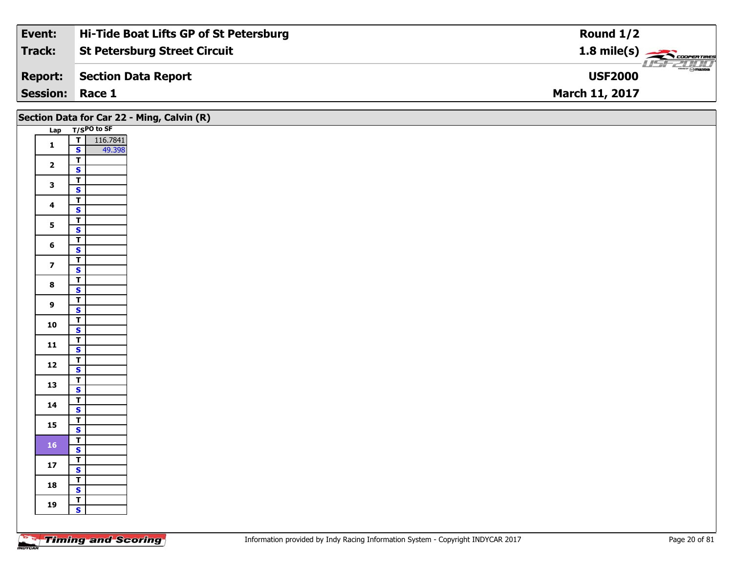| Event:                 | Hi-Tide Boat Lifts GP of St Petersburg | Round $1/2$                              |
|------------------------|----------------------------------------|------------------------------------------|
| <b>Track:</b>          | <b>St Petersburg Street Circuit</b>    | $1.8$ mile(s) $\rightarrow$ COOPER TIRES |
| <b>Report:</b>         | Section Data Report                    | $\frac{2\pi}{\omega}$<br><b>USF2000</b>  |
| <b>Session: Race 1</b> |                                        | <b>March 11, 2017</b>                    |

| Lap T/SPO to SF<br>$\begin{array}{ c c c }\n\hline\n\textbf{I} & 116.7841 \\ \hline\n\textbf{S} & 49.398 \\ \hline\n\end{array}$<br>$\mathbf{1}$<br>49.398<br>$\overline{1}$<br>$\mathbf{2}$<br>$\overline{\mathbf{s}}$<br>$\overline{\mathsf{r}}$<br>$\mathbf{3}$<br>$\overline{\mathbf{s}}$<br>$\overline{\mathsf{r}}$<br>$\overline{\mathbf{4}}$<br>$\mathsf{s}$<br>$\vert$<br>5 <sup>1</sup><br>$\overline{\mathbf{s}}$<br>$\overline{I}$<br>$6\phantom{a}$<br>$\overline{\mathbf{s}}$<br>$\overline{\mathbf{r}}$<br>$\overline{\mathbf{z}}$<br>$\overline{\mathbf{s}}$<br>$\mathbf{T}$<br>$\bf{8}$<br>$\overline{\mathbf{s}}$<br>$\overline{\mathsf{T}}$<br>9<br>$\mathbf{s}$<br>$\overline{\mathsf{T}}$<br>10<br>$\overline{\mathbf{s}}$<br>$\overline{I}$<br>11<br>$\overline{\mathbf{s}}$<br>$\frac{1}{\mathsf{S}}$<br>$12$<br>$\overline{r}$<br>13<br>$\overline{\mathbf{s}}$<br>$\overline{\mathsf{T}}$<br>14<br>$\mathsf{s}$<br>$\overline{I}$<br>15<br>$\overline{\mathbf{s}}$<br>$\vert$<br>16<br>$\mathsf{s}$<br>$\sqrt{T}$<br>$17$<br>$\mathbf{s}$<br>$\overline{I}$<br>18<br>$\overline{\mathbf{s}}$<br>$\overline{r}$<br>19<br>$\mathsf{s}$ |  | Section Data for Car 22 - Ming, Calvin (R) |
|--------------------------------------------------------------------------------------------------------------------------------------------------------------------------------------------------------------------------------------------------------------------------------------------------------------------------------------------------------------------------------------------------------------------------------------------------------------------------------------------------------------------------------------------------------------------------------------------------------------------------------------------------------------------------------------------------------------------------------------------------------------------------------------------------------------------------------------------------------------------------------------------------------------------------------------------------------------------------------------------------------------------------------------------------------------------------------------------------------------------------------------------------------------|--|--------------------------------------------|
|                                                                                                                                                                                                                                                                                                                                                                                                                                                                                                                                                                                                                                                                                                                                                                                                                                                                                                                                                                                                                                                                                                                                                              |  |                                            |
|                                                                                                                                                                                                                                                                                                                                                                                                                                                                                                                                                                                                                                                                                                                                                                                                                                                                                                                                                                                                                                                                                                                                                              |  |                                            |
|                                                                                                                                                                                                                                                                                                                                                                                                                                                                                                                                                                                                                                                                                                                                                                                                                                                                                                                                                                                                                                                                                                                                                              |  |                                            |
|                                                                                                                                                                                                                                                                                                                                                                                                                                                                                                                                                                                                                                                                                                                                                                                                                                                                                                                                                                                                                                                                                                                                                              |  |                                            |
|                                                                                                                                                                                                                                                                                                                                                                                                                                                                                                                                                                                                                                                                                                                                                                                                                                                                                                                                                                                                                                                                                                                                                              |  |                                            |
|                                                                                                                                                                                                                                                                                                                                                                                                                                                                                                                                                                                                                                                                                                                                                                                                                                                                                                                                                                                                                                                                                                                                                              |  |                                            |
|                                                                                                                                                                                                                                                                                                                                                                                                                                                                                                                                                                                                                                                                                                                                                                                                                                                                                                                                                                                                                                                                                                                                                              |  |                                            |
|                                                                                                                                                                                                                                                                                                                                                                                                                                                                                                                                                                                                                                                                                                                                                                                                                                                                                                                                                                                                                                                                                                                                                              |  |                                            |
|                                                                                                                                                                                                                                                                                                                                                                                                                                                                                                                                                                                                                                                                                                                                                                                                                                                                                                                                                                                                                                                                                                                                                              |  |                                            |
|                                                                                                                                                                                                                                                                                                                                                                                                                                                                                                                                                                                                                                                                                                                                                                                                                                                                                                                                                                                                                                                                                                                                                              |  |                                            |
|                                                                                                                                                                                                                                                                                                                                                                                                                                                                                                                                                                                                                                                                                                                                                                                                                                                                                                                                                                                                                                                                                                                                                              |  |                                            |
|                                                                                                                                                                                                                                                                                                                                                                                                                                                                                                                                                                                                                                                                                                                                                                                                                                                                                                                                                                                                                                                                                                                                                              |  |                                            |
|                                                                                                                                                                                                                                                                                                                                                                                                                                                                                                                                                                                                                                                                                                                                                                                                                                                                                                                                                                                                                                                                                                                                                              |  |                                            |
|                                                                                                                                                                                                                                                                                                                                                                                                                                                                                                                                                                                                                                                                                                                                                                                                                                                                                                                                                                                                                                                                                                                                                              |  |                                            |
|                                                                                                                                                                                                                                                                                                                                                                                                                                                                                                                                                                                                                                                                                                                                                                                                                                                                                                                                                                                                                                                                                                                                                              |  |                                            |
|                                                                                                                                                                                                                                                                                                                                                                                                                                                                                                                                                                                                                                                                                                                                                                                                                                                                                                                                                                                                                                                                                                                                                              |  |                                            |
|                                                                                                                                                                                                                                                                                                                                                                                                                                                                                                                                                                                                                                                                                                                                                                                                                                                                                                                                                                                                                                                                                                                                                              |  |                                            |
|                                                                                                                                                                                                                                                                                                                                                                                                                                                                                                                                                                                                                                                                                                                                                                                                                                                                                                                                                                                                                                                                                                                                                              |  |                                            |
|                                                                                                                                                                                                                                                                                                                                                                                                                                                                                                                                                                                                                                                                                                                                                                                                                                                                                                                                                                                                                                                                                                                                                              |  |                                            |
|                                                                                                                                                                                                                                                                                                                                                                                                                                                                                                                                                                                                                                                                                                                                                                                                                                                                                                                                                                                                                                                                                                                                                              |  |                                            |
|                                                                                                                                                                                                                                                                                                                                                                                                                                                                                                                                                                                                                                                                                                                                                                                                                                                                                                                                                                                                                                                                                                                                                              |  |                                            |
|                                                                                                                                                                                                                                                                                                                                                                                                                                                                                                                                                                                                                                                                                                                                                                                                                                                                                                                                                                                                                                                                                                                                                              |  |                                            |
|                                                                                                                                                                                                                                                                                                                                                                                                                                                                                                                                                                                                                                                                                                                                                                                                                                                                                                                                                                                                                                                                                                                                                              |  |                                            |
|                                                                                                                                                                                                                                                                                                                                                                                                                                                                                                                                                                                                                                                                                                                                                                                                                                                                                                                                                                                                                                                                                                                                                              |  |                                            |
|                                                                                                                                                                                                                                                                                                                                                                                                                                                                                                                                                                                                                                                                                                                                                                                                                                                                                                                                                                                                                                                                                                                                                              |  |                                            |
|                                                                                                                                                                                                                                                                                                                                                                                                                                                                                                                                                                                                                                                                                                                                                                                                                                                                                                                                                                                                                                                                                                                                                              |  |                                            |
|                                                                                                                                                                                                                                                                                                                                                                                                                                                                                                                                                                                                                                                                                                                                                                                                                                                                                                                                                                                                                                                                                                                                                              |  |                                            |
|                                                                                                                                                                                                                                                                                                                                                                                                                                                                                                                                                                                                                                                                                                                                                                                                                                                                                                                                                                                                                                                                                                                                                              |  |                                            |
|                                                                                                                                                                                                                                                                                                                                                                                                                                                                                                                                                                                                                                                                                                                                                                                                                                                                                                                                                                                                                                                                                                                                                              |  |                                            |
|                                                                                                                                                                                                                                                                                                                                                                                                                                                                                                                                                                                                                                                                                                                                                                                                                                                                                                                                                                                                                                                                                                                                                              |  |                                            |
|                                                                                                                                                                                                                                                                                                                                                                                                                                                                                                                                                                                                                                                                                                                                                                                                                                                                                                                                                                                                                                                                                                                                                              |  |                                            |
|                                                                                                                                                                                                                                                                                                                                                                                                                                                                                                                                                                                                                                                                                                                                                                                                                                                                                                                                                                                                                                                                                                                                                              |  |                                            |
|                                                                                                                                                                                                                                                                                                                                                                                                                                                                                                                                                                                                                                                                                                                                                                                                                                                                                                                                                                                                                                                                                                                                                              |  |                                            |
|                                                                                                                                                                                                                                                                                                                                                                                                                                                                                                                                                                                                                                                                                                                                                                                                                                                                                                                                                                                                                                                                                                                                                              |  |                                            |
|                                                                                                                                                                                                                                                                                                                                                                                                                                                                                                                                                                                                                                                                                                                                                                                                                                                                                                                                                                                                                                                                                                                                                              |  |                                            |
|                                                                                                                                                                                                                                                                                                                                                                                                                                                                                                                                                                                                                                                                                                                                                                                                                                                                                                                                                                                                                                                                                                                                                              |  |                                            |
|                                                                                                                                                                                                                                                                                                                                                                                                                                                                                                                                                                                                                                                                                                                                                                                                                                                                                                                                                                                                                                                                                                                                                              |  |                                            |
|                                                                                                                                                                                                                                                                                                                                                                                                                                                                                                                                                                                                                                                                                                                                                                                                                                                                                                                                                                                                                                                                                                                                                              |  |                                            |
|                                                                                                                                                                                                                                                                                                                                                                                                                                                                                                                                                                                                                                                                                                                                                                                                                                                                                                                                                                                                                                                                                                                                                              |  |                                            |
|                                                                                                                                                                                                                                                                                                                                                                                                                                                                                                                                                                                                                                                                                                                                                                                                                                                                                                                                                                                                                                                                                                                                                              |  |                                            |
|                                                                                                                                                                                                                                                                                                                                                                                                                                                                                                                                                                                                                                                                                                                                                                                                                                                                                                                                                                                                                                                                                                                                                              |  |                                            |

Ξ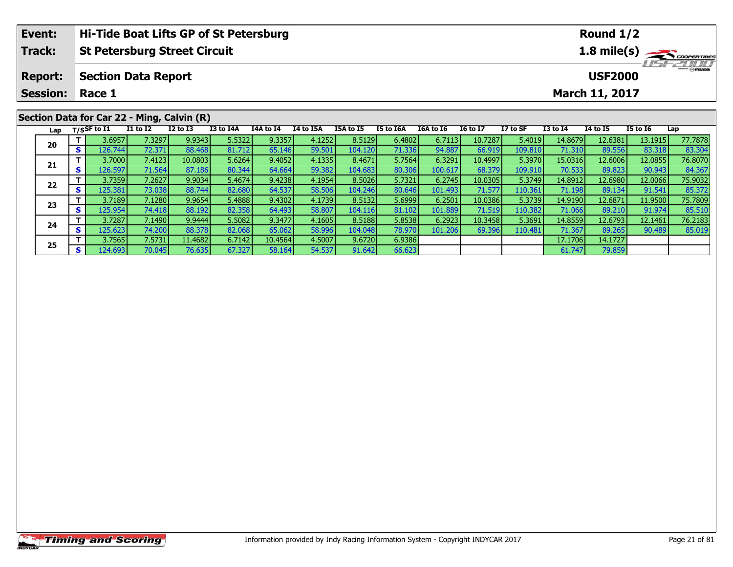| Hi-Tide Boat Lifts GP of St Petersburg<br>Event:<br>Round $1/2$ |  |                                 |                 |              |           |           |                  |           |           |           |                 |          |              |                 |                                  |         |  |  |
|-----------------------------------------------------------------|--|---------------------------------|-----------------|--------------|-----------|-----------|------------------|-----------|-----------|-----------|-----------------|----------|--------------|-----------------|----------------------------------|---------|--|--|
| <b>Track:</b><br><b>St Petersburg Street Circuit</b>            |  |                                 |                 |              |           |           |                  |           |           |           |                 |          |              |                 | 1.8 mile(s)                      |         |  |  |
| <b>Report:</b>                                                  |  | <b>Section Data Report</b>      |                 |              |           |           |                  |           |           |           |                 |          |              |                 | <b>HSFZUID</b><br><b>USF2000</b> |         |  |  |
| <b>Session:</b>                                                 |  | Race 1<br><b>March 11, 2017</b> |                 |              |           |           |                  |           |           |           |                 |          |              |                 |                                  |         |  |  |
| Section Data for Car 22 - Ming, Calvin (R)                      |  |                                 |                 |              |           |           |                  |           |           |           |                 |          |              |                 |                                  |         |  |  |
| Lap                                                             |  | $T/S$ SF to I1                  | <b>I1 to I2</b> | $I2$ to $I3$ | I3 to I4A | I4A to I4 | <b>I4 to I5A</b> | I5A to I5 | I5 to I6A | I6A to I6 | <b>I6 to I7</b> | I7 to SF | $I3$ to $I4$ | <b>I4 to I5</b> | <b>I5 to I6</b>                  | Lap     |  |  |
|                                                                 |  | 3.6957                          | 7.3297          | 9.9343       | 5.5322    | 9.3357    | 4.1252           | 8.5129    | 6.4802    | 6.7113    | 10.7287         | 5.4019   | 14.8679      | 12.6381         | 13.1915                          | 77.7878 |  |  |
| 20                                                              |  | s l<br>126.744                  | 72.371          | 88.468       | 81.712    | 65.146    | 59.501           | 104.120   | 71.336    | 94.887    | 66.919          | 109.810  | 71.310       | 89.556          | 83.318                           | 83.304  |  |  |
|                                                                 |  | 3.7000                          | 7.4123          | 10.0803      | 5.6264    | 9.4052    | 4.1335           | 8.4671    | 5.7564    | 6.3291    | 10.4997         | 5.3970   | 15.0316      | 12.6006         | 12.0855                          | 76.8070 |  |  |
| 21                                                              |  | 126.597                         | 71.564          | 87.186       | 80.344    | 64.664    | 59.382           | 104.683   | 80.306    | 100.617   | 68.379          | 109.910  | 70.533       | 89.823          | 90.943                           | 84.367  |  |  |

2 T 3.7359 7.2627 9.9034 5.4674 9.4238 4.1954 8.5026 5.7321 6.2745 10.0305 5.3749 14.8912 12.6980 12.0066 75.9032<br>2 S 125.381 73.038 88.744 82.680 64.537 58.506 104.246 80.646 101.493 71.577 110.361 71.198 89.134 91.541 85

**<sup>T</sup>** 3.7189 7.1280 9.9654 5.4888 9.4302 4.1739 8.5132 5.6999 6.2501 10.0386 5.3739 14.9190 12.6871 11.9500 75.7809 **<sup>S</sup>** 125.954 74.418 88.192 82.358 64.493 58.807 104.116 81.102 101.889 71.519 110.382 71.066 89.210 91.974 85.510

4 T 3.7287| 7.1490| 9.9444| 5.5082| 9.3477| 4.1605| 8.5188| 5.8538| 6.2923| 10.3458| 5.3691| 14.8559| 12.6793| 12.1461| 76.2183<br>- S 125.623| 74.200| 88.378| 82.068| 65.062| 58.996| 104.048| 78.970| 101.206| 69.396| 110.481

**<sup>T</sup>** 3.7565 7.5731 11.4682 6.7142 10.4564 4.5007 9.6720 6.9386 17.1706 14.1727 **<sup>S</sup>** 124.693 70.045 76.635 67.327 58.164 54.537 91.642 66.623 61.747 79.859

**22**

**23**

**24**

**25**

84.367<br>75.9032

85.510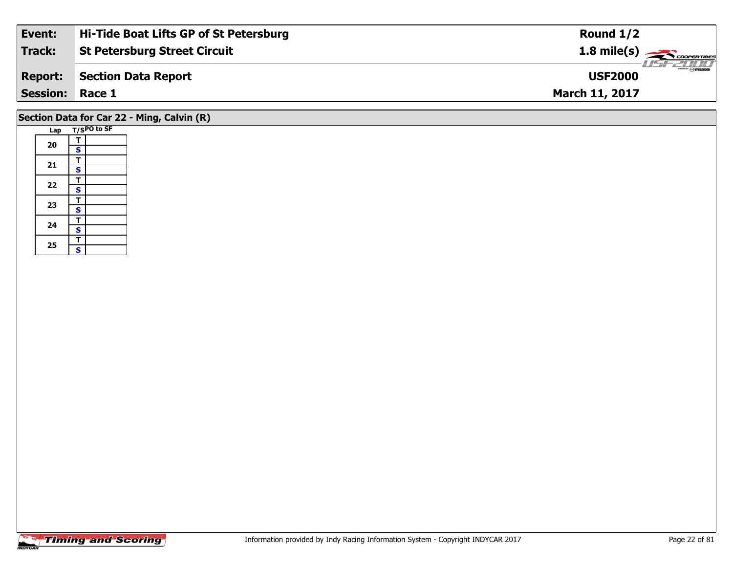| Event:          | Hi-Tide Boat Lifts GP of St Petersburg | Round $1/2$                                       |
|-----------------|----------------------------------------|---------------------------------------------------|
| Track:          | <b>St Petersburg Street Circuit</b>    | $\frac{1.8 \text{ mile}(s)}{600 \text{ minutes}}$ |
| <b>Report:</b>  | Section Data Report                    | <b>USF2000</b>                                    |
| <b>Session:</b> | Race 1                                 | <b>March 11, 2017</b>                             |
|                 |                                        |                                                   |

### **Section Data for Car 22 - Ming, Calvin (R)**

| Lap |                         | T/SPO to SF |
|-----|-------------------------|-------------|
|     | т                       |             |
| 20  | S                       |             |
|     | т                       |             |
| 21  | S                       |             |
| 22  | T                       |             |
|     | S                       |             |
| 23  | T                       |             |
|     | S                       |             |
| 24  | т                       |             |
|     | $\overline{\mathbf{s}}$ |             |
|     | T                       |             |
| 25  | Ś                       |             |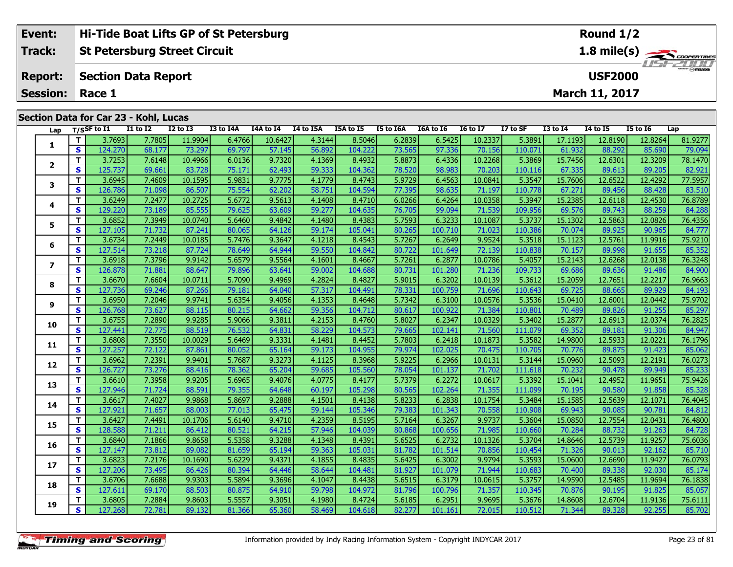| Event:                 | <b>Hi-Tide Boat Lifts GP of St Petersburg</b> | Round $1/2$           |
|------------------------|-----------------------------------------------|-----------------------|
| Track:                 | <b>St Petersburg Street Circuit</b>           |                       |
| <b>Report:</b>         | Section Data Report                           | <b>USF2000</b>        |
| <b>Session: Race 1</b> |                                               | <b>March 11, 2017</b> |
|                        | Section Data for Car 23 - Kohl, Lucas         |                       |

| Lap                     |                         | T/SSF to I1 | <b>I1 to I2</b> | <b>I2 to I3</b> | I3 to I4A | I4A to I4 | I4 to I5A | I5A to I5 | I5 to I6A | I6A to I6 | <b>16 to 17</b> | I7 to SF | <b>I3 to I4</b> | <b>14 to 15</b> | <b>I5 to 16</b> | Lap     |
|-------------------------|-------------------------|-------------|-----------------|-----------------|-----------|-----------|-----------|-----------|-----------|-----------|-----------------|----------|-----------------|-----------------|-----------------|---------|
|                         | T                       | 3.7693      | 7.7805          | 11.9904         | 6.4766    | 10.6427   | 4.3144    | 8.5046    | 6.2839    | 6.5425    | 10.2337         | 5.3891   | 17.1193         | 12.8190         | 12.8264         | 81.9277 |
| 1                       | $\mathbf{s}$            | 124.270     | 68.177          | 73.297          | 69.797    | 57.145    | 56.892    | 104.222   | 73.565    | 97.336    | 70.156          | 110.071  | 61.932          | 88.292          | 85.690          | 79.094  |
|                         | T.                      | 3.7253      | 7.6148          | 10.4966         | 6.0136    | 9.7320    | 4.1369    | 8.4932    | 5.8873    | 6.4336    | 10.2268         | 5.3869   | 15.7456         | 12.6301         | 12.3209         | 78.1470 |
| 2                       | S                       | 125.737     | 69.661          | 83.728          | 75.171    | 62.493    | 59.333    | 104.362   | 78.520    | 98.983    | 70.203          | 110.116  | 67.335          | 89.613          | 89.205          | 82.921  |
|                         | T.                      | 3.6945      | 7.4609          | 10.1595         | 5.9831    | 9.7775    | 4.1779    | 8.4743    | 5.9729    | 6.4563    | 10.0841         | 5.3547   | 15.7606         | 12.6522         | 12.4292         | 77.5957 |
| 3                       | S                       | 126.786     | 71.098          | 86.507          | 75.554    | 62.202    | 58.751    | 104.594   | 77.395    | 98.635    | 71.197          | 110.778  | 67.271          | 89.456          | 88.428          | 83.510  |
|                         | T.                      | 3.6249      | 7.2477          | 10.2725         | 5.6772    | 9.5613    | 4.1408    | 8.4710    | 6.0266    | 6.4264    | 10.0358         | 5.3947   | 15.2385         | 12.6118         | 12.4530         | 76.8789 |
| 4                       | S                       | 129.220     | 73.189          | 85.555          | 79.625    | 63.609    | 59.277    | 104.635   | 76.705    | 99.094    | 71.539          | 109.956  | 69.576          | 89.743          | 88.259          | 84.288  |
|                         | т                       | 3.6852      | 7.3949          | 10.0740         | 5.6460    | 9.4842    | 4.1480    | 8.4383    | 5.7593    | 6.3233    | 10.1087         | 5.3737   | 15.1302         | 12.5863         | 12.0826         | 76.4356 |
| 5                       | $\mathbf{s}$            | 127.105     | 71.732          | 87.241          | 80.065    | 64.126    | 59.174    | 105.041   | 80.265    | 100.710   | 71.023          | 110.386  | 70.074          | 89.925          | 90.965          | 84.777  |
|                         | T.                      | 3.6734      | 7.2449          | 10.0185         | 5.7476    | 9.3647    | 4.1218    | 8.4543    | 5.7267    | 6.2649    | 9.9524          | 5.3518   | 15.1123         | 12.5761         | 11.9916         | 75.9210 |
| 6                       | S                       | 127.514     | 73.218          | 87.724          | 78.649    | 64.944    | 59.550    | 104.842   | 80.722    | 101.649   | 72.139          | 110.838  | 70.157          | 89.998          | 91.655          | 85.352  |
|                         | T.                      | 3.6918      | 7.3796          | 9.9142          | 5.6579    | 9.5564    | 4.1601    | 8.4667    | 5.7261    | 6.2877    | 10.0786         | 5.4057   | 15.2143         | 12.6268         | 12.0138         | 76.3248 |
| $\overline{\mathbf{z}}$ | $\mathbf{s}$            | 126.878     | 71.881          | 88.647          | 79.896    | 63.641    | 59.002    | 104.688   | 80.731    | 101.280   | 71.236          | 109.733  | 69.686          | 89.636          | 91.486          | 84.900  |
|                         | T.                      | 3.6670      | 7.6604          | 10.0711         | 5.7090    | 9.4969    | 4.2824    | 8.4827    | 5.9015    | 6.3202    | 10.0139         | 5.3612   | 15.2059         | 12.7651         | 12.2217         | 76.9663 |
| 8                       | $\mathbf{s}$            | 127.736     | 69.246          | 87.266          | 79.181    | 64.040    | 57.317    | 104.491   | 78.331    | 100.759   | 71.696          | 110.643  | 69.725          | 88.665          | 89.929          | 84.193  |
|                         | T.                      | 3.6950      | 7.2046          | 9.9741          | 5.6354    | 9.4056    | 4.1353    | 8.4648    | 5.7342    | 6.3100    | 10.0576         | 5.3536   | 15.0410         | 12.6001         | 12.0442         | 75.9702 |
| 9                       | $\mathbf{s}$            | 126.768     | 73.627          | 88.115          | 80.215    | 64.662    | 59.356    | 104.712   | 80.617    | 100.922   | 71.384          | 110.801  | 70.489          | 89.826          | 91.255          | 85.297  |
| 10                      | T.                      | 3.6755      | 7.2890          | 9.9285          | 5.9066    | 9.3811    | 4.2153    | 8.4760    | 5.8027    | 6.2347    | 10.0329         | 5.3402   | 15.2877         | 12.6913         | 12.0374         | 76.2825 |
|                         | $\overline{\mathbf{s}}$ | 127.441     | 72.775          | 88.519          | 76.532    | 64.831    | 58.229    | 104.573   | 79.665    | 102.141   | 71.560          | 111.079  | 69.352          | 89.181          | 91.306          | 84.947  |
| 11                      | T.                      | 3.6808      | 7.3550          | 10.0029         | 5.6469    | 9.3331    | 4.1481    | 8.4452    | 5.7803    | 6.2418    | 10.1873         | 5.3582   | 14.9800         | 12.5933         | 12.0221         | 76.1796 |
|                         | $\mathbf{s}$            | 127.257     | 72.122          | 87.861          | 80.052    | 65.164    | 59.173    | 104.955   | 79.974    | 102.025   | 70.475          | 110.705  | 70.776          | 89.875          | 91.423          | 85.062  |
| 12                      | T.                      | 3.6962      | 7.2391          | 9.9401          | 5.7687    | 9.3273    | 4.1125    | 8.3968    | 5.9225    | 6.2966    | 10.0131         | 5.3144   | 15.0960         | 12.5093         | 12.2191         | 76.0273 |
|                         | $\mathbf{s}$            | 126.727     | 73.276          | 88.416          | 78.362    | 65.204    | 59.685    | 105.560   | 78.054    | 101.137   | 71.702          | 111.618  | 70.232          | 90.478          | 89.949          | 85.233  |
| 13                      | T.                      | 3.6610      | 7.3958          | 9.9205          | 5.6965    | 9.4076    | 4.0775    | 8.4177    | 5.7379    | 6.2272    | 10.0617         | 5.3392   | 15.1041         | 12.4952         | 11.9651         | 75.9426 |
|                         | $\mathbf s$             | 127.946     | 71.724          | 88.591          | 79.355    | 64.648    | 60.197    | 105.298   | 80.565    | 102.264   | 71.355          | 111.099  | 70.195          | 90.580          | 91.858          | 85.328  |
| 14                      | T.                      | 3.6617      | 7.4027          | 9.9868          | 5.8697    | 9.2888    | 4.1501    | 8.4138    | 5.8233    | 6.2838    | 10.1754         | 5.3484   | 15.1585         | 12.5639         | 12.1071         | 76.4045 |
|                         | S                       | 127.921     | 71.657          | 88.003          | 77.013    | 65.475    | 59.144    | 105.346   | 79.383    | 101.343   | 70.558          | 110.908  | 69.943          | 90.085          | 90.781          | 84.812  |
| 15                      | T.                      | 3.6427      | 7.4491          | 10.1706         | 5.6140    | 9.4710    | 4.2359    | 8.5195    | 5.7164    | 6.3267    | 9.9737          | 5.3604   | 15.0850         | 12.7554         | 12.0431         | 76.4800 |
|                         | S                       | 128.588     | 71.211          | 86.412          | 80.521    | 64.215    | 57.946    | 104.039   | 80.868    | 100.656   | 71.985          | 110.660  | 70.284          | 88.732          | 91.263          | 84.728  |
| 16                      | T.                      | 3.6840      | 7.1866          | 9.8658          | 5.5358    | 9.3288    | 4.1348    | 8.4391    | 5.6525    | 6.2732    | 10.1326         | 5.3704   | 14.8646         | 12.5739         | 11.9257         | 75.6036 |
|                         | $\mathbf{s}$            | 127.147     | 73.812          | 89.082          | 81.659    | 65.194    | 59.363    | 105.031   | 81.782    | 101.514   | 70.856          | 110.454  | 71.326          | 90.013          | 92.162          | 85.710  |
| 17                      | T.                      | 3.6823      | 7.2176          | 10.1690         | 5.6229    | 9.4371    | 4.1855    | 8.4835    | 5.6425    | 6.3002    | 9.9794          | 5.3593   | 15.0600         | 12.6690         | 11.9427         | 76.0793 |
|                         | $\mathbf{s}$            | 127.206     | 73.495          | 86.426          | 80.394    | 64.446    | 58.644    | 104.481   | 81.927    | 101.079   | 71.944          | 110.683  | 70.400          | 89.338          | 92.030          | 85.174  |
| 18                      | T.                      | 3.6706      | 7.6688          | 9.9303          | 5.5894    | 9.3696    | 4.1047    | 8.4438    | 5.6515    | 6.3179    | 10.0615         | 5.3757   | 14.9590         | 12.5485         | 11.9694         | 76.1838 |
|                         | $\mathbf{s}$            | 127.611     | 69.170          | 88.503          | 80.875    | 64.910    | 59.798    | 104.972   | 81.796    | 100.796   | 71.357          | 110.345  | 70.876          | 90.195          | 91.825          | 85.057  |
| 19                      | т                       | 3.6805      | 7.2884          | 9.8603          | 5.5557    | 9.3051    | 4.1980    | 8.4724    | 5.6185    | 6.2951    | 9.9695          | 5.3676   | 14.8608         | 12.6704         | 11.9136         | 75.6111 |
|                         | $\mathbf{s}$            | 127.268     | 72.781          | 89.132          | 81.366    | 65.360    | 58.469    | 104.618   | 82.277    | 101.161   | 72.015          | 110.512  | 71.344          | 89.328          | 92.255          | 85.702  |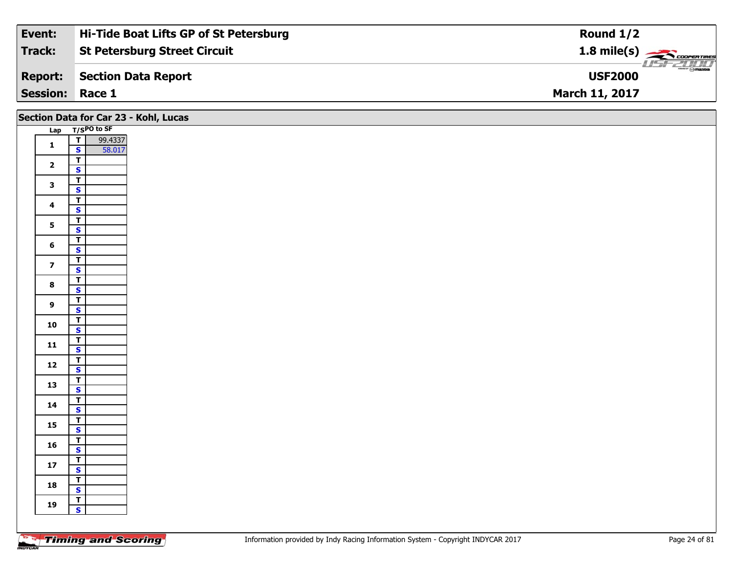| Event:                 | Hi-Tide Boat Lifts GP of St Petersburg | Round $1/2$                              |
|------------------------|----------------------------------------|------------------------------------------|
| Track:                 | <b>St Petersburg Street Circuit</b>    | $1.8$ mile(s) $\rightarrow$ COOPER TIRES |
| <b>Report:</b>         | Section Data Report                    | <b>USFZOOD</b><br><b>USF2000</b>         |
| <b>Session: Race 1</b> |                                        | <b>March 11, 2017</b>                    |

|                         | Section Data for Car 23 - Kohl, Lucas              |
|-------------------------|----------------------------------------------------|
|                         | Lap T/SPO to SF                                    |
| $\mathbf 1$             | $\overline{\mathsf{r}}$<br>99.4337                 |
|                         | 58.017<br>$\mathbf{s}$                             |
| $\overline{2}$          | $\overline{\mathbf{T}}$<br>$\mathbf{s}$            |
|                         | $\overline{\mathbf{r}}$                            |
| $\mathbf{3}$            | $\overline{\mathbf{s}}$                            |
| $\overline{\mathbf{4}}$ | $\overline{\mathsf{r}}$                            |
|                         | $\mathbf{s}$                                       |
| $5\phantom{a}$          | $\overline{I}$                                     |
|                         | $\overline{\mathbf{s}}$<br>$\overline{\mathsf{r}}$ |
| $6\phantom{1}$          | $\mathbf{s}$                                       |
| $\overline{7}$          | $\overline{\mathsf{T}}$                            |
|                         | $\overline{\mathbf{s}}$                            |
| $\bf8$                  | $\overline{\mathbf{r}}$                            |
|                         | $\overline{\mathbf{s}}$<br>$\overline{\mathsf{T}}$ |
| 9                       | $\mathbf{s}$                                       |
|                         | $\overline{1}$                                     |
| 10                      | $\overline{\mathbf{s}}$                            |
| ${\bf 11}$              | $\overline{\mathbf{r}}$                            |
|                         | $\mathbf{s}$                                       |
| 12                      | $\overline{\mathbf{T}}$                            |
|                         | $\overline{\mathbf{s}}$<br>$\overline{\mathbf{r}}$ |
| 13                      | $\overline{\mathbf{s}}$                            |
| 14                      | $\overline{\mathbf{T}}$                            |
|                         | $\mathbf{s}$                                       |
| 15                      | $\overline{1}$                                     |
|                         | $\overline{\mathbf{s}}$                            |
| 16                      | $\overline{\mathbf{r}}$<br>$\mathsf{s}$            |
|                         | $\mathbf{T}$                                       |
| ${\bf 17}$              | $\overline{\mathbf{s}}$                            |
| 18                      | $\overline{\mathbf{r}}$                            |
|                         | $\mathbf{s}$                                       |
| 19                      | $\overline{\mathsf{r}}$<br>$\mathbf{s}$            |
|                         |                                                    |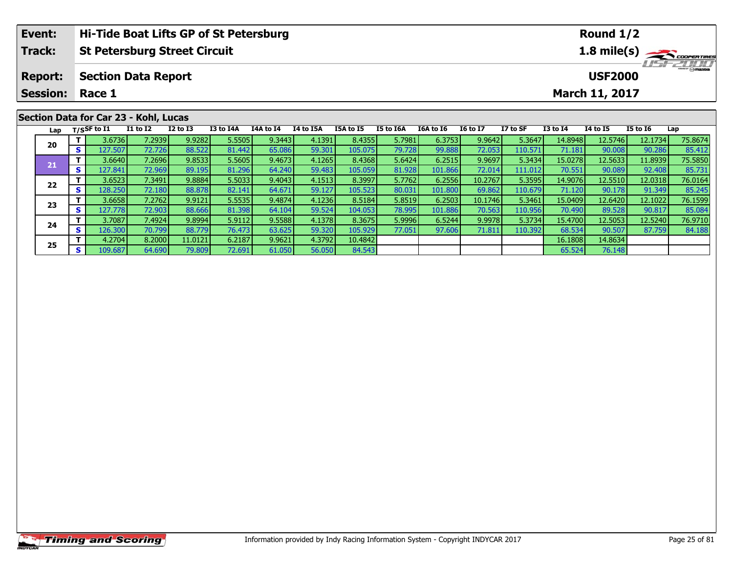|    | Event:<br>Hi-Tide Boat Lifts GP of St Petersburg |     |                                     |                 |                 |           |           |           |                  |           |           |                 | Round $1/2$                      |                       |          |                 |         |  |  |
|----|--------------------------------------------------|-----|-------------------------------------|-----------------|-----------------|-----------|-----------|-----------|------------------|-----------|-----------|-----------------|----------------------------------|-----------------------|----------|-----------------|---------|--|--|
|    | <b>Track:</b>                                    |     | <b>St Petersburg Street Circuit</b> |                 |                 |           |           |           |                  |           |           |                 |                                  | $1.8 \text{ mile(s)}$ |          |                 |         |  |  |
|    | <b>Report:</b>                                   |     | <b>Section Data Report</b>          |                 |                 |           |           |           |                  |           |           |                 | <b>HSFZDDD</b><br><b>USF2000</b> |                       |          |                 |         |  |  |
|    | <b>Session:</b>                                  |     | Race 1                              |                 |                 |           |           |           |                  |           |           |                 |                                  | March 11, 2017        |          |                 |         |  |  |
|    | Section Data for Car 23 - Kohl, Lucas            |     |                                     |                 |                 |           |           |           |                  |           |           |                 |                                  |                       |          |                 |         |  |  |
|    | Lap                                              |     | T/SSF to I1                         | <b>I1 to I2</b> | <b>I2 to I3</b> | I3 to I4A | I4A to I4 | I4 to I5A | <b>I5A to I5</b> | I5 to I6A | I6A to I6 | <b>I6 to I7</b> | I7 to SF                         | $I3$ to $I4$          | 14 to 15 | <b>I5 to I6</b> | Lap     |  |  |
|    |                                                  |     | 3.6736                              | 7.2939          | 9.9282          | 5.5505    | 9.3443    | 4.1391    | 8.4355           | 5.7981    | 6.3753    | 9.9642          | 5.3647                           | 14.8948               | 12.5746  | 12.1734         | 75.8674 |  |  |
| 20 |                                                  | s l | 127.507                             | 72.726          | 88.522          | 81.442    | 65.086    | 59.301    | 105.075          | 79.728    | 99.888    | 72.053          | 110.571                          | 71.181                | 90.008   | 90.286          | 85.412  |  |  |

1 | 1 3.6640| 7.2696| 9.8533| 5.5605| 9.4673| 4.1265| 8.4368| 5.6424| 6.2515| 9.9697| 5.3434| 15.0278| 12.5633| 11.8939| 75.5850<br>1 | 127.841| 72.969| 89.195| 81.296| 64.240| 59.483| 105.059| 81.928| 101.866| 72.014| 111.01

2 T 3.6523 7.3491 9.8884 5.5033 9.4043 4.1513 8.3997 5.7762 6.2556 10.2767 5.3595 14.9076 12.5510 12.0318 76.0164<br>2 S 128.250 72.180 88.878 82.141 64.671 59.127 105.523 80.031 101.800 69.862 110.679 71.120 90.178 91.349 85

**<sup>T</sup>** 3.6658 7.2762 9.9121 5.5535 9.4874 4.1236 8.5184 5.8519 6.2503 10.1746 5.3461 15.0409 12.6420 12.1022 76.1599 **<sup>S</sup>** 127.778 72.903 88.666 81.398 64.104 59.524 104.053 78.995 101.886 70.563 110.956 70.490 89.528 90.817 85.084

**<sup>T</sup>** 3.7087 7.4924 9.8994 5.9112 9.5588 4.1378 8.3675 5.9996 6.5244 9.9978 5.3734 15.4700 12.5053 12.5240 76.9710 **<sup>S</sup>** 126.300 70.799 88.779 76.473 63.625 59.320 105.929 77.051 97.606 71.811 110.392 68.534 90.507 87.759 84.188

**<sup>T</sup>** 4.2704 8.2000 11.0121 6.2187 9.9621 4.3792 10.4842 16.1808 14.8634 **<sup>S</sup>** 109.687 64.690 79.809 72.691 61.050 56.050 84.543 65.524 76.148

**21**

**22**

**23**

**24**

**25**

85.731

85.08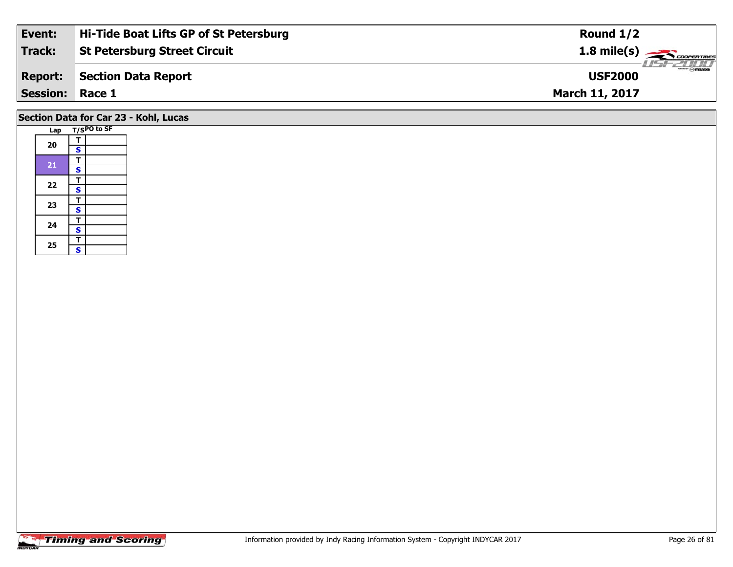| Event:          | Hi-Tide Boat Lifts GP of St Petersburg | Round $1/2$                                |
|-----------------|----------------------------------------|--------------------------------------------|
| Track:          | <b>St Petersburg Street Circuit</b>    | $1.8$ mile(s) $\rightarrow$ COOPERTIRES    |
| <b>Report:</b>  | Section Data Report                    | $\frac{2}{\Theta}$ mazpa<br><b>USF2000</b> |
| Session: Race 1 |                                        | <b>March 11, 2017</b>                      |
|                 |                                        |                                            |

### **Section Data for Car 23 - Kohl, Lucas**

| Lap | T/SPO to SF             |  |  |  |  |  |  |
|-----|-------------------------|--|--|--|--|--|--|
|     | т                       |  |  |  |  |  |  |
| 20  | S                       |  |  |  |  |  |  |
|     | T                       |  |  |  |  |  |  |
| 21  | S                       |  |  |  |  |  |  |
| 22  | T                       |  |  |  |  |  |  |
|     | $\overline{\mathbf{s}}$ |  |  |  |  |  |  |
|     | T                       |  |  |  |  |  |  |
| 23  | $\mathbf{s}$            |  |  |  |  |  |  |
| 24  | т                       |  |  |  |  |  |  |
|     | $\overline{\mathbf{s}}$ |  |  |  |  |  |  |
|     | T                       |  |  |  |  |  |  |
| 25  | Ś                       |  |  |  |  |  |  |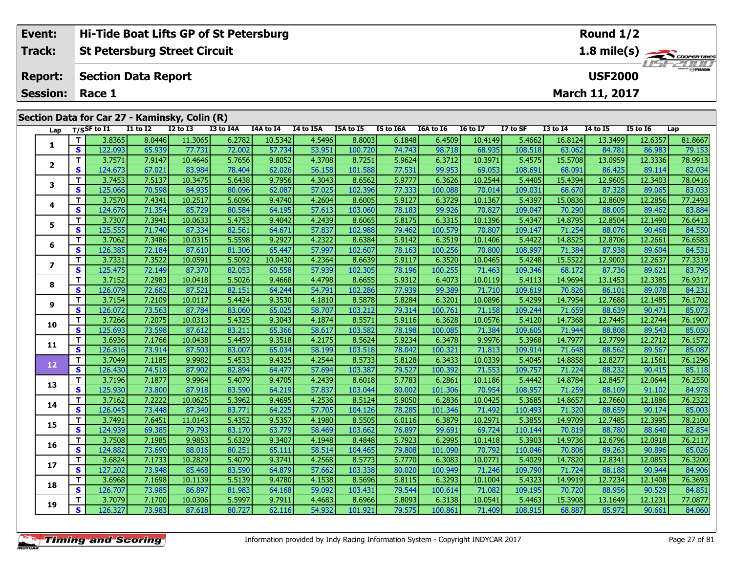| Event:<br>Hi-Tide Boat Lifts GP of St Petersburg |                 |                                               |          |                                                                    |           |           |                  |                                                           |                                           |           |                 | Round $1/2$ |                 |                       |                 |                      |  |
|--------------------------------------------------|-----------------|-----------------------------------------------|----------|--------------------------------------------------------------------|-----------|-----------|------------------|-----------------------------------------------------------|-------------------------------------------|-----------|-----------------|-------------|-----------------|-----------------------|-----------------|----------------------|--|
|                                                  | Track:          |                                               |          | <b>St Petersburg Street Circuit</b>                                |           |           |                  | $1.8$ mile(s) $\frac{1.8}{2.200$<br>$\frac{2\pi}{\omega}$ |                                           |           |                 |             |                 |                       |                 |                      |  |
|                                                  | <b>Report:</b>  | <b>Section Data Report</b>                    |          |                                                                    |           |           |                  |                                                           |                                           |           |                 |             | <b>USF2000</b>  |                       |                 |                      |  |
|                                                  | <b>Session:</b> | Race 1                                        |          |                                                                    |           |           |                  |                                                           |                                           |           |                 |             |                 | <b>March 11, 2017</b> |                 |                      |  |
|                                                  |                 | Section Data for Car 27 - Kaminsky, Colin (R) |          |                                                                    |           |           |                  |                                                           |                                           |           |                 |             |                 |                       |                 |                      |  |
|                                                  | Lap             | T/SSF to I1                                   | I1 to I2 | I2 to I3                                                           | I3 to I4A | I4A to I4 | <b>I4 to I5A</b> | I5A to I5                                                 | <b>I5 to I6A</b>                          | I6A to I6 | <b>I6 to I7</b> | I7 to SF    | <b>I3 to I4</b> | 14 to 15              | <b>I5 to 16</b> | Lap                  |  |
|                                                  |                 | 0.025<br>- 11                                 |          | $\sim$ 1244 $\sim$ 1256 $\sim$ 1256 $\sim$ 1256 $\sim$ 1256 $\sim$ |           |           |                  | $\sim$ $\sim$ $\sim$ $\sim$ $\sim$ $\sim$ $\sim$          | $\sim$ $\sim$ $\sim$ $\sim$ $\sim$ $\sim$ |           |                 |             |                 |                       |                 | $\sim$ $\sim$ $\sim$ |  |

| Lap          |              | $T/S$ SF to I1 | <b>I1 to I2</b> | <b>I2 to I3</b> | I3 to I4A | <b>I4A to I4</b> | 14 to 15A | <b>I5A to I5</b> | I5 to I6A | <b>I6A to I6</b> | <b>I6 to I7</b> | I7 to SF | <b>I3 to I4</b> | 14 to 15 | <b>I5 to I6</b> | Lap     |
|--------------|--------------|----------------|-----------------|-----------------|-----------|------------------|-----------|------------------|-----------|------------------|-----------------|----------|-----------------|----------|-----------------|---------|
| 1            | T.           | 3.8365         | 8.0446          | 11.3065         | 6.2782    | 10.5342          | 4.5496    | 8.8003           | 6.1848    | 6.4509           | 10.4149         | 5.4662   | 16.8124         | 13.3499  | 12.6357         | 81.8667 |
|              | S            | 122.093        | 65.939          | 77.731          | 72.002    | 57.734           | 53.951    | 100.720          | 74.743    | 98.718           | 68.935          | 108.518  | 63.062          | 84.781   | 86.983          | 79.153  |
| $\mathbf{2}$ | T.           | 3.7571         | 7.9147          | 10.4646         | 5.7656    | 9.8052           | 4.3708    | 8.7251           | 5.9624    | 6.3712           | 10.3971         | 5.4575   | 15.5708         | 13.0959  | 12.3336         | 78.9913 |
|              | S            | 124.673        | 67.021          | 83.984          | 78.404    | 62.026           | 56.158    | 101.588          | 77.531    | 99.953           | 69.053          | 108.691  | 68.091          | 86.425   | 89.114          | 82.034  |
| 3            | T.           | 3.7453         | 7.5137          | 10.3475         | 5.6438    | 9.7956           | 4.3043    | 8.6562           | 5.9777    | 6.3626           | 10.2544         | 5.4405   | 15.4394         | 12.9605  | 12.3403         | 78.0416 |
|              | S            | 125.066        | 70.598          | 84.935          | 80.096    | 62.087           | 57.025    | 102.396          | 77.333    | 100.088          | 70.014          | 109.031  | 68.670          | 87.328   | 89.065          | 83.033  |
| 4            | т            | 3.7570         | 7.4341          | 10.2517         | 5.6096    | 9.4740           | 4.2604    | 8.6005           | 5.9127    | 6.3729           | 10.1367         | 5.4397   | 15.0836         | 12.8609  | 12.2856         | 77.2493 |
|              | S            | 124.676        | 71.354          | 85.729          | 80.584    | 64.195           | 57.613    | 103.060          | 78.183    | 99.926           | 70.827          | 109.047  | 70.290          | 88.005   | 89.462          | 83.884  |
| 5            | T.           | 3.7307         | 7.3941          | 10.0633         | 5.4753    | 9.4042           | 4.2439    | 8.6065           | 5.8175    | 6.3315           | 10.1396         | 5.4347   | 14.8795         | 12.8504  | 12.1490         | 76.6413 |
|              | S            | 125.555        | 71.740          | 87.334          | 82.561    | 64.671           | 57.837    | 102.988          | 79.462    | 100.579          | 70.807          | 109.147  | 71.254          | 88.076   | 90.468          | 84.550  |
| 6            | T.           | 3.7062         | 7.3486          | 10.0315         | 5.5598    | 9.2927           | 4.2322    | 8.6384           | 5.9142    | 6.3519           | 10.1406         | 5.4422   | 14.8525         | 12.8706  | 12.2661         | 76.6583 |
|              | $\mathbf{s}$ | 126.385        | 72.184          | 87.610          | 81.306    | 65.447           | 57.997    | 102.607          | 78.163    | 100.256          | 70.800          | 108.997  | 71.384          | 87.938   | 89.604          | 84.531  |
| 7            | T.           | 3.7331         | 7.3522          | 10.0591         | 5.5092    | 10.0430          | 4.2364    | 8.6639           | 5.9117    | 6.3520           | 10.0465         | 5.4248   | 15.5522         | 12.9003  | 12.2637         | 77.3319 |
|              | S            | 125.475        | 72.149          | 87.370          | 82.053    | 60.558           | 57.939    | 102.305          | 78.196    | 100.255          | 71.463          | 109.346  | 68.172          | 87.736   | 89.621          | 83.795  |
| 8            | T.           | 3.7152         | 7.2983          | 10.0418         | 5.5026    | 9.4668           | 4.4798    | 8.6655           | 5.9312    | 6.4073           | 10.0119         | 5.4113   | 14.9694         | 13.1453  | 12.3385         | 76.9317 |
|              | S            | 126.079        | 72.682          | 87.521          | 82.151    | 64.244           | 54.791    | 102.286          | 77.939    | 99.389           | 71.710          | 109.619  | 70.826          | 86.101   | 89.078          | 84.231  |
| 9            | T.           | 3.7154         | 7.2109          | 10.0117         | 5.4424    | 9.3530           | 4.1810    | 8.5878           | 5.8284    | 6.3201           | 10.0896         | 5.4299   | 14.7954         | 12.7688  | 12.1485         | 76.1702 |
|              | S            | 126.072        | 73.563          | 87.784          | 83.060    | 65.025           | 58.707    | 103.212          | 79.314    | 100.761          | 71.158          | 109.244  | 71.659          | 88.639   | 90.471          | 85.073  |
| 10           | т            | 3.7266         | 7.2075          | 10.0313         | 5.4325    | 9.3043           | 4.1874    | 8.5571           | 5.9116    | 6.3628           | 10.0576         | 5.4120   | 14.7368         | 12.7445  | 12.2744         | 76.1907 |
|              | S            | 125.693        | 73.598          | 87.612          | 83.211    | 65.366           | 58.617    | 103.582          | 78.198    | 100.085          | 71.384          | 109.605  | 71.944          | 88.808   | 89.543          | 85.050  |
| 11           | T.           | 3.6936         | 7.1766          | 10.0438         | 5.4459    | 9.3518           | 4.2175    | 8.5624           | 5.9234    | 6.3478           | 9.9976          | 5.3968   | 14.7977         | 12.7799  | 12.2712         | 76.1572 |
|              | S            | 126.816        | 73.914          | 87.503          | 83.007    | 65.034           | 58.199    | 103.518          | 78.042    | 100.321          | 71.813          | 109.914  | 71.648          | 88.562   | 89.567          | 85.087  |
| 12           | T            | 3.7049         | 7.1185          | 9.9982          | 5.4533    | 9.4325           | 4.2544    | 8.5733           | 5.8128    | 6.3433           | 10.0339         | 5.4045   | 14.8858         | 12.8277  | 12.1561         | 76.1296 |
|              | S            | 126.430        | 74.518          | 87.902          | 82.894    | 64.477           | 57.694    | 103.387          | 79.527    | 100.392          | 71.553          | 109.757  | 71.224          | 88.232   | 90.415          | 85.118  |
| 13           | T.           | 3.7196         | 7.1877          | 9.9964          | 5.4079    | 9.4705           | 4.2439    | 8.6018           | 5.7783    | 6.2861           | 10.1186         | 5.4442   | 14.8784         | 12.8457  | 12.0644         | 76.2550 |
|              | S            | 125.930        | 73.800          | 87.918          | 83.590    | 64.219           | 57.837    | 103.044          | 80.002    | 101.306          | 70.954          | 108.957  | 71.259          | 88.109   | 91.102          | 84.978  |
| 14           | T.           | 3.7162         | 7.2222          | 10.0625         | 5.3962    | 9.4695           | 4.2536    | 8.5124           | 5.9050    | 6.2836           | 10.0425         | 5.3685   | 14.8657         | 12.7660  | 12.1886         | 76.2322 |
|              | S            | 126.045        | 73.448          | 87.340          | 83.771    | 64.225           | 57.705    | 104.126          | 78.285    | 101.346          | 71.492          | 110.493  | 71.320          | 88.659   | 90.174          | 85.003  |
| 15           | T.           | 3.7491         | 7.6451          | 11.0143         | 5.4352    | 9.5357           | 4.1980    | 8.5505           | 6.0116    | 6.3879           | 10.2971         | 5.3855   | 14.9709         | 12.7485  | 12.3995         | 78.2100 |
|              | $\mathbf{s}$ | 124.939        | 69.385          | 79.793          | 83.170    | 63.779           | 58.469    | 103.662          | 76.897    | 99.691           | 69.724          | 110.144  | 70.819          | 88.780   | 88.640          | 82.854  |
| 16           | T.           | 3.7508         | 7.1985          | 9.9853          | 5.6329    | 9.3407           | 4.1948    | 8.4848           | 5.7923    | 6.2995           | 10.1418         | 5.3903   | 14.9736         | 12.6796  | 12.0918         | 76.2117 |
|              | S            | 124.882        | 73.690          | 88.016          | 80.251    | 65.111           | 58.514    | 104.465          | 79.808    | 101.090          | 70.792          | 110.046  | 70.806          | 89.263   | 90.896          | 85.026  |
| 17           | T.           | 3.6824         | 7.1733          | 10.2829         | 5.4079    | 9.3741           | 4.2568    | 8.5773           | 5.7770    | 6.3083           | 10.0771         | 5.4029   | 14.7820         | 12.8341  | 12.0853         | 76.3200 |
|              | S            | 127.202        | 73.948          | 85.468          | 83.590    | 64.879           | 57.662    | 103.338          | 80.020    | 100.949          | 71.246          | 109.790  | 71.724          | 88.188   | 90.944          | 84.906  |
| 18           | T.           | 3.6968         | 7.1698          | 10.1139         | 5.5139    | 9.4780           | 4.1538    | 8.5696           | 5.8115    | 6.3293           | 10.1004         | 5.4323   | 14.9919         | 12.7234  | 12.1408         | 76.3693 |
|              | $\mathbf{s}$ | 126.707        | 73.985          | 86.897          | 81.983    | 64.168           | 59.092    | 103.431          | 79.544    | 100.614          | 71.082          | 109.195  | 70.720          | 88.956   | 90.529          | 84.851  |
| 19           | T.           | 3.7079         | 7.1700          | 10.0306         | 5.5997    | 9.7911           | 4.4683    | 8.6966           | 5.8093    | 6.3138           | 10.0541         | 5.4463   | 15.3908         | 13.1649  | 12.1231         | 77.0877 |
|              | S            | 126.327        | 73.983          | 87.618          | 80.727    | 62.116           | 54.932    | 101.921          | 79.575    | 100.861          | 71.409          | 108.915  | 68.887          | 85.972   | 90.661          | 84.060  |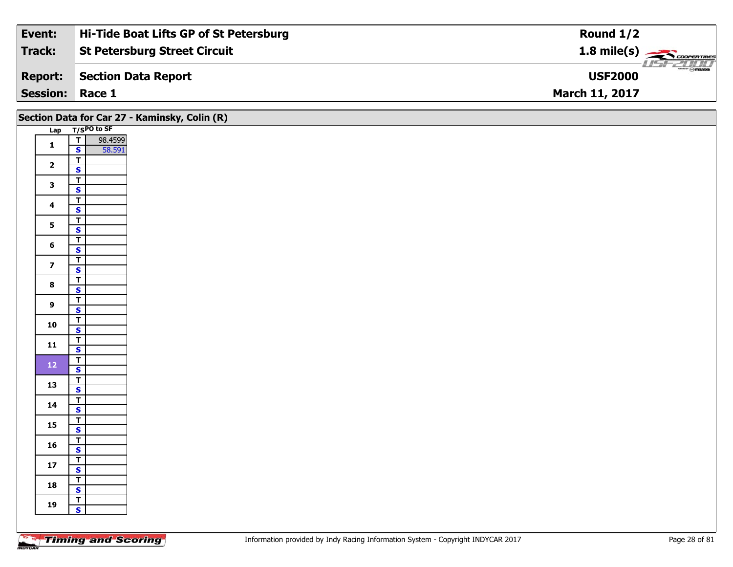| Event:                 | Hi-Tide Boat Lifts GP of St Petersburg | Round $1/2$                                                |
|------------------------|----------------------------------------|------------------------------------------------------------|
| Track:                 | <b>St Petersburg Street Circuit</b>    | $1.8$ mile(s) $\rightarrow$ COOPERTIRES                    |
| <b>Report:</b>         | Section Data Report                    | $\overline{\phantom{a}}$ $\otimes$ mazna<br><b>USF2000</b> |
| <b>Session: Race 1</b> |                                        | <b>March 11, 2017</b>                                      |

|                         |                                                    | Section Data for Car 27 - Kaminsky, Colin (R) |
|-------------------------|----------------------------------------------------|-----------------------------------------------|
|                         | Lap T/SPO to SF                                    |                                               |
| $\mathbf{1}$            | 98.4599<br>58.591<br>ᄀ                             |                                               |
|                         | $\mathbf{s}$                                       |                                               |
| $\overline{2}$          | $\overline{\mathsf{r}}$<br>$\overline{\mathbf{s}}$ |                                               |
|                         | $\overline{\mathbf{r}}$                            |                                               |
| $\mathbf{3}$            | $\overline{\mathbf{s}}$                            |                                               |
|                         | $\overline{\mathsf{T}}$                            |                                               |
| $\overline{\mathbf{4}}$ | $\mathbf{s}$                                       |                                               |
| $5\phantom{a}$          | $\overline{I}$                                     |                                               |
|                         | $\overline{\mathbf{s}}$                            |                                               |
| 6                       | $\overline{\mathsf{r}}$                            |                                               |
|                         | $\overline{\mathbf{s}}$                            |                                               |
| $\overline{\mathbf{z}}$ | $\overline{\mathsf{T}}$<br>$\overline{\mathbf{s}}$ |                                               |
|                         | $\overline{\mathbf{r}}$                            |                                               |
| $\bf8$                  | $\mathbf{s}$                                       |                                               |
|                         | $\overline{\mathsf{T}}$                            |                                               |
| $\overline{9}$          | $\overline{\mathbf{s}}$                            |                                               |
| 10                      | $\overline{1}$                                     |                                               |
|                         | $\overline{\mathbf{s}}$                            |                                               |
| $11$                    | $\overline{\mathsf{T}}$<br>$\mathbf{s}$            |                                               |
|                         | $\overline{\mathsf{T}}$                            |                                               |
| $12$                    | $\overline{\mathbf{s}}$                            |                                               |
|                         | $\overline{\mathbf{r}}$                            |                                               |
| 13                      | $\overline{\mathbf{s}}$                            |                                               |
| 14                      | $\overline{\mathsf{r}}$                            |                                               |
|                         | $\overline{\mathbf{s}}$                            |                                               |
| 15                      | $\overline{1}$                                     |                                               |
|                         | $\overline{\mathbf{s}}$<br>$\overline{\mathsf{T}}$ |                                               |
| 16                      | $\mathbf{s}$                                       |                                               |
|                         | $\overline{\mathsf{T}}$                            |                                               |
| $17\,$                  | $\overline{\mathbf{s}}$                            |                                               |
| 18                      | $\overline{\mathbf{r}}$                            |                                               |
|                         | $\overline{\mathbf{s}}$                            |                                               |
| 19                      | $\overline{1}$                                     |                                               |
|                         | $\mathbf{s}$                                       |                                               |
|                         |                                                    |                                               |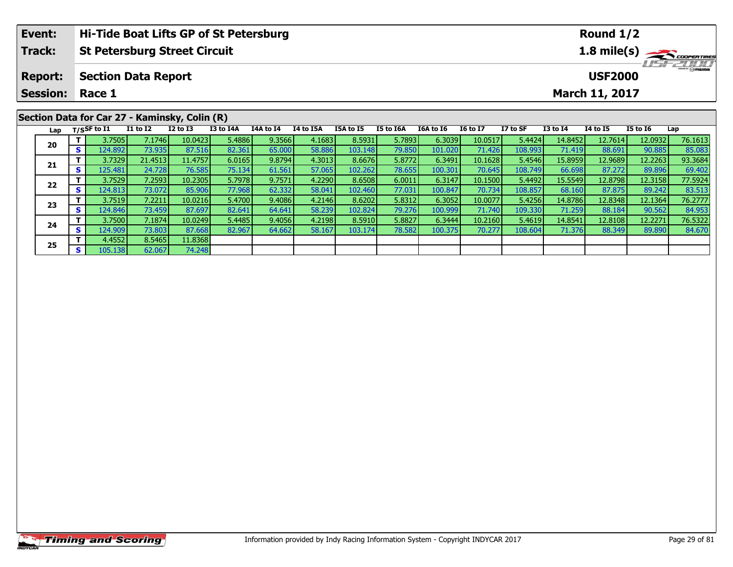| Event:          |                                                    |                |                            |                                               | Hi-Tide Boat Lifts GP of St Petersburg |           |                  |           |           |           |                 |          |              | Round 1/2             |                 |                |
|-----------------|----------------------------------------------------|----------------|----------------------------|-----------------------------------------------|----------------------------------------|-----------|------------------|-----------|-----------|-----------|-----------------|----------|--------------|-----------------------|-----------------|----------------|
| <b>Track:</b>   | <b>St Petersburg Street Circuit</b><br>1.8 mile(s) |                |                            |                                               |                                        |           |                  |           |           |           |                 |          |              |                       |                 |                |
| <b>Report:</b>  |                                                    |                | <b>Section Data Report</b> |                                               |                                        |           |                  |           |           |           |                 |          |              | <b>USF2000</b>        |                 | <b>HSFZUID</b> |
| <b>Session:</b> |                                                    | Race 1         |                            |                                               |                                        |           |                  |           |           |           |                 |          |              | <b>March 11, 2017</b> |                 |                |
|                 |                                                    |                |                            | Section Data for Car 27 - Kaminsky, Colin (R) |                                        |           |                  |           |           |           |                 |          |              |                       |                 |                |
| Lap             |                                                    | $T/S$ SF to I1 | <b>I1 to I2</b>            | $I2$ to $I3$                                  | I3 to I4A                              | I4A to I4 | <b>I4 to I5A</b> | I5A to I5 | I5 to I6A | I6A to I6 | <b>16 to 17</b> | I7 to SF | $I3$ to $I4$ | <b>I4 to I5</b>       | <b>I5 to I6</b> | Lap            |
|                 |                                                    | 3.7505         | 7.1746                     | 10.0423                                       | 5.4886                                 | 9.3566    | 4.1683           | 8.5931    | 5.7893    | 6.3039    | 10.0517         | 5.4424   | 14.8452      | 12.7614               | 12.0932         | 76.1613        |
| 20              | s l                                                | 124.892        | 73.935                     | 87.516                                        | 82.361                                 | 65.000    | 58.886           | 103.148   | 79.850    | 101.020   | 71.426          | 108.993  | 71.419       | 88.691                | 90.885          | 85.083         |
|                 |                                                    | 3.7329         | 21.4513                    | 11.4757                                       | 6.0165                                 | 9.8794    | 4.3013           | 8.6676    | 5.8772    | 6.3491    | 10.1628         | 5.4546   | 15.8959      | 12.9689               | 12.2263         | 93.3684        |
| 21              |                                                    | 125.481        | 24.728                     | 76.585                                        | 75.134                                 | 61.561    | 57.065           | 102.262   | 78.655    | 100.301   | 70.645          | 108.749  | 66.698       | 87.272                | 89.896          | 69.402         |

2 T 3.7529 7.2593 10.2305 5.7978 9.7571 4.2290 8.6508 6.0011 6.3147 10.1500 5.4492 15.5549 12.8798 12.3158 77.5924<br>2 S 124.813 73.072 85.906 77.968 62.332 58.041 102.460 77.031 100.847 70.734 108.857 68.160 87.875 89.242 8

3 T 3.7519| 7.2211| 10.0216| 5.4700| 9.4086| 4.2146| 8.6202| 5.8312| 6.3052| 10.0077| 5.4256| 14.8786| 12.8348| 12.1364| 76.2777<br>| S 124.846| 73.459| 87.697| 82.641| 64.641| 58.239| 102.824| 79.276| 100.999| 71.740| 109.33

**<sup>T</sup>** 3.7500 7.1874 10.0249 5.4485 9.4056 4.2198 8.5910 5.8827 6.3444 10.2160 5.4619 14.8541 12.8108 12.2271 76.5322 **<sup>S</sup>** 124.909 73.803 87.668 82.967 64.662 58.167 103.174 78.582 100.375 70.277 108.604 71.376 88.349 89.890 84.670

**22**

**23**

**24**

**25**

**<sup>T</sup>** 4.4552 8.5465 11.8368 **<sup>S</sup>** 105.138 62.067 74.248

69.402<br>77.5924

76.2777

84.953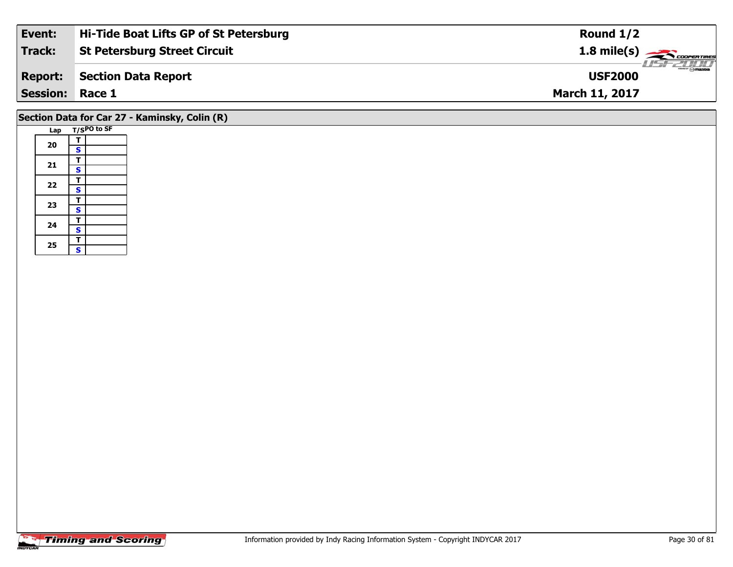| Event:          | Hi-Tide Boat Lifts GP of St Petersburg | Round $1/2$                                       |
|-----------------|----------------------------------------|---------------------------------------------------|
| Track:          | <b>St Petersburg Street Circuit</b>    | $\frac{1.8 \text{ mile}(s)}{600 \text{ minutes}}$ |
| <b>Report:</b>  | Section Data Report                    | <b>USF2000</b>                                    |
| <b>Session:</b> | Race 1                                 | <b>March 11, 2017</b>                             |
|                 |                                        |                                                   |

### **Section Data for Car 27 - Kaminsky, Colin (R)**

| Lap |   | T/SPO to SF |
|-----|---|-------------|
|     | т |             |
| 20  | S |             |
|     | т |             |
| 21  | S |             |
| 22  | т |             |
|     | S |             |
|     | т |             |
| 23  | S |             |
| 24  | т |             |
|     | S |             |
|     | T |             |
| 25  | S |             |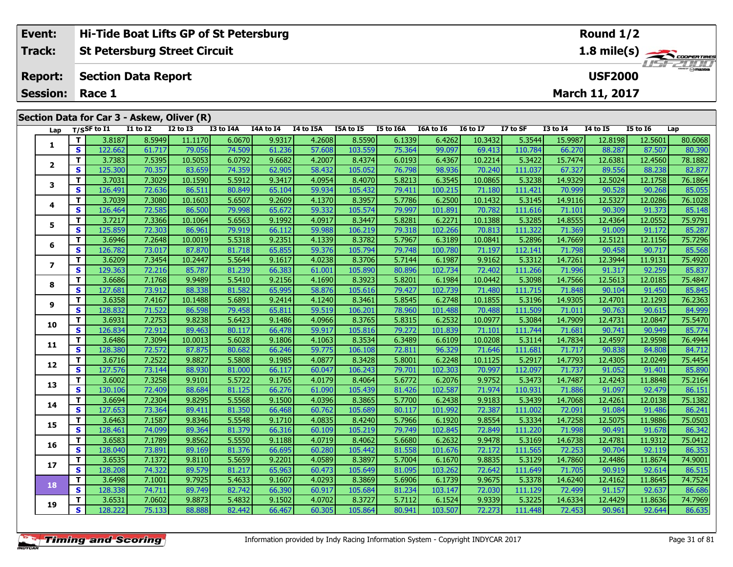| Event:          |          |                                                    |                            | Hi-Tide Boat Lifts GP of St Petersburg     |           |           |           |           |           |           |                 |          |                 | Round 1/2             |                 |                 |
|-----------------|----------|----------------------------------------------------|----------------------------|--------------------------------------------|-----------|-----------|-----------|-----------|-----------|-----------|-----------------|----------|-----------------|-----------------------|-----------------|-----------------|
| Track:          |          | 1.8 mile(s)<br><b>St Petersburg Street Circuit</b> |                            |                                            |           |           |           |           |           |           |                 |          |                 |                       |                 |                 |
| <b>Report:</b>  |          |                                                    | <b>Section Data Report</b> |                                            |           |           |           |           |           |           |                 |          |                 | <b>USF2000</b>        |                 | <b>HSFELINI</b> |
| <b>Session:</b> |          | Race 1                                             |                            |                                            |           |           |           |           |           |           |                 |          |                 | <b>March 11, 2017</b> |                 |                 |
|                 |          |                                                    |                            | Section Data for Car 3 - Askew, Oliver (R) |           |           |           |           |           |           |                 |          |                 |                       |                 |                 |
| Lap             |          | T/SSF to I1                                        | <b>I1 to I2</b>            | $I2$ to $I3$                               | I3 to I4A | I4A to I4 | I4 to I5A | I5A to I5 | I5 to I6A | I6A to I6 | <b>16 to 17</b> | I7 to SF | <b>I3 to I4</b> | <b>I4 to I5</b>       | <b>I5 to I6</b> | Lap             |
|                 |          | 3.8187                                             | 8.5949                     | 11.1170                                    | 6.0670    | 9.9317    | 4.2608    | 8.5590    | 6.1339    | 6.4262    | 10.3432         | 5.3544   | 15.9987         | 12.8198               | 12.5601         | 80.6068         |
|                 | <b>S</b> | 122.662                                            | 61.717                     | 79.056                                     | 74.509    | 61.236    | 57.608    | 103.559   | 75.364    | 99.097    | 69.413          | 110.784  | 66.270          | 88.287                | 87.507          | 80.390          |
|                 |          | 3.7383                                             | 7.5395                     | 10.5053                                    | 6.0792    | 9.6682    | 4.2007    | 8.4374    | 6.0193    | 6.4367    | 10.2214         | 5.3422   | 15.7474         | 12.6381               | 12.4560         | 78.1882         |
|                 | <b>S</b> | 125.300 <b>1</b>                                   | 70.357                     | 83.659                                     | 74.359    | 62.905    | 58.432    | 105.052   | 76.798    | 98.936    | 70.240          | 111.037  | 67.327          | 89.556                | 88.238          | 82.877          |

| 1              | т            | 3.8187  | 8.5949 | 11.1170 | 6.0670 | 9.9317 | 4.2608 | 8.5590  | 6.1339 | 6.4262  | 10.3432 | 5.3544  | 15.9987 | 12.8198 | 12.5601 | 80.6068 |
|----------------|--------------|---------|--------|---------|--------|--------|--------|---------|--------|---------|---------|---------|---------|---------|---------|---------|
|                | S            | 122.662 | 61.717 | 79.056  | 74.509 | 61.236 | 57.608 | 103.559 | 75.364 | 99.097  | 69.413  | 110.784 | 66.270  | 88.287  | 87.507  | 80.390  |
| $\overline{2}$ | Т            | 3.7383  | 7.5395 | 10.5053 | 6.0792 | 9.6682 | 4.2007 | 8.4374  | 6.0193 | 6.4367  | 10.2214 | 5.3422  | 15.7474 | 12.6381 | 12.4560 | 78.1882 |
|                | $\mathbf{s}$ | 125.300 | 70.357 | 83.659  | 74.359 | 62.905 | 58.432 | 105.052 | 76.798 | 98.936  | 70.240  | 111.037 | 67.327  | 89.556  | 88.238  | 82.877  |
| 3              | T            | 3.7031  | 7.3029 | 10.1590 | 5.5912 | 9.3417 | 4.0954 | 8.4070  | 5.8213 | 6.3545  | 10.0865 | 5.3238  | 14.9329 | 12.5024 | 12.1758 | 76.1864 |
|                | S            | 126.491 | 72.636 | 86.511  | 80.849 | 65.104 | 59.934 | 105.432 | 79.411 | 100.215 | 71.180  | 111.421 | 70.999  | 90.528  | 90.268  | 85.055  |
|                | т            | 3.7039  | 7.3080 | 10.1603 | 5.6507 | 9.2609 | 4.1370 | 8.3957  | 5.7786 | 6.2500  | 10.1432 | 5.3145  | 14.9116 | 12.5327 | 12.0286 | 76.1028 |
| 4              | S            | 126.464 | 72.585 | 86.500  | 79.998 | 65.672 | 59.332 | 105.574 | 79.997 | 101.891 | 70.782  | 111.616 | 71.101  | 90.309  | 91.373  | 85.148  |
| 5              | т            | 3.7217  | 7.3366 | 10.1064 | 5.6563 | 9.1992 | 4.0917 | 8.3447  | 5.8281 | 6.2271  | 10.1388 | 5.3285  | 14.8555 | 12.4364 | 12.0552 | 75.9791 |
|                | S            | 125.859 | 72.303 | 86.961  | 79.919 | 66.112 | 59.988 | 106.219 | 79.318 | 102.266 | 70.813  | 111.322 | 71.369  | 91.009  | 91.172  | 85.287  |
| 6              | т            | 3.6946  | 7.2648 | 10.0019 | 5.5318 | 9.2351 | 4.1339 | 8.3782  | 5.7967 | 6.3189  | 10.0841 | 5.2896  | 14.7669 | 12.5121 | 12.1156 | 75.7296 |
|                | S            | 126.782 | 73.017 | 87.870  | 81.718 | 65.855 | 59.376 | 105.794 | 79.748 | 100.780 | 71.197  | 112.141 | 71.798  | 90.458  | 90.717  | 85.568  |
| 7              | т            | 3.6209  | 7.3454 | 10.2447 | 5.5644 | 9.1617 | 4.0238 | 8.3706  | 5.7144 | 6.1987  | 9.9162  | 5.3312  | 14.7261 | 12.3944 | 11.9131 | 75.4920 |
|                | S            | 129.363 | 72.216 | 85.787  | 81.239 | 66.383 | 61.001 | 105.890 | 80.896 | 102.734 | 72.402  | 111.266 | 71.996  | 91.317  | 92.259  | 85.837  |
| 8              | т            | 3.6686  | 7.1768 | 9.9489  | 5.5410 | 9.2156 | 4.1690 | 8.3923  | 5.8201 | 6.1984  | 10.0442 | 5.3098  | 14.7566 | 12.5613 | 12.0185 | 75.4847 |
|                | $\mathbf{s}$ | 127.681 | 73.912 | 88.338  | 81.582 | 65.995 | 58.876 | 105.616 | 79.427 | 102.739 | 71.480  | 111.715 | 71.848  | 90.104  | 91.450  | 85.845  |
| 9              | т            | 3.6358  | 7.4167 | 10.1488 | 5.6891 | 9.2414 | 4.1240 | 8.3461  | 5.8545 | 6.2748  | 10.1855 | 5.3196  | 14.9305 | 12.4701 | 12.1293 | 76.2363 |
|                | S            | 128.832 | 71.522 | 86.598  | 79.458 | 65.811 | 59.519 | 106.201 | 78.960 | 101.488 | 70.488  | 111.509 | 71.011  | 90.763  | 90.615  | 84.999  |
| 10             | т            | 3.6931  | 7.2753 | 9.8238  | 5.6423 | 9.1486 | 4.0966 | 8.3765  | 5.8315 | 6.2532  | 10.0977 | 5.3084  | 14.7909 | 12.4731 | 12.0847 | 75.5470 |
|                | S            | 126.834 | 72.912 | 89.463  | 80.117 | 66.478 | 59.917 | 105.816 | 79.272 | 101.839 | 71.101  | 111.744 | 71.681  | 90.741  | 90.949  | 85.774  |
| 11             | т            | 3.6486  | 7.3094 | 10.0013 | 5.6028 | 9.1806 | 4.1063 | 8.3534  | 6.3489 | 6.6109  | 10.0208 | 5.3114  | 14.7834 | 12.4597 | 12.9598 | 76.4944 |
|                | S            | 128.380 | 72.572 | 87.875  | 80.682 | 66.246 | 59.775 | 106.108 | 72.811 | 96.329  | 71.646  | 111.681 | 71.717  | 90.838  | 84.808  | 84.712  |
| 12             | т            | 3.6716  | 7.2522 | 9.8827  | 5.5808 | 9.1985 | 4.0877 | 8.3428  | 5.8001 | 6.2248  | 10.1125 | 5.2917  | 14.7793 | 12.4305 | 12.0249 | 75.4454 |
|                | S            | 127.576 | 73.144 | 88.930  | 81.000 | 66.117 | 60.047 | 106.243 | 79.701 | 102.303 | 70.997  | 112.097 | 71.737  | 91.052  | 91.401  | 85.890  |
| 13             | т            | 3.6002  | 7.3258 | 9.9101  | 5.5722 | 9.1765 | 4.0179 | 8.4064  | 5.6772 | 6.2076  | 9.9752  | 5.3473  | 14.7487 | 12.4243 | 11.8848 | 75.2164 |
|                | S            | 130.106 | 72.409 | 88.684  | 81.125 | 66.276 | 61.090 | 105.439 | 81.426 | 102.587 | 71.974  | 110.931 | 71.886  | 91.097  | 92.479  | 86.151  |
| 14             | т            | 3.6694  | 7.2304 | 9.8295  | 5.5568 | 9.1500 | 4.0396 | 8.3865  | 5.7700 | 6.2438  | 9.9183  | 5.3439  | 14.7068 | 12.4261 | 12.0138 | 75.1382 |
|                | S            | 127.653 | 73.364 | 89.411  | 81.350 | 66.468 | 60.762 | 105.689 | 80.117 | 101.992 | 72.387  | 111.002 | 72.091  | 91.084  | 91.486  | 86.241  |
| 15             | т            | 3.6463  | 7.1587 | 9.8346  | 5.5548 | 9.1710 | 4.0835 | 8.4240  | 5.7966 | 6.1920  | 9.8554  | 5.3334  | 14.7258 | 12.5075 | 11.9886 | 75.0503 |
|                | S            | 128.461 | 74.099 | 89.364  | 81.379 | 66.316 | 60.109 | 105.219 | 79.749 | 102.845 | 72.849  | 111.220 | 71.998  | 90.491  | 91.678  | 86.342  |
| 16             | т            | 3.6583  | 7.1789 | 9.8562  | 5.5550 | 9.1188 | 4.0719 | 8.4062  | 5.6680 | 6.2632  | 9.9478  | 5.3169  | 14.6738 | 12.4781 | 11.9312 | 75.0412 |
|                | S            | 128.040 | 73.891 | 89.169  | 81.376 | 66.695 | 60.280 | 105.442 | 81.558 | 101.676 | 72.172  | 111.565 | 72.253  | 90.704  | 92.119  | 86.353  |
| 17             | T            | 3.6535  | 7.1372 | 9.8110  | 5.5659 | 9.2201 | 4.0589 | 8.3897  | 5.7004 | 6.1670  | 9.8835  | 5.3129  | 14.7860 | 12.4486 | 11.8674 | 74.9001 |
|                | S            | 128.208 | 74.322 | 89.579  | 81.217 | 65.963 | 60.473 | 105.649 | 81.095 | 103.262 | 72.642  | 111.649 | 71.705  | 90.919  | 92.614  | 86.515  |
| 18             | T            | 3.6498  | 7.1001 | 9.7925  | 5.4633 | 9.1607 | 4.0293 | 8.3869  | 5.6906 | 6.1739  | 9.9675  | 5.3378  | 14.6240 | 12.4162 | 11.8645 | 74.7524 |
|                | S            | 128.338 | 74.711 | 89.749  | 82.742 | 66.390 | 60.917 | 105.684 | 81.234 | 103.147 | 72.030  | 111.129 | 72.499  | 91.157  | 92.637  | 86.686  |
| 19             | т            | 3.6531  | 7.0602 | 9.8873  | 5.4832 | 9.1502 | 4.0702 | 8.3727  | 5.7112 | 6.1524  | 9.9339  | 5.3225  | 14.6334 | 12.4429 | 11.8636 | 74.7969 |
|                | S            | 128.222 | 75.133 | 88.888  | 82.442 | 66.467 | 60.305 | 105.864 | 80.941 | 103.507 | 72.273  | 111.448 | 72.453  | 90.961  | 92.644  | 86.635  |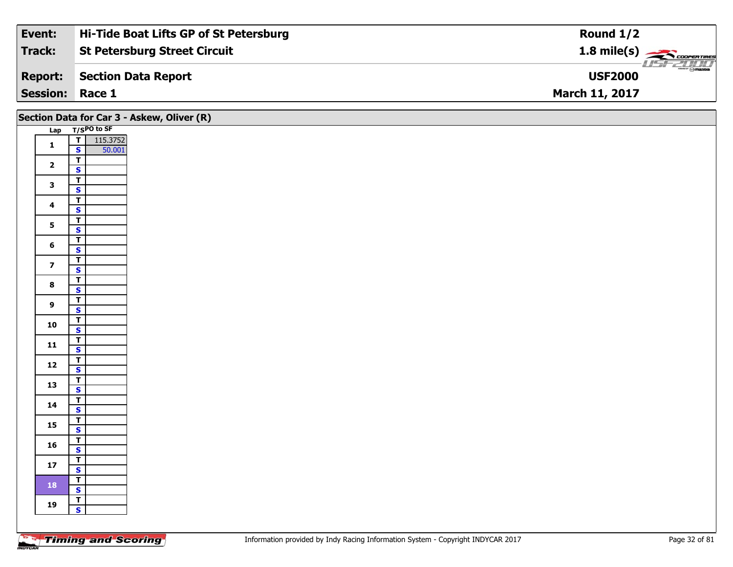| Event:                 | Hi-Tide Boat Lifts GP of St Petersburg | Round $1/2$                        |
|------------------------|----------------------------------------|------------------------------------|
| Track:                 | <b>St Petersburg Street Circuit</b>    |                                    |
| <b>Report:</b>         | Section Data Report                    | <b>LISF 2000</b><br><b>USF2000</b> |
| <b>Session: Race 1</b> |                                        | <b>March 11, 2017</b>              |

|                         |                                         | Section Data for Car 3 - Askew, Oliver (R) |
|-------------------------|-----------------------------------------|--------------------------------------------|
|                         | Lap T/SPO to SF                         |                                            |
| $\mathbf{1}$            | 115.3752<br>$\frac{1}{s}$               |                                            |
|                         | 50.001                                  |                                            |
| $\overline{\mathbf{2}}$ | $\overline{r}$                          |                                            |
|                         | $\mathbf{s}$                            |                                            |
| $\mathbf{3}$            | $\overline{\mathsf{T}}$                 |                                            |
|                         | $\overline{\mathbf{s}}$                 |                                            |
| $\overline{\mathbf{4}}$ | $\overline{\mathsf{r}}$<br>$\mathbf{s}$ |                                            |
|                         | $\overline{1}$                          |                                            |
| 5 <sub>1</sub>          | $\overline{\mathbf{s}}$                 |                                            |
|                         | $\overline{I}$                          |                                            |
| $6\phantom{a}$          | $\mathbf{s}$                            |                                            |
| $\overline{z}$          | $\overline{\mathsf{T}}$                 |                                            |
|                         | $\mathbf{s}$                            |                                            |
| $\bf{8}$                | $\overline{\mathsf{T}}$                 |                                            |
|                         | $\overline{\mathbf{s}}$                 |                                            |
| $\overline{9}$          | $\overline{\mathsf{T}}$<br>$\mathbf{s}$ |                                            |
|                         | $\top$                                  |                                            |
| 10                      | $\overline{\mathbf{s}}$                 |                                            |
|                         | $\overline{I}$                          |                                            |
| 11                      | $\mathbf{s}$                            |                                            |
| 12                      | $\mathbf{T}$                            |                                            |
|                         | $\overline{\mathbf{s}}$                 |                                            |
| 13                      | $\overline{1}$                          |                                            |
|                         | $\overline{\mathbf{s}}$                 |                                            |
| 14                      | $\overline{\mathbf{r}}$<br>$\mathsf{s}$ |                                            |
|                         | $\overline{\mathsf{T}}$                 |                                            |
| 15                      | $\overline{\mathbf{s}}$                 |                                            |
|                         | $\overline{t}$                          |                                            |
| 16                      | $\mathsf{s}$                            |                                            |
| $17$                    | $\mathbf{T}$                            |                                            |
|                         | $\mathbf{s}$                            |                                            |
| 18                      | $\vert$ T                               |                                            |
|                         | $\overline{\mathbf{s}}$                 |                                            |
| 19                      | $\overline{1}$<br>$\mathbf{s}$          |                                            |
|                         |                                         |                                            |
|                         |                                         |                                            |

Ξ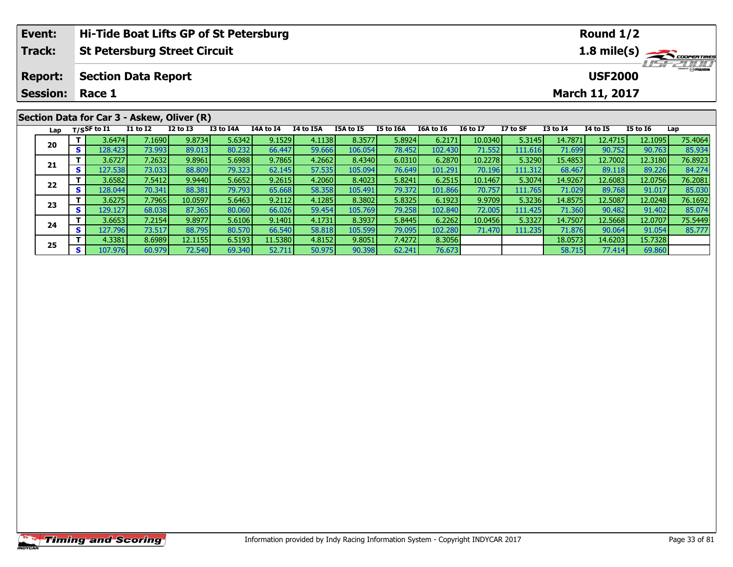| Event:                                                       |     |                       |                            | Hi-Tide Boat Lifts GP of St Petersburg     |           |           |           |           |           |                  |                 |                |                 | Round $1/2$     |                 |                 |  |
|--------------------------------------------------------------|-----|-----------------------|----------------------------|--------------------------------------------|-----------|-----------|-----------|-----------|-----------|------------------|-----------------|----------------|-----------------|-----------------|-----------------|-----------------|--|
| Track:<br><b>St Petersburg Street Circuit</b><br>1.8 mile(s) |     |                       |                            |                                            |           |           |           |           |           |                  |                 |                |                 |                 |                 |                 |  |
| <b>Report:</b>                                               |     |                       | <b>Section Data Report</b> |                                            |           |           |           |           |           |                  |                 |                |                 | <b>USF2000</b>  |                 | <b>LISFEDDD</b> |  |
| <b>Session:</b>                                              |     | Race 1                |                            |                                            |           |           |           |           |           |                  |                 | March 11, 2017 |                 |                 |                 |                 |  |
|                                                              |     |                       |                            | Section Data for Car 3 - Askew, Oliver (R) |           |           |           |           |           |                  |                 |                |                 |                 |                 |                 |  |
| Lap                                                          |     | $_{\rm T/SS}$ F to I1 | <b>I1 to I2</b>            | $I2$ to $I3$                               | I3 to I4A | I4A to I4 | I4 to I5A | I5A to I5 | I5 to I6A | <b>I6A to I6</b> | <b>16 to 17</b> | I7 to SF       | <b>I3 to I4</b> | <b>I4 to I5</b> | <b>I5 to 16</b> | Lap             |  |
|                                                              |     | 3.6474                | 7.1690                     | 9.8734                                     | 5.6342    | 9.1529    | 4.1138    | 8.3577    | 5.8924    | 6.2171           | 10.0340         | 5.3145         | 14.7871         | 12.4715         | 12.1095         | 75.4064         |  |
| 20                                                           | s l | 128.423               | 73.993                     | 89.013                                     | 80.232    | 66.447    | 59.666    | 106.054   | 78.452    | 102.430          | 71.552          | 111.616        | 71.699          | 90.752          | 90.763          | 85.934          |  |
|                                                              |     | 3.6727                | 7.2632                     | 9.8961                                     | 5.6988    | 9.7865    | 4.2662    | 8.4340    | 6.0310    | 6.2870           | 10.2278         | 5.3290         | 15.4853         | 12.7002         | 12.3180         | 76.8923         |  |
| 21                                                           |     | 127.538               | 73.0331                    | 88.809                                     | 79.323    | 62.145    | 57.535    | 105.094   | 76.649    | 101.291          | 70.196          | 111.312        | 68.467          | 89.118          | 89.226          | 84.274          |  |

2 T 3.6582 7.5412 9.9440 5.6652 9.2615 4.2060 8.4023 5.8241 6.2515 10.1467 5.3074 14.9267 12.6083 12.0756 76.2081<br>S 128.044 70.341 88.381 79.793 65.668 58.358 105.491 79.372 101.866 70.757 111.765 71.029 89.768 91.017 85.0

**<sup>T</sup>** 3.6275 7.7965 10.0597 5.6463 9.2112 4.1285 8.3802 5.8325 6.1923 9.9709 5.3236 14.8575 12.5087 12.0248 76.1692 **<sup>S</sup>** 129.127 68.038 87.365 80.060 66.026 59.454 105.769 79.258 102.840 72.005 111.425 71.360 90.482 91.402 85.074

**<sup>T</sup>** 3.6653 7.2154 9.8977 5.6106 9.1401 4.1731 8.3937 5.8445 6.2262 10.0456 5.3327 14.7507 12.5668 12.0707 75.5449 **<sup>S</sup>** 127.796 73.517 88.795 80.570 66.540 58.818 105.599 79.095 102.280 71.470 111.235 71.876 90.064 91.054 85.777

**<sup>T</sup>** 4.3381 8.6989 12.1155 6.5193 11.5380 4.8152 9.8051 7.4272 8.3056 18.0573 14.6203 15.7328 **<sup>S</sup>** 107.976 60.979 72.540 69.340 52.711 50.975 90.398 62.241 76.673 58.715 77.414 69.860

**22**

**23**

**24**

**25**

 $\frac{84.274}{76.2081}$ 

85.074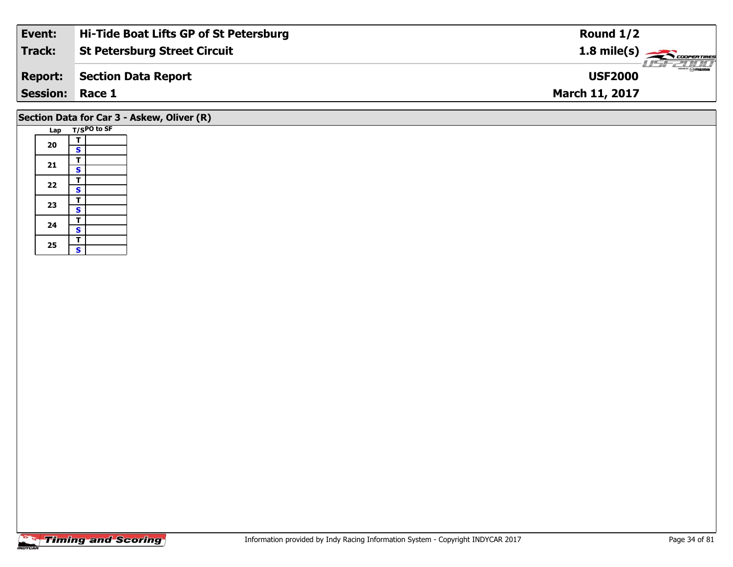| Event:          | Hi-Tide Boat Lifts GP of St Petersburg | Round $1/2$                             |
|-----------------|----------------------------------------|-----------------------------------------|
| Track:          | <b>St Petersburg Street Circuit</b>    | $1.8$ mile(s) $\rightarrow$ COOPERTIRES |
| <b>Report:</b>  | Section Data Report                    | $\frac{1}{\sqrt{2}}$<br><b>USF2000</b>  |
| Session: Race 1 |                                        | <b>March 11, 2017</b>                   |
|                 |                                        |                                         |

### **Section Data for Car 3 - Askew, Oliver (R)**

| Lap |                         | T/SPO to SF |
|-----|-------------------------|-------------|
|     | Т                       |             |
| 20  | S                       |             |
|     | T                       |             |
| 21  | S                       |             |
|     | т                       |             |
| 22  | $\overline{\mathbf{s}}$ |             |
|     | T                       |             |
| 23  | S                       |             |
| 24  | т                       |             |
|     | $\overline{\mathbf{s}}$ |             |
|     | T                       |             |
| 25  | S                       |             |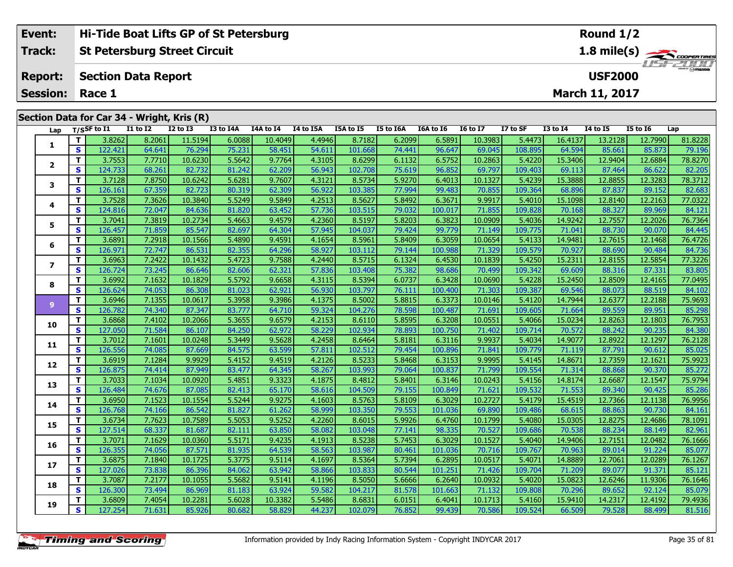|                 | Event: | Hi-Tide Boat Lifts GP of St Petersburg |                    |                            |                                            |           |           |                                           |                  |           |                  |                 | Round $1/2$ |              |                       |                 |         |  |
|-----------------|--------|----------------------------------------|--------------------|----------------------------|--------------------------------------------|-----------|-----------|-------------------------------------------|------------------|-----------|------------------|-----------------|-------------|--------------|-----------------------|-----------------|---------|--|
| <b>Track:</b>   |        |                                        |                    |                            | <b>St Petersburg Street Circuit</b>        |           |           | 1.8 mile(s)                               |                  |           |                  |                 |             |              |                       |                 |         |  |
| <b>Report:</b>  |        |                                        |                    | <b>Section Data Report</b> |                                            |           |           | <i><b>LISF 2000</b></i><br><b>USF2000</b> |                  |           |                  |                 |             |              |                       |                 |         |  |
| <b>Session:</b> |        |                                        | Race 1             |                            |                                            |           |           |                                           |                  |           |                  |                 |             |              | <b>March 11, 2017</b> |                 |         |  |
|                 |        |                                        |                    |                            | Section Data for Car 34 - Wright, Kris (R) |           |           |                                           |                  |           |                  |                 |             |              |                       |                 |         |  |
|                 |        |                                        | Lap $T/S$ SF to I1 | <b>I1 to I2</b>            | $I2$ to $I3$                               | I3 to I4A | I4A to I4 | I4 to I5A                                 | <b>I5A to I5</b> | I5 to I6A | <b>I6A to I6</b> | <b>I6 to I7</b> | I7 to SF    | $I3$ to $I4$ | <b>I4 to I5</b>       | <b>I5 to I6</b> | Lap     |  |
|                 |        |                                        | 3.8262             | 8.2061                     | 11.5194                                    | 6.0088    | 10.4049   | 4.4946                                    | 8.7182           | 6.2099    | 6.5891           | 10.3983         | 5.4473      | 16.4137      | 13.2128               | 12.7990         | 81.8228 |  |
|                 |        | S.                                     | 122.421            | 64.641                     | 76.294                                     | 75.231    | 58.451    | 54.611                                    | 101.668          | 74.441    | 96.647           | 69.045          | 108.895     | 64.594       | 85.661                | 85.873          | 79.196  |  |
|                 |        |                                        | 3.7553             | 7.7710                     | 10.6230                                    | 5.5642    | 9.7764    | 4.3105                                    | 8.6299           | 6.1132    | 6.5752           | 10.2863         | 5.4220      | 15.3406      | 12.9404               | 12.6884         | 78.8270 |  |

| 1  |              | <b>J.OZUZ</b>     | <b>O'YOOT</b>    | 11.J177 | v.vvoo           | כדטד.טב           | טדכד.ד           | 0.7 TOZ | 0.2033           | <u>0.JOJT</u>    | רסברים            | נ לדד.כ           | 10.TIJ/           | 19.ZIZ0           | 12.7330           | 01.0220           |
|----|--------------|-------------------|------------------|---------|------------------|-------------------|------------------|---------|------------------|------------------|-------------------|-------------------|-------------------|-------------------|-------------------|-------------------|
|    | S            | 122.421           | 64.641           | 76.294  | 75.231           | 58.451            | 54.611           | 101.668 | 74.441           | 96.647           | 69.045            | 108.895           | 64.594            | 85.661            | 85.873            | 79.196            |
| 2  | T.           | 3.7553            | 7.7710           | 10.6230 | 5.5642           | 9.7764            | 4.3105           | 8.6299  | 6.1132           | 6.5752           | 10.2863           | 5.4220            | 15.3406           | 12.9404           | 12.6884           | 78.8270           |
|    | <b>S</b>     | 124.733           | 68.261           | 82.732  | 81.242           | 62.209            | 56.943           | 102.708 | 75.619           | 96.852           | 69.797            | 109.403           | 69.113            | 87.464            | 86.622            | 82.205            |
| 3  | T.           | 3.7128            | 7.8750           | 10.6242 | 5.6281           | 9.7607            | 4.3121           | 8.5734  | 5.9270           | 6.4013           | 10.1327           | 5.4239            | 15.3888           | 12.8855           | 12.3283           | 78.3712           |
|    | <b>S</b>     | 126.161           | 67.359           | 82.723  | 80.319           | 62.309            | 56.922           | 103.385 | 77.994           | 99.483           | 70.855            | 109.364           | 68.896            | 87.837            | 89.152            | 82.683            |
| 4  | T.           | 3.7528            | 7.3626           | 10.3840 | 5.5249           | 9.5849            | 4.2513           | 8.5627  | 5.8492           | 6.3671           | 9.9917            | 5.4010            | 15.1098           | 12.8140           | 12.2163           | 77.0322           |
|    | S            | 124.816           | 72.047           | 84.636  | 81.820           | 63.452            | 57.736           | 103.515 | 79.032           | 100.017          | 71.855            | 109.828           | 70.168            | 88.327            | 89.969            | 84.121            |
| 5  | т            | 3.7041            | 7.3819           | 10.2734 | 5.4663           | 9.4579            | 4.2360           | 8.5197  | 5.8203           | 6.3823           | 10.0909           | 5.4036            | 14.9242           | 12.7557           | 12.2026           | 76.7364           |
|    | S            | 126.457           | 71.859           | 85.547  | 82.697           | 64.304            | 57.945           | 104.037 | 79.424           | 99.779           | 71.149            | 109.775           | 71.041            | 88.730            | 90.070            | 84.445            |
| 6  | T.           | 3.6891            | 7.2918           | 10.1566 | 5.4890           | 9.4591            | 4.1654           | 8.5961  | 5.8409           | 6.3059           | 10.0654           | 5.4133            | 14.9481           | 12.7615           | 12.1468           | 76.4726           |
|    | $\mathbf{s}$ | 126.971           | 72.747           | 86.531  | 82.355           | 64.296            | 58.927           | 103.112 | 79.144           | 100.988          | 71.329            | 109.579           | 70.927            | 88.690            | 90.484            | 84.736            |
| 7  | T.           | 3.6963            | 7.2422           | 10.1432 | 5.4723           | 9.7588            | 4.2440           | 8.5715  | 6.1324           | 6.4530           | 10.1839           | 5.4250            | 15.2311           | 12.8155           | 12.5854           | 77.3226           |
|    | S            | 126.724           | 73.245           | 86.646  | 82.606           | 62.321            | 57.836           | 103.408 | 75.382           | 98.686           | 70.499            | 109.342           | 69.609            | 88.316            | 87.331            | 83.805            |
| 8  | т            | 3.6992            | 7.1632           | 10.1829 | 5.5792           | 9.6658            | 4.3115           | 8.5394  | 6.0737           | 6.3428           | 10.0690           | 5.4228            | 15.2450           | 12.8509           | 12.4165           | 77.0495           |
|    | S            | 126.624           | 74.053           | 86.308  | 81.023           | 62.921            | 56.930           | 103.797 | 76.111           | 100.400          | 71.303            | 109.387           | 69.546            | 88.073            | 88.519            | 84.102            |
| 9  | T.           | 3.6946            | 7.1355           | 10.0617 | 5.3958           | 9.3986            | 4.1375           | 8.5002  | 5.8815           | 6.3373           | 10.0146           | 5.4120            | 14.7944           | 12.6377           | 12.2188           | 75.9693           |
|    | S            | 126.782           | 74.340           | 87.347  | 83.777           | 64.710            | 59.324           | 104.276 | 78.598           | 100.487          | 71.691            | 109.605           | 71.664            | 89.559            | 89.951            | 85.298            |
| 10 | T.           | 3.6868            | 7.4102           | 10.2066 | 5.3655           | 9.6579            | 4.2153           | 8.6110  | 5.8595           | 6.3208           | 10.0551           | 5.4066            | 15.0234           | 12.8263           | 12.1803           | 76.7953           |
|    | S            | 127.050           | 71.584           | 86.107  | 84.250           | 62.972            | 58.229           | 102.934 | 78.893           | 100.750          | 71.402            | 109.714           | 70.572            | 88.242            | 90.235            | 84.380            |
| 11 | T.           | 3.7012            | 7.1601           | 10.0248 | 5.3449           | 9.5628            | 4.2458           | 8.6464  | 5.8181           | 6.3116           | 9.9937            | 5.4034            | 14.9077           | 12.8922           | 12.1297           | 76.2128           |
|    | <b>S</b>     | 126.556           | 74.085           | 87.669  | 84.575           | 63.599            | 57.811           | 102.512 | 79.454           | 100.896          | 71.841            | 109.779           | 71.119            | 87.791            | 90.612            | 85.025            |
| 12 | T.           | 3.6919            | 7.1284           | 9.9929  | 5.4152           | 9.4519            | 4.2126           | 8.5233  | 5.8468           | 6.3153           | 9.9995            | 5.4145            | 14.8671           | 12.7359           | 12.1621           | 75.9923           |
|    | S            | 126.875           | 74.414           | 87.949  | 83.477           | 64.345            | 58.267           | 103.993 | 79.064           | 100.837          | 71.799            | 109.554           | 71.314            | 88.868            | 90.370            | 85.272            |
| 13 | T.           | 3.7033            | 7.1034           | 10.0920 | 5.4851           | 9.3323            | 4.1875           | 8.4812  | 5.8401           | 6.3146           | 10.0243           | 5.4156            | 14.8174           | 12.6687           | 12.1547           | 75.9794           |
|    | S            | 126.484           | 74.676           | 87.085  | 82.413           | 65.170            | 58.616           | 104.509 | 79.155           | 100.849          | 71.621            | 109.532           | 71.553            | 89.340            | 90.425            | 85.286            |
| 14 | T.           | 3.6950            | 7.1523           | 10.1554 | 5.5244           | 9.9275            | 4.1603           | 8.5763  | 5.8109           | 6.3029           | 10.2727           | 5.4179            | 15.4519           | 12.7366           | 12.1138           | 76.9956           |
|    | <b>S</b>     | 126.768           | 74.166           | 86.542  | 81.827           | 61.262            | 58.999           | 103.350 | 79.553           | 101.036          | 69.890            | 109.486           | 68.615            | 88.863            | 90.730            | 84.161            |
| 15 | T.           | 3.6734            | 7.7623           | 10.7589 | 5.5053           | 9.5252            | 4.2260           | 8.6015  | 5.9926           | 6.4760           | 10.1799           | 5.4080            | 15.0305           | 12.8275           | 12.4686           | 78.1091           |
|    | <b>S</b>     | 127.514           | 68.337           | 81.687  | 82.111           | 63.850            | 58.082           | 103.048 | 77.141           | 98.335           | 70.527            | 109.686           | 70.538            | 88.234            | 88.149            | 82.961            |
| 16 | т            | 3.7071            | 7.1629           | 10.0360 | 5.5171           | 9.4235            | 4.1913           | 8.5238  | 5.7453           | 6.3029           | 10.1527           | 5.4040            | 14.9406           | 12.7151           | 12.0482           | 76.1666           |
|    | S            | 126.355           | 74.056           | 87.571  | 81.935           | 64.539            | 58.563           | 103.987 | 80.461           | 101.036          | 70.716            | 109.767           | 70.963            | 89.014            | 91.224            | 85.077            |
| 17 | $\mathbf{T}$ | 3.6875            | 7.1840           | 10.1725 | 5.3775           | 9.5114            | 4.1697           | 8.5364  | 5.7394           | 6.2895           | 10.0517           | 5.4071            | 14.8889           | 12.7061           | 12.0289           | 76.1267           |
|    | <b>S</b>     | 127.026           | 73.838           | 86.396  | 84.062           | 63.942            | 58.866           | 103.833 | 80.544           | 101.251          | 71.426            | 109.704           | 71.209            | 89.077            | 91.371            | 85.121            |
| 18 | Т            | 3.7087            | 7.2177           | 10.1055 | 5.5682           | 9.5141            | 4.1196           | 8.5050  | 5.6666           | 6.2640           | 10.0932           | 5.4020            | 15.0823           | 12.6246           | 11.9306           | 76.1646           |
|    | S            | 126.300           | 73.494           | 86.969  | 81.183           | 63.924            | 59.582           | 104.217 | 81.578           | 101.663          | 71.132            | 109.808           | 70.296            | 89.652            | 92.124            | 85.079            |
|    | T.           | 3.6809<br>127.254 | 7.4054<br>71.631 | 10.2281 | 5.6028<br>80.682 | 10.3382<br>58.829 | 5.5486<br>44.237 | 8.6831  | 6.0151<br>76.852 | 6.4041<br>99.439 | 10.1713<br>70.586 | 5.4160<br>109.524 | 15.9410<br>66.509 | 14.2317<br>79.528 | 12.4192<br>88.499 | 79.4936<br>81.516 |
| 19 | $\mathbf{s}$ |                   |                  | 85.926  |                  |                   |                  | 102.079 |                  |                  |                   |                   |                   |                   |                   |                   |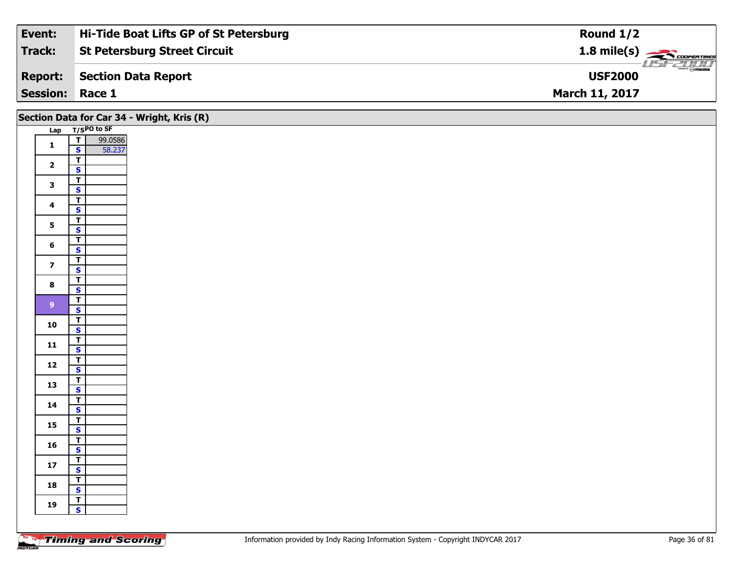| Event:                 | Hi-Tide Boat Lifts GP of St Petersburg | Round $1/2$                              |
|------------------------|----------------------------------------|------------------------------------------|
| <b>Track:</b>          | <b>St Petersburg Street Circuit</b>    | $1.8$ mile(s) $\rightarrow$ COOPER TIRES |
| <b>Report:</b>         | Section Data Report                    | $\frac{2\pi}{\omega}$<br><b>USF2000</b>  |
| <b>Session: Race 1</b> |                                        | <b>March 11, 2017</b>                    |

| Section Data for Car 34 - Wright, Kris (R) |                         |                                           |  |  |  |  |  |
|--------------------------------------------|-------------------------|-------------------------------------------|--|--|--|--|--|
|                                            |                         | Lap T/SPO to SF                           |  |  |  |  |  |
|                                            | $\mathbf{1}$            | $\overline{\mathsf{r}}$<br>99.0586        |  |  |  |  |  |
|                                            |                         | $\overline{\mathbf{s}}$<br>58.237         |  |  |  |  |  |
|                                            | $\overline{\mathbf{2}}$ | $\overline{\mathsf{r}}$                   |  |  |  |  |  |
|                                            |                         | $\mathbf{s}$                              |  |  |  |  |  |
|                                            | $\mathbf{3}$            | $\overline{\mathbf{r}}$                   |  |  |  |  |  |
|                                            |                         | $\overline{\mathbf{s}}$                   |  |  |  |  |  |
|                                            | $\overline{\mathbf{4}}$ | $\overline{\mathsf{T}}$                   |  |  |  |  |  |
|                                            |                         | $\mathbf{s}$                              |  |  |  |  |  |
|                                            | 5 <sub>5</sub>          | $\overline{\mathsf{T}}$                   |  |  |  |  |  |
|                                            |                         | $\overline{\mathbf{s}}$                   |  |  |  |  |  |
|                                            | $6\phantom{a}$          | $\overline{t}$<br>$\mathsf{s}$            |  |  |  |  |  |
|                                            |                         | $\overline{\mathsf{T}}$                   |  |  |  |  |  |
|                                            | $\overline{\mathbf{z}}$ | $\mathbf{s}$                              |  |  |  |  |  |
|                                            |                         | $\overline{\mathbf{r}}$                   |  |  |  |  |  |
|                                            | $\boldsymbol{8}$        | $\overline{\mathbf{s}}$                   |  |  |  |  |  |
|                                            |                         | $\overline{1}$                            |  |  |  |  |  |
|                                            | 9 <sup>°</sup>          | $\mathbf{s}$                              |  |  |  |  |  |
|                                            |                         | $\overline{I}$                            |  |  |  |  |  |
|                                            | 10                      | $\overline{\mathbf{s}}$                   |  |  |  |  |  |
|                                            | 11                      | $\overline{1}$                            |  |  |  |  |  |
|                                            |                         | $\mathbf{s}$                              |  |  |  |  |  |
|                                            | $12$                    | $\overline{\mathsf{T}}$                   |  |  |  |  |  |
|                                            |                         | $\mathbf{s}$                              |  |  |  |  |  |
|                                            | 13                      | $\overline{1}$                            |  |  |  |  |  |
|                                            |                         | $\overline{\mathbf{s}}$<br>$\overline{1}$ |  |  |  |  |  |
|                                            | 14                      | $\mathbf{s}$                              |  |  |  |  |  |
|                                            |                         | $\overline{I}$                            |  |  |  |  |  |
|                                            | 15                      | $\overline{\mathbf{s}}$                   |  |  |  |  |  |
|                                            |                         | $\overline{I}$                            |  |  |  |  |  |
|                                            | 16                      | $\mathbf{s}$                              |  |  |  |  |  |
|                                            |                         | $\mathbf{T}$                              |  |  |  |  |  |
|                                            | $17$                    | $\mathbf{s}$                              |  |  |  |  |  |
|                                            | 18                      | $\overline{1}$                            |  |  |  |  |  |
|                                            |                         | $\mathbf{s}$                              |  |  |  |  |  |
|                                            | 19                      | $\overline{I}$                            |  |  |  |  |  |
|                                            |                         | $\mathbf{s}$                              |  |  |  |  |  |

Τ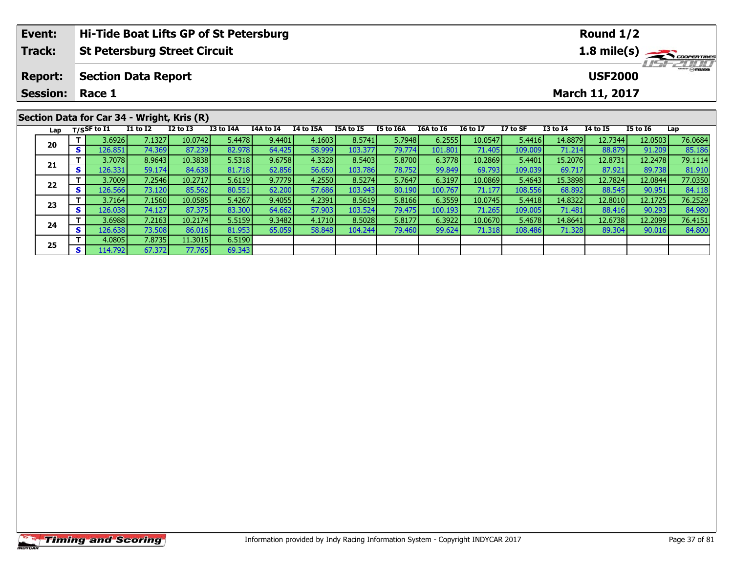| Hi-Tide Boat Lifts GP of St Petersburg<br>Event: |     |                                 |                            |                                            |           |           |                                     |           |           |           |                 | Round $1/2$ |              |                 |                 |         |  |  |
|--------------------------------------------------|-----|---------------------------------|----------------------------|--------------------------------------------|-----------|-----------|-------------------------------------|-----------|-----------|-----------|-----------------|-------------|--------------|-----------------|-----------------|---------|--|--|
| <b>Track:</b>                                    |     |                                 |                            | <b>St Petersburg Street Circuit</b>        |           |           | 1.8 mile(s)                         |           |           |           |                 |             |              |                 |                 |         |  |  |
| <b>Report:</b>                                   |     |                                 | <b>Section Data Report</b> |                                            |           |           | <b>LISITZIJTI</b><br><b>USF2000</b> |           |           |           |                 |             |              |                 |                 |         |  |  |
| <b>Session:</b>                                  |     | Race 1<br><b>March 11, 2017</b> |                            |                                            |           |           |                                     |           |           |           |                 |             |              |                 |                 |         |  |  |
|                                                  |     |                                 |                            | Section Data for Car 34 - Wright, Kris (R) |           |           |                                     |           |           |           |                 |             |              |                 |                 |         |  |  |
| Lap                                              |     | $T/S$ SF to I1                  | <b>I1 to I2</b>            | $I2$ to $I3$                               | I3 to I4A | I4A to I4 | <b>I4 to I5A</b>                    | I5A to I5 | I5 to I6A | I6A to I6 | <b>I6 to I7</b> | I7 to SF    | $I3$ to $I4$ | <b>I4 to I5</b> | <b>I5 to I6</b> | Lap     |  |  |
|                                                  |     | 3.6926                          | 7.1327                     | 10.0742                                    | 5.4478    | 9.4401    | 4.1603                              | 8.5741    | 5.7948    | 6.2555    | 10.0547         | 5.4416      | 14.8879      | 12.7344         | 12.0503         | 76.0684 |  |  |
| 20                                               | s l | 126.851                         | 74.369                     | 87.239                                     | 82.978    | 64.425    | 58.999                              | 103.377   | 79.774    | 101.801   | 71.405          | 109.009     | 71.214       | 88.879          | 91.209          | 85.186  |  |  |
|                                                  |     | 3.7078                          | 8.9643                     | 10.3838                                    | 5.5318    | 9.6758    | 4.3328                              | 8.5403    | 5.8700    | 6.3778    | 10.2869         | 5.4401      | 15.2076      | 12.8731         | 12.2478         | 79.1114 |  |  |
| 21                                               |     | 126.331                         | 59.174                     | 84.638                                     | 81.718    | 62.856    | 56.650                              | 103.786   | 78.752    | 99.849    | 69.793          | 109.039     | 69.717       | 87.921          | 89.738          | 81.910  |  |  |

2 T 3.7009 7.2546 10.2717 5.6119 9.7779 4.2550 8.5274 5.7647 6.3197 10.0869 5.4643 15.3898 12.7824 12.0844 77.0350<br>2 S 126.566 73.120 85.562 80.551 62.200 57.686 103.943 80.190 100.767 71.177 108.556 68.892 88.545 90.951 8

3 T 3.7164| 7.1560| 10.0585| 5.4267| 9.4055| 4.2391| 8.5619| 5.8166| 6.3559| 10.0745| 5.4418| 14.8322| 12.8010| 12.1725| 76.2529<br>S 126.038| 74.127| 87.375| 83.300| 64.662| 57.903| 103.524| 79.475| 100.193| 71.265| 109.005|

4 T 3.6988 7.2163 10.2174 5.5159 9.3482 4.1710 8.5028 5.8177 6.3922 10.0670 5.4678 14.8641 12.6738 12.2099 76.4151<br>- S 126.638 73.508 86.016 81.953 65.059 58.848 104.244 79.460 99.624 71.318 108.486 71.328 89.304 90.016 84

**22**

**23**

**24**

**25**

**<sup>T</sup>** 4.0805 7.8735 11.3015 6.5190 **<sup>S</sup>** 114.792 67.372 77.765 69.343

81.910

84.118<br>76.2529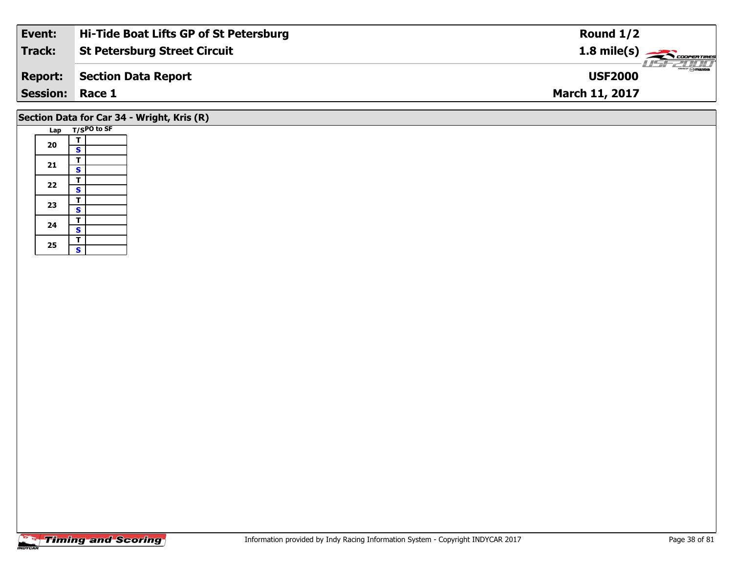| Event:          | Hi-Tide Boat Lifts GP of St Petersburg | Round $1/2$                             |
|-----------------|----------------------------------------|-----------------------------------------|
| Track:          | <b>St Petersburg Street Circuit</b>    | $1.8$ mile(s) $\rightarrow$ COOPERTIRES |
| <b>Report:</b>  | Section Data Report                    | $\frac{1}{\sqrt{2}}$<br><b>USF2000</b>  |
| Session: Race 1 |                                        | <b>March 11, 2017</b>                   |
|                 |                                        |                                         |

# **Section Data for Car 34 - Wright, Kris (R)**

| Lap |                         | T/SPO to SF |
|-----|-------------------------|-------------|
|     | Т                       |             |
| 20  | S                       |             |
|     | T                       |             |
| 21  | S                       |             |
|     | Т                       |             |
| 22  | $\overline{\mathbf{s}}$ |             |
|     | T                       |             |
| 23  | S                       |             |
| 24  | T                       |             |
|     | $\overline{\mathbf{s}}$ |             |
|     | T                       |             |
| 25  | S                       |             |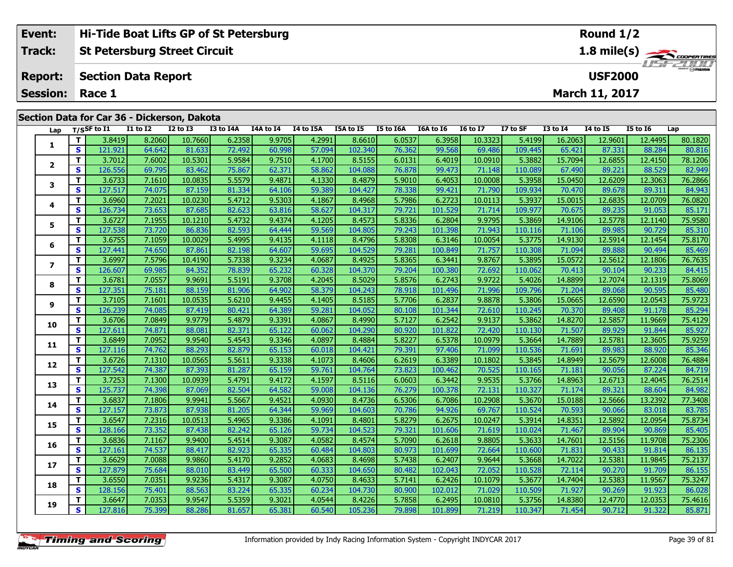| Event:                 | <b>Hi-Tide Boat Lifts GP of St Petersburg</b> | Round $1/2$                                         |
|------------------------|-----------------------------------------------|-----------------------------------------------------|
| Track:                 | St Petersburg Street Circuit                  | $1.8$ mile(s) $\frac{1.8}{2.200$<br><i>USE 2000</i> |
|                        | <b>Report:</b> Section Data Report            | $m = \bigcap_{n=1}^{\infty}$<br><b>USF2000</b>      |
| <b>Session: Race 1</b> |                                               | <b>March 11, 2017</b>                               |

#### **Lap T/SSF to I1 I1 to I2 I2 to I3 I3 to I4A I4A to I4 I4 to I5A I5A to I5 I5 to I6A I6A to I6 I6 to I7 I7 to SF I3 to I4 I4 to I5 I5 to I6 Lap 1**1 | T | 3.8419| 8.2060| 10.7660| 6.2358| 9.9705| 4.2991| 8.6610| 6.0537| 6.3958| 10.3323| 5.4199| 16.2063| 12.9601| 12.4495| 80.1820<br>1 | S | 121.921 | 64.642 | 81.633 | 72.492 | 60.998 | 57.094 | 102.340 | 76.362 | 99.568 **2**2 | T | 3.7012| 7.6002| 10.5301| 5.9584| 9.7510| 4.1700| 8.5155| 6.0131| 6.4019| 10.0910| 5.3882| 15.7094| 12.6855| 12.4150| 78.1206<br>2 | S | 126.556| 69.795| 83.462| 75.867| 62.371| 58.862| 104.088| 76.878| 99.473| 71.148| 82.949 **3**3 T | 3.6733 7.1610 10.0835 5.5579 9.4871 4.1330 8.4879 5.9010 6.4053 10.0008 5.3958 15.0450 12.6209 12.3063 76.2866<br>S | 127.517 74.075 87.159 81.334 64.106 59.389 104.427 78.338 99.421 71.790 109.934 70.470 89.678 89.311 **4 <sup>T</sup>** 3.6960 7.2021 10.0230 5.4712 9.5303 4.1867 8.4968 5.7986 6.2723 10.0113 5.3937 15.0015 12.6835 12.0709 76.0820 **<sup>S</sup>** 126.734 73.653 87.685 82.623 63.816 58.627 104.317 79.721 101.529 71.714 109.977 70.675 89.235 91.053 85.17185.171 **5**5 | T | 3.6727| 7.1955| 10.1210| 5.4732| 9.4374| 4.1205| 8.4573| 5.8336| 6.2804| 9.9795| 5.3869| 14.9106| 12.5778| 12.1140| 75.9580<br>| S | 127.538| 73.720| 86.836| 82.593| 64.444| 59.569| 104.805| 79.243| 101.398| 71.943| 1 **6**6 | T | 3.6755| 7.1059| 10.0029| 5.4995| 9.4135| 4.1118| 8.4796| 5.8308| 6.3146| 10.0054| 5.3775| 14.9130| 12.5914| 12.1454| 75.8170<br>| S | 127.441| 74.650| 87.861| 82.198| 64.607| 59.695| 104.529| 79.281| 100.849| 71.757| **7**7 | T | 3.6997| 7.5796| 10.4190| 5.7338| 9.3234| 4.0687| 8.4925| 5.8365| 6.3441| 9.8767| 5.3895| 15.0572| 12.5612| 12.1806| 76.7635<br>7 | S | 126.607| 69.985| 84.352| 78.839| 65.232| 60.328| 104.370| 79.204| 100.380| 72.692| 84.415 **8**8 T 3.6781 7.0557 9.9691 5.5191 9.3708 4.2045 8.5029 5.8576 6.2743 9.9722 5.4026 14.8899 12.7074 12.1319 75.8069<br>8 S 127.351 75.181 88.159 81.906 64.902 58.379 104.243 78.918 101.496 71.996 109.796 71.204 89.068 90.595 85. **9**75.9723 /11 3.7105 /12.0596 /12.0596 /12.0595 /12.059 /12.059 /12.059 /15.0665 /15.0665 /15.0665 /12.0590 /12<br>S 3 126.239 74.085 87.419 80.421 64.389 59.281 104.052 80.108 101.344 72.610 110.245 70.370 89.408 91.178 85.29 85.294 **10**0 | T | 3.6706| 7.0849| 9.9779| 5.4879| 9.3391| 4.0867| 8.4990| 5.7127| 6.2542| 9.9137| 5.3862| 14.8270| 12.5857| 11.9669| 75.4129<br>| S | 127.611| 74.871| 88.081| 82.371| 65.122| 60.062| 104.290| 80.920| 101.822| 72.420| 11 **11 <sup>T</sup>** 3.6849 7.0952 9.9540 5.4543 9.3346 4.0897 8.4884 5.8227 6.5378 10.0979 5.3664 14.7889 12.5781 12.3605 75.9259 **<sup>S</sup>** 127.116 74.762 88.293 82.879 65.153 60.018 104.421 79.391 97.406 71.099 110.536 71.691 89.983 88.920 85.346**12**2 T 3.6726| 7.1310| 10.0565| 5.5611| 9.3338| 4.1073| 8.4606| 6.2619| 6.3389| 10.1802| 5.3845| 14.8949| 12.5679| 12.6008| 76.4884<br>| S 127.542| 74.387| 87.393| 81.287| 65.159| 59.761| 104.764| 73.823| 100.462| 70.525| 110.16 **13 <sup>T</sup>** 3.7253 7.1300 10.0939 5.4791 9.4172 4.1597 8.5116 6.0603 6.3442 9.9535 5.3766 14.8963 12.6713 12.4045 76.2514 **<sup>S</sup>** 125.737 74.398 87.069 82.504 64.582 59.008 104.136 76.279 100.378 72.131 110.327 71.174 89.321 88.604 84.982**14**4 T 3.6837 7.1806 9.9941 5.5667 9.4521 4.0930 8.4736 6.5306 6.7086 10.2908 5.3670 15.0188 12.5666 13.2392 77.3408<br>- S 127.157 73.873 87.938 81.205 64.344 59.969 104.603 70.786 94.926 69.767 110.524 70.593 90.066 83.018 83. 83.785 **15**5 T 3.6547 7.2316 10.0513 5.4965 9.3386 4.1091 8.4801 5.8279 6.2675 10.0247 5.3914 14.8351 12.5892 12.0954 75.8734<br>5 S 128.166 73.352 87.438 82.242 65.126 59.734 104.523 79.321 101.606 71.619 110.024 71.467 89.904 90.869 8 **16**6 | T | 3.6836| 7.1167| 9.9400| 5.4514| 9.3087| 4.0582| 8.4574| 5.7090| 6.2618| 9.8805| 5.3633| 14.7601| 12.5156| 11.9708| 75.2306<br>- S 127.161 74.537| 88.417 **17**7 T 3.6629 7.0088 9.9860 5.4170 9.2852 4.0683 8.4698 5.7438 6.2407 9.9644 5.3668 14.7022 12.5381 11.9845 75.2137<br>7 S 127.879 75.684 88.010 83.449 65.500 60.333 104.650 80.482 102.043 72.052 110.528 72.114 90.270 91.709 86. 86.155 **18**8 T 3.6550 7.0351 9.9236 5.4317 9.3087 4.0750 8.4633 5.7141 6.2426 10.1079 5.3677 14.7404 12.5383 11.9567 75.3247<br>S 128.156 75.401 88.563 83.224 65.335 60.234 104.730 80.900 102.012 71.029 110.509 71.927 90.269 91.923 86.0 **19**75.4616 12.6647| 7.0353| 9.9547| 5.5359| 9.3021| 4.0544| 8.4226| 5.7858| 6.2495| 10.0810| 5.3756| 14.8380| 12.4770| 12.0353| 75.4616 12<br>| S 127.816| 75.399| 88.286| 81.657| 65.381| 60.540| 105.236| 79.898| 101.899| 71.219 **Section Data for Car 36 - Dickerson, Dakota**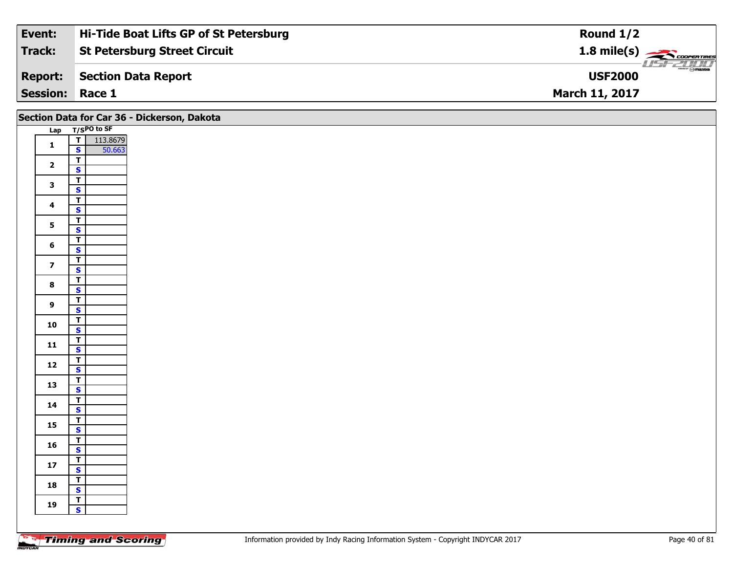| Event:                 | Hi-Tide Boat Lifts GP of St Petersburg | Round $1/2$                                    |
|------------------------|----------------------------------------|------------------------------------------------|
| Track:                 | <b>St Petersburg Street Circuit</b>    | $1.8$ mile(s) $\rightarrow$ COOPER TIRES       |
| <b>Report:</b>         | Section Data Report                    | $\frac{2}{\sqrt{2}}$ on azoa<br><b>USF2000</b> |
| <b>Session: Race 1</b> |                                        | <b>March 11, 2017</b>                          |

| Section Data for Car 36 - Dickerson, Dakota |                                                    |  |  |  |  |  |  |  |  |  |
|---------------------------------------------|----------------------------------------------------|--|--|--|--|--|--|--|--|--|
|                                             | Lap T/SPO to SF                                    |  |  |  |  |  |  |  |  |  |
| $\mathbf{1}$                                | $\frac{1}{s}$<br>113.8679                          |  |  |  |  |  |  |  |  |  |
|                                             | 50.663                                             |  |  |  |  |  |  |  |  |  |
| $\overline{\mathbf{2}}$                     | $\overline{\mathsf{T}}$                            |  |  |  |  |  |  |  |  |  |
|                                             | $\overline{\mathbf{s}}$                            |  |  |  |  |  |  |  |  |  |
| $\mathbf{3}$                                | $\overline{\mathbf{r}}$<br>$\overline{\mathbf{s}}$ |  |  |  |  |  |  |  |  |  |
|                                             | $\overline{\mathsf{T}}$                            |  |  |  |  |  |  |  |  |  |
| $\overline{\mathbf{4}}$                     | $\mathsf{s}$                                       |  |  |  |  |  |  |  |  |  |
|                                             | $\overline{\mathbf{r}}$                            |  |  |  |  |  |  |  |  |  |
| $5^{\circ}$                                 | $\overline{\mathbf{s}}$                            |  |  |  |  |  |  |  |  |  |
| $\bf 6$                                     | $\overline{I}$                                     |  |  |  |  |  |  |  |  |  |
|                                             | $\mathsf{s}$                                       |  |  |  |  |  |  |  |  |  |
| $\overline{z}$                              | $\overline{1}$                                     |  |  |  |  |  |  |  |  |  |
|                                             | $\mathbf{s}$                                       |  |  |  |  |  |  |  |  |  |
| $\bf{8}$                                    | $\overline{\mathsf{T}}$<br>$\overline{\mathbf{s}}$ |  |  |  |  |  |  |  |  |  |
|                                             | $\overline{\mathsf{T}}$                            |  |  |  |  |  |  |  |  |  |
| $\mathbf{9}$                                | $\mathbf{s}$                                       |  |  |  |  |  |  |  |  |  |
|                                             |                                                    |  |  |  |  |  |  |  |  |  |
| 10                                          | $\frac{T}{S}$                                      |  |  |  |  |  |  |  |  |  |
| 11                                          | $\frac{1}{s}$                                      |  |  |  |  |  |  |  |  |  |
|                                             |                                                    |  |  |  |  |  |  |  |  |  |
| $12$                                        | $\frac{1}{s}$                                      |  |  |  |  |  |  |  |  |  |
|                                             |                                                    |  |  |  |  |  |  |  |  |  |
| 13                                          | $\overline{1}$<br>$\overline{\mathbf{s}}$          |  |  |  |  |  |  |  |  |  |
|                                             | $\overline{\mathsf{T}}$                            |  |  |  |  |  |  |  |  |  |
| 14                                          | $\mathbf{s}$                                       |  |  |  |  |  |  |  |  |  |
| 15                                          | $\overline{\mathbf{r}}$                            |  |  |  |  |  |  |  |  |  |
|                                             | $\overline{\mathbf{s}}$                            |  |  |  |  |  |  |  |  |  |
| 16                                          | $\frac{1}{s}$                                      |  |  |  |  |  |  |  |  |  |
|                                             |                                                    |  |  |  |  |  |  |  |  |  |
| $17$                                        | $\overline{\mathbf{r}}$<br>$\mathbf{s}$            |  |  |  |  |  |  |  |  |  |
|                                             | $\overline{1}$                                     |  |  |  |  |  |  |  |  |  |
| 18                                          | $\mathbf{s}$                                       |  |  |  |  |  |  |  |  |  |
|                                             | $\overline{1}$                                     |  |  |  |  |  |  |  |  |  |
| 19                                          | $\mathbf{s}$                                       |  |  |  |  |  |  |  |  |  |
|                                             |                                                    |  |  |  |  |  |  |  |  |  |
|                                             |                                                    |  |  |  |  |  |  |  |  |  |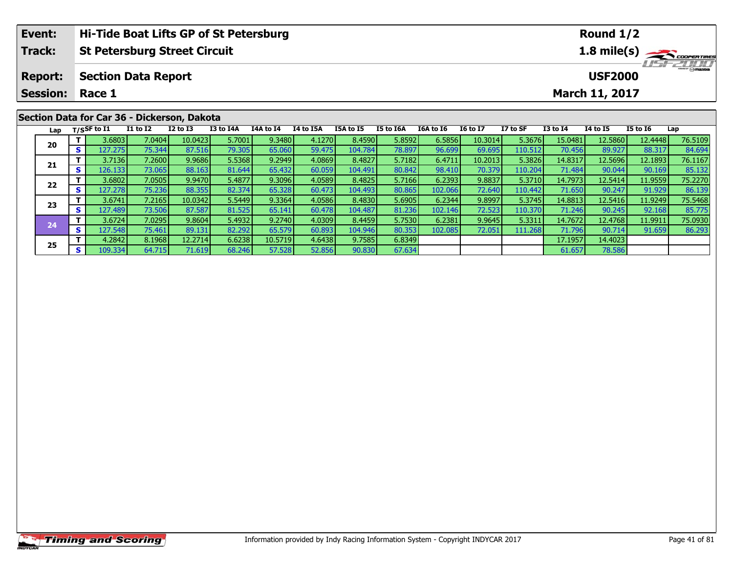|                | Event:          |    | Hi-Tide Boat Lifts GP of St Petersburg<br><b>St Petersburg Street Circuit</b> |                                             |              |           |           |                  |                  |           |           |                 | Round $1/2$<br>$1.8 \text{ mile(s)}$  |              |                       |                 |         |  |
|----------------|-----------------|----|-------------------------------------------------------------------------------|---------------------------------------------|--------------|-----------|-----------|------------------|------------------|-----------|-----------|-----------------|---------------------------------------|--------------|-----------------------|-----------------|---------|--|
|                | Track:          |    |                                                                               |                                             |              |           |           |                  |                  |           |           |                 |                                       |              |                       |                 |         |  |
| <b>Report:</b> |                 |    | <b>Section Data Report</b>                                                    |                                             |              |           |           |                  |                  |           |           |                 | $\sim$ $\sim$ mazoa<br><b>USF2000</b> |              |                       |                 |         |  |
|                | <b>Session:</b> |    | Race 1                                                                        |                                             |              |           |           |                  |                  |           |           |                 |                                       |              | <b>March 11, 2017</b> |                 |         |  |
|                |                 |    |                                                                               | Section Data for Car 36 - Dickerson, Dakota |              |           |           |                  |                  |           |           |                 |                                       |              |                       |                 |         |  |
|                |                 |    | Lap $T/SSF$ to I1                                                             | <b>I1 to I2</b>                             | $I2$ to $I3$ | I3 to I4A | I4A to I4 | <b>I4 to I5A</b> | <b>I5A to I5</b> | I5 to I6A | I6A to I6 | <b>I6 to I7</b> | I7 to SF                              | $I3$ to $I4$ | 14 to 15              | <b>I5 to I6</b> | Lap     |  |
|                | 20              |    | 3.6803                                                                        | 7.0404                                      | 10.0423      | 5.7001    | 9.3480    | 4.1270           | 8.4590           | 5.8592    | 6.5856    | 10.3014         | 5.3676                                | 15.0481      | 12.5860               | 12.4448         | 76.5109 |  |
|                |                 | S. | 127.2751                                                                      | 75.344                                      | 87.516       | 79.305    | 65.060    | 59.475           | 104.784          | 78.897    | 96.699    | 69.695          | 110.512                               | 70.4561      | 89.927                | 88.317          | 84.694  |  |

**<sup>T</sup>** 3.7136 7.2600 9.9686 5.5368 9.2949 4.0869 8.4827 5.7182 6.4711 10.2013 5.3826 14.8317 12.5696 12.1893 76.1167 **<sup>S</sup>** 126.133 73.065 88.163 81.644 65.432 60.059 104.491 80.842 98.410 70.379 110.204 71.484 90.044 90.169 85.132

2 T 3.6802 7.0505 9.9470 5.4877 9.3096 4.0589 8.4825 5.7166 6.2393 9.8837 5.3710 14.7973 12.5414 11.9559 75.2270<br>2 S 127.278 75.236 88.355 82.374 65.328 60.473 104.493 80.865 102.066 72.640 110.442 71.650 90.247 91.929 86.

3 T 3.6741 7.2165 10.0342 5.5449 9.3364 4.0586 8.4830 5.6905 6.2344 9.8997 5.3745 14.8813 12.5416 11.9249 75.5468<br>S 127.489 73.506 87.587 81.525 65.141 60.478 104.487 81.236 102.146 72.523 110.370 71.246 90.245 92.168 85.7

4 T 3.6724 7.0295 9.8604 5.4932 9.2740 4.0309 8.4459 5.7530 6.2381 9.9645 5.3311 14.7672 12.4768 11.9911 75.0930<br>- S 127.548 75.461 89.131 82.292 65.579 60.893 104.946 80.353 102.085 72.051 111.268 71.796 90.714 91.659 86.

**<sup>T</sup>** 4.2842 8.1968 12.2714 6.6238 10.5719 4.6438 9.7585 6.8349 17.1957 14.4023 **<sup>S</sup>** 109.334 64.715 71.619 68.246 57.528 52.856 90.830 67.634 61.657 78.586

**21**

**22**

**23**

**24**

**25**

85.132

85.77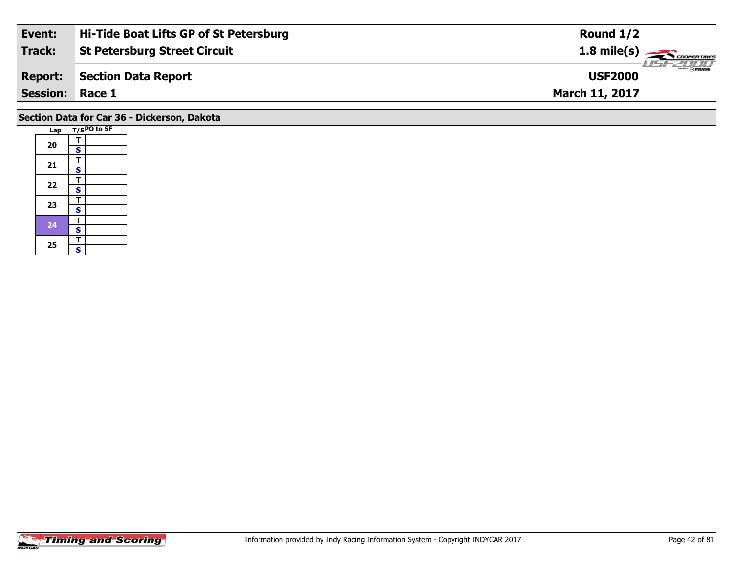| Event:          | Hi-Tide Boat Lifts GP of St Petersburg | Round $1/2$                     |
|-----------------|----------------------------------------|---------------------------------|
| Track:          | <b>St Petersburg Street Circuit</b>    | $1.8 \text{ mile(s)}$           |
| <b>Report:</b>  | Section Data Report                    | <b>Omazoa</b><br><b>USF2000</b> |
| <b>Session:</b> | Race 1                                 | <b>March 11, 2017</b>           |
|                 |                                        |                                 |

# **Section Data for Car 36 - Dickerson, Dakota**

| Lap |                         | T/SPO to SF |
|-----|-------------------------|-------------|
|     | т                       |             |
| 20  | S                       |             |
|     | Ŧ                       |             |
| 21  | $\overline{\mathbf{s}}$ |             |
|     | Т                       |             |
| 22  | $\overline{\mathbf{s}}$ |             |
|     | T                       |             |
| 23  | $\overline{\mathbf{s}}$ |             |
| 24  | т                       |             |
|     | $\overline{\mathbf{s}}$ |             |
|     | т                       |             |
| 25  | S                       |             |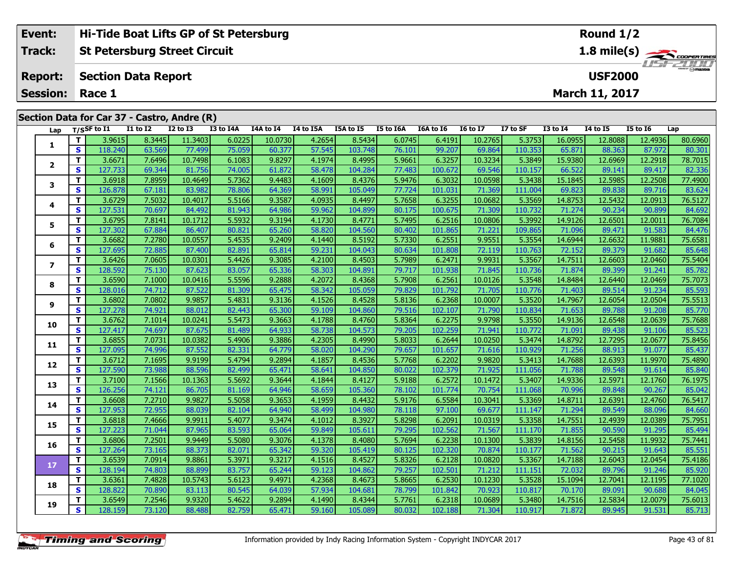| Hi-Tide Boat Lifts GP of St Petersburg      | Round $1/2$                             |
|---------------------------------------------|-----------------------------------------|
| <b>St Petersburg Street Circuit</b>         | $1.8$ mile(s) $\rightarrow$ COOPERTIRES |
| Section Data Report                         | <b>LISF 2000</b><br><b>USF2000</b>      |
| <b>Session: Race 1</b>                      | <b>March 11, 2017</b>                   |
| Section Data for Car 37 - Castro, Andre (R) |                                         |
|                                             |                                         |

| Lap                     |                         | $T/S$ SF to I1 | <b>I1 to I2</b> | <b>I2 to I3</b> | I3 to I4A | I4A to I4 | I4 to I5A | I5A to I5 | I5 to I6A | <b>I6A to I6</b> | <b>16 to 17</b> | I7 to SF | <b>I3 to I4</b> | <b>I4 to I5</b> | <b>I5 to 16</b> | Lap     |
|-------------------------|-------------------------|----------------|-----------------|-----------------|-----------|-----------|-----------|-----------|-----------|------------------|-----------------|----------|-----------------|-----------------|-----------------|---------|
| $\mathbf{1}$            | T.                      | 3.9615         | 8.3445          | 11.3403         | 6.0225    | 10.0730   | 4.2654    | 8.5434    | 6.0745    | 6.4191           | 10.2765         | 5.3753   | 16.0955         | 12.8088         | 12.4936         | 80.6960 |
|                         | $\mathbf s$             | 118.240        | 63.569          | 77.499          | 75.059    | 60.377    | 57.545    | 103.748   | 76.101    | 99.207           | 69.864          | 110.353  | 65.871          | 88.363          | 87.972          | 80.301  |
| $\mathbf{2}$            | T                       | 3.6671         | 7.6496          | 10.7498         | 6.1083    | 9.8297    | 4.1974    | 8.4995    | 5.9661    | 6.3257           | 10.3234         | 5.3849   | 15.9380         | 12.6969         | 12.2918         | 78.7015 |
|                         | S                       | 127.733        | 69.344          | 81.756          | 74.005    | 61.872    | 58.478    | 104.284   | 77.483    | 100.672          | 69.546          | 110.157  | 66.522          | 89.141          | 89.417          | 82.336  |
| 3                       | $\mathbf T$             | 3.6918         | 7.8959          | 10.4649         | 5.7362    | 9.4483    | 4.1609    | 8.4376    | 5.9476    | 6.3032           | 10.0598         | 5.3438   | 15.1845         | 12.5985         | 12.2508         | 77.4900 |
|                         | $\overline{\mathbf{s}}$ | 126.878        | 67.181          | 83.982          | 78.806    | 64.369    | 58.991    | 105.049   | 77.724    | 101.031          | 71.369          | 111.004  | 69.823          | 89.838          | 89.716          | 83.624  |
| 4                       | T                       | 3.6729         | 7.5032          | 10.4017         | 5.5166    | 9.3587    | 4.0935    | 8.4497    | 5.7658    | 6.3255           | 10.0682         | 5.3569   | 14.8753         | 12.5432         | 12.0913         | 76.5127 |
|                         | S                       | 127.531        | 70.697          | 84.492          | 81.943    | 64.986    | 59.962    | 104.899   | 80.175    | 100.675          | 71.309          | 110.732  | 71.274          | 90.234          | 90.899          | 84.692  |
| 5                       | T                       | 3.6795         | 7.8141          | 10.1712         | 5.5932    | 9.3194    | 4.1730    | 8.4771    | 5.7495    | 6.2516           | 10.0806         | 5.3992   | 14.9126         | 12.6501         | 12.0011         | 76.7084 |
|                         | S                       | 127.302        | 67.884          | 86.407          | 80.821    | 65.260    | 58.820    | 104.560   | 80.402    | 101.865          | 71.221          | 109.865  | 71.096          | 89.471          | 91.583          | 84.476  |
| 6                       | T                       | 3.6682         | 7.2780          | 10.0557         | 5.4535    | 9.2409    | 4.1440    | 8.5192    | 5.7330    | 6.2551           | 9.9551          | 5.3554   | 14.6944         | 12.6632         | 11.9881         | 75.6581 |
|                         | $\mathbf s$             | 127.695        | 72.885          | 87.400          | 82.891    | 65.814    | 59.231    | 104.043   | 80.634    | 101.808          | 72.119          | 110.763  | 72.152          | 89.379          | 91.682          | 85.648  |
| $\overline{\mathbf{z}}$ | T                       | 3.6426         | 7.0605          | 10.0301         | 5.4426    | 9.3085    | 4.2100    | 8.4503    | 5.7989    | 6.2471           | 9.9931          | 5.3567   | 14.7511         | 12.6603         | 12.0460         | 75.5404 |
|                         | S                       | 128.592        | 75.130          | 87.623          | 83.057    | 65.336    | 58.303    | 104.891   | 79.717    | 101.938          | 71.845          | 110.736  | 71.874          | 89.399          | 91.241          | 85.782  |
| 8                       | T                       | 3.6590         | 7.1000          | 10.0416         | 5.5596    | 9.2888    | 4.2072    | 8.4368    | 5.7908    | 6.2561           | 10.0126         | 5.3548   | 14.8484         | 12.6440         | 12.0469         | 75.7073 |
|                         | $\overline{\mathbf{s}}$ | 128.016        | 74.712          | 87.522          | 81.309    | 65.475    | 58.342    | 105.059   | 79.829    | 101.792          | 71.705          | 110.776  | 71.403          | 89.514          | 91.234          | 85.593  |
| 9                       | T                       | 3.6802         | 7.0802          | 9.9857          | 5.4831    | 9.3136    | 4.1526    | 8.4528    | 5.8136    | 6.2368           | 10.0007         | 5.3520   | 14.7967         | 12.6054         | 12.0504         | 75.5513 |
|                         | S                       | 127.278        | 74.921          | 88.012          | 82.443    | 65.300    | 59.109    | 104.860   | 79.516    | 102.107          | 71.790          | 110.834  | 71.653          | 89.788          | 91.208          | 85.770  |
| 10                      | T                       | 3.6762         | 7.1014          | 10.0241         | 5.5473    | 9.3663    | 4.1788    | 8.4760    | 5.8364    | 6.2275           | 9.9798          | 5.3550   | 14.9136         | 12.6548         | 12.0639         | 75.7688 |
|                         | <b>S</b>                | 127.417        | 74.697          | 87.675          | 81.489    | 64.933    | 58.738    | 104.573   | 79.205    | 102.259          | 71.941          | 110.772  | 71.091          | 89.438          | 91.106          | 85.523  |
| 11                      | $\mathbf T$             | 3.6855         | 7.0731          | 10.0382         | 5.4906    | 9.3886    | 4.2305    | 8.4990    | 5.8033    | 6.2644           | 10.0250         | 5.3474   | 14.8792         | 12.7295         | 12.0677         | 75.8456 |
|                         | $\mathbf{s}$            | 127.095        | 74.996          | 87.552          | 82.331    | 64.779    | 58.020    | 104.290   | 79.657    | 101.657          | 71.616          | 110.929  | 71.256          | 88.913          | 91.077          | 85.437  |
| 12                      | T                       | 3.6712         | 7.1695          | 9.9199          | 5.4794    | 9.2894    | 4.1857    | 8.4536    | 5.7768    | 6.2202           | 9.9820          | 5.3413   | 14.7688         | 12.6393         | 11.9970         | 75.4890 |
|                         | S                       | 127.590        | 73.988          | 88.596          | 82.499    | 65.471    | 58.641    | 104.850   | 80.022    | 102.379          | 71.925          | 111.056  | 71.788          | 89.548          | 91.614          | 85.840  |
| 13                      | T                       | 3.7100         | 7.1566          | 10.1363         | 5.5692    | 9.3644    | 4.1844    | 8.4127    | 5.9188    | 6.2572           | 10.1472         | 5.3407   | 14.9336         | 12.5971         | 12.1760         | 76.1975 |
|                         | $\overline{\mathbf{s}}$ | 126.256        | 74.121          | 86.705          | 81.169    | 64.946    | 58.659    | 105.360   | 78.102    | 101.774          | 70.754          | 111.068  | 70.996          | 89.848          | 90.267          | 85.042  |
| 14                      | T                       | 3.6608         | 7.2710          | 9.9827          | 5.5058    | 9.3653    | 4.1959    | 8.4432    | 5.9176    | 6.5584           | 10.3041         | 5.3369   | 14.8711         | 12.6391         | 12.4760         | 76.5417 |
|                         | $\overline{\mathbf{s}}$ | 127.953        | 72.955          | 88.039          | 82.104    | 64.940    | 58.499    | 104.980   | 78.118    | 97.100           | 69.677          | 111.147  | 71.294          | 89.549          | 88.096          | 84.660  |
| 15                      | T                       | 3.6818         | 7.4666          | 9.9911          | 5.4077    | 9.3474    | 4.1012    | 8.3927    | 5.8298    | 6.2091           | 10.0319         | 5.3358   | 14.7551         | 12.4939         | 12.0389         | 75.7951 |
|                         | S                       | 127.223        | 71.044          | 87.965          | 83.593    | 65.064    | 59.849    | 105.611   | 79.295    | 102.562          | 71.567          | 111.170  | 71.855          | 90.590          | 91.295          | 85.494  |
| 16                      | T.                      | 3.6806         | 7.2501          | 9.9449          | 5.5080    | 9.3076    | 4.1378    | 8.4080    | 5.7694    | 6.2238           | 10.1300         | 5.3839   | 14.8156         | 12.5458         | 11.9932         | 75.7441 |
|                         | $\mathbf{s}$            | 127.264        | 73.165          | 88.373          | 82.071    | 65.342    | 59.320    | 105.419   | 80.125    | 102.320          | 70.874          | 110.177  | 71.562          | 90.215          | 91.643          | 85.551  |
| $17$                    | $\mathbf{T}$            | 3.6539         | 7.0914          | 9.8861          | 5.3971    | 9.3217    | 4.1516    | 8.4527    | 5.8326    | 6.2128           | 10.0820         | 5.3367   | 14.7188         | 12.6043         | 12.0454         | 75.4186 |
|                         | S                       | 128.194        | 74.803          | 88.899          | 83.757    | 65.244    | 59.123    | 104.862   | 79.257    | 102.501          | 71.212          | 111.151  | 72.032          | 89.796          | 91.246          | 85.920  |
| 18                      | T                       | 3.6361         | 7.4828          | 10.5743         | 5.6123    | 9.4971    | 4.2368    | 8.4673    | 5.8665    | 6.2530           | 10.1230         | 5.3528   | 15.1094         | 12.7041         | 12.1195         | 77.1020 |
|                         | S                       | 128.822        | 70.890          | 83.113          | 80.545    | 64.039    | 57.934    | 104.681   | 78.799    | 101.842          | 70.923          | 110.817  | 70.170          | 89.091          | 90.688          | 84.045  |
| 19                      | T                       | 3.6549         | 7.2546          | 9.9320          | 5.4622    | 9.2894    | 4.1490    | 8.4344    | 5.7761    | 6.2318           | 10.0689         | 5.3480   | 14.7516         | 12.5834         | 12.0079         | 75.6013 |
|                         | $\overline{\mathbf{s}}$ | 128.159        | 73.120          | 88.488          | 82.759    | 65.471    | 59.160    | 105.089   | 80.032    | 102.188          | 71.304          | 110.917  | 71.872          | 89.945          | 91.531          | 85.713  |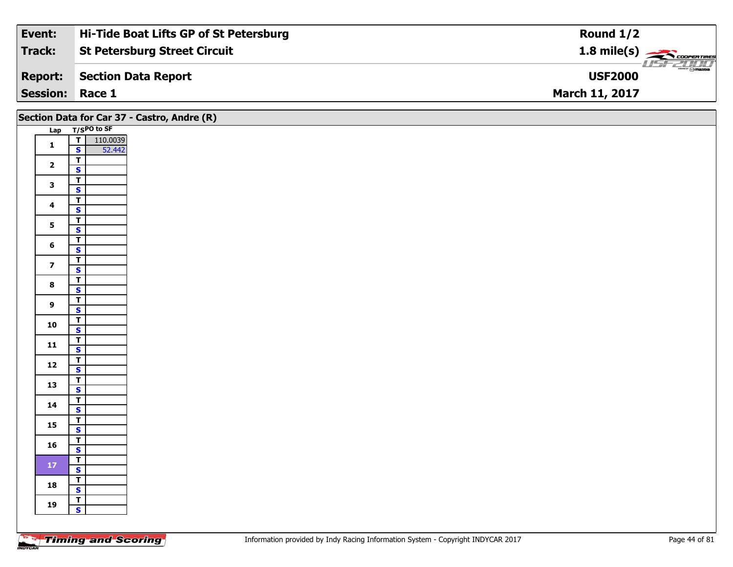| Event:                 | Hi-Tide Boat Lifts GP of St Petersburg | Round $1/2$                                   |
|------------------------|----------------------------------------|-----------------------------------------------|
| Track:                 | <b>St Petersburg Street Circuit</b>    | $1.8$ mile(s) $\rightarrow$ COOPER TIRES      |
| <b>Report:</b>         | <b>Section Data Report</b>             | $\frac{2}{\sqrt{2}}$ omazoa<br><b>USF2000</b> |
| <b>Session: Race 1</b> |                                        | <b>March 11, 2017</b>                         |

|                         |                                                    | Section Data for Car 37 - Castro, Andre (R) |
|-------------------------|----------------------------------------------------|---------------------------------------------|
|                         | Lap T/SPO to SF                                    |                                             |
| $\mathbf{1}$            | $\frac{1}{s}$<br>110.0039<br>52.442                |                                             |
|                         |                                                    |                                             |
| $\overline{2}$          | $\overline{1}$                                     |                                             |
|                         | $\overline{\mathbf{s}}$                            |                                             |
| $\mathbf{3}$            | $\overline{r}$                                     |                                             |
|                         | $\mathbf{s}$                                       |                                             |
| $\overline{\mathbf{4}}$ | $\overline{I}$<br>$\mathbf{s}$                     |                                             |
|                         | $\mathbf{T}$                                       |                                             |
| 5 <sub>5</sub>          | $\overline{\mathbf{s}}$                            |                                             |
|                         | $\overline{r}$                                     |                                             |
| $6\phantom{a}$          | $\mathbf{s}$                                       |                                             |
|                         | $\overline{1}$                                     |                                             |
| $\overline{z}$          | $\mathbf{s}$                                       |                                             |
| $\bf{8}$                | $\overline{\mathsf{T}}$                            |                                             |
|                         | $\mathbf{s}$                                       |                                             |
| $\overline{9}$          | $\overline{\mathbf{r}}$                            |                                             |
|                         | $\mathbf{s}$                                       |                                             |
| 10                      | $\overline{\mathbf{r}}$<br>$\overline{\mathbf{s}}$ |                                             |
|                         | $\overline{r}$                                     |                                             |
| $11$                    | $\mathbf{s}$                                       |                                             |
|                         |                                                    |                                             |
| $12$                    | $\frac{1}{s}$                                      |                                             |
|                         | $\overline{r}$                                     |                                             |
| 13                      | $\mathbf{s}$                                       |                                             |
| 14                      | $\cdot$ $\frac{1}{1}$                              |                                             |
|                         | $\mathbf{s}$                                       |                                             |
| 15                      | $\overline{r}$                                     |                                             |
|                         | $\overline{\mathbf{s}}$                            |                                             |
| 16                      | $\overline{r}$<br>$\overline{\mathbf{s}}$          |                                             |
|                         | $\top$                                             |                                             |
| $172$                   | $\overline{\mathbf{s}}$                            |                                             |
|                         | $\overline{r}$                                     |                                             |
| 18                      | $\overline{\mathbf{s}}$                            |                                             |
| 19                      | $\mathbf{T}$                                       |                                             |
|                         | $\mathbf{s}$                                       |                                             |
|                         |                                                    |                                             |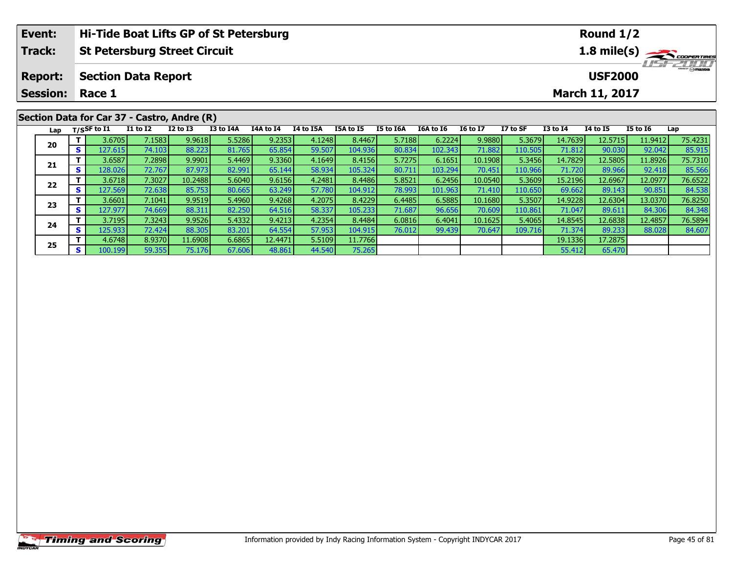| Event:                                       |     |             |                                     |                 | Hi-Tide Boat Lifts GP of St Petersburg |             |           |           |           |           | Round $1/2$           |          |                                  |                 |                 |         |  |
|----------------------------------------------|-----|-------------|-------------------------------------|-----------------|----------------------------------------|-------------|-----------|-----------|-----------|-----------|-----------------------|----------|----------------------------------|-----------------|-----------------|---------|--|
| <b>Track:</b>                                |     |             | <b>St Petersburg Street Circuit</b> |                 |                                        | 1.8 mile(s) |           |           |           |           |                       |          |                                  |                 |                 |         |  |
| <b>Section Data Report</b><br><b>Report:</b> |     |             |                                     |                 |                                        |             |           |           |           |           |                       |          | <b>HSFZOLD</b><br><b>USF2000</b> |                 |                 |         |  |
| <b>Session:</b>                              |     | Race 1      |                                     |                 |                                        |             |           |           |           |           | <b>March 11, 2017</b> |          |                                  |                 |                 |         |  |
| Section Data for Car 37 - Castro, Andre (R)  |     |             |                                     |                 |                                        |             |           |           |           |           |                       |          |                                  |                 |                 |         |  |
| Lap                                          |     | T/SSF to I1 | I1 to I2                            | <b>I2 to I3</b> | I3 to I4A                              | I4A to I4   | I4 to I5A | I5A to I5 | I5 to I6A | 16A to 16 | <b>16 to 17</b>       | I7 to SF | <b>I3 to I4</b>                  | <b>I4 to I5</b> | <b>I5 to I6</b> | Lap     |  |
| 20                                           |     | 3.6705      | 7.1583                              | 9.9618          | 5.5286                                 | 9.2353      | 4.1248    | 8.4467    | 5.7188    | 6.2224    | 9.9880                | 5.3679   | 14.7639                          | 12.5715         | 11.9412         | 75.4231 |  |
|                                              | s l | 127.615     | 74.103                              | 88.223          | 81.765                                 | 65.854      | 59.507    | 104.936   | 80.834    | 102.343   | 71.882                | 110.505  | 71.812                           | 90.030          | 92.042          | 85.915  |  |

| Lap |          | T/SSF to $I1$ | I1 to I2 | $12$ to $13$ | I3 to I4A | 14A to 14 | 14 to 15A | I5A to I5 | 15 to 16A | <b>I6A to I6</b> | <b>I6 to I7</b> | I7 to SF         | I3 to I4 | 14 to 15 | <b>I5 to 16</b> | Lap     |
|-----|----------|---------------|----------|--------------|-----------|-----------|-----------|-----------|-----------|------------------|-----------------|------------------|----------|----------|-----------------|---------|
| 20  |          | 3.6705        | 7.1583   | 9.9618       | 5.5286    | 9.2353    | 4.1248    | 8.4467    | 5.7188    | 6.2224           | 9.9880          | 5.3679           | 14.7639  | 12.5715  | 11.9412         | 75.4231 |
|     | <b>S</b> | 127.615       | 74.103   | 88.223       | 81.765    | 65.854    | 59.507    | 104.936   | 80.834    | 102.343          | 71.882          | 110.505          | 71.812   | 90.030   | 92.042          | 85.915  |
| 21  |          | 3.6587        | 7.2898   | 9.9901       | 5.4469    | 9.3360    | 4.1649    | 8.4156    | 5.7275    | 6.1651           | 10.1908         | 5.3456           | 14.7829  | 12.5805  | 11.8926         | 75.7310 |
|     | S.       | 128.026       | 72.767   | 87.973       | 82.991    | 65.144    | 58.934    | 105.324   | 80.711    | 103.294          | 70.451          | 110.966          | 71.720   | 89.966   | 92.418          | 85.566  |
| 22  |          | 3.6718        | 7.3027   | 10.2488      | 5.6040    | 9.6156    | 4.2481    | 8.4486    | 5.8521    | 6.2456           | 10.0540         | 5.3609           | 15.2196  | 12.69671 | 12.0977         | 76.6522 |
|     | S.       | 127.569       | 72.638   | 85.753       | 80.665    | 63.249    | 57.780    | 104.912   | 78.993    | 101.963          | 71.410          | 110.650          | 69.662   | 89.143   | 90.851          | 84.538  |
| 23  |          | 3.6601        | 7.1041   | 9.9519       | 5.4960    | 9.4268    | 4.2075    | 8.4229    | 6.4485    | 6.5885           | 10.1680         | 5.3507           | 14.9228  | 12.6304  | 13.0370         | 76.8250 |
|     | s l      | 127.977       | 74.669   | 88.311       | 82.250    | 64.516    | 58.337    | 105.233   | 71.687    | 96.656           | 70.609          | 110.861          | 71.047   | 89.611   | 84.306          | 84.348  |
| 24  |          | 3.7195        | 7.32431  | 9.9526       | 5.4332    | 9.4213    | 4.2354    | 8.4484    | 6.0816    | 6.4041           | 10.1625         | 5.4065           | 14.8545  | 12.68381 | 12,4857         | 76.5894 |
|     | S.       | 125.933       | 72.424   | 88.305       | 83.201    | 64.554    | 57.953    | 104.915   | 76.012    | 99.439           | 70.647          | 109.716 <b>1</b> | 71.374   | 89.233   | 88.028          | 84.607  |
| 25  |          | 4.6748        | 8.9370   | 11.6908      | 6.6865    | 12.4471   | 5.5109    | 11.7766   |           |                  |                 |                  | 19.1336  | 17.2875  |                 |         |
|     | s l      | 100.199       | 59.355   | 75.176       | 67.606    | 48.861    | 44.540    | 75.265    |           |                  |                 |                  | 55.412   | 65.470   |                 |         |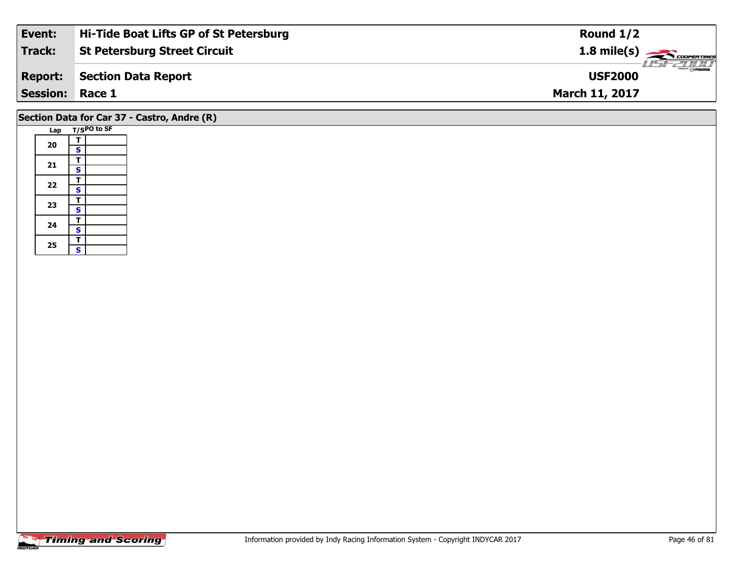| Event:          | Hi-Tide Boat Lifts GP of St Petersburg | Round $1/2$                     |
|-----------------|----------------------------------------|---------------------------------|
| Track:          | <b>St Petersburg Street Circuit</b>    | $1.8 \text{ mile(s)}$           |
| <b>Report:</b>  | Section Data Report                    | <b>Omazoa</b><br><b>USF2000</b> |
| <b>Session:</b> | Race 1                                 | <b>March 11, 2017</b>           |
|                 |                                        |                                 |

# **Section Data for Car 37 - Castro, Andre (R)**

| Lap |   | T/SPO to SF |
|-----|---|-------------|
|     | т |             |
| 20  | S |             |
|     | т |             |
| 21  | S |             |
| 22  | т |             |
|     | S |             |
|     | т |             |
| 23  | S |             |
| 24  | т |             |
|     | S |             |
|     | T |             |
| 25  | S |             |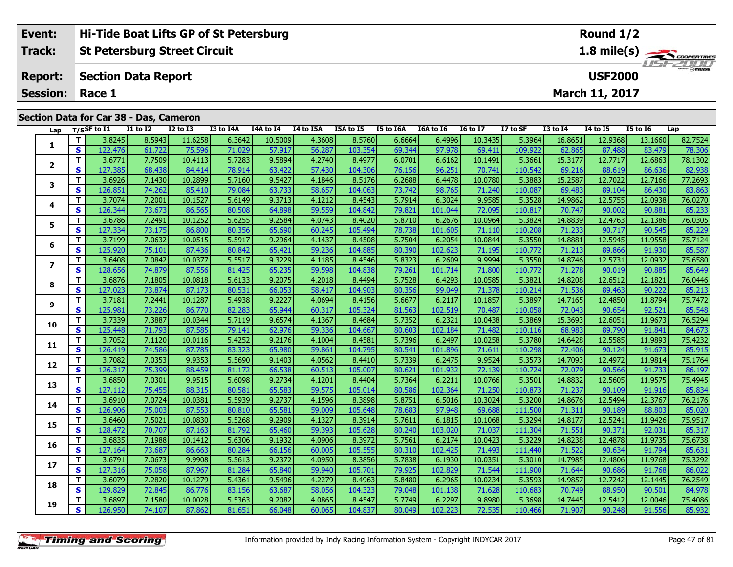| Event:                 | <b>Hi-Tide Boat Lifts GP of St Petersburg</b> | Round $1/2$                                         |
|------------------------|-----------------------------------------------|-----------------------------------------------------|
| Track:                 | St Petersburg Street Circuit                  | $1.8$ mile(s) $\overbrace{\phantom{1}}$ coorentines |
|                        | <b>Report: Section Data Report</b>            | <b>USF2000</b>                                      |
| <b>Session: Race 1</b> |                                               | <b>March 11, 2017</b>                               |
|                        |                                               |                                                     |

#### **Lap T/SSF to I1 I1 to I2 I2 to I3 I3 to I4A I4A to I4 I4 to I5A I5A to I5 I5 to I6A I6A to I6 I6 to I7 I7 to SF I3 to I4 I4 to I5 I5 to I6 Lap 1 <sup>T</sup>** 3.8245 8.5943 11.6258 6.3642 10.5009 4.3608 8.5760 6.6664 6.4996 10.3435 5.3964 16.8651 12.9368 13.1660 82.7524 **<sup>S</sup>** 122.476 61.722 75.596 71.029 57.917 56.287 103.354 69.344 97.978 69.411 109.922 62.865 87.488 83.479 78.306**2**2 T 3.6771 7.7509 10.4113 5.7283 9.5894 4.2740 8.4977 6.0701 6.6162 10.1491 5.3661 15.3177 12.7717 12.6863 78.1302<br>2 S 127.385 68.438 84.414 78.914 63.422 57.430 104.306 76.156 96.251 70.741 110.542 69.216 88.619 86.636 82 **3**3 T | 3.6926 7.1430 10.2899 5.7160 9.5427 4.1846 8.5176 6.2688 6.4478 10.0780 5.3883 15.2587 12.7022 12.7166 77.2693<br>S S 126.851 74.262 85.410 79.084 63.733 58.657 104.063 73.742 98.765 71.240 110.087 69.483 89.104 86.430 **4 <sup>T</sup>** 3.7074 7.2001 10.1527 5.6149 9.3713 4.1212 8.4543 5.7914 6.3024 9.9585 5.3528 14.9862 12.5755 12.0938 76.0270 **<sup>S</sup>** 126.344 73.673 86.565 80.508 64.898 59.559 104.842 79.821 101.044 72.095 110.817 70.747 90.002 90.881 85.23385.233 **5 <sup>T</sup>** 3.6786 7.2491 10.1252 5.6255 9.2584 4.0743 8.4020 5.8710 6.2676 10.0964 5.3824 14.8839 12.4763 12.1386 76.0305 **<sup>S</sup>** 127.334 73.175 86.800 80.356 65.690 60.245 105.494 78.738 101.605 71.110 110.208 71.233 90.717 90.545 85.229**6 <sup>T</sup>** 3.7199 7.0632 10.0515 5.5917 9.2964 4.1437 8.4508 5.7504 6.2054 10.0844 5.3550 14.8881 12.5945 11.9558 75.7124 **<sup>S</sup>** 125.920 75.101 87.436 80.842 65.421 59.236 104.885 80.390 102.623 71.195 110.772 71.213 89.866 91.930 85.587**7**7 | T | 3.6408| 7.0842| 10.0377| 5.5517| 9.3229| 4.1185| 8.4546| 5.8323| 6.2609| 9.9994| 5.3550| 14.8746| 12.5731| 12.0932| 75.6580<br>7 | S | 128.656| 74.879| 87.556| 81.425| 65.235| 59.598| 104.838| 79.261| 101.714| 71.800| 85.649 **8 <sup>T</sup>** 3.6876 7.1805 10.0818 5.6133 9.2075 4.2018 8.4494 5.7528 6.4293 10.0585 5.3821 14.8208 12.6512 12.1821 76.0446 **<sup>S</sup>** 127.023 73.874 87.173 80.531 66.053 58.417 104.903 80.356 99.049 71.378 110.214 71.536 89.463 90.222 85.213**9**75.7472 11.8794 12.4850 12.4850 12.4851 10.1287 10.1287 5.4938 12.4850 10.1287 9.2227 4.0694 8.4156 5.6677 6.2<br>S 125.981 73.226 86.770 82.283 65.944 60.317 105.324 81.563 102.519 70.487 110.058 72.043 90.654 92.521 85.548 85.548 **10**0 | **T** | 3.7339| 7.3887| 10.0344| 5.7119| 9.6574| 4.1367| 8.4684| 5.7352| 6.2321| 10.0438| 5.3869| 15.3693| 12.6051| 11.9673| 76.5294<br>| S | 125.448| 71.793| 87.585| 79.141| 62.976| 59.336| 104.667| 80.603| 102.184| 71.482 **11 <sup>T</sup>** 3.7052 7.1120 10.0116 5.4252 9.2176 4.1004 8.4581 5.7396 6.2497 10.0258 5.3780 14.6428 12.5585 11.9893 75.4232 **<sup>S</sup>** 126.419 74.586 87.785 83.323 65.980 59.861 104.795 80.541 101.896 71.611 110.298 72.406 90.124 91.673 85.915**12**2 T 3.7082 7.0353 9.9353 5.5690 9.1403 4.0562 8.4410 5.7339 6.2475 9.9524 5.3573 14.7093 12.4972 11.9814 75.1764<br>2 S 126.317 75.399 88.459 81.172 66.538 60.513 105.007 80.621 101.932 72.139 110.724 72.079 90.566 91.733 86. **13**3 T 3.6850 7.0301 9.9515 5.6098 9.2734 4.1201 8.4404 5.7364 6.2211 10.0766 5.3501 14.8832 12.5605 11.9575 75.4945<br>S 127.112 75.455 88.315 80.581 65.583 59.575 105.014 80.586 102.364 71.250 110.873 71.237 90.109 91.916 85.8 **14**4 T 3.6910| 7.0724| 10.0381| 5.5939| 9.2737| 4.1596| 8.3898| 5.8751| 6.5016| 10.3024| 5.3200| 14.8676| 12.5494| 12.3767| 76.2176<br>- S 126.906| 75.003| 87.553| 80.810| 65.581| 59.009| 105.648| 78.683| 97.948| 69.688| 111.500 85.020 **15 <sup>T</sup>** 3.6460 7.5021 10.0830 5.5268 9.2909 4.1327 8.3914 5.7611 6.1815 10.1068 5.3294 14.8177 12.5241 11.9426 75.9517 **<sup>S</sup>** 128.472 70.707 87.163 81.792 65.460 59.393 105.628 80.240 103.020 71.037 111.304 71.551 90.371 92.031 85.317**16 <sup>T</sup>** 3.6835 7.1988 10.1412 5.6306 9.1932 4.0906 8.3972 5.7561 6.2174 10.0423 5.3229 14.8238 12.4878 11.9735 75.6738 **<sup>S</sup>** 127.164 73.687 86.663 80.284 66.156 60.005 105.555 80.310 102.425 71.493 111.440 71.522 90.634 91.794 85.631**17**7 T 3.6791 7.0673 9.9908 5.5613 9.2372 4.0950 8.3856 5.7838 6.1930 10.0351 5.3010 14.7985 12.4806 11.9768 75.3292<br>7 S 127.316 75.058 87.967 81.284 65.840 59.940 105.701 79.925 102.829 71.544 111.900 71.644 90.686 91.768 86 **18**8 T 3.6079 7.2820 10.1279 5.4361 9.5496 4.2279 8.4963 5.8480 6.2965 10.0234 5.3593 14.9857 12.7242 12.1445 76.2549<br>S S 129.829 72.845 86.776 83.156 63.687 58.056 104.323 79.048 101.138 71.628 110.683 70.749 88.950 90.501 8 **19**75.4086 | 12.5412 | 12.5412 | 12.5412 | 12.5412 | 12.5412 | 12.5412 | 12.589 | 14.7445 | 12.5412 | 12.5412 | 1<br>87.862 | 126.950 | 74.107 | 87.862 | 81.651 | 66.048 | 60.065 | 104.837 | 80.049 | 102.223 | 72.535 | 110.466 **Section Data for Car 38 - Das, Cameron**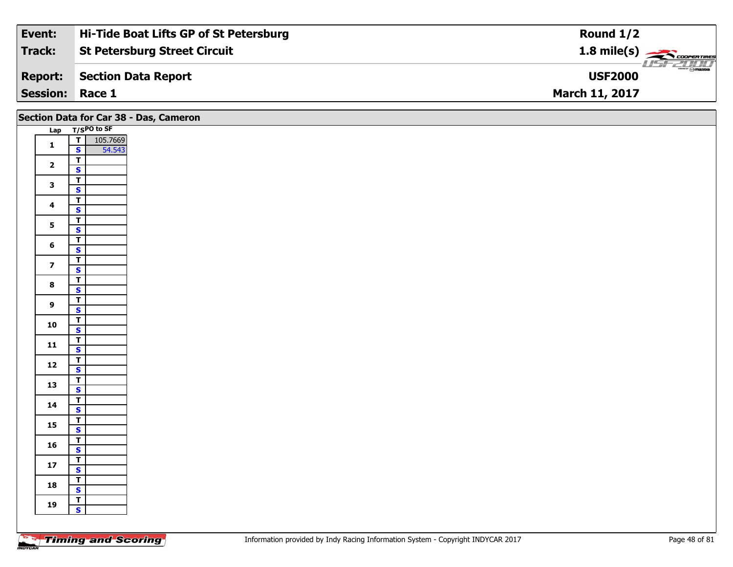| Event:                 | Hi-Tide Boat Lifts GP of St Petersburg | Round $1/2$                |
|------------------------|----------------------------------------|----------------------------|
| Track:                 | <b>St Petersburg Street Circuit</b>    |                            |
| <b>Report:</b>         | Section Data Report                    | USF 2000<br><b>USF2000</b> |
| <b>Session: Race 1</b> |                                        | <b>March 11, 2017</b>      |

|                         |                                         | Section Data for Car 38 - Das, Cameron |
|-------------------------|-----------------------------------------|----------------------------------------|
|                         | Lap T/SPO to SF                         |                                        |
| $\mathbf{1}$            | 105.7669<br>$\overline{I}$              |                                        |
|                         | $\mathbf{s}$<br>54.543                  |                                        |
| $\overline{2}$          | $\mathbf{I}$                            |                                        |
|                         | $\mathbf{s}$                            |                                        |
| $\mathbf{3}$            | $\overline{\mathbf{r}}$                 |                                        |
|                         | $\overline{\mathbf{s}}$                 |                                        |
| $\overline{\mathbf{4}}$ | $\overline{\mathsf{r}}$                 |                                        |
|                         | $\mathbf{s}$                            |                                        |
| 5 <sup>1</sup>          | $\overline{r}$                          |                                        |
|                         | $\overline{\mathbf{s}}$                 |                                        |
| $6\phantom{a}$          | $\overline{r}$<br>$\mathbf{s}$          |                                        |
|                         | $\overline{r}$                          |                                        |
| $\overline{z}$          | $\overline{\mathbf{s}}$                 |                                        |
|                         | $\overline{\mathsf{T}}$                 |                                        |
| $\bf{8}$                | $\overline{\mathbf{s}}$                 |                                        |
|                         | $\overline{\mathsf{r}}$                 |                                        |
| 9                       | $\mathbf{s}$                            |                                        |
|                         | $\vert$                                 |                                        |
| 10                      | $\overline{\mathbf{s}}$                 |                                        |
| 11                      | $\overline{1}$                          |                                        |
|                         | $\mathbf{s}$                            |                                        |
| $12$                    | $rac{1}{s}$                             |                                        |
|                         |                                         |                                        |
| 13                      | $\mathbf{T}$                            |                                        |
|                         | $\overline{\mathbf{s}}$                 |                                        |
| 14                      | $\overline{\mathsf{T}}$<br>$\mathsf{s}$ |                                        |
|                         | $\overline{T}$                          |                                        |
| 15                      | $\overline{\mathbf{s}}$                 |                                        |
|                         | $\overline{t}$                          |                                        |
| 16                      | $\mathsf{s}$                            |                                        |
|                         | $\mathbf{T}$                            |                                        |
| $17$                    | $\mathbf{s}$                            |                                        |
| 18                      | $\vert$ T                               |                                        |
|                         | $\overline{\mathbf{s}}$                 |                                        |
| 19                      | $\overline{\mathsf{T}}$                 |                                        |
|                         | $\mathbf{s}$                            |                                        |
|                         |                                         |                                        |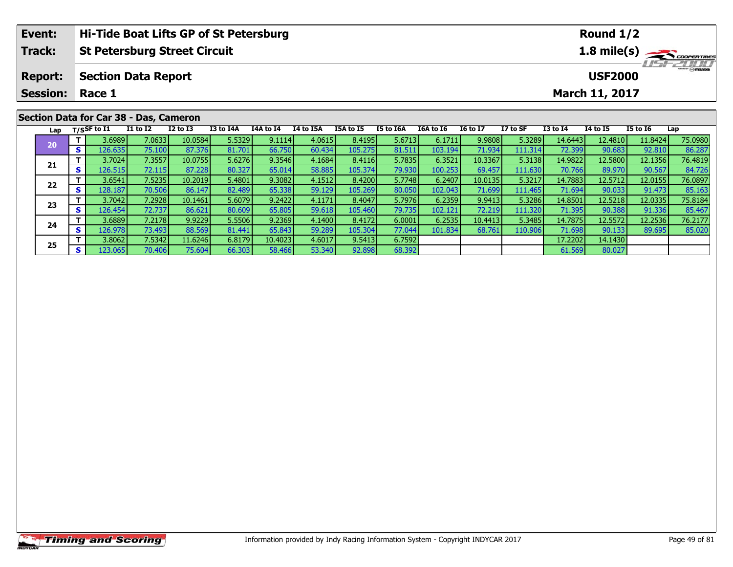| Event:                                 |                    | Hi-Tide Boat Lifts GP of St Petersburg |              |           |           |           |                  |                |           |                         | Round $1/2$           |                 |          |                 |         |  |  |
|----------------------------------------|--------------------|----------------------------------------|--------------|-----------|-----------|-----------|------------------|----------------|-----------|-------------------------|-----------------------|-----------------|----------|-----------------|---------|--|--|
| <b>Track:</b>                          |                    | <b>St Petersburg Street Circuit</b>    |              |           |           |           | 1.8 mile(s)      |                |           |                         |                       |                 |          |                 |         |  |  |
| <b>Report:</b>                         |                    | <b>Section Data Report</b>             |              |           |           |           |                  | <b>USF2000</b> |           | $\frac{1}{\odot}$ mazoa |                       |                 |          |                 |         |  |  |
| <b>Session:</b>                        |                    | Race 1                                 |              |           |           |           |                  |                |           |                         | <b>March 11, 2017</b> |                 |          |                 |         |  |  |
| Section Data for Car 38 - Das, Cameron |                    |                                        |              |           |           |           |                  |                |           |                         |                       |                 |          |                 |         |  |  |
|                                        | Lap $T/S$ SF to I1 | <b>I1 to I2</b>                        | $I2$ to $I3$ | I3 to I4A | I4A to I4 | I4 to I5A | <b>I5A to I5</b> | I5 to I6A      | I6A to I6 | <b>16 to 17</b>         | I7 to SF              | <b>I3 to I4</b> | 14 to 15 | <b>I5 to 16</b> | Lap     |  |  |
| 20                                     | 3.6989             | 7.0633                                 | 10.0584      | 5.5329    | 9.1114    | 4.0615    | 8.4195           | 5.6713         | 6.1711    | 9.9808                  | 5.3289                | 14.6443         | 12.4810  | 11.8424         | 75.0980 |  |  |
|                                        | S<br>126.6351      | 75.1001                                | 87.376       | 81.701    | 66.750    | 60.434    | 105.275          | 81.511         | 103.194   | 71.934                  | 111.314               | 72.3991         | 90.683   | 92.810          | 86.287  |  |  |

**<sup>T</sup>** 3.7024 7.3557 10.0755 5.6276 9.3546 4.1684 8.4116 5.7835 6.3521 10.3367 5.3138 14.9822 12.5800 12.1356 76.4819 **<sup>S</sup>** 126.515 72.115 87.228 80.327 65.014 58.885 105.374 79.930 100.253 69.457 111.630 70.766 89.970 90.567 84.726

2 T 3.6541 7.5235 10.2019 5.4801 9.3082 4.1512 8.4200 5.7748 6.2407 10.0135 5.3217 14.7883 12.5712 12.0155 76.0897<br>S 128.187 70.506 86.147 82.489 65.338 59.129 105.269 80.050 102.043 71.699 111.465 71.694 90.033 91.473 85.

**<sup>T</sup>** 3.7042 7.2928 10.1461 5.6079 9.2422 4.1171 8.4047 5.7976 6.2359 9.9413 5.3286 14.8501 12.5218 12.0335 75.8184 **<sup>S</sup>** 126.454 72.737 86.621 80.609 65.805 59.618 105.460 79.735 102.121 72.219 111.320 71.395 90.388 91.336 85.467

4 T 3.6889 7.2178 9.9229 5.5506 9.2369 4.1400 8.4172 6.0001 6.2535 10.4413 5.3485 14.7875 12.5572 12.2536 76.2177<br>S 126.978 73.493 88.569 81.441 65.843 59.289 105.304 77.044 101.834 68.761 110.906 71.698 90.133 89.695 85.0

**<sup>T</sup>** 3.8062 7.5342 11.6246 6.8179 10.4023 4.6017 9.5413 6.7592 17.2202 14.1430 **<sup>S</sup>** 123.065 70.406 75.604 66.303 58.466 53.340 92.898 68.392 61.569 80.027

**21**

**22**

**23**

**24**

**25**

84.726

85.467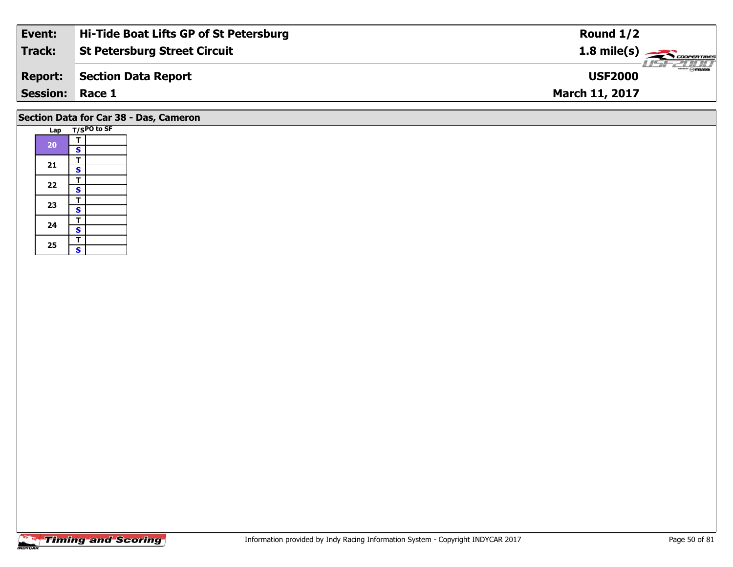| Event:          | Hi-Tide Boat Lifts GP of St Petersburg | Round $1/2$                                    |
|-----------------|----------------------------------------|------------------------------------------------|
| Track:          | <b>St Petersburg Street Circuit</b>    | $1.8 \text{ mile(s)} \longrightarrow \text{S}$ |
| <b>Report:</b>  | Section Data Report                    | LISFELINI<br><b>USF2000</b>                    |
| <b>Session:</b> | Race 1                                 | <b>March 11, 2017</b>                          |
|                 |                                        |                                                |

# **Section Data for Car 38 - Das, Cameron**

|  | Lap |                         | T/SPO to SF |
|--|-----|-------------------------|-------------|
|  |     | т                       |             |
|  | 20  | $\mathbf s$             |             |
|  |     | Т                       |             |
|  | 21  | $\overline{\mathbf{s}}$ |             |
|  | 22  | т                       |             |
|  |     | S                       |             |
|  | 23  | т                       |             |
|  |     | $\overline{\mathbf{s}}$ |             |
|  | 24  | T                       |             |
|  |     | $\overline{\mathbf{s}}$ |             |
|  |     | T                       |             |
|  | 25  | Ś                       |             |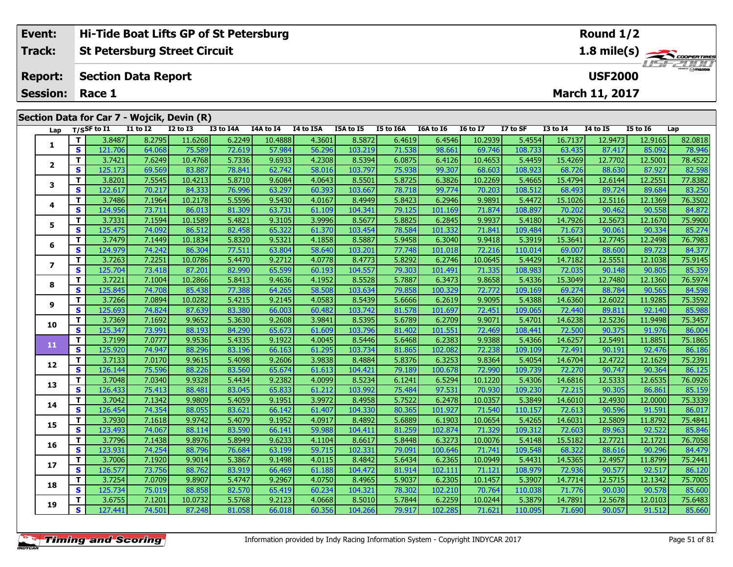|  | Event:                                     |          |                            |                 | Hi-Tide Boat Lifts GP of St Petersburg |           |           | Round $1/2$                     |                  |           |           |                 |                |                 |                       |                 |         |  |  |
|--|--------------------------------------------|----------|----------------------------|-----------------|----------------------------------------|-----------|-----------|---------------------------------|------------------|-----------|-----------|-----------------|----------------|-----------------|-----------------------|-----------------|---------|--|--|
|  | Track:                                     |          |                            |                 | <b>St Petersburg Street Circuit</b>    |           |           | 1.8 mile(s)<br><b>LISF 2007</b> |                  |           |           |                 |                |                 |                       |                 |         |  |  |
|  | <b>Report:</b>                             |          | <b>Section Data Report</b> |                 |                                        |           |           |                                 |                  |           |           |                 | <b>USF2000</b> |                 |                       |                 |         |  |  |
|  | <b>Session:</b>                            |          | Race 1                     |                 |                                        |           |           |                                 |                  |           |           |                 |                |                 | <b>March 11, 2017</b> |                 |         |  |  |
|  | Section Data for Car 7 - Wojcik, Devin (R) |          |                            |                 |                                        |           |           |                                 |                  |           |           |                 |                |                 |                       |                 |         |  |  |
|  | Lap $T/SSF$ to I1                          |          |                            | <b>I1 to I2</b> | <b>I2 to I3</b>                        | I3 to I4A | I4A to I4 | I4 to I5A                       | <b>I5A to I5</b> | I5 to I6A | I6A to I6 | <b>I6 to I7</b> | I7 to SF       | <b>I3 to I4</b> | <b>I4 to I5</b>       | <b>I5 to I6</b> | Lap     |  |  |
|  |                                            |          | 3.8487                     | 8.2795          | 11.6268                                | 6.2249    | 10.4888   | 4.3601                          | 8.5872           | 6.4619    | 6.4546    | 10.2939         | 5.4554         | 16.7137         | 12.9473               | 12.9165         | 82.0818 |  |  |
|  |                                            | <b>S</b> | 121.706                    | 64.068          | 75.589                                 | 72.619    | 57.984    | 56.296                          | 103.219          | 71.538    | 98.661    | 69.746          | 108.733        | 63.435          | 87.417                | 85.092          | 78.946  |  |  |
|  |                                            |          | 3.7421                     | 7.6249          | 10.4768                                | 5.7336    | 9.6933    | 4.2308                          | 8.5394           | 6.0875    | 6.4126    | 10.4653         | 5.4459         | 15.4269         | 12.7702               | 12.5001         | 78.4522 |  |  |

| 1            |         | יטו טוע           | $\sim$           | --.v-vv          | $-2.2$           | - 000            | 1.9001           | $0.907 -$         | 0.1012           | <u>.</u>          | <b>AU.LJUJ</b>    | - - -             | 10.7197           | -- - - - <i>- -</i> | ------            | 02.0010           |
|--------------|---------|-------------------|------------------|------------------|------------------|------------------|------------------|-------------------|------------------|-------------------|-------------------|-------------------|-------------------|---------------------|-------------------|-------------------|
|              | S.      | 121.706           | 64.068           | 75.589           | 72.619           | 57.984           | 56.296           | 103.219           | 71.538           | 98.661            | 69.746            | 108.733           | 63.435            | 87.417              | 85.092            | 78.946            |
| $\mathbf{2}$ | Τ.      | 3.7421            | 7.6249           | 10.4768          | 5.7336           | 9.6933           | 4.2308           | 8.5394            | 6.0875           | 6.4126            | 10.4653           | 5.4459            | 15.4269           | 12.7702             | 12.5001           | 78.4522           |
|              | S       | 125.173           | 69.569           | 83.887           | 78.841           | 62.742           | 58.016           | 103.797           | 75.938           | 99.307            | 68.603            | 108.923           | 68.726            | 88.630              | 87.927            | 82.598            |
| 3            | T.      | 3.8201            | 7.5545           | 10.4213          | 5.8710           | 9.6084           | 4.0643           | 8.5501            | 5.8725           | 6.3826            | 10.2269           | 5.4665            | 15.4794           | 12.6144             | 12.2551           | 77.8382           |
|              | S       | 122.617           | 70.217           | 84.333           | 76.996           | 63.297           | 60.393           | 103.667           | 78.718           | 99.774            | 70.203            | 108.512           | 68.493            | 89.724              | 89.684            | 83.250            |
| 4            | T.      | 3.7486            | 7.1964           | 10.2178          | 5.5596           | 9.5430           | 4.0167           | 8.4949            | 5.8423           | 6.2946            | 9.9891            | 5.4472            | 15.1026           | 12.5116             | 12.1369           | 76.3502           |
|              | S       | 124.956           | 73.711           | 86.013           | 81.309           | 63.731           | 61.109           | 104.341           | 79.125           | 101.169           | 71.874            | 108.897           | 70.202            | 90.462              | 90.558            | 84.872            |
| 5            | T.      | 3.7331            | 7.1594           | 10.1589          | 5.4821           | 9.3105           | 3.9996           | 8.5677            | 5.8825           | 6.2845            | 9.9937            | 5.4180            | 14.7926           | 12.5673             | 12.1670           | 75.9900           |
|              | S       | 125.475           | 74.092           | 86.512           | 82.458           | 65.322           | 61.370           | 103.454           | 78.584           | 101.332           | 71.841            | 109.484           | 71.673            | 90.061              | 90.334            | 85.274            |
| 6            | T.      | 3.7479            | 7.1449           | 10.1834          | 5.8320           | 9.5321           | 4.1858           | 8.5887            | 5.9458           | 6.3040            | 9.9418            | 5.3919            | 15.3641           | 12.7745             | 12.2498           | 76.7983           |
|              | S       | 124.979           | 74.242           | 86.304           | 77.511           | 63.804           | 58.640           | 103.201           | 77.748           | 101.018           | 72.216            | 110.014           | 69.007            | 88.600              | 89.723            | 84.377            |
| 7            | T.      | 3.7263            | 7.2251           | 10.0786          | 5.4470           | 9.2712           | 4.0778           | 8.4773            | 5.8292           | 6.2746            | 10.0645           | 5.4429            | 14.7182           | 12.5551             | 12.1038           | 75.9145           |
|              | S       | 125.704           | 73.418           | 87.201           | 82.990           | 65.599           | 60.193           | 104.557           | 79.303           | 101.491           | 71.335            | 108.983           | 72.035            | 90.148              | 90.805            | 85.359            |
| 8            | T.      | 3.7221            | 7.1004           | 10.2866          | 5.8413           | 9.4636           | 4.1952           | 8.5528            | 5.7887           | 6.3473            | 9.8658            | 5.4336            | 15.3049           | 12.7480             | 12.1360           | 76.5974           |
|              | S       | 125.845           | 74.708           | 85.438           | 77.388           | 64.265           | 58.508           | 103.634           | 79.858           | 100.329           | 72.772            | 109.169           | 69.274            | 88.784              | 90.565            | 84.598            |
| 9            | T.      | 3.7266            | 7.0894           | 10.0282          | 5.4215           | 9.2145           | 4.0583           | 8.5439            | 5.6666           | 6.2619            | 9.9095            | 5.4388            | 14.6360           | 12.6022             | 11.9285           | 75.3592           |
|              | S       | 125.693           | 74.824           | 87.639           | 83.380           | 66.003           | 60.482           | 103.742           | 81.578           | 101.697           | 72.451            | 109.065           | 72.440            | 89.811              | 92.140            | 85.988            |
| 10           | Τ.      | 3.7369            | 7.1692           | 9.9652           | 5.3630           | 9.2608           | 3.9841           | 8.5395            | 5.6789           | 6.2709            | 9.9071            | 5.4701            | 14.6238           | 12.5236             | 11.9498           | 75.3457           |
|              | S       | 125.347           | 73.991           | 88.193           | 84.290           | 65.673           | 61.609           | 103.796           | 81.402           | 101.551           | 72.469            | 108.441           | 72.500            | 90.375              | 91.976            | 86.004            |
| 11           | T.      | 3.7199            | 7.0777           | 9.9536           | 5.4335           | 9.1922           | 4.0045           | 8.5446            | 5.6468           | 6.2383            | 9.9388            | 5.4366            | 14.6257           | 12.5491             | 11.8851           | 75.1865           |
|              | S       | 125.920           | 74.947           | 88.296           | 83.196           | 66.163           | 61.295           | 103.734           | 81.865           | 102.082           | 72.238            | 109.109           | 72.491            | 90.191              | 92.476            | 86.186            |
| 12           | T.      | 3.7133            | 7.0170           | 9.9615           | 5.4098           | 9.2606           | 3.9838           | 8.4884            | 5.8376           | 6.3253            | 9.8364            | 5.4054            | 14.6704           | 12.4722             | 12.1629           | 75.2391           |
|              | S       | 126.144           | 75.596           | 88.226           | 83.560           | 65.674           | 61.613           | 104.421           | 79.189           | 100.678           | 72.990            | 109.739           | 72.270            | 90.747              | 90.364            | 86.125            |
| 13           | T.      | 3.7048            | 7.0340           | 9.9328           | 5.4434           | 9.2382           | 4.0099           | 8.5234            | 6.1241           | 6.5294            | 10.1220           | 5.4306            | 14.6816           | 12.5333             | 12.6535           | 76.0926           |
|              | S<br>T. | 126.433<br>3.7042 | 75.413           | 88.481           | 83.045<br>5.4059 | 65.833           | 61.212           | 103.992           | 75.484<br>5.7522 | 97.531            | 70.930            | 109.230           | 72.215            | 90.305              | 86.861            | 85.159            |
| 14           | S       | 126.454           | 7.1342<br>74.354 | 9.9809           | 83.621           | 9.1951<br>66.142 | 3.9972           | 8.4958<br>104.330 | 80.365           | 6.2478            | 10.0357           | 5.3849            | 14.6010<br>72.613 | 12.4930             | 12.0000           | 75.3339<br>86.017 |
|              | T.      | 3.7930            |                  | 88.055           | 5.4079           | 9.1952           | 61.407<br>4.0917 |                   |                  | 101.927           | 71.540            | 110.157           |                   | 90.596              | 91.591            |                   |
| 15           | s       | 123.493           | 7.1618<br>74.067 | 9.9742<br>88.114 | 83.590           | 66.141           | 59.988           | 8.4892<br>104.411 | 5.6889<br>81.259 | 6.1903<br>102.874 | 10.0654<br>71.329 | 5.4265<br>109.312 | 14.6031<br>72.603 | 12.5809<br>89.963   | 11.8792<br>92.522 | 75.4841<br>85.846 |
|              | T.      | 3.7796            | 7.1438           | 9.8976           | 5.8949           | 9.6233           | 4.1104           | 8.6617            | 5.8448           | 6.3273            | 10.0076           | 5.4148            | 15.5182           | 12.7721             | 12.1721           | 76.7058           |
| 16           | S       | 123.931           | 74.254           | 88.796           | 76.684           | 63.199           | 59.715           | 102.331           | 79.091           | 100.646           | 71.741            | 109.548           | 68.322            | 88.616              | 90.296            | 84.479            |
|              | T.      | 3.7006            | 7.1920           | 9.9014           | 5.3867           | 9.1498           | 4.0115           | 8.4842            | 5.6434           | 6.2365            | 10.0949           | 5.4431            | 14.5365           | 12.4957             | 11.8799           | 75.2441           |
| 17           | S.      | 126.577           | 73.756           | 88.762           | 83.919           | 66.469           | 61.188           | 104.472           | 81.914           | 102.111           | 71.121            | 108.979           | 72.936            | 90.577              | 92.517            | 86.120            |
|              | T.      | 3.7254            | 7.0709           | 9.8907           | 5.4747           | 9.2967           | 4.0750           | 8.4965            | 5.9037           | 6.2305            | 10.1457           | 5.3907            | 14.7714           | 12.5715             | 12.1342           | 75.7005           |
| 18           | S       | 125.734           | 75.019           | 88.858           | 82.570           | 65.419           | 60.234           | 104.321           | 78.302           | 102.210           | 70.764            | 110.038           | 71.776            | 90.030              | 90.578            | 85.600            |
|              | T.      | 3.6755            | 7.1201           | 10.0732          | 5.5768           | 9.2123           | 4.0668           | 8.5010            | 5.7844           | 6.2259            | 10.0244           | 5.3879            | 14.7891           | 12.5678             | 12.0103           | 75.6483           |
| 19           | S       | 127.441           | 74.501           | 87.248           | 81.058           | 66.018           | 60.356           | 104.266           | 79.917           | 102.285           | 71.621            | 110.095           | 71.690            | 90.057              | 91.512            | 85.660            |
|              |         |                   |                  |                  |                  |                  |                  |                   |                  |                   |                   |                   |                   |                     |                   |                   |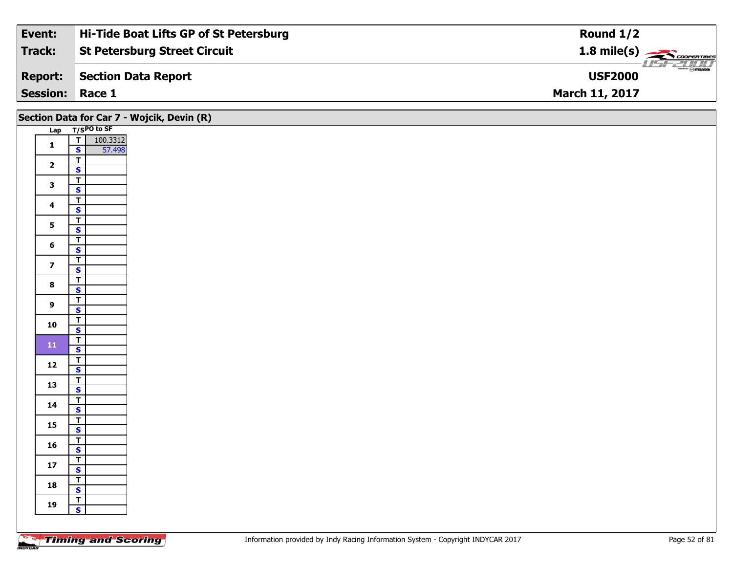| Event:                 | Hi-Tide Boat Lifts GP of St Petersburg | Round $1/2$                                 |
|------------------------|----------------------------------------|---------------------------------------------|
| Track:                 | <b>St Petersburg Street Circuit</b>    |                                             |
| <b>Report:</b>         | Section Data Report                    | $\overline{\Theta}$ mazpa<br><b>USF2000</b> |
| <b>Session: Race 1</b> |                                        | <b>March 11, 2017</b>                       |

|                         | Section Data for Car 7 - Wojcik, Devin (R) |  |
|-------------------------|--------------------------------------------|--|
|                         | Lap T/SPO to SF                            |  |
| $\mathbf{1}$            | $\overline{I}$<br>100.3312                 |  |
|                         | $\mathbf{s}$<br>57.498                     |  |
| $\overline{\mathbf{2}}$ | $\mathbf{r}$                               |  |
|                         | $\mathbf{s}$                               |  |
| $\mathbf{3}$            | $\overline{\mathsf{T}}$<br>$\mathbf{s}$    |  |
|                         | $\overline{r}$                             |  |
| $\overline{\mathbf{4}}$ | $\mathbf{s}$                               |  |
|                         | $\mathbf{r}$                               |  |
| $5\overline{)}$         | $\mathbf{s}$                               |  |
| $6\phantom{a}$          | $\overline{\mathbf{r}}$                    |  |
|                         | $\mathbf{s}$                               |  |
| $\overline{\mathbf{z}}$ | $\mathsf{T}$                               |  |
|                         | $\overline{\mathbf{s}}$                    |  |
| $\bf{8}$                | $\overline{r}$<br>$\overline{\mathbf{s}}$  |  |
|                         | $\overline{r}$                             |  |
| $\mathbf{9}$            | $\mathbf{s}$                               |  |
|                         | $\overline{1}$                             |  |
| 10                      | $\overline{\mathbf{s}}$                    |  |
| ${\bf 11}$              | $\overline{r}$                             |  |
|                         | $\mathbf{s}$                               |  |
| 12                      | $\mathbf{I}$<br>$\overline{\mathbf{s}}$    |  |
|                         | $\overline{I}$                             |  |
| 13                      | $\overline{\mathbf{s}}$                    |  |
|                         | $\mathbf{r}$                               |  |
| 14                      | $\mathbf{s}$                               |  |
| 15                      | $\overline{1}$                             |  |
|                         | $\overline{\mathbf{s}}$                    |  |
| 16                      | $\overline{I}$<br>$\mathbf{s}$             |  |
|                         | $\mathbf{r}$                               |  |
| 17                      | $\mathbf{s}$                               |  |
|                         | $\mathbf{r}$                               |  |
| 18                      | $\mathbf{s}$                               |  |
| 19                      | $\overline{I}$                             |  |
|                         | $\mathbf{s}$                               |  |
|                         |                                            |  |

Τ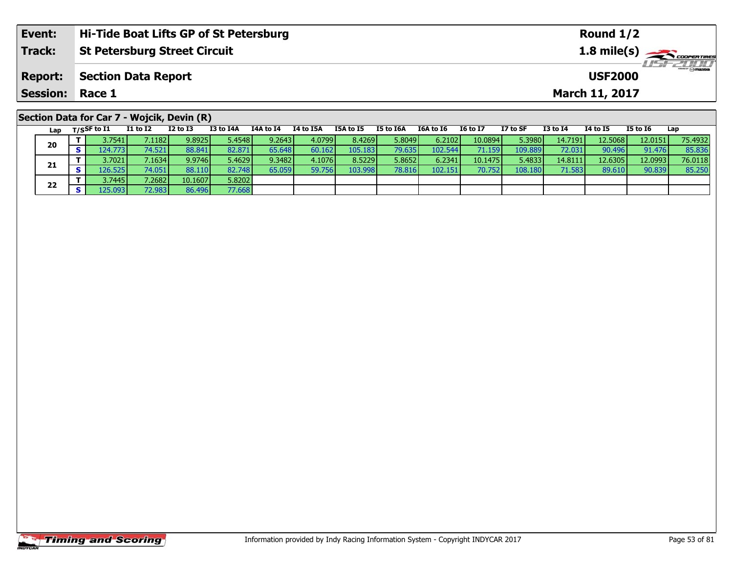| Event:          | Hi-Tide Boat Lifts GP of St Petersburg     |          |           |           |           |           | Round $1/2$ |           |          |          |                 |                       |          |                       |  |
|-----------------|--------------------------------------------|----------|-----------|-----------|-----------|-----------|-------------|-----------|----------|----------|-----------------|-----------------------|----------|-----------------------|--|
| <b>Track:</b>   | <b>St Petersburg Street Circuit</b>        |          |           |           |           |           |             |           |          |          |                 |                       |          | $1.8 \text{ mile(s)}$ |  |
| <b>Report:</b>  | <b>Section Data Report</b>                 |          |           |           |           |           |             |           |          |          |                 | <b>USF2000</b>        |          | <b>USF 2000</b>       |  |
| <b>Session:</b> | Race 1                                     |          |           |           |           |           |             |           |          |          |                 | <b>March 11, 2017</b> |          |                       |  |
|                 |                                            |          |           |           |           |           |             |           |          |          |                 |                       |          |                       |  |
|                 | Section Data for Car 7 - Wojcik, Devin (R) |          |           |           |           |           |             |           |          |          |                 |                       |          |                       |  |
| Lap             | I1 to I2<br>T/SSF to I1                    | I2 to I3 | I3 to I4A | I4A to I4 | I4 to I5A | I5A to I5 | I5 to I6A   | I6A to I6 | I6 to I7 | I7 to SF | <b>I3 to I4</b> | <b>I4 to I5</b>       | I5 to I6 | Lap                   |  |

| Lap | $1/3$ <sup>3</sup> to $-$ | .               |         |          | .               | .      |         | w .w   |         |         | .       | .        | .                | .       | -- P    |
|-----|---------------------------|-----------------|---------|----------|-----------------|--------|---------|--------|---------|---------|---------|----------|------------------|---------|---------|
| 20  | 3.7541 l                  | 7.1182 <b>I</b> | 9.8925  | 5.4548 l | 9.2643          | 4.0799 | 8.4269  | 5.8049 | 6.2102  | 10.0894 | 5.3980  | 14.71911 | 12.5068 <b>1</b> | 12.0151 | 75.4932 |
|     | 124.7731                  | 74.521          | 88.841  | 82.871   | 65.648 <b>I</b> | 60.162 | 105.183 | 79.635 | 102.544 | 71.159  | 109.889 | 72.031   | 90.496           | 91.476  | 85.836  |
|     | 3.70211                   | 7.1634          | 9.9746  | 5.4629   | 9.3482          | 4.1076 | 8.5229  | 5.8652 | 6.2341  | 10.1475 | 5.4833  | 14.8111  | 12.6305          | 12.0993 | 76.0118 |
| 21  | L26.525 l                 | 74.051          | 88.110  | 82.748   | 65.059          | 59.756 | 103.998 | 78.816 | 102.151 | 70.7521 | 108.180 | 71.583 l | 89.610           | 90.839  | 85.250  |
| 22  | 3.7445 l                  | 7.2682          | 10.1607 | 5.8202   |                 |        |         |        |         |         |         |          |                  |         |         |
|     | 5.0931                    | 72.983          | 86.496  | 77.668   |                 |        |         |        |         |         |         |          |                  |         |         |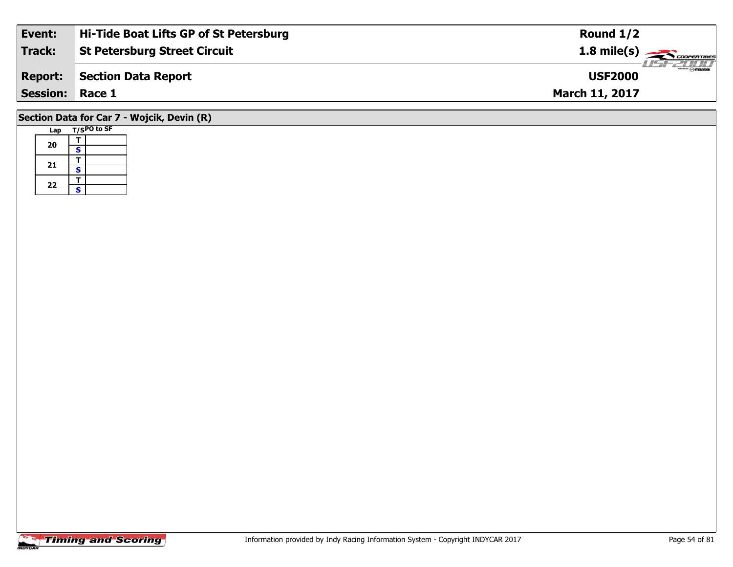| Event:                                     | Hi-Tide Boat Lifts GP of St Petersburg | Round $1/2$                                                                                               |  |  |  |  |  |  |  |
|--------------------------------------------|----------------------------------------|-----------------------------------------------------------------------------------------------------------|--|--|--|--|--|--|--|
| <b>Track:</b>                              | <b>St Petersburg Street Circuit</b>    | 1.8 mile(s) $\frac{1}{\sqrt{1-\frac{1}{2}}\sqrt{1-\frac{1}{2}}\sqrt{1-\frac{1}{2}}\sqrt{1-\frac{1}{2}}}}$ |  |  |  |  |  |  |  |
| <b>Report:</b>                             | Section Data Report                    | <b>USF2000</b>                                                                                            |  |  |  |  |  |  |  |
| <b>Session: Race 1</b>                     |                                        | <b>March 11, 2017</b>                                                                                     |  |  |  |  |  |  |  |
| Section Data for Car 7 - Wojcik, Devin (R) |                                        |                                                                                                           |  |  |  |  |  |  |  |

#### **Lap T/SPO to SF 20** $\frac{1}{s}$  $\overline{\mathbf{T}}$ 21  $\frac{1}{s}$  $rac{s}{T}$  $22$   $\frac{1}{s}$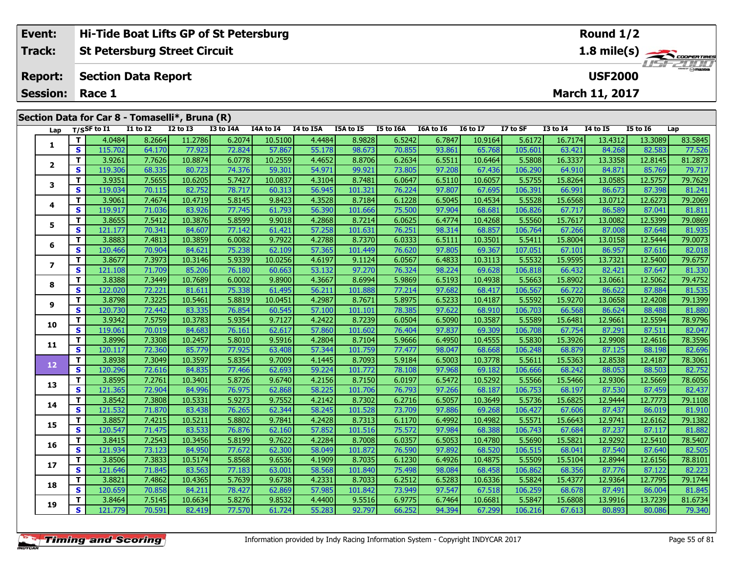| Event:          |             | Hi-Tide Boat Lifts GP of St Petersburg         |                 |           |           |                  |           |           |           |                 |          |                 | Round $1/2$           |                 |                 |
|-----------------|-------------|------------------------------------------------|-----------------|-----------|-----------|------------------|-----------|-----------|-----------|-----------------|----------|-----------------|-----------------------|-----------------|-----------------|
| <b>Track:</b>   |             | <b>St Petersburg Street Circuit</b>            |                 |           |           |                  |           |           |           |                 |          |                 |                       | 1.8 mile(s)     |                 |
| <b>Report:</b>  |             | <b>Section Data Report</b>                     |                 |           |           |                  |           |           |           |                 |          |                 | <b>USF2000</b>        |                 | <b>USF 2000</b> |
| <b>Session:</b> | Race 1      |                                                |                 |           |           |                  |           |           |           |                 |          |                 | <b>March 11, 2017</b> |                 |                 |
|                 |             | Section Data for Car 8 - Tomaselli*, Bruna (R) |                 |           |           |                  |           |           |           |                 |          |                 |                       |                 |                 |
| Lap             | T/SSF to I1 | <b>I1 to I2</b>                                | <b>I2 to I3</b> | I3 to I4A | I4A to I4 | <b>I4 to I5A</b> | I5A to I5 | I5 to I6A | I6A to I6 | <b>I6 to I7</b> | I7 to SF | <b>I3 to I4</b> | <b>I4 to I5</b>       | <b>I5 to 16</b> | Lap             |
|                 | 4.0484      | 8.2664                                         | 11.2786         | 6.2074    | 10.5100   | 4.4484           | 8.9828    | 6.5242    | 6.7847    | 10.9164         | 5.6172   | 16.7174         | 13.4312               | 13.3089         | 83.5845         |

| Lap                      |              | 1/53F to 11 | 11 10 TT | TY 10 T3 | 15 LO 14A | 14A W 14 | 14 LO 13A | 15A LO 15 | <b>19 TO TOW</b> | TOW TO TO | <b>TO TO TV</b> | 17 LO 3F | 19 IO 14 | 14 IO 13 | 19 M TO | ∟ap     |
|--------------------------|--------------|-------------|----------|----------|-----------|----------|-----------|-----------|------------------|-----------|-----------------|----------|----------|----------|---------|---------|
|                          | $\mathbf T$  | 4.0484      | 8.2664   | 11.2786  | 6.2074    | 10.5100  | 4.4484    | 8.9828    | 6.5242           | 6.7847    | 10.9164         | 5.6172   | 16.7174  | 13.4312  | 13.3089 | 83.5845 |
| 1                        | $\mathbf{s}$ | 115.702     | 64.170   | 77.923   | 72.824    | 57.867   | 55.178    | 98.673    | 70.855           | 93.861    | 65.768          | 105.601  | 63.421   | 84.268   | 82.583  | 77.526  |
|                          | $\mathbf T$  | 3.9261      | 7.7626   | 10.8874  | 6.0778    | 10.2559  | 4.4652    | 8.8706    | 6.2634           | 6.5511    | 10.6464         | 5.5808   | 16.3337  | 13.3358  | 12.8145 | 81.2873 |
| $\mathbf{2}$             | $\mathbf{s}$ | 119.306     | 68.335   | 80.723   | 74.376    | 59.301   | 54.971    | 99.921    | 73.805           | 97.208    | 67.436          | 106.290  | 64.910   | 84.871   | 85.769  | 79.717  |
| 3                        | $\mathbf T$  | 3.9351      | 7.5655   | 10.6205  | 5.7427    | 10.0837  | 4.3104    | 8.7481    | 6.0647           | 6.5110    | 10.6057         | 5.5755   | 15.8264  | 13.0585  | 12.5757 | 79.7629 |
|                          | $\mathbf{s}$ | 119.034     | 70.115   | 82.752   | 78.717    | 60.313   | 56.945    | 101.321   | 76.224           | 97.807    | 67.695          | 106.391  | 66.991   | 86.673   | 87.398  | 81.241  |
| 4                        | $\mathbf T$  | 3.9061      | 7.4674   | 10.4719  | 5.8145    | 9.8423   | 4.3528    | 8.7184    | 6.1228           | 6.5045    | 10.4534         | 5.5528   | 15.6568  | 13.0712  | 12.6273 | 79.2069 |
|                          | $\mathbf s$  | 119.917     | 71.036   | 83.926   | 77.745    | 61.793   | 56.390    | 101.666   | 75.500           | 97.904    | 68.681          | 106.826  | 67.717   | 86.589   | 87.041  | 81.811  |
| 5                        | $\mathbf T$  | 3.8655      | 7.5412   | 10.3876  | 5.8599    | 9.9018   | 4.2868    | 8.7214    | 6.0625           | 6.4774    | 10.4268         | 5.5560   | 15.7617  | 13.0082  | 12.5399 | 79.0869 |
|                          | $\mathbf{s}$ | 121.177     | 70.341   | 84.607   | 77.142    | 61.421   | 57.258    | 101.631   | 76.251           | 98.314    | 68.857          | 106.764  | 67.266   | 87.008   | 87.648  | 81.935  |
| 6                        | $\mathbf T$  | 3.8883      | 7.4813   | 10.3859  | 6.0082    | 9.7922   | 4.2788    | 8.7370    | 6.0333           | 6.5111    | 10.3501         | 5.5411   | 15.8004  | 13.0158  | 12.5444 | 79.0073 |
|                          | $\mathbf{s}$ | 120.466     | 70.904   | 84.621   | 75.238    | 62.109   | 57.365    | 101.449   | 76.620           | 97.805    | 69.367          | 107.051  | 67.101   | 86.957   | 87.616  | 82.018  |
| $\overline{\phantom{a}}$ | Т            | 3.8677      | 7.3973   | 10.3146  | 5.9339    | 10.0256  | 4.6197    | 9.1124    | 6.0567           | 6.4833    | 10.3113         | 5.5532   | 15.9595  | 13.7321  | 12.5400 | 79.6757 |
|                          | $\mathbf{s}$ | 121.108     | 71.709   | 85.206   | 76.180    | 60.663   | 53.132    | 97.270    | 76.324           | 98.224    | 69.628          | 106.818  | 66.432   | 82.421   | 87.647  | 81.330  |
| 8                        | $\mathbf T$  | 3.8388      | 7.3449   | 10.7689  | 6.0002    | 9.8900   | 4.3667    | 8.6994    | 5.9869           | 6.5193    | 10.4938         | 5.5663   | 15.8902  | 13.0661  | 12.5062 | 79.4752 |
|                          | $\mathbf{s}$ | 122.020     | 72.221   | 81.611   | 75.338    | 61.495   | 56.211    | 101.888   | 77.214           | 97.682    | 68.417          | 106.567  | 66.722   | 86.622   | 87.884  | 81.535  |
| 9                        | $\mathbf T$  | 3.8798      | 7.3225   | 10.5461  | 5.8819    | 10.0451  | 4.2987    | 8.7671    | 5.8975           | 6.5233    | 10.4187         | 5.5592   | 15.9270  | 13.0658  | 12.4208 | 79.1399 |
|                          | $\mathbf{s}$ | 120.730     | 72.442   | 83.335   | 76.854    | 60.545   | 57.100    | 101.101   | 78.385           | 97.622    | 68.910          | 106.703  | 66.568   | 86.624   | 88.488  | 81.880  |
| 10                       | $\mathbf{T}$ | 3.9342      | 7.5759   | 10.3783  | 5.9354    | 9.7127   | 4.2422    | 8.7239    | 6.0504           | 6.5090    | 10.3587         | 5.5589   | 15.6481  | 12.9661  | 12.5594 | 78.9796 |
|                          | <b>S</b>     | 119.061     | 70.019   | 84.683   | 76.161    | 62.617   | 57.860    | 101.602   | 76.404           | 97.837    | 69.309          | 106.708  | 67.754   | 87.291   | 87.511  | 82.047  |
| 11                       | $\mathbf T$  | 3.8996      | 7.3308   | 10.2457  | 5.8010    | 9.5916   | 4.2804    | 8.7104    | 5.9666           | 6.4950    | 10.4555         | 5.5830   | 15.3926  | 12.9908  | 12.4616 | 78.3596 |
|                          | $\mathbf{s}$ | 120.117     | 72.360   | 85.779   | 77.925    | 63.408   | 57.344    | 101.759   | 77.477           | 98.047    | 68.668          | 106.248  | 68.879   | 87.125   | 88.198  | 82.696  |
| 12                       | $\mathbf T$  | 3.8938      | 7.3049   | 10.3597  | 5.8354    | 9.7009   | 4.1445    | 8.7093    | 5.9184           | 6.5003    | 10.3778         | 5.5611   | 15.5363  | 12.8538  | 12.4187 | 78.3061 |
|                          | $\mathbf{s}$ | 120.296     | 72.616   | 84.835   | 77.466    | 62.693   | 59.224    | 101.772   | 78.108           | 97.968    | 69.182          | 106.666  | 68.242   | 88.053   | 88.503  | 82.752  |
| 13                       | $\mathbf T$  | 3.8595      | 7.2761   | 10.3401  | 5.8726    | 9.6740   | 4.2156    | 8.7150    | 6.0197           | 6.5472    | 10.5292         | 5.5566   | 15.5466  | 12.9306  | 12.5669 | 78.6056 |
|                          | $\mathbf{s}$ | 121.365     | 72.904   | 84.996   | 76.975    | 62.868   | 58.225    | 101.706   | 76.793           | 97.266    | 68.187          | 106.753  | 68.197   | 87.530   | 87.459  | 82.437  |
| 14                       | $\mathbf T$  | 3.8542      | 7.3808   | 10.5331  | 5.9273    | 9.7552   | 4.2142    | 8.7302    | 6.2716           | 6.5057    | 10.3649         | 5.5736   | 15.6825  | 12.9444  | 12.7773 | 79.1108 |
|                          | $\mathbf{s}$ | 121.532     | 71.870   | 83.438   | 76.265    | 62.344   | 58.245    | 101.528   | 73.709           | 97.886    | 69.268          | 106.427  | 67.606   | 87.437   | 86.019  | 81.910  |
| 15                       | $\mathbf T$  | 3.8857      | 7.4215   | 10.5211  | 5.8802    | 9.7841   | 4.2428    | 8.7313    | 6.1170           | 6.4992    | 10.4982         | 5.5571   | 15.6643  | 12.9741  | 12.6162 | 79.1382 |
|                          | $\mathbf{s}$ | 120.547     | 71.475   | 83.533   | 76.876    | 62.160   | 57.852    | 101.516   | 75.572           | 97.984    | 68.388          | 106.743  | 67.684   | 87.237   | 87.117  | 81.882  |
| 16                       | $\mathbf{T}$ | 3.8415      | 7.2543   | 10.3456  | 5.8199    | 9.7622   | 4.2284    | 8.7008    | 6.0357           | 6.5053    | 10.4780         | 5.5690   | 15.5821  | 12.9292  | 12.5410 | 78.5407 |
|                          | $\mathbf{s}$ | 121.934     | 73.123   | 84.950   | 77.672    | 62.300   | 58.049    | 101.872   | 76.590           | 97.892    | 68.520          | 106.515  | 68.041   | 87.540   | 87.640  | 82.505  |
| 17                       | $\mathbf T$  | 3.8506      | 7.3833   | 10.5174  | 5.8568    | 9.6536   | 4.1909    | 8.7035    | 6.1230           | 6.4926    | 10.4875         | 5.5509   | 15.5104  | 12.8944  | 12.6156 | 78.8101 |
|                          | $\mathbf{s}$ | 121.646     | 71.845   | 83.563   | 77.183    | 63.001   | 58.568    | 101.840   | 75.498           | 98.084    | 68.458          | 106.862  | 68.356   | 87.776   | 87.122  | 82.223  |
| 18                       | $\mathbf T$  | 3.8821      | 7.4862   | 10.4365  | 5.7639    | 9.6738   | 4.2331    | 8.7033    | 6.2512           | 6.5283    | 10.6336         | 5.5824   | 15.4377  | 12.9364  | 12.7795 | 79.1744 |
|                          | $\mathbf{s}$ | 120.659     | 70.858   | 84.211   | 78.427    | 62.869   | 57.985    | 101.842   | 73.949           | 97.547    | 67.518          | 106.259  | 68.678   | 87.491   | 86.004  | 81.845  |
| 19                       | $\mathbf T$  | 3.8464      | 7.5145   | 10.6634  | 5.8276    | 9.8532   | 4.4400    | 9.5516    | 6.9775           | 6.7464    | 10.6681         | 5.5847   | 15.6808  | 13.9916  | 13.7239 | 81.6734 |
|                          | $\mathbf{s}$ | 121.779     | 70.591   | 82.419   | 77.570    | 61.724   | 55.283    | 92.797    | 66.252           | 94.394    | 67.299          | 106.216  | 67.613   | 80.893   | 80.086  | 79.340  |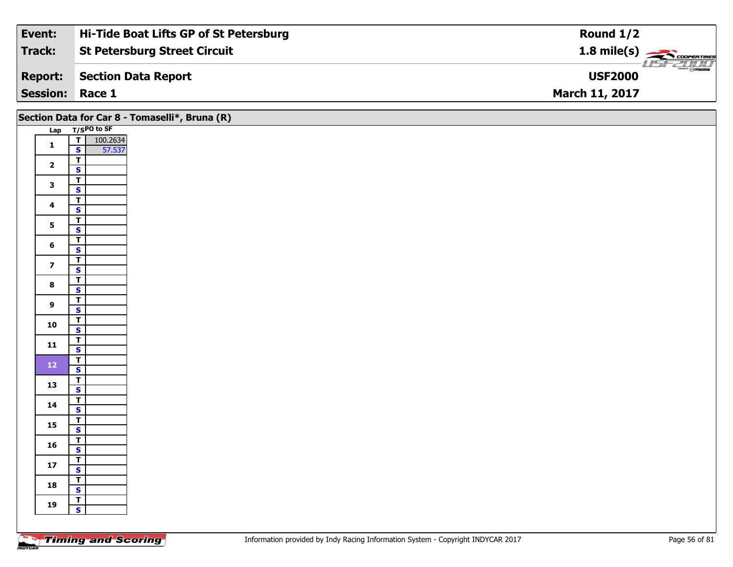| Event:                 | Hi-Tide Boat Lifts GP of St Petersburg | Round $1/2$                                                                                                                                                                                                                                                                                                                                                                                                                                                                                       |
|------------------------|----------------------------------------|---------------------------------------------------------------------------------------------------------------------------------------------------------------------------------------------------------------------------------------------------------------------------------------------------------------------------------------------------------------------------------------------------------------------------------------------------------------------------------------------------|
| Track:                 | <b>St Petersburg Street Circuit</b>    | $1.8$ mile(s) $\sim$ CODPERTIRES                                                                                                                                                                                                                                                                                                                                                                                                                                                                  |
| <b>Report:</b>         | Section Data Report                    | $\overline{\phantom{a}}$ $\overline{\phantom{a}}$ $\overline{\phantom{a}}$ $\overline{\phantom{a}}$ $\overline{\phantom{a}}$ $\overline{\phantom{a}}$ $\overline{\phantom{a}}$ $\overline{\phantom{a}}$ $\overline{\phantom{a}}$ $\overline{\phantom{a}}$ $\overline{\phantom{a}}$ $\overline{\phantom{a}}$ $\overline{\phantom{a}}$ $\overline{\phantom{a}}$ $\overline{\phantom{a}}$ $\overline{\phantom{a}}$ $\overline{\phantom{a}}$ $\overline{\phantom{a}}$ $\overline{\$<br><b>USF2000</b> |
| <b>Session: Race 1</b> |                                        | <b>March 11, 2017</b>                                                                                                                                                                                                                                                                                                                                                                                                                                                                             |

|                         | Section Data for Car 8 - Tomaselli*, Bruna (R)     |
|-------------------------|----------------------------------------------------|
|                         | Lap T/SPO to SF                                    |
| $\mathbf{1}$            | $\frac{T}{S}$<br>100.2634<br>57.537                |
|                         | $\overline{\mathsf{r}}$                            |
| $\overline{\mathbf{2}}$ | $\mathbf{s}$                                       |
| $\mathbf{3}$            | $\overline{\mathbf{r}}$                            |
|                         | $\overline{\mathbf{s}}$                            |
| $\overline{\mathbf{4}}$ | $\overline{\mathsf{r}}$<br>$\mathbf{s}$            |
|                         | $\overline{1}$                                     |
| $5\overline{)}$         | $\overline{\mathbf{s}}$                            |
| $6\phantom{a}$          | $\overline{I}$                                     |
|                         | $\mathbf{s}$<br>$\overline{\mathbf{r}}$            |
| $\overline{\mathbf{z}}$ | $\overline{\mathbf{s}}$                            |
| $\bf{8}$                | $\overline{\mathbf{T}}$                            |
|                         | $\overline{\mathbf{s}}$                            |
| $\overline{9}$          | $\overline{\mathsf{T}}$<br>$\mathsf{s}$            |
|                         | $\overline{1}$                                     |
| 10                      | $\overline{\mathbf{s}}$                            |
| 11                      | $\overline{I}$<br>$\mathbf{s}$                     |
|                         | $\overline{\mathbf{T}}$                            |
| $12$                    | $\overline{\mathbf{s}}$                            |
| 13                      | $\overline{\mathsf{T}}$                            |
|                         | $\overline{\mathbf{s}}$<br>$\overline{\mathbf{T}}$ |
| 14                      | $\mathsf{s}$                                       |
| 15                      | $\overline{\mathsf{T}}$                            |
|                         | $\overline{\mathbf{s}}$                            |
| 16                      | $\overline{I}$<br>$\mathbf{s}$                     |
|                         | $\overline{\mathbf{T}}$                            |
| ${\bf 17}$              | $\mathbf{s}$                                       |
| 18                      | $\overline{\mathsf{T}}$                            |
|                         | $\overline{\mathbf{s}}$<br>$\overline{\mathbf{r}}$ |
| 19                      | $\mathbf{s}$                                       |
|                         |                                                    |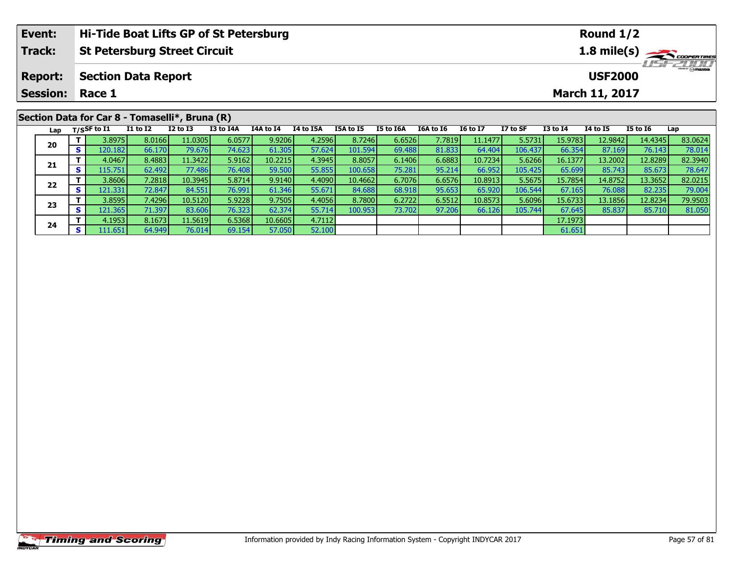| Event:          |     |                |                            |                                                | Hi-Tide Boat Lifts GP of St Petersburg |           |           |           |           |           |                 |          |                 | Round $1/2$           |                 |                         |
|-----------------|-----|----------------|----------------------------|------------------------------------------------|----------------------------------------|-----------|-----------|-----------|-----------|-----------|-----------------|----------|-----------------|-----------------------|-----------------|-------------------------|
| Track:          |     |                |                            | <b>St Petersburg Street Circuit</b>            |                                        |           |           |           |           |           |                 |          |                 |                       |                 | 1.8 mile(s)             |
| <b>Report:</b>  |     |                | <b>Section Data Report</b> |                                                |                                        |           |           |           |           |           |                 |          |                 | <b>USF2000</b>        |                 | $\frac{2}{\odot}$ mazoa |
| <b>Session:</b> |     | Race 1         |                            |                                                |                                        |           |           |           |           |           |                 |          |                 | <b>March 11, 2017</b> |                 |                         |
|                 |     |                |                            | Section Data for Car 8 - Tomaselli*, Bruna (R) |                                        |           |           |           |           |           |                 |          |                 |                       |                 |                         |
| Lap             |     | $T/S$ SF to I1 | <b>I1 to I2</b>            | $I2$ to $I3$                                   | I3 to I4A                              | I4A to I4 | I4 to I5A | I5A to I5 | I5 to I6A | I6A to I6 | <b>16 to 17</b> | I7 to SF | <b>I3 to I4</b> | <b>I4 to I5</b>       | <b>I5 to I6</b> | Lap                     |
| 20              |     | 3.8975         | 8.0166                     | 11.0305                                        | 6.0577                                 | 9.9206    | 4.2596    | 8.7246    | 6.6526    | 7.7819    | 11.1477         | 5.5731   | 15.9783         | 12.9842               | 14.4345         | 83.0624                 |
|                 | S I | 120.1821       | 66.170                     | 79.676                                         | 74.623                                 | 61.305    | 57.624    | 101.594   | 69.488    | 81.833    | 64.404          | 106.437  | 66.354          | 87.169                | 76.143          | 78.014                  |

**<sup>T</sup>** 4.0467 8.4883 11.3422 5.9162 10.2215 4.3945 8.8057 6.1406 6.6883 10.7234 5.6266 16.1377 13.2002 12.8289 82.3940 **<sup>S</sup>** 115.751 62.492 77.486 76.408 59.500 55.855 100.658 75.281 95.214 66.952 105.425 65.699 85.743 85.673 78.647

2 T 3.8606 7.2818 10.3945 5.8714 9.9140 4.4090 10.4662 6.7076 6.6576 10.8913 5.5675 15.7854 14.8752 13.3652 82.0215<br>S 121.331 72.847 84.551 76.991 61.346 55.671 84.688 68.918 95.653 65.920 106.544 67.165 76.088 82.235 79.0

3 T 3.8595| 7.4296| 10.5120| 5.9228| 9.7505| 4.4056| 8.7800| 6.2722| 6.5512| 10.8573| 5.6096| 15.6733| 13.1856| 12.8234| 79.9503<br>S S 121.365| 71.397| 83.606| 76.323| 62.374| 55.714| 100.953| 73.702| 97.206| 66.126| 105.744

**T** 4.1953 8.1673 11.5619 6.5368 10.6605 4.7112 17.1973 11.5619 6.5368 10.6605 67.112<br> **S** 111.651 64.949 76.014 69.154 57.050 52.100 61.651 61.651 61.651

**21**

**22**

**23**

**24**

78.647<br>82.0215

79.004

81.050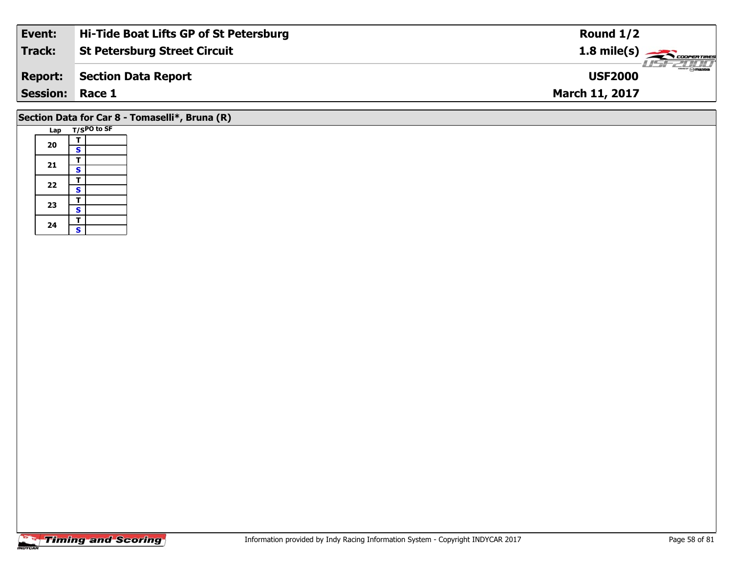| Event:          | Hi-Tide Boat Lifts GP of St Petersburg | Round $1/2$                                            |
|-----------------|----------------------------------------|--------------------------------------------------------|
| Track:          | <b>St Petersburg Street Circuit</b>    | $1.8 \text{ mile(s)} \longrightarrow \text{COPERIMES}$ |
| <b>Report:</b>  | Section Data Report                    | <b>Omazoa</b><br><b>USF2000</b>                        |
| <b>Session:</b> | Race 1                                 | <b>March 11, 2017</b>                                  |
|                 |                                        |                                                        |

# **Section Data for Car 8 - Tomaselli\*, Bruna (R)**

|  | Lap |                         | T/SPO to SF |
|--|-----|-------------------------|-------------|
|  |     | т                       |             |
|  | 20  | $\overline{\mathbf{s}}$ |             |
|  |     | T                       |             |
|  | 21  | $\overline{\mathbf{s}}$ |             |
|  | 22  | т                       |             |
|  |     | S                       |             |
|  |     | т                       |             |
|  | 23  | S                       |             |
|  | 24  | т                       |             |
|  |     | Ś                       |             |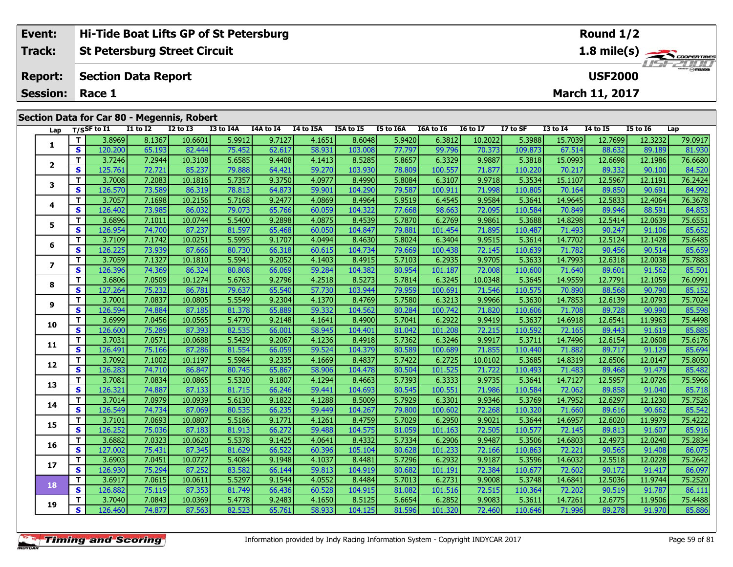| Track:<br>St Petersburg Street Circuit<br><b>Report:</b> Section Data Report<br><b>USF2000</b><br><b>Session: Race 1</b><br><b>March 11, 2017</b> | Event: | <b>Hi-Tide Boat Lifts GP of St Petersburg</b> | Round $1/2$                       |
|---------------------------------------------------------------------------------------------------------------------------------------------------|--------|-----------------------------------------------|-----------------------------------|
|                                                                                                                                                   |        |                                               | $1.8$ mile(s) $\sum$ coorer TIRES |
|                                                                                                                                                   |        |                                               |                                   |
|                                                                                                                                                   |        |                                               |                                   |

# **Section Data for Car 80 - Megennis, Robert**

| Lap                      |              | T/SSF to I1 | I1 to I2 | <b>I2 to I3</b> | I3 to I4A | I4A to I4 | I4 to I5A | I5A to I5 | I5 to I6A | I6A to I6 | <b>16 to 17</b> | I7 to SF | <b>I3 to I4</b> | <b>I4 to I5</b> | <b>I5 to 16</b> | Lap     |
|--------------------------|--------------|-------------|----------|-----------------|-----------|-----------|-----------|-----------|-----------|-----------|-----------------|----------|-----------------|-----------------|-----------------|---------|
| 1                        | т            | 3.8969      | 8.1367   | 10.6601         | 5.9912    | 9.7127    | 4.1651    | 8.6048    | 5.9420    | 6.3812    | 10.2022         | 5.3988   | 15.7039         | 12.7699         | 12.3232         | 79.0917 |
|                          | S            | 120.200     | 65.193   | 82.444          | 75.452    | 62.617    | 58.931    | 103.008   | 77.797    | 99.796    | 70.373          | 109.873  | 67.514          | 88.632          | 89.189          | 81.930  |
|                          | T.           | 3.7246      | 7.2944   | 10.3108         | 5.6585    | 9.4408    | 4.1413    | 8.5285    | 5.8657    | 6.3329    | 9.9887          | 5.3818   | 15.0993         | 12.6698         | 12.1986         | 76.6680 |
| $\mathbf{2}$             | S            | 125.761     | 72.721   | 85.237          | 79.888    | 64.421    | 59.270    | 103.930   | 78.809    | 100.557   | 71.877          | 110.220  | 70.217          | 89.332          | 90.100          | 84.520  |
|                          | Т            | 3.7008      | 7.2083   | 10.1816         | 5.7357    | 9.3750    | 4.0977    | 8.4990    | 5.8084    | 6.3107    | 9.9718          | 5.3534   | 15.1107         | 12.5967         | 12.1191         | 76.2424 |
| 3                        | $\mathbf{s}$ | 126.570     | 73.589   | 86.319          | 78.813    | 64.873    | 59.901    | 104.290   | 79.587    | 100.911   | 71.998          | 110.805  | 70.164          | 89.850          | 90.691          | 84.992  |
|                          | $\mathbf{T}$ | 3.7057      | 7.1698   | 10.2156         | 5.7168    | 9.2477    | 4.0869    | 8.4964    | 5.9519    | 6.4545    | 9.9584          | 5.3641   | 14.9645         | 12.5833         | 12.4064         | 76.3678 |
| 4                        | $\mathbf{s}$ | 126.402     | 73.985   | 86.032          | 79.073    | 65.766    | 60.059    | 104.322   | 77.668    | 98.663    | 72.095          | 110.584  | 70.849          | 89.946          | 88.591          | 84.853  |
| 5                        | т            | 3.6896      | 7.1011   | 10.0744         | 5.5400    | 9.2898    | 4.0875    | 8.4539    | 5.7870    | 6.2769    | 9.9861          | 5.3688   | 14.8298         | 12.5414         | 12.0639         | 75.6551 |
|                          | $\mathbf{s}$ | 126.954     | 74.700   | 87.237          | 81.597    | 65.468    | 60.050    | 104.847   | 79.881    | 101.454   | 71.895          | 110.487  | 71.493          | 90.247          | 91.106          | 85.652  |
| 6                        | Т            | 3.7109      | 7.1742   | 10.0251         | 5.5995    | 9.1707    | 4.0494    | 8.4630    | 5.8024    | 6.3404    | 9.9515          | 5.3614   | 14.7702         | 12.5124         | 12.1428         | 75.6485 |
|                          | S            | 126.225     | 73.939   | 87.666          | 80.730    | 66.318    | 60.615    | 104.734   | 79.669    | 100.438   | 72.145          | 110.639  | 71.782          | 90.456          | 90.514          | 85.659  |
| $\overline{\phantom{a}}$ | т            | 3.7059      | 7.1327   | 10.1810         | 5.5941    | 9.2052    | 4.1403    | 8.4915    | 5.7103    | 6.2935    | 9.9705          | 5.3633   | 14.7993         | 12.6318         | 12.0038         | 75.7883 |
|                          | S            | 126.396     | 74.369   | 86.324          | 80.808    | 66.069    | 59.284    | 104.382   | 80.954    | 101.187   | 72.008          | 110.600  | 71.640          | 89.601          | 91.562          | 85.501  |
| 8                        | Т            | 3.6806      | 7.0509   | 10.1274         | 5.6763    | 9.2796    | 4.2518    | 8.5273    | 5.7814    | 6.3245    | 10.0348         | 5.3645   | 14.9559         | 12.7791         | 12.1059         | 76.0991 |
|                          | S            | 127.264     | 75.232   | 86.781          | 79.637    | 65.540    | 57.730    | 103.944   | 79.959    | 100.691   | 71.546          | 110.575  | 70.890          | 88.568          | 90.790          | 85.152  |
| 9                        | $\mathbf{T}$ | 3.7001      | 7.0837   | 10.0805         | 5.5549    | 9.2304    | 4.1370    | 8.4769    | 5.7580    | 6.3213    | 9.9966          | 5.3630   | 14.7853         | 12.6139         | 12.0793         | 75.7024 |
|                          | S            | 126.594     | 74.884   | 87.185          | 81.378    | 65.889    | 59.332    | 104.562   | 80.284    | 100.742   | 71.820          | 110.606  | 71.708          | 89.728          | 90.990          | 85.598  |
| 10                       | T            | 3.6999      | 7.0456   | 10.0565         | 5.4770    | 9.2148    | 4.1641    | 8.4900    | 5.7041    | 6.2922    | 9.9419          | 5.3637   | 14.6918         | 12.6541         | 11.9963         | 75.4498 |
|                          | $\mathbf{s}$ | 126.600     | 75.289   | 87.393          | 82.535    | 66.001    | 58.945    | 104.401   | 81.042    | 101.208   | 72.215          | 110.592  | 72.165          | 89.443          | 91.619          | 85.885  |
| 11                       | $\mathbf{T}$ | 3.7031      | 7.0571   | 10.0688         | 5.5429    | 9.2067    | 4.1236    | 8.4918    | 5.7362    | 6.3246    | 9.9917          | 5.3711   | 14.7496         | 12.6154         | 12.0608         | 75.6176 |
|                          | S            | 126.491     | 75.166   | 87.286          | 81.554    | 66.059    | 59.524    | 104.379   | 80.589    | 100.689   | 71.855          | 110.440  | 71.882          | 89.717          | 91.129          | 85.694  |
| 12                       | T.           | 3.7092      | 7.1002   | 10.1197         | 5.5984    | 9.2335    | 4.1669    | 8.4837    | 5.7422    | 6.2725    | 10.0102         | 5.3685   | 14.8319         | 12.6506         | 12.0147         | 75.8050 |
|                          | S            | 126.283     | 74.710   | 86.847          | 80.745    | 65.867    | 58.906    | 104.478   | 80.504    | 101.525   | 71.722          | 110.493  | 71.483          | 89.468          | 91.479          | 85.482  |
| 13                       | $\mathbf{T}$ | 3.7081      | 7.0834   | 10.0865         | 5.5320    | 9.1807    | 4.1294    | 8.4663    | 5.7393    | 6.3333    | 9.9735          | 5.3641   | 14.7127         | 12.5957         | 12.0726         | 75.5966 |
|                          | $\mathbf{s}$ | 126.321     | 74.887   | 87.133          | 81.715    | 66.246    | 59.441    | 104.693   | 80.545    | 100.551   | 71.986          | 110.584  | 72.062          | 89.858          | 91.040          | 85.718  |
| 14                       | T.           | 3.7014      | 7.0979   | 10.0939         | 5.6130    | 9.1822    | 4.1288    | 8.5009    | 5.7929    | 6.3301    | 9.9346          | 5.3769   | 14.7952         | 12.6297         | 12.1230         | 75.7526 |
|                          | S            | 126.549     | 74.734   | 87.069          | 80.535    | 66.235    | 59.449    | 104.267   | 79.800    | 100.602   | 72.268          | 110.320  | 71.660          | 89.616          | 90.662          | 85.542  |
| 15                       | т            | 3.7101      | 7.0693   | 10.0807         | 5.5186    | 9.1771    | 4.1261    | 8.4759    | 5.7029    | 6.2950    | 9.9021          | 5.3644   | 14.6957         | 12.6020         | 11.9979         | 75.4222 |
|                          | $\mathbf{s}$ | 126.252     | 75.036   | 87.183          | 81.913    | 66.272    | 59.488    | 104.575   | 81.059    | 101.163   | 72.505          | 110.577  | 72.145          | 89.813          | 91.607          | 85.916  |
| 16                       | т            | 3.6882      | 7.0323   | 10.0620         | 5.5378    | 9.1425    | 4.0641    | 8.4332    | 5.7334    | 6.2906    | 9.9487          | 5.3506   | 14.6803         | 12.4973         | 12.0240         | 75.2834 |
|                          | S            | 127.002     | 75.431   | 87.345          | 81.629    | 66.522    | 60.396    | 105.104   | 80.628    | 101.233   | 72.166          | 110.863  | 72.221          | 90.565          | 91.408          | 86.075  |
| 17                       | T.           | 3.6903      | 7.0451   | 10.0727         | 5.4084    | 9.1948    | 4.1037    | 8.4481    | 5.7296    | 6.2932    | 9.9187          | 5.3596   | 14.6032         | 12.5518         | 12.0228         | 75.2642 |
|                          | $\mathbf{s}$ | 126.930     | 75.294   | 87.252          | 83.582    | 66.144    | 59.813    | 104.919   | 80.682    | 101.191   | 72.384          | 110.677  | 72.602          | 90.172          | 91.417          | 86.097  |
| 18                       | Т            | 3.6917      | 7.0615   | 10.0611         | 5.5297    | 9.1544    | 4.0552    | 8.4484    | 5.7013    | 6.2731    | 9.9008          | 5.3748   | 14.6841         | 12.5036         | 11.9744         | 75.2520 |
|                          | S            | 126.882     | 75.119   | 87.353          | 81.749    | 66.436    | 60.528    | 104.915   | 81.082    | 101.516   | 72.515          | 110.364  | 72.202          | 90.519          | 91.787          | 86.111  |
| 19                       | T.           | 3.7040      | 7.0843   | 10.0369         | 5.4778    | 9.2483    | 4.1650    | 8.5125    | 5.6654    | 6.2852    | 9.9083          | 5.3611   | 14.7261         | 12.6775         | 11.9506         | 75.4488 |
|                          | S            | 126.460     | 74.877   | 87.563          | 82.523    | 65.761    | 58.933    | 104.125   | 81.596    | 101.320   | 72.460          | 110.646  | 71.996          | 89.278          | 91.970          | 85.886  |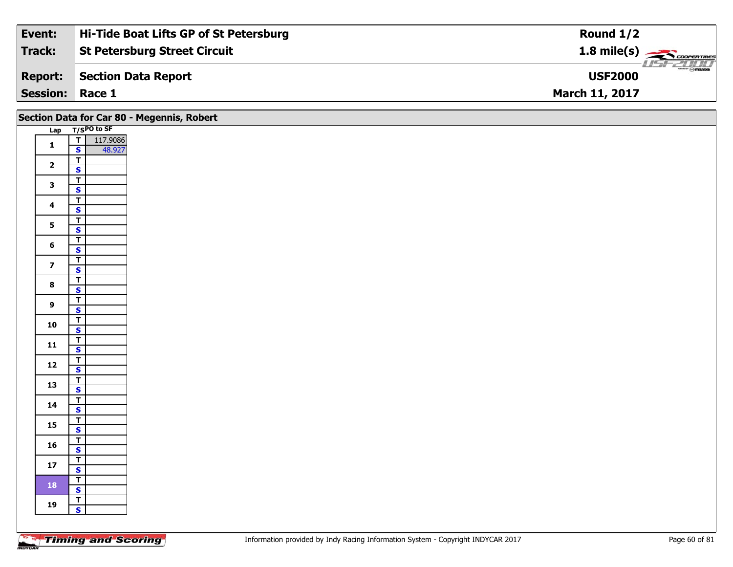| Event:                 | <b>Hi-Tide Boat Lifts GP of St Petersburg</b> | Round $1/2$                                          |
|------------------------|-----------------------------------------------|------------------------------------------------------|
| Track:                 | <b>St Petersburg Street Circuit</b>           | $1.8$ mile(s) $\overbrace{\hspace{2cm}}$ coorentines |
| <b>Report:</b>         | Section Data Report                           | $\sqrt{m}$ mazpa<br><b>USF2000</b>                   |
| <b>Session: Race 1</b> |                                               | <b>March 11, 2017</b>                                |

|                         | Section Data for Car 80 - Megennis, Robert |
|-------------------------|--------------------------------------------|
|                         | Lap T/SPO to SF                            |
| $\mathbf{1}$            | $\overline{1}$<br>117.9086                 |
|                         | $\mathbf{s}$<br>48.927                     |
| $\overline{\mathbf{2}}$ | $\overline{t}$                             |
|                         | $\mathbf{s}$                               |
| $\mathbf{3}$            | $\overline{\mathbf{r}}$<br>$\mathbf{s}$    |
|                         | $\overline{I}$                             |
| $\overline{\mathbf{4}}$ | $\mathbf{s}$                               |
|                         | $\mathbf{T}$                               |
| 5 <sup>5</sup>          | $\overline{\mathbf{s}}$                    |
| $6\phantom{a}$          | $\overline{r}$                             |
|                         | $\mathbf{s}$                               |
| $\overline{\mathbf{z}}$ | $\overline{1}$                             |
|                         | $\mathsf{s}$<br>$\overline{\mathsf{r}}$    |
| $\bf8$                  | $\mathbf{s}$                               |
|                         | $\overline{\mathsf{r}}$                    |
| 9                       | $\mathbf{s}$                               |
| 10                      | $\mathbf{r}$                               |
|                         | $\overline{\mathbf{s}}$                    |
| 11                      | $rac{1}{s}$                                |
|                         | $\mathbf{T}$                               |
| 12                      | $\mathbf{s}$                               |
|                         | $\overline{r}$                             |
| 13                      | $\mathbf{s}$                               |
| 14                      | $\overline{t}$                             |
|                         | $\mathbf{s}$                               |
| 15                      | $\mathbf{T}$                               |
|                         | $\overline{\mathbf{s}}$<br>$\mathbf{T}$    |
| 16                      | $\mathbf{s}$                               |
|                         | $\mathbf{T}$                               |
| 17                      | $\mathbf{s}$                               |
| 18                      | $\overline{r}$                             |
|                         | <b>S</b>                                   |
| 19                      | $\mathbf{r}$                               |
|                         | $\mathbf{s}$                               |
|                         |                                            |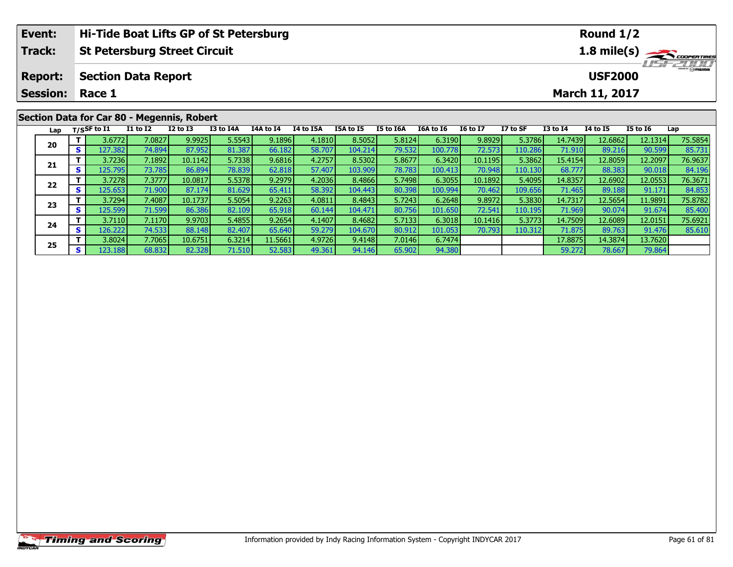|                                               | Event:                                     |     |                    | Hi-Tide Boat Lifts GP of St Petersburg |              |           |           |           |           |           |                  |                 |                                          |                 | Round $1/2$           |                 |                         |  |
|-----------------------------------------------|--------------------------------------------|-----|--------------------|----------------------------------------|--------------|-----------|-----------|-----------|-----------|-----------|------------------|-----------------|------------------------------------------|-----------------|-----------------------|-----------------|-------------------------|--|
| Track:<br><b>St Petersburg Street Circuit</b> |                                            |     |                    |                                        |              |           |           |           |           |           |                  |                 | $1.8$ mile(s) $\rightarrow$ COOPER TIRES |                 |                       |                 |                         |  |
|                                               | <b>Report:</b>                             |     |                    | <b>Section Data Report</b>             |              |           |           |           |           |           |                  |                 |                                          |                 | <b>USF2000</b>        |                 | $\frac{1}{\odot}$ mazoa |  |
|                                               | <b>Session:</b>                            |     | Race 1             |                                        |              |           |           |           |           |           |                  |                 |                                          |                 | <b>March 11, 2017</b> |                 |                         |  |
|                                               | Section Data for Car 80 - Megennis, Robert |     |                    |                                        |              |           |           |           |           |           |                  |                 |                                          |                 |                       |                 |                         |  |
|                                               |                                            |     | Lap $T/S$ SF to I1 | <b>I1 to I2</b>                        | $I2$ to $I3$ | I3 to I4A | I4A to I4 | I4 to I5A | I5A to I5 | I5 to I6A | <b>I6A to I6</b> | <b>I6 to I7</b> | I7 to SF                                 | <b>I3 to I4</b> | <b>I4 to I5</b>       | <b>I5 to I6</b> | Lap                     |  |
|                                               | 20                                         |     | 3.6772             | 7.0827                                 | 9.9925       | 5.5543    | 9.1896    | 4.1810    | 8.5052    | 5.8124    | 6.3190           | 9.8929          | 5.3786                                   | 14.7439         | 12.6862               | 12.1314         | 75.5854                 |  |
|                                               |                                            | s l | 127.3821           | 74.894                                 | 87.952       | 81.387    | 66.182    | 58.707    | 104.214   | 79.532    | 100.778          | 72.573          | 110.286                                  | 71.910 <b>1</b> | 89.216                | 90.599          | 85.731                  |  |

**<sup>T</sup>** 3.7236 7.1892 10.1142 5.7338 9.6816 4.2757 8.5302 5.8677 6.3420 10.1195 5.3862 15.4154 12.8059 12.2097 76.9637 **<sup>S</sup>** 125.795 73.785 86.894 78.839 62.818 57.407 103.909 78.783 100.413 70.948 110.130 68.777 88.383 90.018 84.196

2 | T | 3.7278 | 7.3777 | 10.0817 | 5.5378 | 9.2979 | 4.2036 | 8.4866 | 5.7498 | 6.3055 | 10.1892 | 5.4095 | 14.8357 | 12.6902 | 12.0553 | 76.3671<br>----------------------------------

3 T 3.7294| 7.4087| 10.1737| 5.5054| 9.2263| 4.0811| 8.4843| 5.7243| 6.2648| 9.8972| 5.3830| 14.7317| 12.5654| 11.9891| 75.8782<br>S 125.599| 71.599| 86.386| 82.109| 65.918| 60.144| 104.471| 80.756| 101.650| 72.541| 110.195|

**<sup>T</sup>** 3.7110 7.1170 9.9703 5.4855 9.2654 4.1407 8.4682 5.7133 6.3018 10.1416 5.3773 14.7509 12.6089 12.0151 75.6921 **<sup>S</sup>** 126.222 74.533 88.148 82.407 65.640 59.279 104.670 80.912 101.053 70.793 110.312 71.875 89.763 91.476 85.610

**<sup>T</sup>** 3.8024 7.7065 10.6751 6.3214 11.5661 4.9726 9.4148 7.0146 6.7474 17.8875 14.3874 13.7620 **<sup>S</sup>** 123.188 68.832 82.328 71.510 52.583 49.361 94.146 65.902 94.380 59.272 78.667 79.864

**21**

**22**

**23**

**24**

**25**

84.196

85.40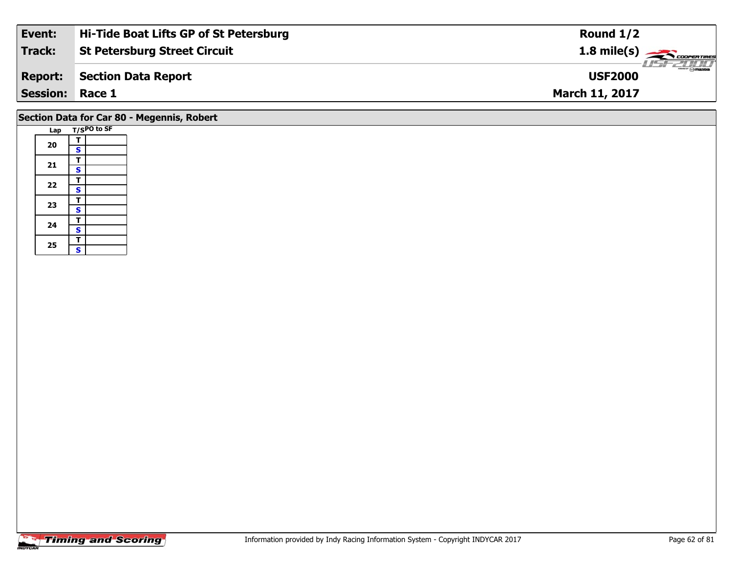| Event:                 | Hi-Tide Boat Lifts GP of St Petersburg | Round $1/2$                                                                                                                                                                                                                                                                                                                                                                                                                                                                                       |
|------------------------|----------------------------------------|---------------------------------------------------------------------------------------------------------------------------------------------------------------------------------------------------------------------------------------------------------------------------------------------------------------------------------------------------------------------------------------------------------------------------------------------------------------------------------------------------|
| Track:                 | <b>St Petersburg Street Circuit</b>    | 1.8 mile(s)                                                                                                                                                                                                                                                                                                                                                                                                                                                                                       |
| <b>Report:</b>         | Section Data Report                    | $\overline{\phantom{a}}$ $\overline{\phantom{a}}$ $\overline{\phantom{a}}$ $\overline{\phantom{a}}$ $\overline{\phantom{a}}$ $\overline{\phantom{a}}$ $\overline{\phantom{a}}$ $\overline{\phantom{a}}$ $\overline{\phantom{a}}$ $\overline{\phantom{a}}$ $\overline{\phantom{a}}$ $\overline{\phantom{a}}$ $\overline{\phantom{a}}$ $\overline{\phantom{a}}$ $\overline{\phantom{a}}$ $\overline{\phantom{a}}$ $\overline{\phantom{a}}$ $\overline{\phantom{a}}$ $\overline{\$<br><b>USF2000</b> |
| <b>Session: Race 1</b> |                                        | <b>March 11, 2017</b>                                                                                                                                                                                                                                                                                                                                                                                                                                                                             |
|                        |                                        |                                                                                                                                                                                                                                                                                                                                                                                                                                                                                                   |

# **Section Data for Car 80 - Megennis, Robert**

|  | Lap |                         | T/SPO to SF |
|--|-----|-------------------------|-------------|
|  |     | т                       |             |
|  | 20  | S                       |             |
|  |     | T                       |             |
|  | 21  | $\mathbf{s}$            |             |
|  | 22  | T                       |             |
|  |     | $\overline{\mathbf{s}}$ |             |
|  | 23  | T                       |             |
|  |     | S                       |             |
|  | 24  | T                       |             |
|  |     | $\overline{\mathbf{s}}$ |             |
|  | 25  | T                       |             |
|  |     | Ś                       |             |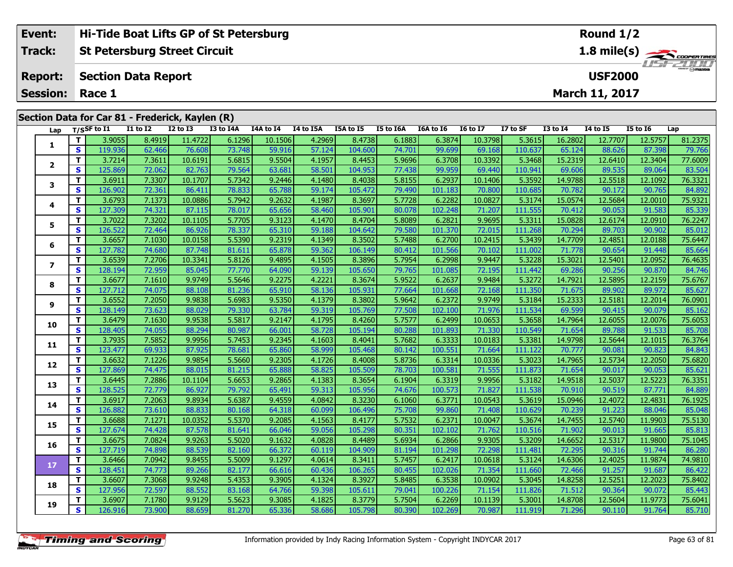| Event:          | Hi-Tide Boat Lifts GP of St Petersburg          |          |          |           |           |           |           |           |                              | Round $1/2$     |          |                 |                       |                 |         |  |
|-----------------|-------------------------------------------------|----------|----------|-----------|-----------|-----------|-----------|-----------|------------------------------|-----------------|----------|-----------------|-----------------------|-----------------|---------|--|
| Track:          | <b>St Petersburg Street Circuit</b>             |          |          |           |           |           |           |           | 1.8 mile(s)<br><b>USFZWO</b> |                 |          |                 |                       |                 |         |  |
| <b>Report:</b>  | <b>Section Data Report</b>                      |          |          |           |           |           |           |           |                              |                 |          |                 | <b>USF2000</b>        |                 | $m = F$ |  |
| <b>Session:</b> | Race 1                                          |          |          |           |           |           |           |           |                              |                 |          |                 | <b>March 11, 2017</b> |                 |         |  |
|                 |                                                 |          |          |           |           |           |           |           |                              |                 |          |                 |                       |                 |         |  |
|                 | Section Data for Car 81 - Frederick, Kaylen (R) |          |          |           |           |           |           |           |                              |                 |          |                 |                       |                 |         |  |
| Lap             | T/SSF to I1                                     | I1 to I2 | I2 to I3 | I3 to I4A | I4A to I4 | I4 to I5A | I5A to I5 | I5 to I6A | I6A to I6                    | <b>I6 to I7</b> | I7 to SF | <b>I3 to I4</b> | 14 to 15              | <b>I5 to I6</b> | Lap     |  |

| Lap            |              | T/SSF to 11       | 11 to 12         | 12 to 13         | 13 to 14A        | 14A to 14        | 14 to 15A        | 15A to 15         | <b>15 to 16A</b> | <b>10A to 10</b>  | 10 to 1/          | L/ to SF          | 13 to 14          | <b>14 to 15</b>   | 12 to 10          | Lap               |
|----------------|--------------|-------------------|------------------|------------------|------------------|------------------|------------------|-------------------|------------------|-------------------|-------------------|-------------------|-------------------|-------------------|-------------------|-------------------|
|                | T            | 3.9055            | 8.4919           | 11.4722          | 6.1296           | 10.1506          | 4.2969           | 8.4738            | 6.1883           | 6.3874            | 10.3798           | 5.3615            | 16.2802           | 12.7707           | 12.5757           | 81.2375           |
| 1              | S            | 119.936           | 62.466           | 76.608           | 73.748           | 59.916           | 57.124           | 104.600           | 74.701           | 99.699            | 69.168            | 110.637           | 65.124            | 88.626            | 87.398            | 79.766            |
| $\mathbf{2}$   | T            | 3.7214            | 7.3611           | 10.6191          | 5.6815           | 9.5504           | 4.1957           | 8.4453            | 5.9696           | 6.3708            | 10.3392           | 5.3468            | 15.2319           | 12.6410           | 12.3404           | 77.6009           |
|                | S            | 125.869           | 72.062           | 82.763           | 79.564           | 63.681           | 58.501           | 104.953           | 77.438           | 99.959            | 69.440            | 110.941           | 69.606            | 89.535            | 89.064            | 83.504            |
| 3              | T.           | 3.6911            | 7.3307           | 10.1707          | 5.7342           | 9.2446           | 4.1480           | 8.4038            | 5.8155           | 6.2937            | 10.1406           | 5.3592            | 14.9788           | 12.5518           | 12.1092           | 76.3321           |
|                | S            | 126.902           | 72.361           | 86.411           | 78.833           | 65.788           | 59.174           | 105.472           | 79.490           | 101.183           | 70.800            | 110.685           | 70.782            | 90.172            | 90.765            | 84.892            |
| 4              | T.           | 3.6793            | 7.1373           | 10.0886          | 5.7942           | 9.2632           | 4.1987           | 8.3697            | 5.7728           | 6.2282            | 10.0827           | 5.3174            | 15.0574           | 12.5684           | 12.0010           | 75.9321           |
|                | S            | 127.309           | 74.321           | 87.115           | 78.017           | 65.656           | 58.460           | 105.901           | 80.078           | 102.248           | 71.207            | 111.555           | 70.412            | 90.053            | 91.583            | 85.339            |
| 5              | T            | 3.7022            | 7.3202           | 10.1105          | 5.7705           | 9.3123           | 4.1470           | 8.4704            | 5.8089           | 6.2821            | 9.9695            | 5.3311            | 15.0828           | 12.6174           | 12.0910           | 76.2247           |
|                | S            | 126.522           | 72.464           | 86.926           | 78.337           | 65.310           | 59.188           | 104.642           | 79.580           | 101.370           | 72.015            | 111.268           | 70.294            | 89.703            | 90.902            | 85.012            |
| 6              | T.           | 3.6657            | 7.1030           | 10.0158          | 5.5390           | 9.2319           | 4.1349           | 8.3502            | 5.7488           | 6.2700            | 10.2415           | 5.3439            | 14.7709           | 12.4851           | 12.0188           | 75.6447           |
|                | S            | 127.782           | 74.680           | 87.748           | 81.611           | 65.878           | 59.362           | 106.149           | 80.412           | 101.566           | 70.102            | 111.002           | 71.778            | 90.654            | 91.448            | 85.664            |
| $\overline{ }$ | T.           | 3.6539            | 7.2706           | 10.3341          | 5.8126           | 9.4895           | 4.1505           | 8.3896            | 5.7954           | 6.2998            | 9.9447            | 5.3228            | 15.3021           | 12.5401           | 12.0952           | 76.4635           |
|                | S            | 128.194           | 72.959           | 85.045           | 77.770           | 64.090           | 59.139           | 105.650           | 79.765           | 101.085           | 72.195            | 111.442           | 69.286            | 90.256            | 90.870            | 84.746            |
| 8              | T.           | 3.6677            | 7.1610           | 9.9749           | 5.5646           | 9.2275           | 4.2221           | 8.3674            | 5.9522           | 6.2637            | 9.9484            | 5.3272            | 14.7921           | 12.5895           | 12.2159           | 75.6767           |
|                | S            | 127.712           | 74.075           | 88.108           | 81.236           | 65.910           | 58.136           | 105.931           | 77.664           | 101.668           | 72.168            | 111.350           | 71.675            | 89.902            | 89.972            | 85.627            |
| 9              | Т            | 3.6552            | 7.2050           | 9.9838           | 5.6983           | 9.5350           | 4.1379           | 8.3802            | 5.9642           | 6.2372            | 9.9749            | 5.3184            | 15.2333           | 12.5181           | 12.2014           | 76.0901           |
|                | S            | 128.149           | 73.623           | 88.029           | 79.330           | 63.784           | 59.319           | 105.769           | 77.508           | 102.100           | 71.976            | 111.534           | 69.599            | 90.415            | 90.079            | 85.162            |
| 10             | T            | 3.6479            | 7.1630           | 9.9538           | 5.5817           | 9.2147           | 4.1795           | 8.4260            | 5.7577           | 6.2499            | 10.0653           | 5.3658            | 14.7964           | 12.6055           | 12.0076           | 75.6053           |
|                | $\mathbf{s}$ | 128.405           | 74.055           | 88.294           | 80.987           | 66.001           | 58.728           | 105.194           | 80.288           | 101.893           | 71.330            | 110.549           | 71.654            | 89.788            | 91.533            | 85.708            |
| 11             | T.           | 3.7935            | 7.5852           | 9.9956           | 5.7453           | 9.2345           | 4.1603           | 8.4041            | 5.7682           | 6.3333            | 10.0183           | 5.3381            | 14.9798           | 12.5644           | 12.1015           | 76.3764           |
|                | S            | 123.477           | 69.933           | 87.925           | 78.681           | 65.860           | 58.999           | 105.468           | 80.142           | 100.551           | 71.664            | 111.122           | 70.777            | 90.081            | 90.823            | 84.843            |
| 12             | Т            | 3.6632            | 7.1226           | 9.9854           | 5.5660           | 9.2305           | 4.1726           | 8.4008            | 5.8736           | 6.3314            | 10.0336           | 5.3023            | 14.7965           | 12.5734           | 12.2050           | 75.6820           |
|                | S            | 127.869           | 74.475           | 88.015           | 81.215           | 65.888           | 58.825           | 105.509           | 78.703           | 100.581           | 71.555            | 111.873           | 71.654            | 90.017            | 90.053            | 85.621            |
| 13             | T            | 3.6445            | 7.2886           | 10.1104          | 5.6653           | 9.2865           | 4.1383           | 8.3654            | 6.1904           | 6.3319            | 9.9956            | 5.3182            | 14.9518           | 12.5037           | 12.5223           | 76.3351           |
|                | $\mathbf{s}$ | 128.525           | 72.779           | 86.927           | 79.792           | 65.491           | 59.313           | 105.956           | 74.676           | 100.573           | 71.827            | 111.538           | 70.910            | 90.519            | 87.771            | 84.889            |
| 14             | T.           | 3.6917            | 7.2063           | 9.8934           | 5.6387           | 9.4559           | 4.0842           | 8.3230            | 6.1060           | 6.3771            | 10.0543           | 5.3619            | 15.0946           | 12.4072           | 12.4831           | 76.1925           |
|                | S            | 126,882           | 73.610           | 88.833           | 80.168           | 64.318           | 60.099           | 106.496           | 75.708           | 99.860            | 71.408            | 110.629           | 70.239            | 91.223            | 88.046            | 85.048            |
| 15             | T.<br>S      | 3.6688            | 7.1271           | 10.0352          | 5.5370           | 9.2085           | 4.1563           | 8.4177            | 5.7532           | 6.2371            | 10.0047           | 5.3674            | 14.7455           | 12.5740           | 11.9903           | 75.5130           |
|                |              | 127.674           | 74.428           | 87.578           | 81.641           | 66.046           | 59.056           | 105.298           | 80.351           | 102.102           | 71.762            | 110.516           | 71.902            | 90.013            | 91.665            | 85.813            |
| 16             | T<br>S       | 3.6675<br>127.719 | 7.0824<br>74.898 | 9.9263           | 5.5020<br>82.160 | 9.1632           | 4.0828           | 8.4489            | 5.6934           | 6.2866            | 9.9305            | 5.3209            | 14.6652           | 12.5317           | 11.9800           | 75.1045<br>86.280 |
|                | T.           | 3.6466            |                  | 88.539           | 5.5009           | 66.372           | 60.119           | 104.909<br>8.3411 | 81.194<br>5.7457 | 101.298           | 72.298            | 111.481<br>5.3124 | 72.295            | 90.316            | 91.744            | 74.9810           |
| 17             | S            |                   | 7.0942           | 9.8455           |                  | 9.1297           | 4.0614           |                   |                  | 6.2417<br>102.026 | 10.0618           |                   | 14.6306           | 12.4025           | 11.9874           |                   |
|                | T.           | 128.451<br>3.6607 | 74.773           | 89.266<br>9.9248 | 82.177<br>5.4353 | 66.616<br>9.3905 | 60.436<br>4.1324 | 106.265<br>8.3927 | 80.455<br>5.8485 | 6.3538            | 71.354<br>10.0902 | 111.660<br>5.3045 | 72.466<br>14.8258 | 91.257<br>12.5251 | 91.687<br>12.2023 | 86.422<br>75.8402 |
| 18             | S            | 127.956           | 7.3068<br>72.597 | 88.552           | 83.168           | 64.766           | 59.398           |                   | 79.041           | 100.226           | 71.154            | 111.826           | 71.512            | 90.364            | 90.072            |                   |
|                | T.           | 3.6907            | 7.1780           | 9.9129           | 5.5623           | 9.3085           | 4.1825           | 105.611<br>8.3779 | 5.7504           | 6.2269            | 10.1139           | 5.3001            | 14.8708           | 12.5604           | 11.9773           | 85.443<br>75.6041 |
| 19             | S            |                   |                  |                  | 81.270           | 65.336           |                  |                   |                  |                   | 70.987            |                   |                   |                   |                   |                   |
|                |              | 126.916           | 73.900           | 88.659           |                  |                  | 58.686           | 105.798           | 80.390           | 102.269           |                   | 111.919           | 71.296            | 90.110            | 91.764            | 85.710            |

### **Timing and Scoring**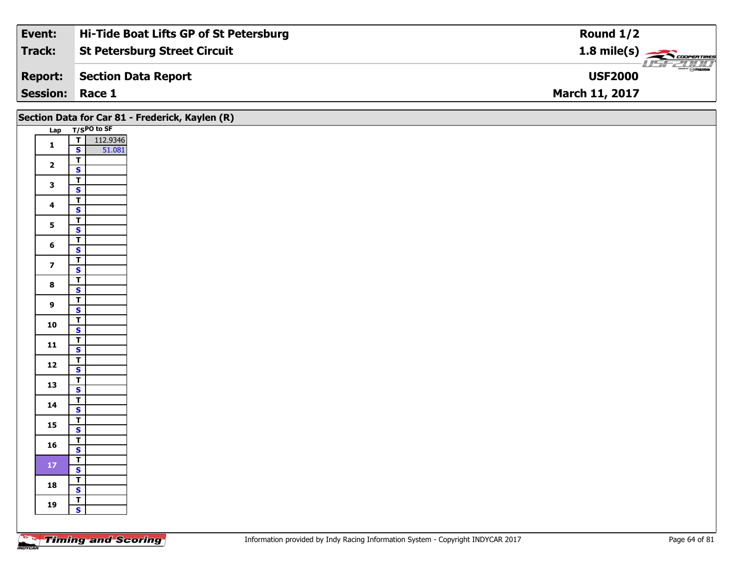| Event:                 | Hi-Tide Boat Lifts GP of St Petersburg | Round $1/2$                                      |
|------------------------|----------------------------------------|--------------------------------------------------|
| Track:                 | <b>St Petersburg Street Circuit</b>    | $1.8$ mile(s) $\rightarrow$ CoopenTines          |
| <b>Report:</b>         | Section Data Report                    | $\overline{\mathcal{D}}$ mazoa<br><b>USF2000</b> |
| <b>Session: Race 1</b> |                                        | <b>March 11, 2017</b>                            |

|                         |                                                    | Section Data for Car 81 - Frederick, Kaylen (R) |  |
|-------------------------|----------------------------------------------------|-------------------------------------------------|--|
|                         | Lap T/SPO to SF                                    |                                                 |  |
| $\mathbf 1$             | T 112.9346                                         |                                                 |  |
|                         | $\overline{\mathbf{T}}$                            |                                                 |  |
| $\overline{\mathbf{2}}$ | $\mathbf{s}$                                       |                                                 |  |
|                         | $\overline{\mathbf{r}}$                            |                                                 |  |
| $\mathbf{3}$            | $\overline{\mathbf{s}}$                            |                                                 |  |
| $\overline{\mathbf{4}}$ | $\overline{\mathbf{T}}$                            |                                                 |  |
|                         | $\mathbf{s}$                                       |                                                 |  |
| 5 <sub>5</sub>          | $\overline{1}$                                     |                                                 |  |
|                         | $\overline{\mathbf{s}}$<br>$\overline{T}$          |                                                 |  |
| 6                       | $\mathbf{s}$                                       |                                                 |  |
|                         | $\overline{\mathbf{T}}$                            |                                                 |  |
| $\overline{7}$          | $\mathbf{s}$                                       |                                                 |  |
| $\bf{8}$                | $\overline{\mathbf{r}}$                            |                                                 |  |
|                         | $\overline{\mathbf{s}}$                            |                                                 |  |
| $\mathbf{9}$            | $\overline{\mathbf{T}}$<br>$\mathbf{s}$            |                                                 |  |
|                         | $\overline{1}$                                     |                                                 |  |
| 10                      | $\overline{\mathbf{s}}$                            |                                                 |  |
| $\mathbf{11}$           | $\overline{T}$                                     |                                                 |  |
|                         | $\mathbf{s}$                                       |                                                 |  |
| $12$                    | $\overline{\mathbf{T}}$<br>$\mathbf{s}$            |                                                 |  |
|                         | $\overline{\mathbf{r}}$                            |                                                 |  |
| 13                      | $\overline{\mathbf{s}}$                            |                                                 |  |
|                         | $\overline{\mathbf{T}}$                            |                                                 |  |
| 14                      | $\mathsf{s}$                                       |                                                 |  |
| 15                      | $\overline{1}$                                     |                                                 |  |
|                         | $\overline{\mathbf{s}}$<br>$\overline{\mathsf{r}}$ |                                                 |  |
| 16                      | $\mathsf{s}$                                       |                                                 |  |
|                         | $\overline{\mathbf{T}}$                            |                                                 |  |
| ${\bf 17}$              | $\overline{\mathbf{s}}$                            |                                                 |  |
| 18                      | $\overline{\mathbf{r}}$                            |                                                 |  |
|                         | $\overline{\mathbf{s}}$                            |                                                 |  |
| 19                      | $\frac{1}{s}$                                      |                                                 |  |
|                         |                                                    |                                                 |  |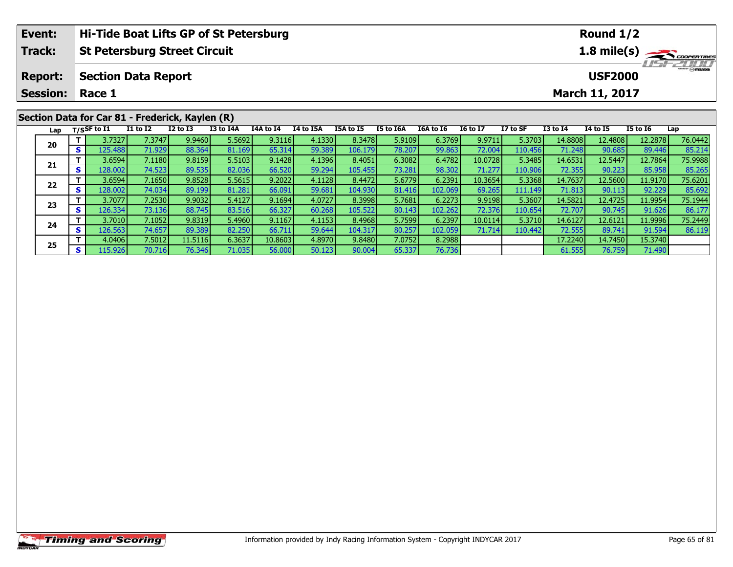| Hi-Tide Boat Lifts GP of St Petersburg<br>Event:     |                 |     |                          |                 |                                                 |           |           |           |           |                  |           |                 | Round $1/2$ |                 |                 |                 |                   |
|------------------------------------------------------|-----------------|-----|--------------------------|-----------------|-------------------------------------------------|-----------|-----------|-----------|-----------|------------------|-----------|-----------------|-------------|-----------------|-----------------|-----------------|-------------------|
| <b>Track:</b><br><b>St Petersburg Street Circuit</b> |                 |     |                          |                 |                                                 |           |           |           |           |                  |           | 1.8 mile(s)     |             |                 |                 |                 |                   |
| <b>Section Data Report</b><br><b>Report:</b>         |                 |     |                          |                 |                                                 |           |           |           |           |                  |           |                 |             |                 | <b>USF2000</b>  |                 | <b>LIST CLIPP</b> |
|                                                      | <b>Session:</b> |     | Race 1<br>March 11, 2017 |                 |                                                 |           |           |           |           |                  |           |                 |             |                 |                 |                 |                   |
|                                                      |                 |     |                          |                 | Section Data for Car 81 - Frederick, Kaylen (R) |           |           |           |           |                  |           |                 |             |                 |                 |                 |                   |
|                                                      | Lap             |     | $T/S$ SF to I1           | <b>I1 to I2</b> | $I2$ to $I3$                                    | I3 to I4A | I4A to I4 | I4 to I5A | I5A to I5 | <b>I5 to I6A</b> | I6A to I6 | <b>16 to 17</b> | I7 to SF    | <b>I3 to I4</b> | <b>I4 to I5</b> | <b>I5 to I6</b> | Lap               |
|                                                      |                 |     | 3.7327                   | 7.3747          | 9.9460                                          | 5.5692    | 9.3116    | 4.1330    | 8.3478    | 5.9109           | 6.3769    | 9.9711          | 5.3703      | 14.8808         | 12.4808         | 12.2878         | 76.0442           |
|                                                      | 20              | s l | 125.488                  | 71.929          | 88.364                                          | 81.169    | 65.314    | 59.389    | 106.179   | 78.207           | 99.863    | 72.004          | 110.456     | 71.248          | 90.685          | 89.446          | 85.214            |
|                                                      |                 |     | 3.6594                   | 7.1180          | 9.8159                                          | 5.5103    | 9.1428    | 4.1396    | 8.4051    | 6.3082           | 6.4782    | 10.0728         | 5.3485      | 14.6531         | 12.5447         | 12.7864         | 75.9988           |
|                                                      | 21              |     | 128.002                  | 74.523 <b>1</b> | 89.535                                          | 82.036    | 66.520    | 59.294    | 105.455   | 73.281           | 98.302    | 71.2771         | 110.906     | 72.355L         | 90.223          | 85.958          | 85.265            |

2 T 3.6594 7.1650 9.8528 5.5615 9.2022 4.1128 8.4472 5.6779 6.2391 10.3654 5.3368 14.7637 12.5600 11.9170 75.6201<br>2 S 128.002 74.034 89.199 81.281 66.091 59.681 104.930 81.416 102.069 69.265 111.149 71.813 90.113 92.229 85

3 T 3.7077| 7.2530| 9.9032| 5.4127| 9.1694| 4.0727| 8.3998| 5.7681| 6.2273| 9.9198| 5.3607| 14.5821| 12.4725| 11.9954| 75.1944<br>S 126.334| 73.136| 88.745| 83.516| 66.327| 60.268| 105.522| 80.143| 102.262| 72.376| 110.654| 7

**<sup>T</sup>** 3.7010 7.1052 9.8319 5.4960 9.1167 4.1153 8.4968 5.7599 6.2397 10.0114 5.3710 14.6127 12.6121 11.9996 75.2449 **<sup>S</sup>** 126.563 74.657 89.389 82.250 66.711 59.644 104.317 80.257 102.059 71.714 110.442 72.555 89.741 91.594 86.119

**<sup>T</sup>** 4.0406 7.5012 11.5116 6.3637 10.8603 4.8970 9.8480 7.0752 8.2988 17.2240 14.7450 15.3740 **<sup>S</sup>** 115.926 70.716 76.346 71.035 56.000 50.123 90.004 65.337 76.736 61.555 76.759 71.490

**22**

**23**

**24**

**25**

85.265<br>75.6201

86.17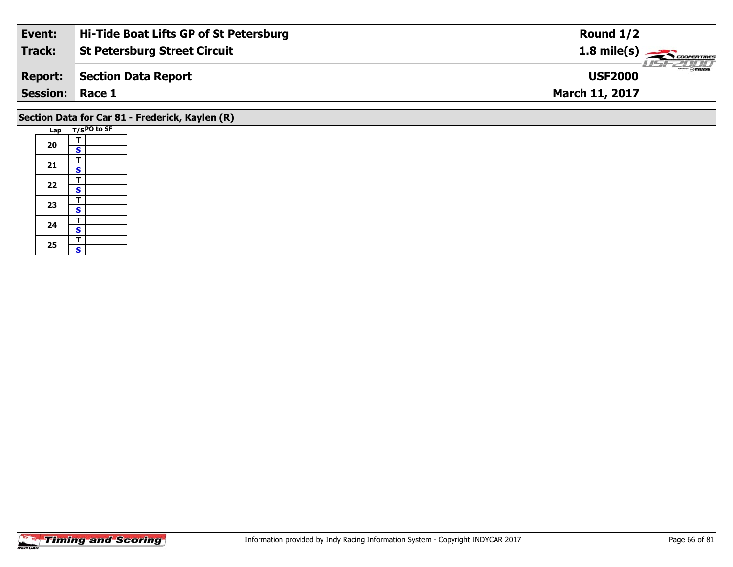| Event:                 | Hi-Tide Boat Lifts GP of St Petersburg | Round $1/2$           |
|------------------------|----------------------------------------|-----------------------|
| Track:                 | <b>St Petersburg Street Circuit</b>    | $1.8 \text{ mile(s)}$ |
| <b>Report:</b>         | <b>Section Data Report</b>             | <b>USF2000</b>        |
| <b>Session: Race 1</b> |                                        | <b>March 11, 2017</b> |
|                        |                                        |                       |

# **Section Data for Car 81 - Frederick, Kaylen (R)**

| Lap |                         | T/SPO to SF |
|-----|-------------------------|-------------|
|     | т                       |             |
| 20  | S                       |             |
|     | т                       |             |
| 21  | $\overline{\mathbf{s}}$ |             |
| 22  | т                       |             |
|     | S                       |             |
|     | T                       |             |
| 23  | $\overline{\mathbf{s}}$ |             |
| 24  | т                       |             |
|     | $\overline{\mathbf{s}}$ |             |
|     | т                       |             |
| 25  | S                       |             |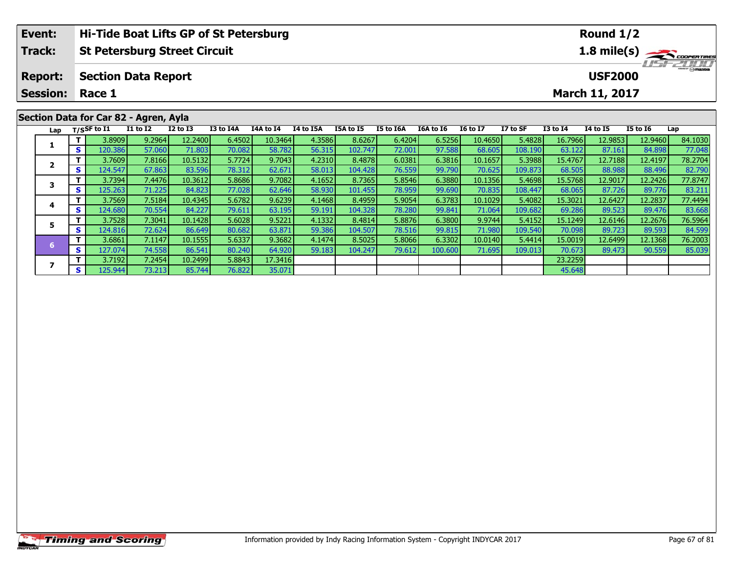| Event:<br>Hi-Tide Boat Lifts GP of St Petersburg |                                       |    |                            |              |                 |                  |           |           |                  |           |                       | Round $1/2$     |                                           |                 |                       |          |         |  |
|--------------------------------------------------|---------------------------------------|----|----------------------------|--------------|-----------------|------------------|-----------|-----------|------------------|-----------|-----------------------|-----------------|-------------------------------------------|-----------------|-----------------------|----------|---------|--|
| Track:<br><b>St Petersburg Street Circuit</b>    |                                       |    |                            |              |                 |                  |           |           |                  |           | $1.8 \text{ mile(s)}$ |                 |                                           |                 |                       |          |         |  |
| <b>Report:</b>                                   |                                       |    | <b>Section Data Report</b> |              |                 |                  |           |           |                  |           |                       |                 | $\frac{2}{\odot}$ mazoa<br><b>USF2000</b> |                 |                       |          |         |  |
|                                                  | <b>Session:</b>                       |    | Race 1                     |              |                 |                  |           |           |                  |           |                       |                 |                                           |                 | <b>March 11, 2017</b> |          |         |  |
|                                                  | Section Data for Car 82 - Agren, Ayla |    |                            |              |                 |                  |           |           |                  |           |                       |                 |                                           |                 |                       |          |         |  |
|                                                  | Lap                                   |    | T/SSF to I1                | $I1$ to $I2$ | <b>I2 to I3</b> | <b>I3 to I4A</b> | 14A to 14 | I4 to I5A | <b>I5A to I5</b> | I5 to I6A | I6A to I6             | <b>16 to 17</b> | I7 to SF                                  | <b>I3 to I4</b> | <b>I4 to I5</b>       | I5 to I6 | Lap     |  |
|                                                  |                                       |    | 3.8909                     | 9.2964       | 12.2400         | 6.4502           | 10.3464   | 4.3586    | 8.6267           | 6.4204    | 6.5256                | 10.4650         | 5.4828                                    | 16.7966         | 12.9853               | 12.9460  | 84.1030 |  |
|                                                  |                                       | S. | 120.386 <b> </b>           | 57.060       | 71.803          | 70.082           | 58.782    | 56.315    | 102.747          | 72.001    | 97.588                | 68.605          | 108.190                                   | 63.122          | 87.161                | 84.898   | 77.048  |  |

2 | T | 3.7609| 7.8166| 10.5132| 5.7724| 9.7043| 4.2310| 8.4878| 6.0381| 6.3816| 10.1657| 5.3988| 15.4767| 12.7188| 12.4197| 78.2704<br>| S | 124.547| 67.863| 83.596| 78.312| 62.671| 58.013| 104.428| 76.559| 99.790| 70.625| 1

3 T 3.7394 7.4476 10.3612 5.8686 9.7082 4.1652 8.7365 5.8546 6.3880 10.1356 5.4698 15.5768 12.9017 12.2426 77.8747<br>S S 125.263 71.225 84.823 77.028 62.646 58.930 101.455 78.959 99.690 70.835 108.447 68.065 87.726 89.776 83

4 | T | 3.7569| 7.5184| 10.4345| 5.6782| 9.6239| 4.1468| 8.4959| 5.9054| 6.3783| 10.1029| 5.4082| 15.3021| 12.6427| 12.2837| 77.4494<br>- S | 124.680 70.554 84.227| 79.611| 63.195| 59.191| 104.328| 78.280| 99.841| 71.064| 109

5 | T | 3.7528| 7.3041| 10.1428| 5.6028| 9.5221| 4.1332| 8.4814| 5.8876| 6.3800| 9.9744| 5.4152| 15.1249| 12.6146| 12.2676| 76.5964<br>| S | 124.816| 72.624| 86.649| 80.682| 63.871| 59.386| 104.507| 78.516| 99.815| 71.980| 10

6 T | 3.6861 7.1147 10.1555 5.6337 9.3682 4.1474 8.5025 5.8066 6.3302 10.0140 5.4414 15.0019 12.6499 12.1368 76.2003<br>S 127.074 74.558 86.541 80.240 64.920 59.183 104.247 79.612 100.600 71.695 109.013 70.673 89.473 90.559 8

**<sup>T</sup>** 3.7192 7.2454 10.2499 5.8843 17.3416 23.2259 **<sup>S</sup>** 125.944 73.213 85.744 76.822 35.071 45.648

**2**

**3**

**4**

**5**

**6**

**7**

82.790<br>77.8747

83.668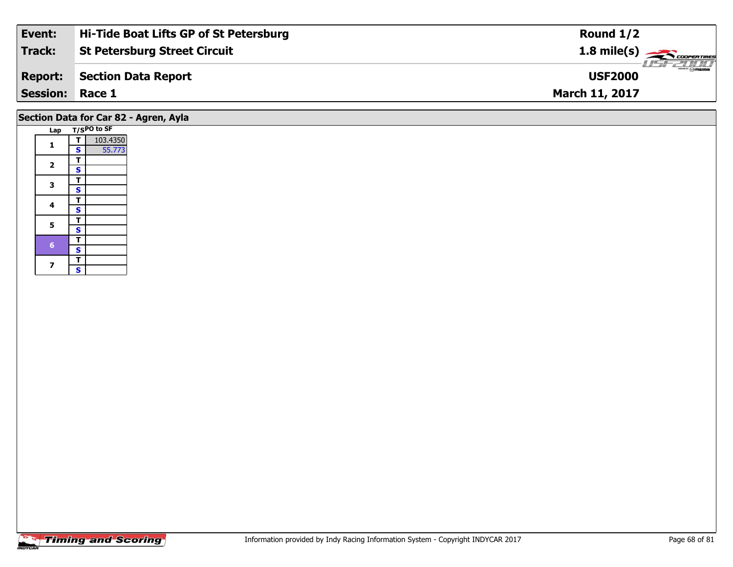| Event:          | Hi-Tide Boat Lifts GP of St Petersburg | Round $1/2$                     |
|-----------------|----------------------------------------|---------------------------------|
| Track:          | <b>St Petersburg Street Circuit</b>    | $1.8 \text{ mile(s)}$           |
| <b>Report:</b>  | Section Data Report                    | <b>Omazoa</b><br><b>USF2000</b> |
| <b>Session:</b> | Race 1                                 | <b>March 11, 2017</b>           |
|                 |                                        |                                 |

### **Lap T/SPO to SF 11 S** 55.773 2  $\frac{1}{s}$  $rac{s}{T}$ 3  $\frac{1}{s}$  $rac{s}{T}$ 4  $\frac{1}{s}$  $\overline{\mathbf{s}}$ 5  $\frac{1}{s}$ **Section Data for Car 82 - Agren, Ayla**

 $\overline{\mathbf{T}}$  $\frac{1}{s}$ 

 $\overline{\mathbf{T}}$ 7  $\frac{1}{s}$  $\mathbf{s}$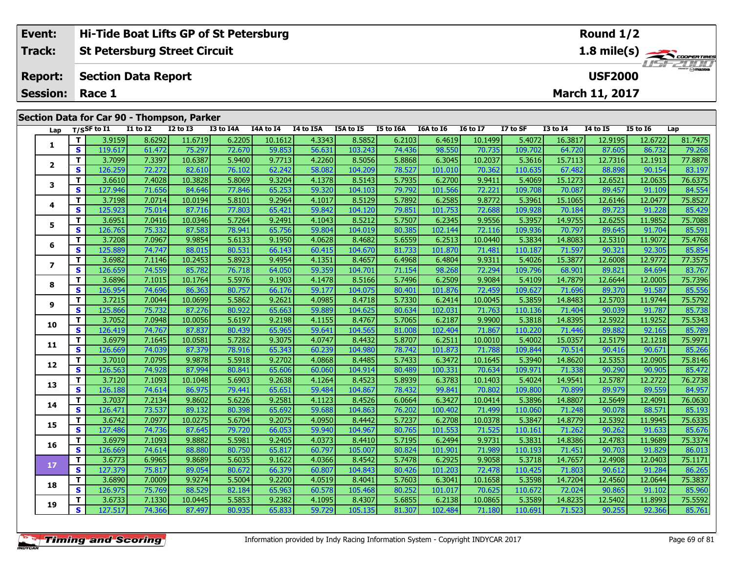| Event:                 | <b>Hi-Tide Boat Lifts GP of St Petersburg</b> | Round $1/2$                         |
|------------------------|-----------------------------------------------|-------------------------------------|
| Track:                 | St Petersburg Street Circuit                  | 1.8 mile(s) $\frac{1}{\sqrt{2\pi}}$ |
|                        | <b>Report: Section Data Report</b>            | <b>LISE 200</b><br><b>USF2000</b>   |
| <b>Session: Race 1</b> |                                               | <b>March 11, 2017</b>               |
|                        |                                               |                                     |

#### **Lap T/SSF to I1 I1 to I2 I2 to I3 I3 to I4A I4A to I4 I4 to I5A I5A to I5 I5 to I6A I6A to I6 I6 to I7 I7 to SF I3 to I4 I4 to I5 I5 to I6 Lap 1 <sup>T</sup>** 3.9159 8.6292 11.6719 6.2205 10.1612 4.3343 8.5852 6.2103 6.4619 10.1499 5.4072 16.3817 12.9195 12.6722 81.7475 **<sup>S</sup>** 119.617 61.472 75.297 72.670 59.853 56.631 103.243 74.436 98.550 70.735 109.702 64.720 87.605 86.732 79.268**2**2 | T | 3.7099| 7.3397| 10.6387| 5.9400| 9.7713| 4.2260| 8.5056| 5.8868| 6.3045| 10.2037| 5.3616| 15.7113| 12.7316| 12.1913| 77.8878<br>2 | S | 126.259| 72.272| 82.610| 76.102| 62.242| 58.082| 104.209| 78.527| 101.010| 70.362 **3**3 T 3.6610 7.4028 10.3828 5.8069 9.3204 4.1378 8.5143 5.7935 6.2700 9.9411 5.4069 15.1273 12.6521 12.0635 76.6375<br>S S 127.946 71.656 84.646 77.846 65.253 59.320 104.103 79.792 101.566 72.221 109.708 70.087 89.457 91.109 84 **4 <sup>T</sup>** 3.7198 7.0714 10.0194 5.8101 9.2964 4.1017 8.5129 5.7892 6.2585 9.8772 5.3961 15.1065 12.6146 12.0477 75.8527 **<sup>S</sup>** 125.923 75.014 87.716 77.803 65.421 59.842 104.120 79.851 101.753 72.688 109.928 70.184 89.723 91.228 85.42985.429 **5 <sup>T</sup>** 3.6951 7.0416 10.0346 5.7264 9.2491 4.1043 8.5212 5.7507 6.2345 9.9556 5.3957 14.9755 12.6255 11.9852 75.7088 **<sup>S</sup>** 126.765 75.332 87.583 78.941 65.756 59.804 104.019 80.385 102.144 72.116 109.936 70.797 89.645 91.704 85.591**6**6 | T | 3.7208| 7.0967| 9.9854| 5.6133| 9.1950| 4.0628| 8.4682| 5.6559| 6.2513| 10.0440| 5.3834| 14.8083| 12.5310| 11.9072| 75.4768<br>- S | 125.889| 74.747| 88.015| 80.531| 66.143| 60.415| 104.670| 81.733| 101.870| 71.481| 1 **7**7 | T | 3.6982 | 7.1146 10.2453 | 5.8923 | 9.4954 | 4.1351 | 8.4657 | 6.4968 | 6.4804 | 9.9311 | 5.4026 | 15.3877 | 12.6008 | 12.9772 | 77.3575<br>7 | S | 126.659 | 74.559 | 85.782 | 76.718 | 64.050 | 59.359 | 104.701 | 71.15 **8**8 T 3.6896 7.1015 10.1764 5.5976 9.1903 4.1478 8.5166 5.7496 6.2509 9.9084 5.4109 14.7879 12.6644 12.0005 75.7396<br>S S 126.954 74.696 86.363 80.757 66.176 59.177 104.075 80.401 101.876 72.459 109.627 71.696 89.370 91.587 85 **9**11.9744 10.06991 11.5862 9.2621 4.09851 8.4718 5.73301 6.2414 10.00451 5.38591 14.84831 12.57031 11.9744 75.5792<br>S 125.8661 75.7321 87.2761 80.9221 65.6631 59.8891 104.6251 80.6341 102.0311 71.7631 110.1361 71.4041 90.039 85.738 **10**0 | T | 3.7052 | 7.0948 | 10.0056 5.6197 9.2198 4.1155 8.4767 5.7065 6.2187 9.9900 5.3818 14.8395 12.5922 11.9252 75.5343<br>--------------------------------**11 <sup>T</sup>** 3.6979 7.1645 10.0581 5.7282 9.3075 4.0747 8.4432 5.8707 6.2511 10.0010 5.4002 15.0357 12.5179 12.1218 75.9971 **<sup>S</sup>** 126.669 74.039 87.379 78.916 65.343 60.239 104.980 78.742 101.873 71.788 109.844 70.514 90.416 90.671 85.266**12 <sup>T</sup>** 3.7010 7.0795 9.9878 5.5918 9.2702 4.0868 8.4485 5.7433 6.3472 10.1645 5.3940 14.8620 12.5353 12.0905 75.8146 **<sup>S</sup>** 126.563 74.928 87.994 80.841 65.606 60.060 104.914 80.489 100.331 70.634 109.971 71.338 90.290 90.905 85.472**13**3 T 3.7120| 7.1093| 10.1048| 5.6903| 9.2638| 4.1264| 8.4523| 5.8939| 6.3783| 10.1403| 5.4024| 14.9541| 12.5787| 12.2722| 76.2738<br>- S 126.188| 74.614| 86.975| 79.441| 65.651| 59.484| 104.867| 78.432| 99.841| 70.802| 109.800 **14 <sup>T</sup>** 3.7037 7.2134 9.8602 5.6226 9.2581 4.1123 8.4526 6.0664 6.3427 10.0414 5.3896 14.8807 12.5649 12.4091 76.0630 **<sup>S</sup>** 126.471 73.537 89.132 80.398 65.692 59.688 104.863 76.202 100.402 71.499 110.060 71.248 90.078 88.571 85.19385.193 **15**5 T 3.6742 7.0977 10.0275 5.6704 9.2075 4.0950 8.4442 5.7237 6.2708 10.0378 5.3847 14.8779 12.5392 11.9945 75.6335<br>5 S 127.486 74.736 87.645 79.720 66.053 59.940 104.967 80.765 101.553 71.525 110.161 71.262 90.262 91.633 8 **16**6 | T | 3.6979| 7.1093| 9.8882| 5.5981| 9.2405| 4.0373| 8.4410| 5.7195| 6.2494| 9.9731| 5.3831| 14.8386| 12.4783| 11.9689| 75.3374<br>- S 126.669| 74.614| 88.880| 80.750| 65.817| 60.797| 105.007| 80.824| 101.901| 71.989| 110. **17**7 | T | 3.6773| 6.9965| 9.8689| 5.6035| 9.1622| 4.0366| 8.4542| 5.7478| 6.2925| 9.9058| 5.3718| 14.7657| 12.4908| 12.0403| 75.1171<br>7 | S | 127.379| 75.817| 89.054| 80.672| 66.379| 60.807| 104.843| 80.426| 101.203| 72.478| **18**8 T 3.6890 7.0009 9.9274 5.5004 9.2200 4.0519 8.4041 5.7603 6.3041 10.1658 5.3598 14.7204 12.4560 12.0644 75.3837<br>S S 126.975 75.769 88.529 82.184 65.963 60.578 105.468 80.252 101.017 70.625 110.672 72.024 90.865 91.102 85 85.960 **19**75.5592 | 11.8993 | 7.1330 | 10.0445 | 5.5853 | 9.2382 | 4.1095 | 8.4307 | 5.6855 | 6.2138 | 10.0865 | 5.3589 | 14.8235 | 12.5402 | 11.8993 | 75.5592<br>S | 127.517 | 74.366 | 87.497 | 80.935 | 65.833 | 59.729 | 105.135 | 81 **Section Data for Car 90 - Thompson, Parker**

Ĩ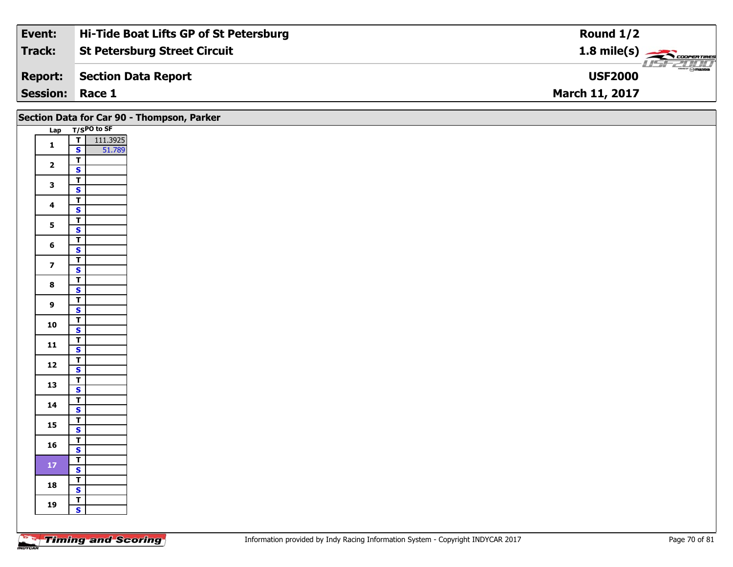| Event:                 | Hi-Tide Boat Lifts GP of St Petersburg | Round $1/2$                                    |
|------------------------|----------------------------------------|------------------------------------------------|
| Track:                 | <b>St Petersburg Street Circuit</b>    | $1.8$ mile(s) $\rightarrow$ COOPER TIRES       |
| <b>Report:</b>         | Section Data Report                    | $\frac{2}{\sqrt{2}}$ on azoa<br><b>USF2000</b> |
| <b>Session: Race 1</b> |                                        | <b>March 11, 2017</b>                          |

| Section Data for Car 90 - Thompson, Parker |                                           |  |  |  |  |  |  |  |  |
|--------------------------------------------|-------------------------------------------|--|--|--|--|--|--|--|--|
|                                            | Lap T/SPO to SF                           |  |  |  |  |  |  |  |  |
| $\mathbf{1}$                               | $\frac{1}{s}$<br>111.3925<br>51.789       |  |  |  |  |  |  |  |  |
|                                            |                                           |  |  |  |  |  |  |  |  |
| $\overline{\mathbf{2}}$                    | $\vert$                                   |  |  |  |  |  |  |  |  |
|                                            | $\overline{\mathbf{s}}$                   |  |  |  |  |  |  |  |  |
| $\mathbf{3}$                               | $\overline{\mathsf{r}}$                   |  |  |  |  |  |  |  |  |
|                                            | $\overline{\mathbf{s}}$                   |  |  |  |  |  |  |  |  |
| $\overline{\mathbf{4}}$                    | $\overline{\mathbf{T}}$<br>$\mathbf{s}$   |  |  |  |  |  |  |  |  |
|                                            | $\overline{1}$                            |  |  |  |  |  |  |  |  |
| 5 <sub>1</sub>                             | $\overline{\mathbf{s}}$                   |  |  |  |  |  |  |  |  |
|                                            | $\overline{I}$                            |  |  |  |  |  |  |  |  |
| $6\phantom{a}$                             | $\mathbf{s}$                              |  |  |  |  |  |  |  |  |
|                                            | $\mathbf{T}$                              |  |  |  |  |  |  |  |  |
| $\overline{\mathbf{z}}$                    | $\mathbf{s}$                              |  |  |  |  |  |  |  |  |
| $\bf{8}$                                   | $\overline{\mathsf{r}}$                   |  |  |  |  |  |  |  |  |
|                                            | $\overline{\mathbf{s}}$                   |  |  |  |  |  |  |  |  |
| $\overline{9}$                             | $\overline{\mathsf{T}}$                   |  |  |  |  |  |  |  |  |
|                                            | $\mathsf{s}$                              |  |  |  |  |  |  |  |  |
| 10                                         | $\overline{1}$<br>$\overline{\mathbf{s}}$ |  |  |  |  |  |  |  |  |
|                                            |                                           |  |  |  |  |  |  |  |  |
| 11                                         | $\frac{1}{s}$                             |  |  |  |  |  |  |  |  |
|                                            |                                           |  |  |  |  |  |  |  |  |
| $12$                                       | $\frac{1}{s}$                             |  |  |  |  |  |  |  |  |
| 13                                         | $\overline{r}$                            |  |  |  |  |  |  |  |  |
|                                            | $\mathbf{s}$                              |  |  |  |  |  |  |  |  |
| 14                                         | $\overline{\mathsf{T}}$                   |  |  |  |  |  |  |  |  |
|                                            | $\mathsf{s}$                              |  |  |  |  |  |  |  |  |
| 15                                         | $\frac{T}{S}$                             |  |  |  |  |  |  |  |  |
|                                            |                                           |  |  |  |  |  |  |  |  |
| 16                                         | $\frac{T}{S}$                             |  |  |  |  |  |  |  |  |
|                                            | $\overline{r}$                            |  |  |  |  |  |  |  |  |
| $17\,$                                     | $\overline{\mathbf{s}}$                   |  |  |  |  |  |  |  |  |
|                                            | $\mathbf{T}$                              |  |  |  |  |  |  |  |  |
| 18                                         | $\mathbf{s}$                              |  |  |  |  |  |  |  |  |
| 19                                         | $\top$                                    |  |  |  |  |  |  |  |  |
|                                            | $\mathbf{s}$                              |  |  |  |  |  |  |  |  |
|                                            |                                           |  |  |  |  |  |  |  |  |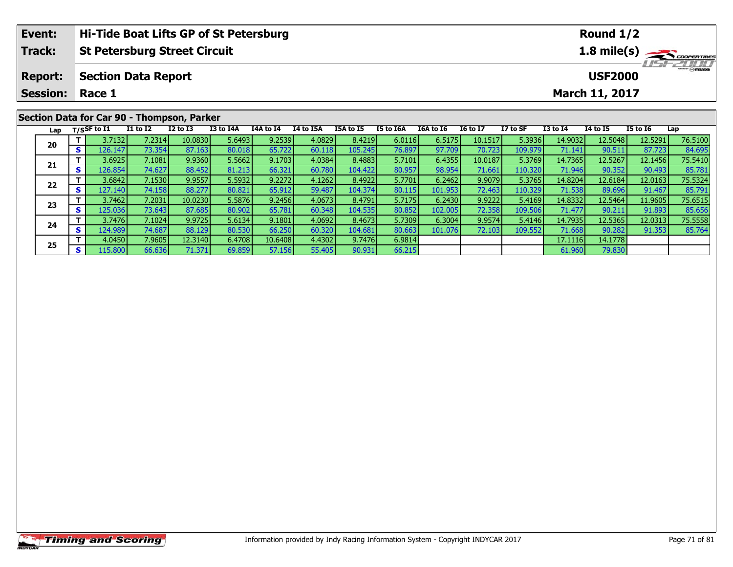|                                                      | Event:<br>Hi-Tide Boat Lifts GP of St Petersburg |    |                            |                 |              |           |           |                  |                  |                       |                  | Round $1/2$     |                                        |                 |                       |          |         |  |
|------------------------------------------------------|--------------------------------------------------|----|----------------------------|-----------------|--------------|-----------|-----------|------------------|------------------|-----------------------|------------------|-----------------|----------------------------------------|-----------------|-----------------------|----------|---------|--|
| <b>Track:</b><br><b>St Petersburg Street Circuit</b> |                                                  |    |                            |                 |              |           |           |                  |                  | $1.8 \text{ mile(s)}$ |                  |                 |                                        |                 |                       |          |         |  |
|                                                      | <b>Report:</b>                                   |    | <b>Section Data Report</b> |                 |              |           |           |                  |                  |                       |                  |                 | $\frac{2}{\sqrt{2}}$<br><b>USF2000</b> |                 |                       |          |         |  |
|                                                      | <b>Session:</b>                                  |    | Race 1                     |                 |              |           |           |                  |                  |                       |                  |                 |                                        |                 | <b>March 11, 2017</b> |          |         |  |
|                                                      | Section Data for Car 90 - Thompson, Parker       |    |                            |                 |              |           |           |                  |                  |                       |                  |                 |                                        |                 |                       |          |         |  |
|                                                      |                                                  |    | Lap $T/SSF$ to I1          | <b>I1 to I2</b> | $I2$ to $I3$ | I3 to I4A | I4A to I4 | <b>I4 to I5A</b> | <b>I5A to I5</b> | I5 to I6A             | <b>I6A to I6</b> | <b>16 to 17</b> | I7 to SF                               | <b>I3 to I4</b> | 14 to 15              | I5 to I6 | Lap     |  |
|                                                      | 20                                               |    | 3.7132                     | 7.2314          | 10.0830      | 5.6493    | 9.2539    | 4.0829           | 8.4219           | 6.0116                | 6.5175           | 10.1517         | 5.3936                                 | 14.9032         | 12.5048               | 12.5291  | 76.5100 |  |
|                                                      |                                                  | S. | 126.1471                   | 73.354          | 87.163       | 80.018    | 65.722    | 60.118           | 105.245          | 76.897                | 97.709           | 70.723          | 109.979                                | 71.1411         | 90.511                | 87.723   | 84.695  |  |

**<sup>T</sup>** 3.6925 7.1081 9.9360 5.5662 9.1703 4.0384 8.4883 5.7101 6.4355 10.0187 5.3769 14.7365 12.5267 12.1456 75.5410 **<sup>S</sup>** 126.854 74.627 88.452 81.213 66.321 60.780 104.422 80.957 98.954 71.661 110.320 71.946 90.352 90.493 85.781

2 T 3.6842 7.1530 9.9557 5.5932 9.2272 4.1262 8.4922 5.7701 6.2462 9.9079 5.3765 14.8204 12.6184 12.0163 75.5324<br>2 S 127.140 74.158 88.277 80.821 65.912 59.487 104.374 80.115 101.953 72.463 110.329 71.538 89.696 91.467 85.

3 T 3.7462| 7.2031| 10.0230| 5.5876| 9.2456| 4.0673| 8.4791| 5.7175| 6.2430| 9.9222| 5.4169| 14.8332| 12.5464| 11.9605| 75.6515<br>S 125.036| 73.643| 87.685| 80.902| 65.781| 60.348| 104.535| 80.852| 102.005| 72.358| 109.506|

4 T 3.7476| 7.1024| 9.9725| 5.6134| 9.1801| 4.0692| 8.4673| 5.7309| 6.3004| 9.9574| 5.4146| 14.7935| 12.5365| 12.0313| 75.5558<br>- S 124.989| 74.687| 88.129| 80.530| 66.250| 60.320| 104.681| 80.663| 101.076| 72.103| 109.552|

**<sup>T</sup>** 4.0450 7.9605 12.3140 6.4708 10.6408 4.4302 9.7476 6.9814 17.1116 14.1778 **<sup>S</sup>** 115.800 66.636 71.371 69.859 57.156 55.405 90.931 66.215 61.960 79.830

**21**

**22**

**23**

**24**

**25**

85.781

85.656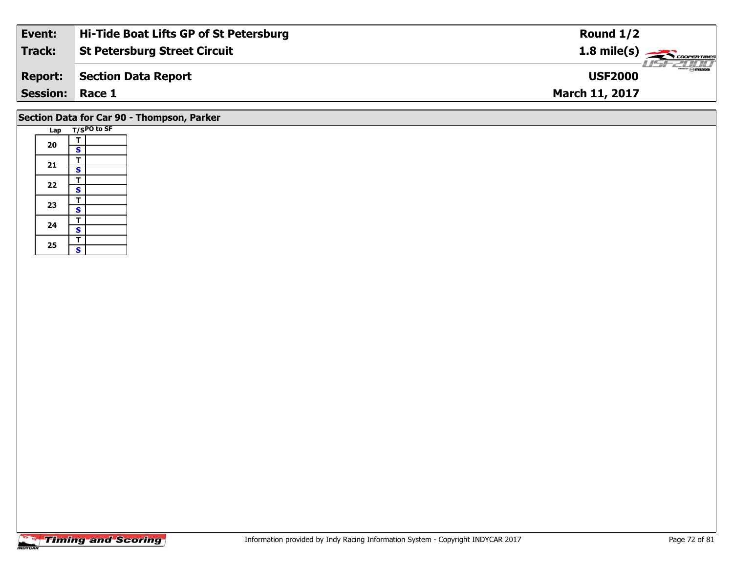| Event:                 | Hi-Tide Boat Lifts GP of St Petersburg | Round $1/2$                     |
|------------------------|----------------------------------------|---------------------------------|
| Track:                 | <b>St Petersburg Street Circuit</b>    | $1.8 \text{ mile(s)}$           |
| <b>Report:</b>         | Section Data Report                    | <b>Omazoa</b><br><b>USF2000</b> |
| <b>Session: Race 1</b> |                                        | <b>March 11, 2017</b>           |
|                        |                                        |                                 |

# **Section Data for Car 90 - Thompson, Parker**

| Lap |                         | T/SPO to SF |
|-----|-------------------------|-------------|
|     | т                       |             |
| 20  | $\overline{\mathbf{s}}$ |             |
|     | T                       |             |
| 21  | $\mathbf{s}$            |             |
| 22  | T                       |             |
|     | $\overline{\mathbf{s}}$ |             |
| 23  | T                       |             |
|     | $\overline{\mathbf{s}}$ |             |
| 24  | T                       |             |
|     | $\overline{\mathbf{s}}$ |             |
| 25  | T                       |             |
|     | Ś                       |             |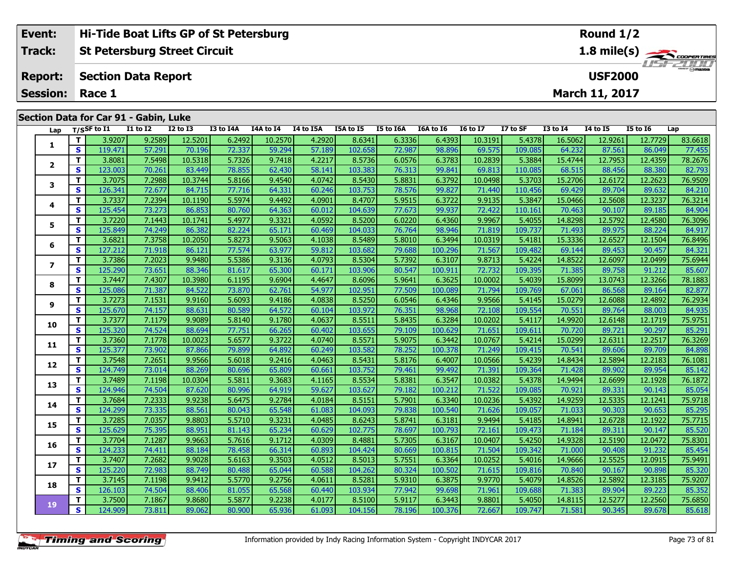| Event:                                | Hi-Tide Boat Lifts GP of St Petersburg | Round $1/2$                        |  |  |  |  |  |  |  |  |  |  |
|---------------------------------------|----------------------------------------|------------------------------------|--|--|--|--|--|--|--|--|--|--|
| Track:                                | <b>St Petersburg Street Circuit</b>    | $1.8 \text{ mile(s)}$              |  |  |  |  |  |  |  |  |  |  |
| <b>Report:</b>                        | Section Data Report                    | <b>LISF 2000</b><br><b>USF2000</b> |  |  |  |  |  |  |  |  |  |  |
| <b>Session: Race 1</b>                |                                        | <b>March 11, 2017</b>              |  |  |  |  |  |  |  |  |  |  |
| Section Data for Car 91 - Gabin, Luke |                                        |                                    |  |  |  |  |  |  |  |  |  |  |

| Lap            |                         | $T/S$ SF to I1 | <b>I1 to I2</b> | <b>I2 to I3</b> | I3 to I4A | I4A to I4 | I4 to I5A | I5A to I5 | I5 to I6A | I6A to I6 | <b>I6 to I7</b> | I7 to SF | <b>I3 to 14</b> | <b>I4 to I5</b> | <b>I5 to 16</b> | Lap     |
|----------------|-------------------------|----------------|-----------------|-----------------|-----------|-----------|-----------|-----------|-----------|-----------|-----------------|----------|-----------------|-----------------|-----------------|---------|
| 1              | T.                      | 3.9207         | 9.2589          | 12.5201         | 6.2492    | 10.2570   | 4.2920    | 8.6341    | 6.3336    | 6.4393    | 10.3191         | 5.4378   | 16.5062         | 12.9261         | 12.7729         | 83.6618 |
|                | $\mathbf{s}$            | 119.471        | 57.291          | 70.196          | 72.337    | 59.294    | 57.189    | 102.658   | 72.987    | 98.896    | 69.575          | 109.085  | 64.232          | 87.561          | 86.049          | 77.455  |
|                | T.                      | 3.8081         | 7.5498          | 10.5318         | 5.7326    | 9.7418    | 4.2217    | 8.5736    | 6.0576    | 6.3783    | 10.2839         | 5.3884   | 15.4744         | 12.7953         | 12.4359         | 78.2676 |
| $\mathbf{2}$   | $\mathbf{s}$            | 123.003        | 70.261          | 83.449          | 78.855    | 62.430    | 58.141    | 103.383   | 76.313    | 99.841    | 69.813          | 110.085  | 68.515          | 88.456          | 88.380          | 82.793  |
| 3              | T.                      | 3.7075         | 7.2988          | 10.3744         | 5.8166    | 9.4540    | 4.0742    | 8.5430    | 5.8831    | 6.3792    | 10.0498         | 5.3703   | 15.2706         | 12.6172         | 12.2623         | 76.9509 |
|                | $\mathbf{s}$            | 126.341        | 72.677          | 84.715          | 77.716    | 64.331    | 60.246    | 103.753   | 78.576    | 99.827    | 71.440          | 110.456  | 69.429          | 89.704          | 89.632          | 84.210  |
| 4              | T                       | 3.7337         | 7.2394          | 10.1190         | 5.5974    | 9.4492    | 4.0901    | 8.4707    | 5.9515    | 6.3722    | 9.9135          | 5.3847   | 15.0466         | 12.5608         | 12.3237         | 76.3214 |
|                | $\mathbf{s}$            | 125.454        | 73.273          | 86.853          | 80.760    | 64.363    | 60.012    | 104.639   | 77.673    | 99.937    | 72.422          | 110.161  | 70.463          | 90.107          | 89.185          | 84.904  |
| 5              | T.                      | 3.7220         | 7.1443          | 10.1741         | 5.4977    | 9.3321    | 4.0592    | 8.5200    | 6.0220    | 6.4360    | 9.9967          | 5.4055   | 14.8298         | 12.5792         | 12.4580         | 76.3096 |
|                | S                       | 125.849        | 74.249          | 86.382          | 82.224    | 65.171    | 60.469    | 104.033   | 76.764    | 98.946    | 71.819          | 109.737  | 71.493          | 89.975          | 88.224          | 84.917  |
| 6              | T                       | 3.6821         | 7.3758          | 10.2050         | 5.8273    | 9.5063    | 4.1038    | 8.5489    | 5.8010    | 6.3494    | 10.0319         | 5.4181   | 15.3336         | 12.6527         | 12.1504         | 76.8496 |
|                | $\mathbf{s}$            | 127.212        | 71.918          | 86.121          | 77.574    | 63.977    | 59.812    | 103.682   | 79.688    | 100.296   | 71.567          | 109.482  | 69.144          | 89.453          | 90.457          | 84.321  |
| $\overline{ }$ | T                       | 3.7386         | 7.2023          | 9.9480          | 5.5386    | 9.3136    | 4.0793    | 8.5304    | 5.7392    | 6.3107    | 9.8713          | 5.4224   | 14.8522         | 12.6097         | 12.0499         | 75.6944 |
|                | S                       | 125.290        | 73.651          | 88.346          | 81.617    | 65.300    | 60.171    | 103.906   | 80.547    | 100.911   | 72.732          | 109.395  | 71.385          | 89.758          | 91.212          | 85.607  |
| 8              | T.                      | 3.7447         | 7.4307          | 10.3980         | 6.1195    | 9.6904    | 4.4647    | 8.6096    | 5.9641    | 6.3625    | 10.0002         | 5.4039   | 15.8099         | 13.0743         | 12.3266         | 78.1883 |
|                | $\mathbf{s}$            | 125.086        | 71.387          | 84.522          | 73.870    | 62.761    | 54.977    | 102.951   | 77.509    | 100.089   | 71.794          | 109.769  | 67.061          | 86.568          | 89.164          | 82.877  |
| 9              | T                       | 3.7273         | 7.1531          | 9.9160          | 5.6093    | 9.4186    | 4.0838    | 8.5250    | 6.0546    | 6.4346    | 9.9566          | 5.4145   | 15.0279         | 12.6088         | 12.4892         | 76.2934 |
|                | S                       | 125.670        | 74.157          | 88.631          | 80.589    | 64.572    | 60.104    | 103.972   | 76.351    | 98.968    | 72.108          | 109.554  | 70.551          | 89.764          | 88.003          | 84.935  |
| 10             | T.                      | 3.7377         | 7.1179          | 9.9089          | 5.8140    | 9.1780    | 4.0637    | 8.5511    | 5.8435    | 6.3284    | 10.0202         | 5.4117   | 14.9920         | 12.6148         | 12.1719         | 75.9751 |
|                | S                       | 125.320        | 74.524          | 88.694          | 77.751    | 66.265    | 60.402    | 103.655   | 79.109    | 100.629   | 71.651          | 109.611  | 70.720          | 89.721          | 90.297          | 85.291  |
| 11             | T                       | 3.7360         | 7.1778          | 10.0023         | 5.6577    | 9.3722    | 4.0740    | 8.5571    | 5.9075    | 6.3442    | 10.0767         | 5.4214   | 15.0299         | 12.6311         | 12.2517         | 76.3269 |
|                | $\mathbf{s}$            | 125.377        | 73.902          | 87.866          | 79.899    | 64.892    | 60.249    | 103.582   | 78.252    | 100.378   | 71.249          | 109.415  | 70.541          | 89.606          | 89.709          | 84.898  |
| 12             | T                       | 3.7548         | 7.2651          | 9.9566          | 5.6018    | 9.2416    | 4.0463    | 8.5431    | 5.8176    | 6.4007    | 10.0566         | 5.4239   | 14.8434         | 12.5894         | 12.2183         | 76.1081 |
|                | S                       | 124.749        | 73.014          | 88.269          | 80.696    | 65.809    | 60.661    | 103.752   | 79.461    | 99.492    | 71.391          | 109.364  | 71.428          | 89.902          | 89.954          | 85.142  |
| 13             | T.                      | 3.7489         | 7.1198          | 10.0304         | 5.5811    | 9.3683    | 4.1165    | 8.5534    | 5.8381    | 6.3547    | 10.0382         | 5.4378   | 14.9494         | 12.6699         | 12.1928         | 76.1872 |
|                | $\mathbf{s}$            | 124.946        | 74.504          | 87.620          | 80.996    | 64.919    | 59.627    | 103.627   | 79.182    | 100.212   | 71.522          | 109.085  | 70.921          | 89.331          | 90.143          | 85.054  |
| 14             | T                       | 3.7684         | 7.2333          | 9.9238          | 5.6475    | 9.2784    | 4.0184    | 8.5151    | 5.7901    | 6.3340    | 10.0236         | 5.4392   | 14.9259         | 12.5335         | 12.1241         | 75.9718 |
|                | $\overline{\mathbf{s}}$ | 124.299        | 73.335          | 88.561          | 80.043    | 65.548    | 61.083    | 104.093   | 79.838    | 100.540   | 71.626          | 109.057  | 71.033          | 90.303          | 90.653          | 85.295  |
| 15             | T.                      | 3.7285         | 7.0357          | 9.8803          | 5.5710    | 9.3231    | 4.0485    | 8.6243    | 5.8741    | 6.3181    | 9.9494          | 5.4185   | 14.8941         | 12.6728         | 12.1922         | 75.7715 |
|                | $\overline{\mathbf{s}}$ | 125.629        | 75.395          | 88.951          | 81.143    | 65.234    | 60.629    | 102.775   | 78.697    | 100.793   | 72.161          | 109.473  | 71.184          | 89.311          | 90.147          | 85.520  |
| 16             | T.                      | 3.7704         | 7.1287          | 9.9663          | 5.7616    | 9.1712    | 4.0309    | 8.4881    | 5.7305    | 6.3167    | 10.0407         | 5.4250   | 14.9328         | 12.5190         | 12.0472         | 75.8301 |
|                | S                       | 124.233        | 74.411          | 88.184          | 78.458    | 66.314    | 60.893    | 104.424   | 80.669    | 100.815   | 71.504          | 109.342  | 71.000          | 90.408          | 91.232          | 85.454  |
| 17             | T.                      | 3.7407         | 7.2682          | 9.9028          | 5.6163    | 9.3503    | 4.0512    | 8.5013    | 5.7551    | 6.3364    | 10.0252         | 5.4016   | 14.9666         | 12.5525         | 12.0915         | 75.9491 |
|                | $\mathbf{s}$            | 125.220        | 72.983          | 88.749          | 80.488    | 65.044    | 60.588    | 104.262   | 80.324    | 100.502   | 71.615          | 109.816  | 70.840          | 90.167          | 90.898          | 85.320  |
| 18             | T.                      | 3.7145         | 7.1198          | 9.9412          | 5.5770    | 9.2756    | 4.0611    | 8.5281    | 5.9310    | 6.3875    | 9.9770          | 5.4079   | 14.8526         | 12.5892         | 12.3185         | 75.9207 |
|                | $\mathbf{s}$            | 126.103        | 74.504          | 88.406          | 81.055    | 65.568    | 60.440    | 103.934   | 77.942    | 99.698    | 71.961          | 109.688  | 71.383          | 89.904          | 89.223          | 85.352  |
| 19             | T.                      | 3.7500         | 7.1867          | 9.8680          | 5.5877    | 9.2238    | 4.0177    | 8.5100    | 5.9117    | 6.3443    | 9.8801          | 5.4050   | 14.8115         | 12.5277         | 12.2560         | 75.6850 |
|                | S                       | 124.909        | 73.811          | 89.062          | 80.900    | 65.936    | 61.093    | 104.156   | 78.196    | 100.376   | 72.667          | 109.747  | 71.581          | 90.345          | 89.678          | 85.618  |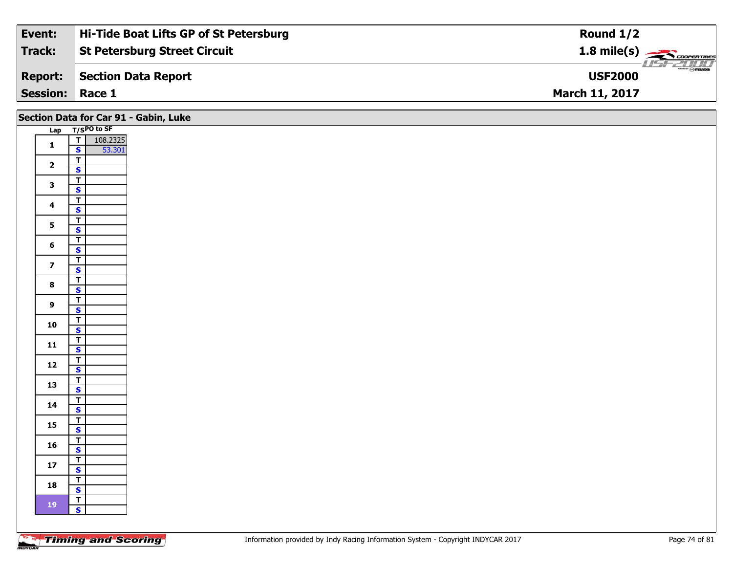| Event:                 | Hi-Tide Boat Lifts GP of St Petersburg | Round $1/2$                              |
|------------------------|----------------------------------------|------------------------------------------|
| Track:                 | <b>St Petersburg Street Circuit</b>    | $1.8$ mile(s) $\rightarrow$ COOPER TIRES |
| <b>Report:</b>         | Section Data Report                    | <b>LISF 2000</b><br><b>USF2000</b>       |
| <b>Session: Race 1</b> |                                        | <b>March 11, 2017</b>                    |

|                         | Section Data for Car 91 - Gabin, Luke              |
|-------------------------|----------------------------------------------------|
|                         | Lap T/SPO to SF                                    |
| $\mathbf 1$             | $\overline{T}$<br>108.2325<br>53.301<br>S          |
| $\overline{\mathbf{2}}$ | $\overline{\mathsf{r}}$<br>$\overline{\mathbf{s}}$ |
| $\mathbf{3}$            | $\overline{T}$<br>$\mathbf{s}$                     |
| $\overline{\mathbf{4}}$ | $\overline{I}$<br>$\mathbf{s}$                     |
| 5 <sub>5</sub>          | $\overline{I}$                                     |
| 6                       | $\overline{\mathbf{s}}$<br>$\overline{I}$          |
|                         | $\mathbf{s}$<br>$\overline{1}$                     |
| $\overline{7}$          | $\mathbf{s}$<br>$\overline{\mathsf{r}}$            |
| $\bf{8}$                | $\overline{\mathbf{s}}$<br>$\overline{T}$          |
| $\boldsymbol{9}$        | $\mathbf{s}$                                       |
| 10                      | $\overline{\mathbf{r}}$<br>$\overline{\mathbf{s}}$ |
| $\mathbf{11}$           | $\overline{T}$<br>$\mathbf{s}$                     |
| $12$                    | $\overline{I}$<br>$\overline{\mathbf{s}}$          |
| 13                      | $\overline{\mathsf{r}}$<br>$\overline{\mathbf{s}}$ |
| $14$                    | $\overline{\mathsf{r}}$<br>$\mathbf{s}$            |
| 15                      | $\overline{\mathbf{r}}$<br>$\overline{\mathbf{s}}$ |
| 16                      | $\overline{I}$<br>$\mathbf{s}$                     |
| ${\bf 17}$              | $\overline{I}$                                     |
| 18                      | $\mathbf{s}$<br>$\overline{I}$                     |
|                         | $\mathbf{s}$<br>$\overline{\mathsf{T}}$            |
| $\bf 19$                | $\mathbf{s}$                                       |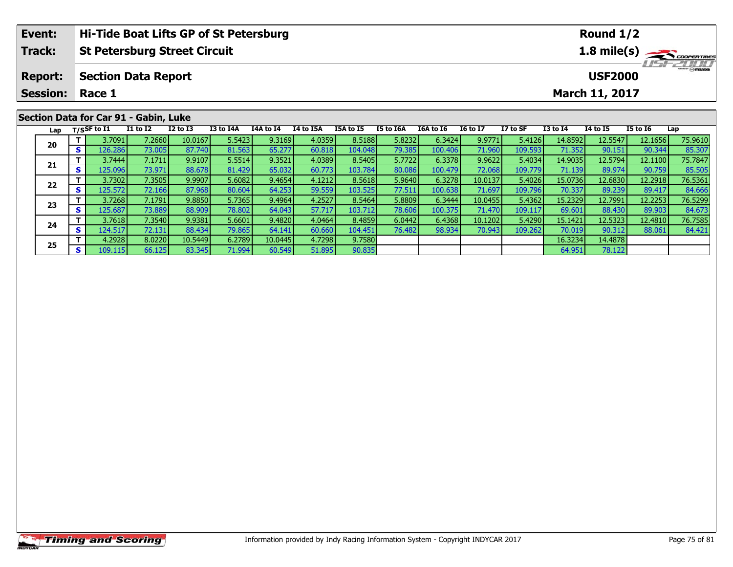|                                                      | Event:<br>Hi-Tide Boat Lifts GP of St Petersburg |    |                            |                                       |              |                  |           |           |           |           |           |                                          |                                  | Round $1/2$     |                 |                 |         |  |  |  |  |  |
|------------------------------------------------------|--------------------------------------------------|----|----------------------------|---------------------------------------|--------------|------------------|-----------|-----------|-----------|-----------|-----------|------------------------------------------|----------------------------------|-----------------|-----------------|-----------------|---------|--|--|--|--|--|
| <b>Track:</b><br><b>St Petersburg Street Circuit</b> |                                                  |    |                            |                                       |              |                  |           |           |           |           |           | $1.8$ mile(s) $\rightarrow$ Coorer These |                                  |                 |                 |                 |         |  |  |  |  |  |
|                                                      | <b>Report:</b>                                   |    | <b>Section Data Report</b> |                                       |              |                  |           |           |           |           |           |                                          | <b>HSFZDDD</b><br><b>USF2000</b> |                 |                 |                 |         |  |  |  |  |  |
|                                                      | <b>Session:</b>                                  |    | Race 1                     |                                       |              |                  |           |           |           |           |           | <b>March 11, 2017</b>                    |                                  |                 |                 |                 |         |  |  |  |  |  |
|                                                      |                                                  |    |                            | Section Data for Car 91 - Gabin, Luke |              |                  |           |           |           |           |           |                                          |                                  |                 |                 |                 |         |  |  |  |  |  |
|                                                      | Lap                                              |    | T/SSF to I1                | I1 to I2                              | $I2$ to $I3$ | <b>I3 to I4A</b> | I4A to I4 | I4 to I5A | I5A to I5 | I5 to I6A | I6A to I6 | <b>16 to 17</b>                          | I7 to SF                         | <b>I3 to I4</b> | <b>I4 to I5</b> | <b>I5 to 16</b> | Lap     |  |  |  |  |  |
|                                                      |                                                  |    | 3.7091                     | 7.2660                                | 10.0167      | 5.5423           | 9.3169    | 4.0359    | 8.5188    | 5.8232    | 6.3424    | 9.9771                                   | 5.4126                           | 14.8592         | 12.5547         | 12.1656         | 75.9610 |  |  |  |  |  |
|                                                      | 20                                               | S. | 126.2861                   | 73.005                                | 87.740       | 81.563           | 65.277    | 60.818    | 104.048   | 79.385    | 100.406   | 71.960                                   | 109.593                          | 71.352          | 90.151          | 90.344          | 85.307  |  |  |  |  |  |

**<sup>T</sup>** 3.7444 7.1711 9.9107 5.5514 9.3521 4.0389 8.5405 5.7722 6.3378 9.9622 5.4034 14.9035 12.5794 12.1100 75.7847 **<sup>S</sup>** 125.096 73.971 88.678 81.429 65.032 60.773 103.784 80.086 100.479 72.068 109.779 71.139 89.974 90.759 85.505

2 T 3.7302 7.3505 9.9907 5.6082 9.4654 4.1212 8.5618 5.9640 6.3278 10.0137 5.4026 15.0736 12.6830 12.2918 76.5361<br>2 S 125.572 72.166 87.968 80.604 64.253 59.559 103.525 77.511 100.638 71.697 109.796 70.337 89.239 89.417 84

**<sup>T</sup>** 3.7268 7.1791 9.8850 5.7365 9.4964 4.2527 8.5464 5.8809 6.3444 10.0455 5.4362 15.2329 12.7991 12.2253 76.5299 **<sup>S</sup>** 125.687 73.889 88.909 78.802 64.043 57.717 103.712 78.606 100.375 71.470 109.117 69.601 88.430 89.903 84.673

**<sup>T</sup>** 3.7618 7.3540 9.9381 5.6601 9.4820 4.0464 8.4859 6.0442 6.4368 10.1202 5.4290 15.1421 12.5323 12.4810 76.7585 **<sup>S</sup>** 124.517 72.131 88.434 79.865 64.141 60.660 104.451 76.482 98.934 70.943 109.262 70.019 90.312 88.061 84.421

**T** 4.2928 8.0220 10.5449 6.2789 10.0445 4.7298 9.7580 16.3234 14.4878 5 5 1.9911 16.3234 14.4878 66.125 83.345 71.994 60.549 51.895 90.835

**21**

**22**

**23**

**24**

**25**

85.505

84.666

84.67

84.421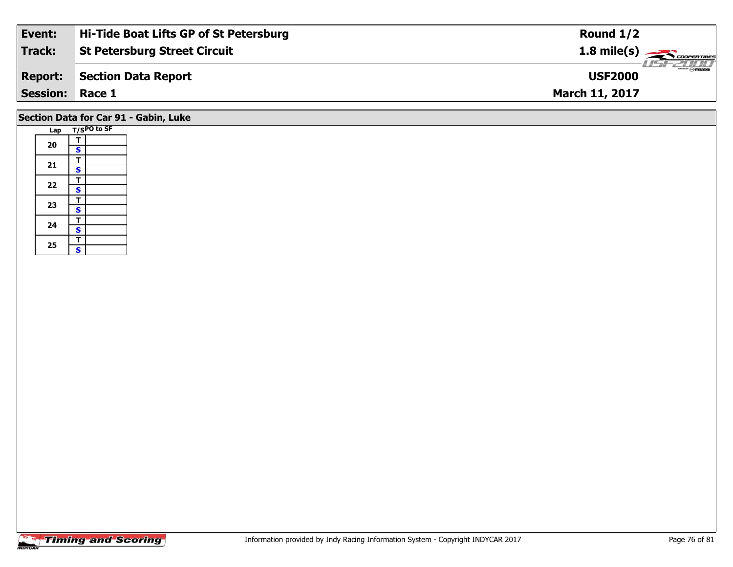| Event:          | Hi-Tide Boat Lifts GP of St Petersburg | Round $1/2$                                             |
|-----------------|----------------------------------------|---------------------------------------------------------|
| Track:          | <b>St Petersburg Street Circuit</b>    | $1.8 \text{ mile(s)} \longrightarrow \text{COPER TIME}$ |
| <b>Report:</b>  | Section Data Report                    | $\frac{1}{2}$ omazoa<br><b>USF2000</b>                  |
| Session: Race 1 |                                        | <b>March 11, 2017</b>                                   |
|                 |                                        |                                                         |

## **Section Data for Car 91 - Gabin, Luke**

|  | Lap |                         | T/SPO to SF |
|--|-----|-------------------------|-------------|
|  |     | т                       |             |
|  | 20  | S                       |             |
|  |     | т                       |             |
|  | 21  | S                       |             |
|  | 22  | T                       |             |
|  |     | S                       |             |
|  |     | T                       |             |
|  | 23  | S                       |             |
|  | 24  | т                       |             |
|  |     | $\overline{\mathbf{s}}$ |             |
|  |     | T                       |             |
|  | 25  | Ś                       |             |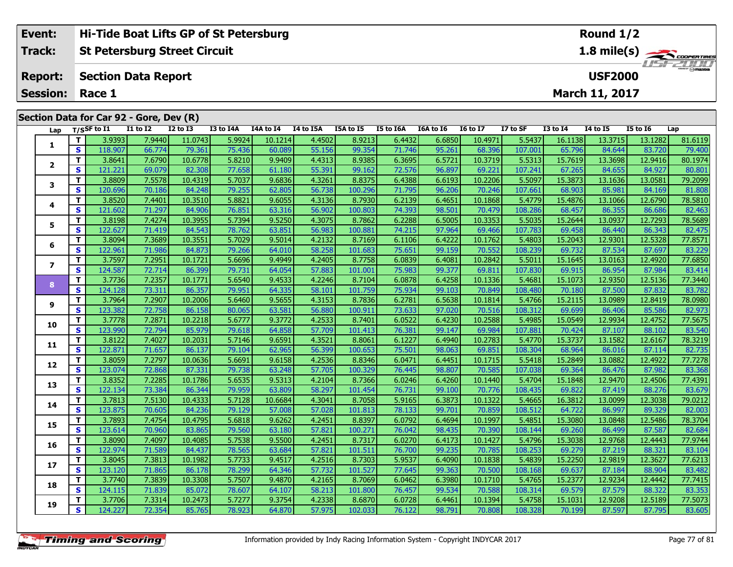| Hi-Tide Boat Lifts GP of St Petersburg<br>Event: |          |                                         |                 |                 |                 |                             |           |                  |                  |           |                 | Round $1/2$ |                 |                       |                 |         |  |  |  |
|--------------------------------------------------|----------|-----------------------------------------|-----------------|-----------------|-----------------|-----------------------------|-----------|------------------|------------------|-----------|-----------------|-------------|-----------------|-----------------------|-----------------|---------|--|--|--|
| <b>Track:</b>                                    |          | <b>St Petersburg Street Circuit</b>     |                 |                 |                 |                             |           |                  |                  |           |                 |             | 1.8 mile(s)     |                       |                 |         |  |  |  |
| <b>Report:</b>                                   |          | <b>Section Data Report</b>              |                 |                 |                 | LISE 2000<br><b>USF2000</b> |           |                  |                  |           |                 |             |                 |                       |                 |         |  |  |  |
| <b>Session:</b>                                  |          | Race 1                                  |                 |                 |                 |                             |           |                  |                  |           |                 |             |                 | <b>March 11, 2017</b> |                 |         |  |  |  |
|                                                  |          |                                         |                 |                 |                 |                             |           |                  |                  |           |                 |             |                 |                       |                 |         |  |  |  |
|                                                  |          | Section Data for Car 92 - Gore, Dev (R) |                 |                 |                 |                             |           |                  |                  |           |                 |             |                 |                       |                 |         |  |  |  |
|                                                  |          | Lap $T/S$ SF to I1                      | <b>I1 to I2</b> | <b>I2 to I3</b> | I3 to I4A       | I4A to I4                   | I4 to I5A | <b>I5A to I5</b> | <b>I5 to I6A</b> | I6A to I6 | <b>16 to 17</b> | I7 to SF    | <b>I3 to I4</b> | <b>I4 to I5</b>       | <b>I5 to I6</b> | Lap     |  |  |  |
|                                                  |          | 3.9393                                  | 7.9440          | 11.0743         | 5.9924          | 10.1214                     | 4.4502    | 8.9213           | 6.4432           | 6.6850    | 10.4971         | 5.5437      | 16.1138         | 13.3715               | 13.1282         | 81.6119 |  |  |  |
|                                                  | <b>S</b> | 118.907                                 | 66.774          | 79.361          | 75.436          | 60.089                      | 55.156    | 99.354           | 71.746           | 95.261    | 68.396          | 107.001     | 65.796          | 84.644                | 83.720          | 79.400  |  |  |  |
|                                                  |          | 3.8641                                  | 7.6790          | 10.6778         | 5.8210          | 9.9409                      | 4.4313    | 8.9385           | 6.3695           | 6.5721    | 10.3719         | 5.5313      | 15.7619         | 13.3698               | 12.9416         | 80.1974 |  |  |  |
|                                                  | s.       | 121.221                                 | 69.079          | 82.308          | 77.658 <b>L</b> | 61.180                      | 55.391    | 99.162           | 72.576           | 96.897    | 69.221          | 107.241     | 67.265          | 84.655                | 84.927          | 80.801  |  |  |  |

| 1                |              | 3.9393  | 7.9440 | 11.0743 | 5.9924 | 10.1214 | 4.4502 | 8.9213  | 6.4432 | 6.6850 | 10.4971 | 5.5437  | 16.1138 | 13.3715 | 13.1282 | 81.6119 |
|------------------|--------------|---------|--------|---------|--------|---------|--------|---------|--------|--------|---------|---------|---------|---------|---------|---------|
|                  | $\mathbf{s}$ | 118.907 | 66.774 | 79.361  | 75.436 | 60.089  | 55.156 | 99.354  | 71.746 | 95.261 | 68.396  | 107.001 | 65.796  | 84.644  | 83.720  | 79.400  |
| $\mathbf{2}$     | Т            | 3.8641  | 7.6790 | 10.6778 | 5.8210 | 9.9409  | 4.4313 | 8.9385  | 6.3695 | 6.5721 | 10.3719 | 5.5313  | 15.7619 | 13.3698 | 12.9416 | 80.1974 |
|                  | S            | 121.221 | 69.079 | 82.308  | 77.658 | 61.180  | 55.391 | 99.162  | 72.576 | 96.897 | 69.221  | 107.241 | 67.265  | 84.655  | 84.927  | 80.801  |
| 3                | т            | 3.8809  | 7.5578 | 10.4319 | 5.7037 | 9.6836  | 4.3261 | 8.8375  | 6.4388 | 6.6193 | 10.2206 | 5.5097  | 15.3873 | 13.1636 | 13.0581 | 79.2099 |
|                  | S            | 120.696 | 70.186 | 84.248  | 79.255 | 62.805  | 56.738 | 100.296 | 71.795 | 96.206 | 70.246  | 107.661 | 68.903  | 85.981  | 84.169  | 81.808  |
| 4                | т            | 3.8520  | 7.4401 | 10.3510 | 5.8821 | 9.6055  | 4.3136 | 8.7930  | 6.2139 | 6.4651 | 10.1868 | 5.4779  | 15.4876 | 13.1066 | 12.6790 | 78.5810 |
|                  | S            | 121.602 | 71.297 | 84.906  | 76.851 | 63.316  | 56.902 | 100.803 | 74.393 | 98.501 | 70.479  | 108.286 | 68.457  | 86.355  | 86.686  | 82.463  |
| 5                | Т            | 3.8198  | 7.4274 | 10.3955 | 5.7394 | 9.5250  | 4.3075 | 8.7862  | 6.2288 | 6.5005 | 10.3353 | 5.5035  | 15.2644 | 13.0937 | 12.7293 | 78.5689 |
|                  | S            | 122.627 | 71.419 | 84.543  | 78.762 | 63.851  | 56.983 | 100.881 | 74.215 | 97.964 | 69.466  | 107.783 | 69.458  | 86.440  | 86.343  | 82.475  |
| 6                | Т            | 3.8094  | 7.3689 | 10.3551 | 5.7029 | 9.5014  | 4.2132 | 8.7169  | 6.1106 | 6.4222 | 10.1762 | 5.4803  | 15.2043 | 12.9301 | 12.5328 | 77.8571 |
|                  | $\mathbf{s}$ | 122.961 | 71.986 | 84.873  | 79.266 | 64.010  | 58.258 | 101.683 | 75.651 | 99.159 | 70.552  | 108.239 | 69.732  | 87.534  | 87.697  | 83.229  |
| $\boldsymbol{7}$ | $\mathbf{T}$ | 3.7597  | 7.2951 | 10.1721 | 5.6696 | 9.4949  | 4.2405 | 8.7758  | 6.0839 | 6.4081 | 10.2842 | 5.5011  | 15.1645 | 13.0163 | 12.4920 | 77.6850 |
|                  | $\mathbf{s}$ | 124.587 | 72.714 | 86.399  | 79.731 | 64.054  | 57.883 | 101.001 | 75.983 | 99.377 | 69.811  | 107.830 | 69.915  | 86.954  | 87.984  | 83.414  |
| 8                | т            | 3.7736  | 7.2357 | 10.1771 | 5.6540 | 9.4533  | 4.2246 | 8.7104  | 6.0878 | 6.4258 | 10.1336 | 5.4681  | 15.1073 | 12.9350 | 12.5136 | 77.3440 |
|                  | S            | 124.128 | 73.311 | 86.357  | 79.951 | 64.335  | 58.101 | 101.759 | 75.934 | 99.103 | 70.849  | 108.480 | 70.180  | 87.500  | 87,832  | 83.782  |
| 9                | $\mathbf{T}$ | 3.7964  | 7.2907 | 10.2006 | 5.6460 | 9.5655  | 4.3153 | 8.7836  | 6.2781 | 6.5638 | 10.1814 | 5.4766  | 15.2115 | 13.0989 | 12.8419 | 78.0980 |
|                  | S            | 123.382 | 72.758 | 86.158  | 80.065 | 63.581  | 56.880 | 100.911 | 73.633 | 97.020 | 70.516  | 108.312 | 69.699  | 86.406  | 85.586  | 82.973  |
| 10               | Т            | 3.7778  | 7.2871 | 10.2218 | 5.6777 | 9.3772  | 4.2533 | 8.7401  | 6.0522 | 6.4230 | 10.2588 | 5.4985  | 15.0549 | 12.9934 | 12.4752 | 77.5675 |
|                  | S            | 123.990 | 72.794 | 85.979  | 79.618 | 64.858  | 57.709 | 101.413 | 76.381 | 99.147 | 69.984  | 107.881 | 70.424  | 87.107  | 88.102  | 83.540  |
| 11               | Т            | 3.8122  | 7.4027 | 10.2031 | 5.7146 | 9.6591  | 4.3521 | 8.8061  | 6.1227 | 6.4940 | 10.2783 | 5.4770  | 15.3737 | 13.1582 | 12.6167 | 78.3219 |
|                  | S            | 122.871 | 71.657 | 86.137  | 79.104 | 62.965  | 56.399 | 100.653 | 75.501 | 98.063 | 69.851  | 108.304 | 68.964  | 86.016  | 87.114  | 82.735  |
| 12               | T            | 3.8059  | 7.2797 | 10.0636 | 5.6691 | 9.6158  | 4.2536 | 8.8346  | 6.0471 | 6.4451 | 10.1715 | 5.5418  | 15.2849 | 13.0882 | 12.4922 | 77.7278 |
|                  | S            | 123.074 | 72.868 | 87.331  | 79.738 | 63.248  | 57.705 | 100.329 | 76.445 | 98.807 | 70.585  | 107.038 | 69.364  | 86.476  | 87.982  | 83.368  |
| 13               | $\mathbf{T}$ | 3.8352  | 7.2285 | 10.1786 | 5.6535 | 9.5313  | 4.2104 | 8.7366  | 6.0246 | 6.4260 | 10.1440 | 5.4704  | 15.1848 | 12.9470 | 12.4506 | 77.4391 |
|                  | S            | 122.134 | 73.384 | 86.344  | 79.959 | 63.809  | 58.297 | 101.454 | 76.731 | 99.100 | 70.776  | 108.435 | 69.822  | 87.419  | 88.276  | 83.679  |
| 14               | $\mathbf{T}$ | 3.7813  | 7.5130 | 10.4333 | 5.7128 | 10.6684 | 4.3041 | 8.7058  | 5.9165 | 6.3873 | 10.1322 | 5.4665  | 16.3812 | 13.0099 | 12.3038 | 79.0212 |
|                  | $\mathbf{s}$ | 123.875 | 70.605 | 84.236  | 79.129 | 57.008  | 57.028 | 101.813 | 78.133 | 99.701 | 70.859  | 108.512 | 64.722  | 86.997  | 89.329  | 82.003  |
| 15               | Т            | 3.7893  | 7.4754 | 10.4795 | 5.6818 | 9.6262  | 4.2451 | 8.8397  | 6.0792 | 6.4694 | 10.1997 | 5.4851  | 15.3080 | 13.0848 | 12.5486 | 78.3704 |
|                  | $\mathbf s$  | 123.614 | 70.960 | 83.865  | 79.560 | 63.180  | 57.821 | 100.271 | 76.042 | 98.435 | 70.390  | 108.144 | 69.260  | 86.499  | 87.587  | 82.684  |
| 16               | T            | 3.8090  | 7.4097 | 10.4085 | 5.7538 | 9.5500  | 4.2451 | 8.7317  | 6.0270 | 6.4173 | 10.1427 | 5.4796  | 15.3038 | 12.9768 | 12.4443 | 77.9744 |
|                  | $\mathbf{s}$ | 122.974 | 71.589 | 84.437  | 78.565 | 63.684  | 57.821 | 101.511 | 76.700 | 99.235 | 70.785  | 108.253 | 69.279  | 87.219  | 88.321  | 83.104  |
| 17               | T            | 3.8045  | 7.3813 | 10.1982 | 5.7733 | 9.4517  | 4.2516 | 8.7303  | 5.9537 | 6.4090 | 10.1838 | 5.4839  | 15.2250 | 12.9819 | 12.3627 | 77.6213 |
|                  | S            | 123.120 | 71.865 | 86.178  | 78.299 | 64.346  | 57.732 | 101.527 | 77.645 | 99.363 | 70.500  | 108.168 | 69.637  | 87.184  | 88.904  | 83.482  |
| 18               | Т            | 3.7740  | 7.3839 | 10.3308 | 5.7507 | 9.4870  | 4.2165 | 8.7069  | 6.0462 | 6.3980 | 10.1710 | 5.4765  | 15.2377 | 12.9234 | 12.4442 | 77.7415 |
|                  | S            | 124.115 | 71.839 | 85.072  | 78.607 | 64.107  | 58.213 | 101.800 | 76.457 | 99.534 | 70.588  | 108.314 | 69.579  | 87.579  | 88.322  | 83.353  |
| 19               | Т            | 3.7706  | 7.3314 | 10.2473 | 5.7277 | 9.3754  | 4.2338 | 8.6870  | 6.0728 | 6.4461 | 10.1394 | 5.4758  | 15.1031 | 12.9208 | 12.5189 | 77.5073 |
|                  | S            | 124.227 | 72.354 | 85.765  | 78.923 | 64.870  | 57.975 | 102.033 | 76.122 | 98.791 | 70.808  | 108.328 | 70.199  | 87.597  | 87.795  | 83.605  |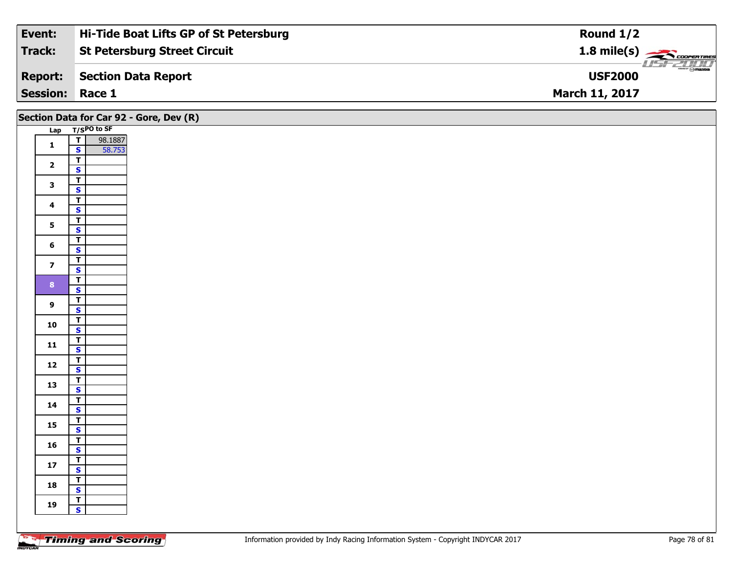| Event:                 | Hi-Tide Boat Lifts GP of St Petersburg | Round $1/2$                      |
|------------------------|----------------------------------------|----------------------------------|
| Track:                 | <b>St Petersburg Street Circuit</b>    | $1.8 \text{ mile(s)}$            |
| <b>Report:</b>         | Section Data Report                    | $\theta$ mazpa<br><b>USF2000</b> |
| <b>Session: Race 1</b> |                                        | <b>March 11, 2017</b>            |

|                         |                                                    | Section Data for Car 92 - Gore, Dev (R) |
|-------------------------|----------------------------------------------------|-----------------------------------------|
|                         | Lap T/SPO to SF                                    |                                         |
| $\mathbf{1}$            | $\overline{I}$<br>98.1887                          |                                         |
|                         | $\mathbf{s}$<br>58.753                             |                                         |
| $\overline{\mathbf{2}}$ | $\overline{\mathsf{T}}$                            |                                         |
|                         | $\overline{\mathbf{s}}$                            |                                         |
| $\mathbf{3}$            | $\overline{\mathsf{T}}$                            |                                         |
|                         | $\overline{\mathbf{s}}$                            |                                         |
| $\overline{\mathbf{4}}$ | $\overline{\mathsf{T}}$                            |                                         |
|                         | $\overline{\mathbf{s}}$<br>$\overline{\mathsf{T}}$ |                                         |
| 5                       | $\overline{\mathbf{s}}$                            |                                         |
|                         | $\blacksquare$                                     |                                         |
| $6\phantom{a}$          | $\mathbf{s}$                                       |                                         |
|                         | $\overline{r}$                                     |                                         |
| $\overline{\mathbf{z}}$ | $\overline{\mathbf{s}}$                            |                                         |
| 8 <sup>1</sup>          | $\overline{\mathbf{r}}$                            |                                         |
|                         | $\overline{\mathbf{s}}$                            |                                         |
| 9                       | $\mathbf{I}$                                       |                                         |
|                         | $\mathbf{s}$                                       |                                         |
| 10                      | $\overline{\mathsf{T}}$                            |                                         |
|                         | $\overline{\mathbf{s}}$                            |                                         |
| $\mathbf{11}$           | $\mathbf{T}$<br>$\mathbf{s}$                       |                                         |
|                         | $\overline{1}$                                     |                                         |
| 12                      | $\mathbf{s}$                                       |                                         |
|                         | $\vert$ T                                          |                                         |
| 13                      | $\overline{\mathbf{s}}$                            |                                         |
|                         | $\overline{\mathsf{T}}$                            |                                         |
| 14                      | $\mathsf{s}$                                       |                                         |
| 15                      | $\overline{1}$                                     |                                         |
|                         | $\overline{\mathbf{s}}$                            |                                         |
| 16                      | $\mathbf{T}$<br>$\mathbf{s}$                       |                                         |
|                         | $\top$                                             |                                         |
| $17$                    | $\overline{\mathbf{s}}$                            |                                         |
|                         | $\overline{\mathsf{T}}$                            |                                         |
| 18                      | $\mathbf{s}$                                       |                                         |
|                         | $\overline{r}$                                     |                                         |
| 19                      | $\mathbf{s}$                                       |                                         |
|                         |                                                    |                                         |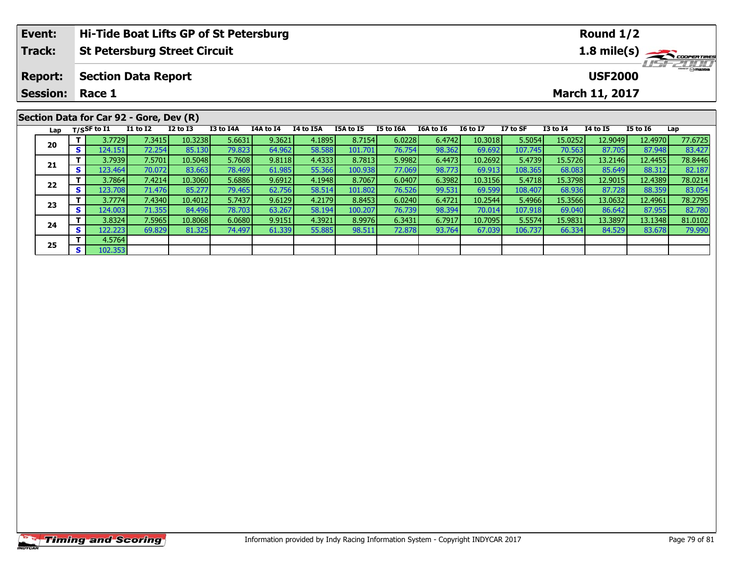|                                         | Event:          |     |                            | Hi-Tide Boat Lifts GP of St Petersburg |              |           |           |           |           |           |           |                 |          |              | Round $1/2$     |                 |             |  |  |
|-----------------------------------------|-----------------|-----|----------------------------|----------------------------------------|--------------|-----------|-----------|-----------|-----------|-----------|-----------|-----------------|----------|--------------|-----------------|-----------------|-------------|--|--|
|                                         | <b>Track:</b>   |     |                            | <b>St Petersburg Street Circuit</b>    |              |           |           |           |           |           |           |                 |          |              |                 |                 | 1.8 mile(s) |  |  |
|                                         | <b>Report:</b>  |     | <b>Section Data Report</b> |                                        |              |           |           |           |           |           |           |                 |          |              | <b>USF2000</b>  |                 |             |  |  |
|                                         | <b>Session:</b> |     | March 11, 2017<br>Race 1   |                                        |              |           |           |           |           |           |           |                 |          |              |                 |                 |             |  |  |
| Section Data for Car 92 - Gore, Dev (R) |                 |     |                            |                                        |              |           |           |           |           |           |           |                 |          |              |                 |                 |             |  |  |
|                                         | Lap             |     | $T/S$ SF to I1             | <b>I1 to I2</b>                        | $I2$ to $I3$ | I3 to I4A | I4A to I4 | I4 to I5A | I5A to I5 | I5 to I6A | I6A to I6 | <b>16 to 17</b> | I7 to SF | $I3$ to $I4$ | <b>I4 to I5</b> | <b>I5 to I6</b> | Lap         |  |  |
|                                         |                 |     | 3.7729                     | 7.3415                                 | 10.3238      | 5.6631    | 9.3621    | 4.1895    | 8.7154    | 6.0228    | 6.4742    | 10.3018         | 5.5054   | 15.0252      | 12.9049         | 12.4970         | 77.6725     |  |  |
|                                         | 20              | s l | 124.151                    | 72.254                                 | 85.130       | 79.823    | 64.962    | 58.588    | 101.701   | 76.754    | 98.362    | 69.692          | 107.745  | 70.563       | 87.705          | 87.948          | 83.427      |  |  |
|                                         |                 |     | 3.7939                     | 7.5701                                 | 10.5048      | 5.7608    | 9.8118    | 4.4333    | 8.7813    | 5.9982    | 6.4473    | 10.2692         | 5.4739   | 15.5726      | 13.2146         | 12.4455         | 78.8446     |  |  |
|                                         | 21              |     | 123.464                    | 70.0721                                | 83.663       | 78.469    | 61.985    | 55.366    | 100.938   | 77.069    | 98.7731   | 69.913          | 108.365  | 68.083       | 85.649          | 88.312          | 82.187      |  |  |

2 T 3.7864 7.4214 10.3060 5.6886 9.6912 4.1948 8.7067 6.0407 6.3982 10.3156 5.4718 15.3798 12.9015 12.4389 78.0214<br>2 S 123.708 71.476 85.277 79.465 62.756 58.514 101.802 76.526 99.531 69.599 108.407 68.936 87.728 88.359 83

3 T 3.7774| 7.4340| 10.4012| 5.7437| 9.6129| 4.2179| 8.8453| 6.0240| 6.4721| 10.2544| 5.4966| 15.3566| 13.0632| 12.4961| 78.2795<br>S 124.003| 71.355| 84.496| 78.703| 63.267| 58.194| 100.207| 76.739| 98.394| 70.014| 107.918|

**<sup>T</sup>** 3.8324 7.5965 10.8068 6.0680 9.9151 4.3921 8.9976 6.3431 6.7917 10.7095 5.5574 15.9831 13.3897 13.1348 81.0102 **<sup>S</sup>** 122.223 69.829 81.325 74.497 61.339 55.885 98.511 72.878 93.764 67.039 106.737 66.334 84.529 83.678 79.990

**22**

**23**

**24**

**25**

**<sup>T</sup>** 4.5764 **<sup>S</sup>** 102.353

82.187<br>78.0214

78.2795

82.780

79.990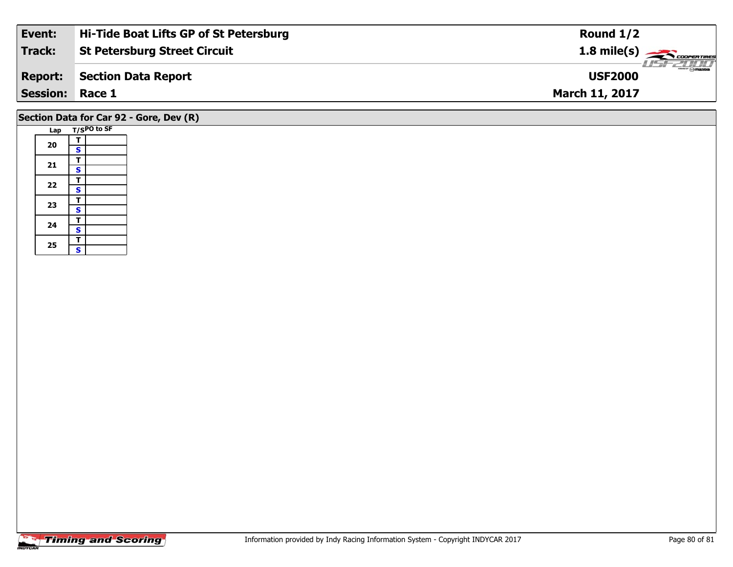| Event:                 | Hi-Tide Boat Lifts GP of St Petersburg | Round $1/2$                                                                                                                                                                                                                                                                                                                                                                                                                                                                                       |
|------------------------|----------------------------------------|---------------------------------------------------------------------------------------------------------------------------------------------------------------------------------------------------------------------------------------------------------------------------------------------------------------------------------------------------------------------------------------------------------------------------------------------------------------------------------------------------|
| Track:                 | <b>St Petersburg Street Circuit</b>    | $1.8$ mile(s) $\rightarrow$ COOPERTIRES                                                                                                                                                                                                                                                                                                                                                                                                                                                           |
| <b>Report:</b>         | Section Data Report                    | $\overline{\phantom{a}}$ $\overline{\phantom{a}}$ $\overline{\phantom{a}}$ $\overline{\phantom{a}}$ $\overline{\phantom{a}}$ $\overline{\phantom{a}}$ $\overline{\phantom{a}}$ $\overline{\phantom{a}}$ $\overline{\phantom{a}}$ $\overline{\phantom{a}}$ $\overline{\phantom{a}}$ $\overline{\phantom{a}}$ $\overline{\phantom{a}}$ $\overline{\phantom{a}}$ $\overline{\phantom{a}}$ $\overline{\phantom{a}}$ $\overline{\phantom{a}}$ $\overline{\phantom{a}}$ $\overline{\$<br><b>USF2000</b> |
| <b>Session: Race 1</b> |                                        | <b>March 11, 2017</b>                                                                                                                                                                                                                                                                                                                                                                                                                                                                             |
|                        |                                        |                                                                                                                                                                                                                                                                                                                                                                                                                                                                                                   |

## **Section Data for Car 92 - Gore, Dev (R)**

|  | Lap | T/SPO to SF |  |
|--|-----|-------------|--|
|  | 20  | т           |  |
|  |     | S           |  |
|  | 21  | т           |  |
|  |     | S           |  |
|  | 22  | T           |  |
|  |     | S           |  |
|  | 23  | Т           |  |
|  |     | S           |  |
|  | 24  | т           |  |
|  |     | S           |  |
|  | 25  | T           |  |
|  |     | S           |  |